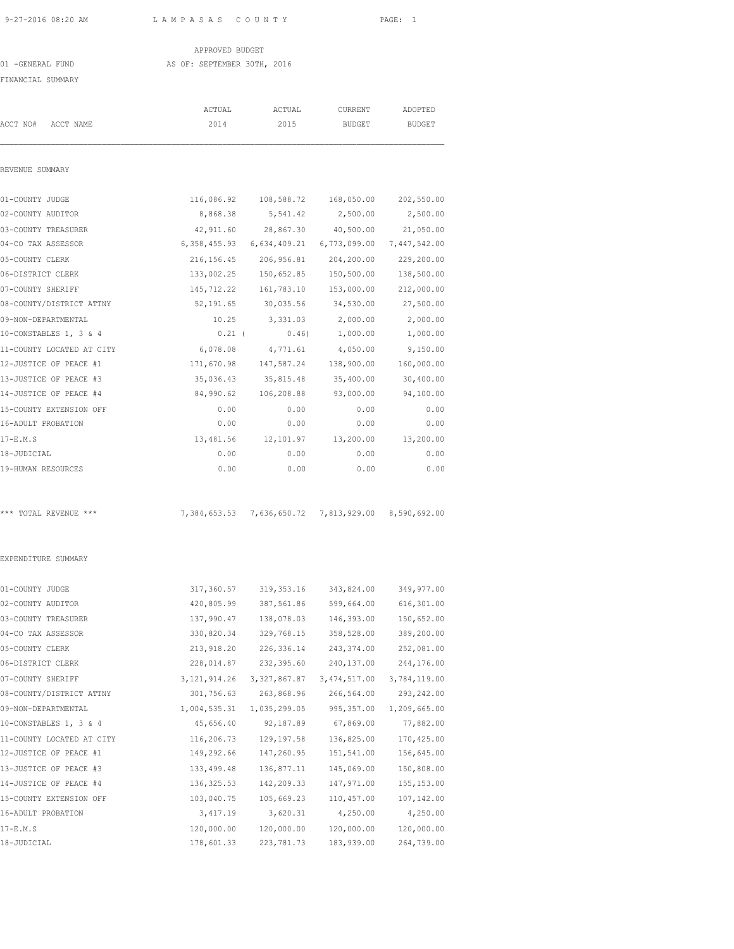### APPROVED BUDGET 01 -GENERAL FUND AS OF: SEPTEMBER 30TH, 2016

FINANCIAL SUMMARY

|                           | ACTUAL         | ACTUAL                                              | CURRENT                 | ADOPTED      |
|---------------------------|----------------|-----------------------------------------------------|-------------------------|--------------|
| ACCT NO#<br>ACCT NAME     | 2014           | 2015                                                | <b>BUDGET</b>           | BUDGET       |
| REVENUE SUMMARY           |                |                                                     |                         |              |
| 01-COUNTY JUDGE           | 116,086.92     |                                                     | 108,588.72   168,050.00 | 202,550.00   |
| 02-COUNTY AUDITOR         | 8,868.38       | 5,541.42                                            | 2,500.00                | 2,500.00     |
| 03-COUNTY TREASURER       | 42,911.60      | 28,867.30                                           | 40,500.00               | 21,050.00    |
| 04-CO TAX ASSESSOR        |                | 6,358,455.93 6,634,409.21                           | 6,773,099.00            | 7,447,542.00 |
| 05-COUNTY CLERK           | 216, 156.45    | 206,956.81                                          | 204,200.00              | 229,200.00   |
| 06-DISTRICT CLERK         | 133,002.25     | 150,652.85                                          | 150,500.00              | 138,500.00   |
| 07-COUNTY SHERIFF         | 145,712.22     | 161,783.10                                          | 153,000.00              | 212,000.00   |
| 08-COUNTY/DISTRICT ATTNY  | 52,191.65      | 30,035.56                                           | 34,530.00               | 27,500.00    |
| 09-NON-DEPARTMENTAL       | 10.25          | 3,331.03                                            | 2,000.00                | 2,000.00     |
| 10-CONSTABLES 1, 3 & 4    | $0.21$ (       | 0.46)                                               | 1,000.00                | 1,000.00     |
| 11-COUNTY LOCATED AT CITY | 6,078.08       | 4,771.61                                            | 4,050.00                | 9,150.00     |
| 12-JUSTICE OF PEACE #1    | 171,670.98     | 147,587.24                                          | 138,900.00              | 160,000.00   |
| 13-JUSTICE OF PEACE #3    | 35,036.43      | 35,815.48                                           | 35,400.00               | 30,400.00    |
| 14-JUSTICE OF PEACE #4    | 84,990.62      | 106,208.88                                          | 93,000.00               | 94,100.00    |
| 15-COUNTY EXTENSION OFF   | 0.00           | 0.00                                                | 0.00                    | 0.00         |
| 16-ADULT PROBATION        | 0.00           | 0.00                                                | 0.00                    | 0.00         |
| $17-E.M.S$                | 13,481.56      | 12,101.97                                           | 13,200.00               | 13,200.00    |
| 18-JUDICIAL               | 0.00           | 0.00                                                | 0.00                    | 0.00         |
| 19-HUMAN RESOURCES        | 0.00           | 0.00                                                | 0.00                    | 0.00         |
| *** TOTAL REVENUE ***     |                | 7,384,653.53 7,636,650.72 7,813,929.00 8,590,692.00 |                         |              |
| EXPENDITURE SUMMARY       |                |                                                     |                         |              |
| 01-COUNTY JUDGE           |                | 317,360.57 319,353.16 343,824.00                    |                         | 349,977.00   |
| 02-COUNTY AUDITOR         | 420,805.99     | 387,561.86                                          | 599,664.00              | 616,301.00   |
| 03-COUNTY TREASURER       | 137,990.47     | 138,078.03                                          | 146,393.00              | 150,652.00   |
| 04-CO TAX ASSESSOR        | 330,820.34     | 329,768.15                                          | 358,528.00              | 389,200.00   |
| 05-COUNTY CLERK           | 213,918.20     | 226, 336.14                                         | 243,374.00              | 252,081.00   |
| 06-DISTRICT CLERK         | 228,014.87     | 232,395.60                                          | 240,137.00              | 244,176.00   |
| 07-COUNTY SHERIFF         | 3, 121, 914.26 | 3, 327, 867.87                                      | 3, 474, 517.00          | 3,784,119.00 |
| 08-COUNTY/DISTRICT ATTNY  | 301,756.63     | 263,868.96                                          | 266,564.00              | 293, 242.00  |
| 09-NON-DEPARTMENTAL       | 1,004,535.31   | 1,035,299.05                                        | 995, 357.00             | 1,209,665.00 |
| 10-CONSTABLES 1, 3 & 4    | 45,656.40      | 92,187.89                                           | 67,869.00               | 77,882.00    |
| 11-COUNTY LOCATED AT CITY | 116,206.73     | 129, 197.58                                         | 136,825.00              | 170,425.00   |
| 12-JUSTICE OF PEACE #1    | 149,292.66     | 147,260.95                                          | 151,541.00              | 156,645.00   |
| 13-JUSTICE OF PEACE #3    | 133,499.48     | 136,877.11                                          | 145,069.00              | 150,808.00   |
| 14-JUSTICE OF PEACE #4    | 136, 325.53    | 142,209.33                                          | 147,971.00              | 155, 153.00  |
| 15-COUNTY EXTENSION OFF   | 103,040.75     | 105,669.23                                          | 110,457.00              | 107,142.00   |
| 16-ADULT PROBATION        |                |                                                     |                         |              |
|                           | 3,417.19       | 3,620.31                                            | 4,250.00                | 4,250.00     |

18-JUDICIAL 178,601.33 223,781.73 183,939.00 264,739.00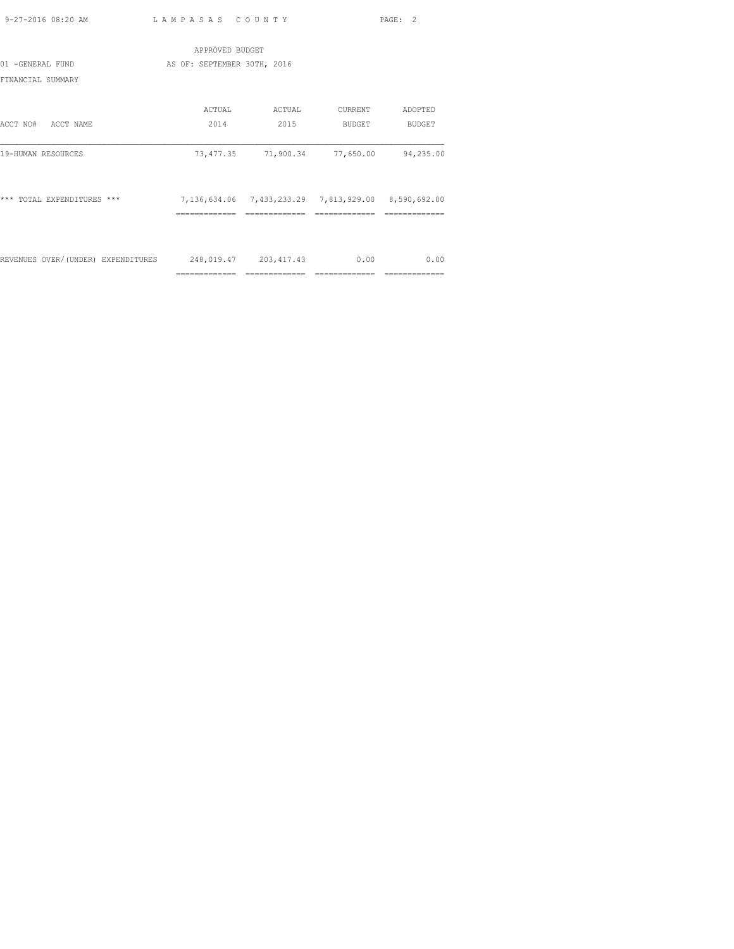|                                    | APPROVED BUDGET             |                                                             |                |               |
|------------------------------------|-----------------------------|-------------------------------------------------------------|----------------|---------------|
| 01 -GENERAL FUND                   | AS OF: SEPTEMBER 30TH, 2016 |                                                             |                |               |
| FINANCIAL SUMMARY                  |                             |                                                             |                |               |
|                                    | ACTUAL                      | ACTUAL                                                      | CURRENT        | ADOPTED       |
| ACCT NAME<br>ACCT NO#              | 2014                        | 2015                                                        | BUDGET         | BUDGET        |
| 19-HUMAN RESOURCES                 |                             | 73,477.35 71,900.34                                         | 77,650.00      | 94,235.00     |
| *** TOTAL EXPENDITURES ***         |                             | 7, 136, 634.06 7, 433, 233.29 7, 813, 929.00 8, 590, 692.00 |                |               |
|                                    |                             |                                                             |                |               |
|                                    |                             |                                                             |                |               |
| REVENUES OVER/(UNDER) EXPENDITURES |                             | 248,019.47 203,417.43                                       | 0.00           | 0.00          |
|                                    | =============               | =============                                               | ============== | ============= |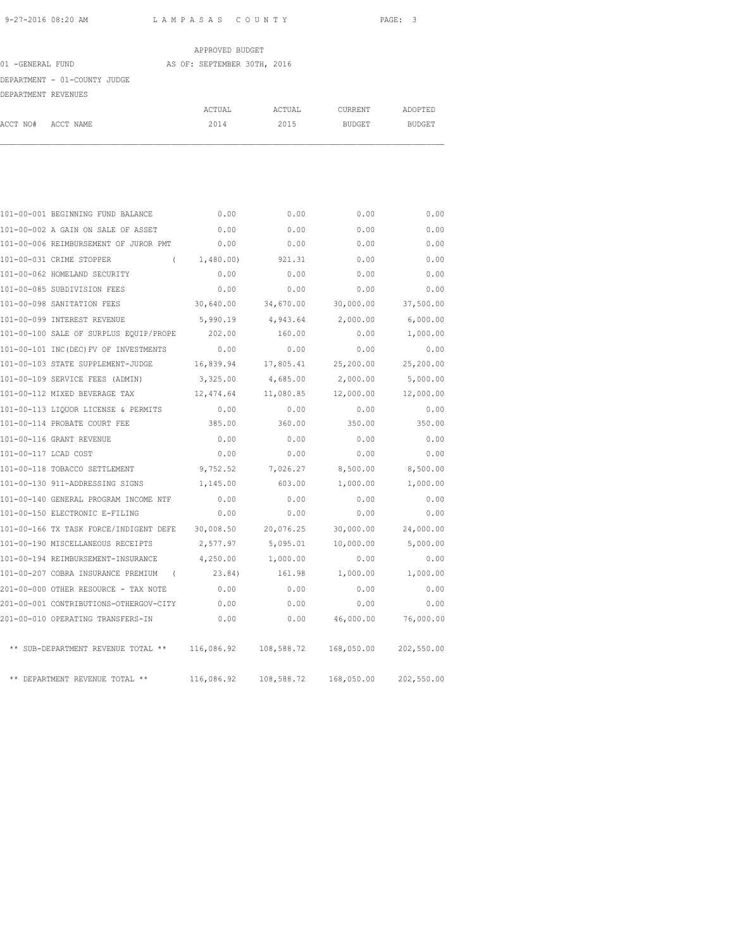|                     |                              | APPROVED BUDGET             |        |         |         |
|---------------------|------------------------------|-----------------------------|--------|---------|---------|
| 01 -GENERAL FUND    |                              | AS OF: SEPTEMBER 30TH, 2016 |        |         |         |
|                     | DEPARTMENT - 01-COUNTY JUDGE |                             |        |         |         |
| DEPARTMENT REVENUES |                              |                             |        |         |         |
|                     |                              | ACTUAL                      | ACTUAL | CURRENT | ADOPTED |
| ACCT NO#            | ACCT NAME                    | 2014                        | 2015   | BUDGET  | BUDGET  |

|                      | 101-00-001 BEGINNING FUND BALANCE                | 0.00       | 0.00       | 0.00                  | 0.00       |
|----------------------|--------------------------------------------------|------------|------------|-----------------------|------------|
|                      | 101-00-002 A GAIN ON SALE OF ASSET               | 0.00       | 0.00       | 0.00                  | 0.00       |
|                      | 101-00-006 REIMBURSEMENT OF JUROR PMT            | 0.00       | 0.00       | 0.00                  | 0.00       |
|                      | 101-00-031 CRIME STOPPER                         | (1,480,00) | 921.31     | 0.00                  | 0.00       |
|                      | 101-00-062 HOMELAND SECURITY                     | 0.00       | 0.00       | 0.00                  | 0.00       |
|                      | 101-00-085 SUBDIVISION FEES                      | 0.00       | 0.00       | 0.00                  | 0.00       |
|                      | 101-00-098 SANITATION FEES                       | 30,640.00  | 34,670.00  | 30,000.00             | 37,500.00  |
|                      | 101-00-099 INTEREST REVENUE                      | 5,990.19   | 4,943.64   | 2,000.00              | 6,000.00   |
|                      | 101-00-100 SALE OF SURPLUS EQUIP/PROPE           | 202.00     | 160.00     | 0.00                  | 1,000.00   |
|                      | 101-00-101 INC(DEC) FV OF INVESTMENTS            | 0.00       | 0.00       | 0.00                  | 0.00       |
|                      | 101-00-103 STATE SUPPLEMENT-JUDGE                | 16,839.94  | 17,805.41  | 25,200.00             | 25,200.00  |
|                      | 101-00-109 SERVICE FEES (ADMIN)                  | 3,325.00   | 4,685.00   | 2,000.00              | 5,000.00   |
|                      | 101-00-112 MIXED BEVERAGE TAX                    | 12,474.64  | 11,080.85  | 12,000.00             | 12,000.00  |
|                      | 101-00-113 LIQUOR LICENSE & PERMITS              | 0.00       | 0.00       | 0.00                  | 0.00       |
|                      | 101-00-114 PROBATE COURT FEE                     | 385.00     | 360.00     | 350.00                | 350.00     |
|                      | 101-00-116 GRANT REVENUE                         | 0.00       | 0.00       | 0.00                  | 0.00       |
| 101-00-117 LCAD COST |                                                  | 0.00       | 0.00       | 0.00                  | 0.00       |
|                      | 101-00-118 TOBACCO SETTLEMENT                    | 9,752.52   | 7,026.27   | 8,500.00              | 8,500.00   |
|                      | 101-00-130 911-ADDRESSING SIGNS                  | 1,145.00   | 603.00     | 1,000.00              | 1,000.00   |
|                      | 101-00-140 GENERAL PROGRAM INCOME NTF            | 0.00       | 0.00       | 0.00                  | 0.00       |
|                      | 101-00-150 ELECTRONIC E-FILING                   | 0.00       | 0.00       | 0.00                  | 0.00       |
|                      | 101-00-166 TX TASK FORCE/INDIGENT DEFE           | 30,008.50  | 20,076.25  | 30,000.00             | 24,000.00  |
|                      | 101-00-190 MISCELLANEOUS RECEIPTS                | 2,577.97   | 5,095.01   | 10,000.00             | 5,000.00   |
|                      | 101-00-194 REIMBURSEMENT-INSURANCE               | 4,250.00   | 1,000.00   | 0.00                  | 0.00       |
|                      | 101-00-207 COBRA INSURANCE PREMIUM<br>$\sqrt{2}$ | 23.84)     | 161.98     | 1,000.00              | 1,000.00   |
|                      | 201-00-000 OTHER RESOURCE - TAX NOTE             | 0.00       | 0.00       | 0.00                  | 0.00       |
|                      | 201-00-001 CONTRIBUTIONS-OTHERGOV-CITY           | 0.00       | 0.00       | 0.00                  | 0.00       |
|                      | 201-00-010 OPERATING TRANSFERS-IN                | 0.00       | 0.00       | 46,000.00             | 76,000.00  |
|                      | ** SUB-DEPARTMENT REVENUE TOTAL **               | 116,086.92 |            | 108,588.72 168,050.00 | 202,550.00 |
|                      | ** DEPARTMENT REVENUE TOTAL **                   | 116,086.92 | 108,588.72 | 168,050.00            | 202,550.00 |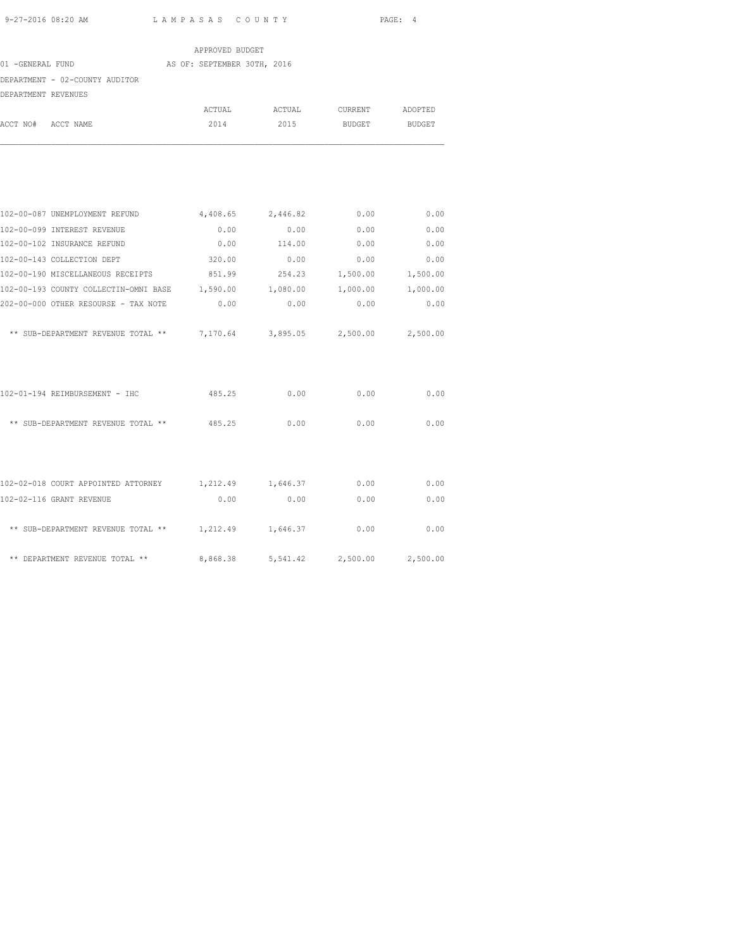|                                                                        | APPROVED BUDGET             |               |               |          |
|------------------------------------------------------------------------|-----------------------------|---------------|---------------|----------|
| 01 -GENERAL FUND                                                       | AS OF: SEPTEMBER 30TH, 2016 |               |               |          |
| DEPARTMENT - 02-COUNTY AUDITOR                                         |                             |               |               |          |
| DEPARTMENT REVENUES                                                    |                             |               |               |          |
|                                                                        |                             | ACTUAL ACTUAL | CURRENT       | ADOPTED  |
| ACCT NO# ACCT NAME                                                     | 2014                        | 2015          | BUDGET BUDGET |          |
|                                                                        |                             |               |               |          |
| 102-00-087 UNEMPLOYMENT REFUND                                         | 4,408.65 2,446.82           |               | 0.00          | 0.00     |
| 102-00-099 INTEREST REVENUE                                            | 0.00                        | 0.00          | 0.00          | 0.00     |
| 102-00-102 INSURANCE REFUND                                            | 0.00                        | 114.00        | 0.00          | 0.00     |
| 102-00-143 COLLECTION DEPT                                             | 320.00                      | 0.00          | 0.00          | 0.00     |
| 102-00-190 MISCELLANEOUS RECEIPTS 851.99 254.23 1,500.00               |                             |               |               | 1,500.00 |
| 102-00-193 COUNTY COLLECTIN-OMNI BASE 1,590.00                         |                             | 1,080.00      | 1,000.00      | 1,000.00 |
| 202-00-000 OTHER RESOURSE - TAX NOTE                                   | 0.00                        | 0.00          | 0.00          | 0.00     |
| ** SUB-DEPARTMENT REVENUE TOTAL ** 7,170.64 3,895.05 2,500.00 2,500.00 |                             |               |               |          |
| 102-01-194 REIMBURSEMENT - IHC                                         | 485.25                      | 0.00          | 0.00          | 0.00     |
| ** SUB-DEPARTMENT REVENUE TOTAL ** 485.25                              |                             | 0.00          | 0.00          | 0.00     |
| 102-02-018 COURT APPOINTED ATTORNEY 1,212.49 1,646.37 0.00             |                             |               |               | 0.00     |
| 102-02-116 GRANT REVENUE                                               | 0.00                        | 0.00          | 0.00          | 0.00     |
| ** SUB-DEPARTMENT REVENUE TOTAL **                                     | 1,212.49                    | 1,646.37      | 0.00          | 0.00     |

\*\* DEPARTMENT REVENUE TOTAL \*\* 8,868.38 5,541.42 2,500.00 2,500.00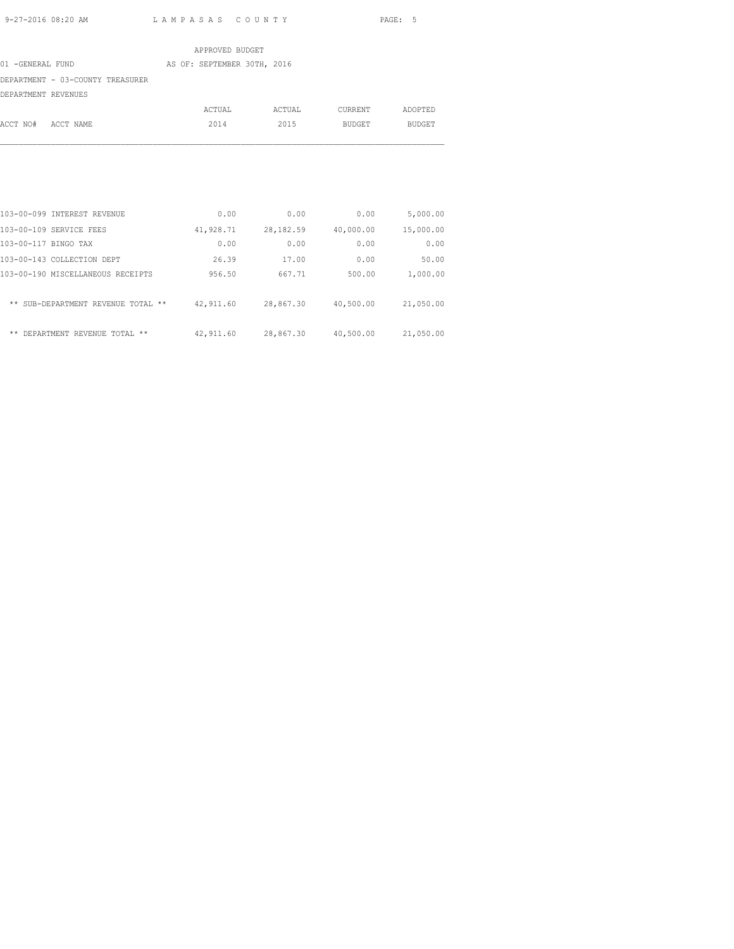|                                  | APPROVED BUDGET             |        |         |         |
|----------------------------------|-----------------------------|--------|---------|---------|
| 01 -GENERAL FUND                 | AS OF: SEPTEMBER 30TH, 2016 |        |         |         |
| DEPARTMENT - 03-COUNTY TREASURER |                             |        |         |         |
| DEPARTMENT REVENUES              |                             |        |         |         |
|                                  | ACTUAL                      | ACTUAL | CURRENT | ADOPTED |
| ACCT NO#<br>ACCT NAME            | 2014                        | 2015   | BUDGET  | BUDGET  |

| 103-00-099 INTEREST REVENUE              | 0.00      | 0.00       | 0.00      | 5,000.00  |
|------------------------------------------|-----------|------------|-----------|-----------|
| 103-00-109 SERVICE FEES                  | 41,928.71 | 28, 182.59 | 40,000.00 | 15,000.00 |
| 103-00-117 BINGO TAX                     | 0.00      | 0.00       | 0.00      | 0.00      |
| 103-00-143 COLLECTION DEPT               | 26.39     | 17.00      | 0.00      | 50.00     |
| 103-00-190 MISCELLANEOUS RECEIPTS        | 956.50    | 667.71     | 500.00    | 1,000.00  |
| ** SUB-DEPARTMENT REVENUE TOTAL<br>$* *$ | 42,911.60 | 28,867.30  | 40,500.00 | 21,050.00 |
| **<br>DEPARTMENT REVENUE TOTAL **        | 42,911.60 | 28,867.30  | 40,500.00 | 21,050.00 |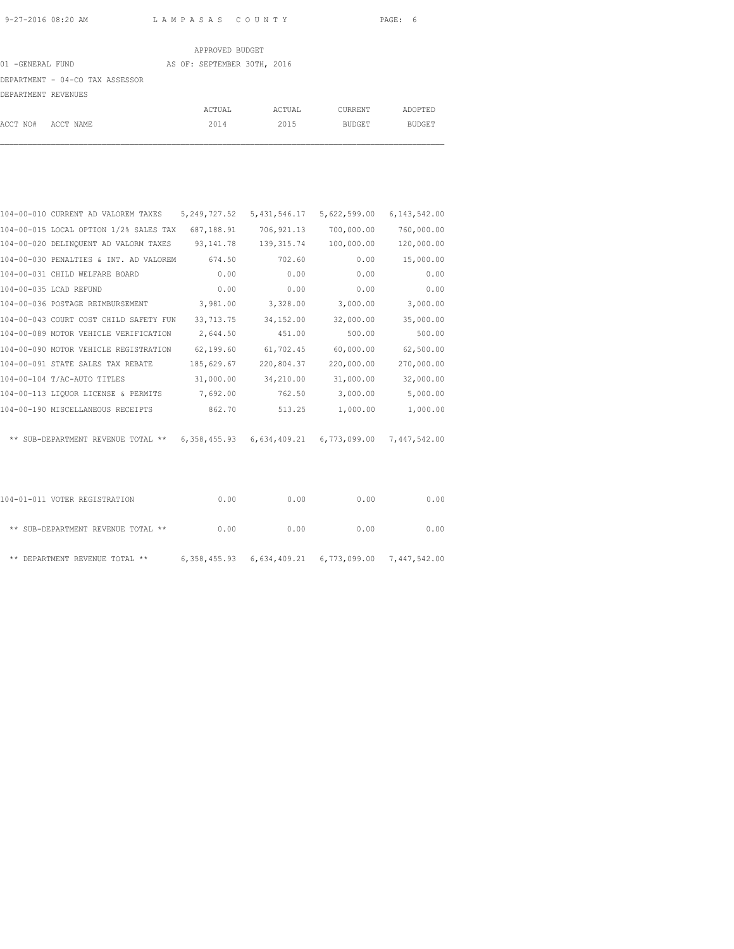|                                 | APPROVED BUDGET             |        |         |         |
|---------------------------------|-----------------------------|--------|---------|---------|
| 01 -GENERAL FUND                | AS OF: SEPTEMBER 30TH, 2016 |        |         |         |
| DEPARTMENT - 04-CO TAX ASSESSOR |                             |        |         |         |
| DEPARTMENT REVENUES             |                             |        |         |         |
|                                 | ACTUAL                      | ACTUAL | CURRENT | ADOPTED |
| ACCT NO#<br>ACCT NAME           | 2014                        | 2015   | BUDGET  | BUDGET  |

| 104-00-010 CURRENT AD VALOREM TAXES    | 5, 249, 727.52 | 5, 431, 546.17 | 5,622,599.00              | 6, 143, 542.00 |
|----------------------------------------|----------------|----------------|---------------------------|----------------|
| 104-00-015 LOCAL OPTION 1/2% SALES TAX | 687,188.91     | 706, 921.13    | 700,000.00                | 760,000.00     |
| 104-00-020 DELINQUENT AD VALORM TAXES  | 93, 141. 78    | 139, 315.74    | 100,000.00                | 120,000.00     |
| 104-00-030 PENALTIES & INT. AD VALOREM | 674.50         | 702.60         | 0.00                      | 15,000.00      |
| 104-00-031 CHILD WELFARE BOARD         | 0.00           | 0.00           | 0.00                      | 0.00           |
| 104-00-035 LCAD REFUND                 | 0.00           | 0.00           | 0.00                      | 0.00           |
| 104-00-036 POSTAGE REIMBURSEMENT       | 3,981.00       | 3,328.00       | 3,000.00                  | 3,000.00       |
| 104-00-043 COURT COST CHILD SAFETY FUN | 33,713.75      | 34,152.00      | 32,000.00                 | 35,000.00      |
| 104-00-089 MOTOR VEHICLE VERIFICATION  | 2,644.50       | 451.00         | 500.00                    | 500.00         |
| 104-00-090 MOTOR VEHICLE REGISTRATION  | 62,199.60      | 61,702.45      | 60,000.00                 | 62,500.00      |
| 104-00-091 STATE SALES TAX REBATE      | 185,629.67     | 220,804.37     | 220,000.00                | 270,000.00     |
| 104-00-104 T/AC-AUTO TITLES            | 31,000.00      | 34,210.00      | 31,000.00                 | 32,000.00      |
| 104-00-113 LIQUOR LICENSE & PERMITS    | 7,692.00       | 762.50         | 3,000.00                  | 5,000.00       |
| 104-00-190 MISCELLANEOUS RECEIPTS      | 862.70         | 513.25         | 1,000.00                  | 1,000.00       |
|                                        |                |                |                           |                |
| ** SUB-DEPARTMENT REVENUE TOTAL **     | 6,358,455.93   | 6,634,409.21   | 6,773,099.00 7,447,542.00 |                |
|                                        |                |                |                           |                |

| 104-01-011 VOTER REGISTRATION      | 0.00 | 0.00 | 0.00                                                        | 0.00 |
|------------------------------------|------|------|-------------------------------------------------------------|------|
| ** SUB-DEPARTMENT REVENUE TOTAL ** | 0.00 | 0.00 | 0.00                                                        | 0.00 |
| ** DEPARTMENT REVENUE TOTAL **     |      |      | 6, 358, 455.93 6, 634, 409.21 6, 773, 099.00 7, 447, 542.00 |      |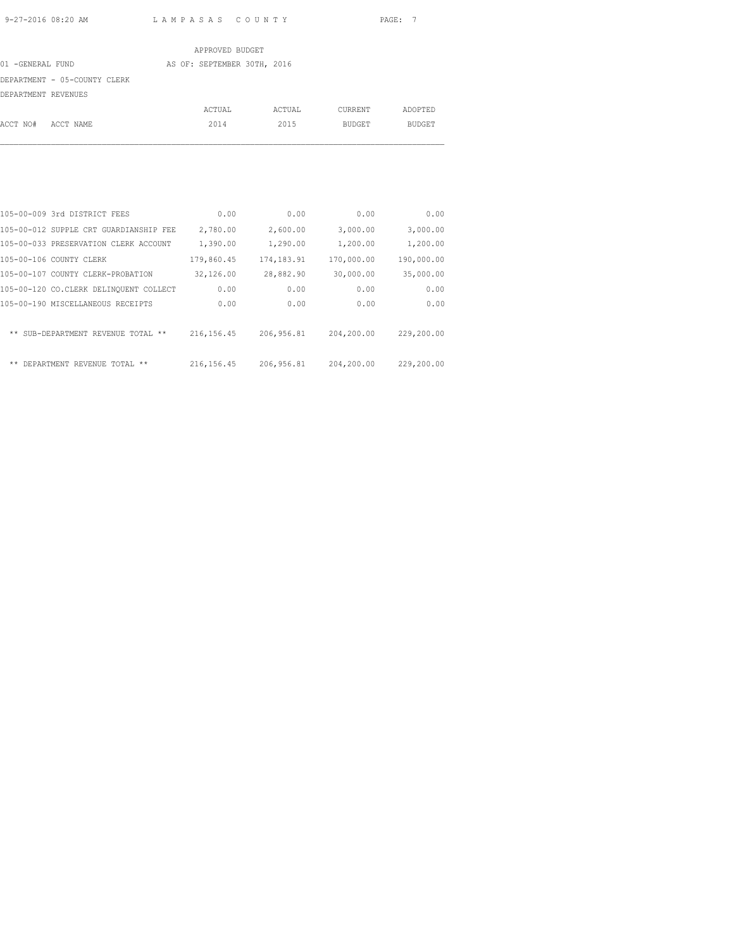|                     |                              | APPROVED BUDGET             |        |               |               |
|---------------------|------------------------------|-----------------------------|--------|---------------|---------------|
| 01 -GENERAL FUND    |                              | AS OF: SEPTEMBER 30TH, 2016 |        |               |               |
|                     | DEPARTMENT - 05-COUNTY CLERK |                             |        |               |               |
| DEPARTMENT REVENUES |                              |                             |        |               |               |
|                     |                              | ACTUAL                      | ACTUAL | CURRENT       | ADOPTED       |
| ACCT NO#            | ACCT NAME                    | 2014                        | 2015   | <b>BUDGET</b> | <b>BUDGET</b> |
|                     |                              |                             |        |               |               |

|       | 105-00-009 3rd DISTRICT FEES             | 0.00        | 0.00        | 0.00       | 0.00       |
|-------|------------------------------------------|-------------|-------------|------------|------------|
|       | 105-00-012 SUPPLE CRT GUARDIANSHIP FEE   | 2,780.00    | 2,600.00    | 3,000.00   | 3,000.00   |
|       | 105-00-033 PRESERVATION CLERK ACCOUNT    | 1,390.00    | 1,290.00    | 1,200.00   | 1,200.00   |
|       | 105-00-106 COUNTY CLERK                  | 179,860.45  | 174, 183.91 | 170,000.00 | 190,000.00 |
|       | 105-00-107 COUNTY CLERK-PROBATION        | 32,126.00   | 28,882.90   | 30,000.00  | 35,000.00  |
|       | 105-00-120 CO.CLERK DELINQUENT COLLECT   | 0.00        | 0.00        | 0.00       | 0.00       |
|       | 105-00-190 MISCELLANEOUS RECEIPTS        | 0.00        | 0.00        | 0.00       | 0.00       |
|       |                                          |             |             |            |            |
|       | ** SUB-DEPARTMENT REVENUE TOTAL<br>$* *$ | 216, 156.45 | 206, 956.81 | 204,200.00 | 229,200.00 |
|       |                                          |             |             |            |            |
| $***$ | DEPARTMENT REVENUE TOTAL<br>**           | 216, 156.45 | 206, 956.81 | 204,200.00 | 229,200.00 |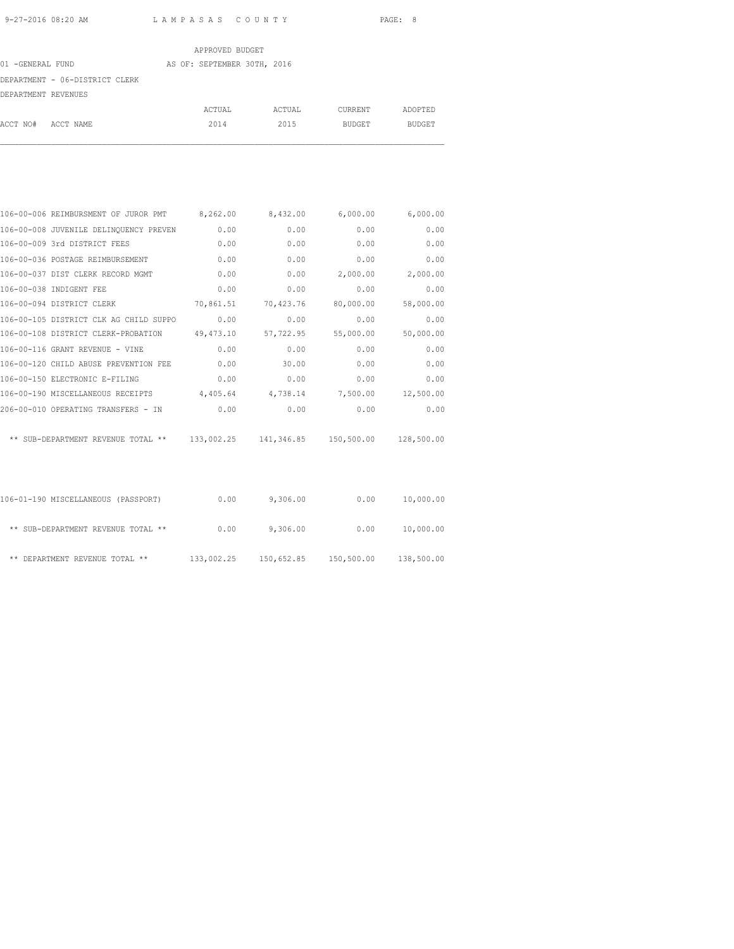|                                | APPROVED BUDGET             |        |         |         |
|--------------------------------|-----------------------------|--------|---------|---------|
| 01 -GENERAL FUND               | AS OF: SEPTEMBER 30TH, 2016 |        |         |         |
| DEPARTMENT - 06-DISTRICT CLERK |                             |        |         |         |
| DEPARTMENT REVENUES            |                             |        |         |         |
|                                | ACTUAL                      | ACTUAL | CURRENT | ADOPTED |
| ACCT NO#<br>ACCT NAME          | 2014                        | 2015   | BUDGET  | BUDGET  |

| 106-00-006 REIMBURSMENT OF JUROR PMT 8,262.00                                  |           | 8,432.00          | 6,000.00  | 6,000.00  |
|--------------------------------------------------------------------------------|-----------|-------------------|-----------|-----------|
| 106-00-008 JUVENILE DELINQUENCY PREVEN                                         | 0.00      | 0.00              | 0.00      | 0.00      |
| 106-00-009 3rd DISTRICT FEES                                                   | 0.00      | 0.00              | 0.00      | 0.00      |
| 106-00-036 POSTAGE REIMBURSEMENT                                               | 0.00      | 0.00              | 0.00      | 0.00      |
| 106-00-037 DIST CLERK RECORD MGMT                                              | 0.00      | 0.00              | 2,000.00  | 2,000.00  |
| 106-00-038 INDIGENT FEE                                                        | 0.00      | 0.00              | 0.00      | 0.00      |
| 106-00-094 DISTRICT CLERK                                                      | 70,861.51 | 70,423.76         | 80,000.00 | 58,000.00 |
| 106-00-105 DISTRICT CLK AG CHILD SUPPO                                         | 0.00      | 0.00              | 0.00      | 0.00      |
| 106-00-108 DISTRICT CLERK-PROBATION 49,473.10                                  |           | 57,722.95         | 55,000.00 | 50,000.00 |
| 106-00-116 GRANT REVENUE - VINE                                                | 0.00      | 0.00              | 0.00      | 0.00      |
| 106-00-120 CHILD ABUSE PREVENTION FEE                                          | 0.00      | 30.00             | 0.00      | 0.00      |
| 106-00-150 ELECTRONIC E-FILING                                                 | 0.00      | 0.00              | 0.00      | 0.00      |
| 106-00-190 MISCELLANEOUS RECEIPTS                                              | 4,405.64  | 4,738.14 7,500.00 |           | 12,500.00 |
| 206-00-010 OPERATING TRANSFERS - IN                                            | 0.00      | 0.00              | 0.00      | 0.00      |
| ** SUB-DEPARTMENT REVENUE TOTAL ** 133,002.25 141,346.85 150,500.00 128,500.00 |           |                   |           |           |
|                                                                                |           |                   |           |           |

| 106-01-190 MISCELLANEOUS (PASSPORT) | 0.00       | 9,306.00   | 0.00       | 10,000.00  |
|-------------------------------------|------------|------------|------------|------------|
| ** SUB-DEPARTMENT REVENUE TOTAL **  | 0.00       | 9,306.00   | 0.00       | 10,000.00  |
| ** DEPARTMENT REVENUE TOTAL **      | 133,002.25 | 150,652.85 | 150,500.00 | 138,500.00 |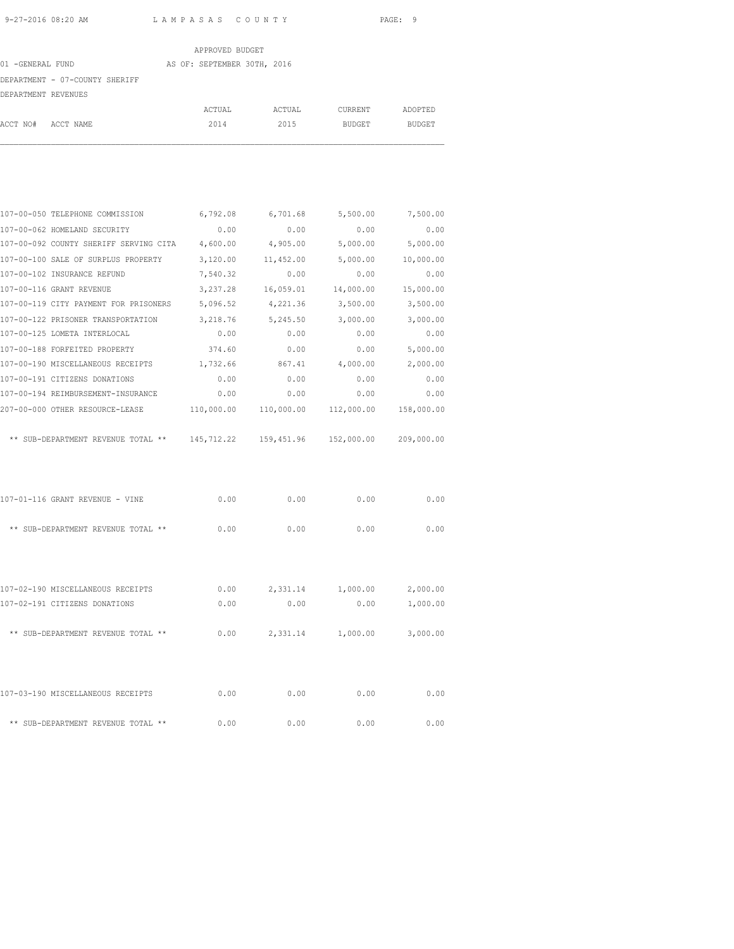## APPROVED BUDGET 01 -GENERAL FUND AS OF: SEPTEMBER 30TH, 2016 DEPARTMENT - 07-COUNTY SHERIFF DEPARTMENT REVENUES ACTUAL ACTUAL CURRENT ADOPTED ACCT NO# ACCT NAME 2014 2015 BUDGET BUDGET

| 107-00-050 TELEPHONE COMMISSION                                     | 6,792.08   | 6,701.68          | 5,500.00   | 7,500.00   |
|---------------------------------------------------------------------|------------|-------------------|------------|------------|
| 107-00-062 HOMELAND SECURITY                                        | 0.00       | 0.00              | 0.00       | 0.00       |
| 107-00-092 COUNTY SHERIFF SERVING CITA                              | 4,600.00   | 4,905.00          | 5,000.00   | 5,000.00   |
| 107-00-100 SALE OF SURPLUS PROPERTY                                 | 3,120.00   | 11,452.00         | 5,000.00   | 10,000.00  |
| 107-00-102 INSURANCE REFUND                                         | 7,540.32   | 0.00              | 0.00       | 0.00       |
| 107-00-116 GRANT REVENUE                                            | 3,237.28   | 16,059.01         | 14,000.00  | 15,000.00  |
| 107-00-119 CITY PAYMENT FOR PRISONERS                               | 5,096.52   | 4,221.36          | 3,500.00   | 3,500.00   |
| 107-00-122 PRISONER TRANSPORTATION                                  | 3,218.76   | 5,245.50          | 3,000.00   | 3,000.00   |
| 107-00-125 LOMETA INTERLOCAL                                        | 0.00       | 0.00              | 0.00       | 0.00       |
| 107-00-188 FORFEITED PROPERTY                                       | 374.60     | 0.00              | 0.00       | 5,000.00   |
| 107-00-190 MISCELLANEOUS RECEIPTS                                   | 1,732.66   | 867.41            | 4,000.00   | 2,000.00   |
| 107-00-191 CITIZENS DONATIONS                                       | 0.00       | 0.00              | 0.00       | 0.00       |
| 107-00-194 REIMBURSEMENT-INSURANCE                                  | 0.00       | 0.00              | 0.00       | 0.00       |
| 207-00-000 OTHER RESOURCE-LEASE                                     | 110,000.00 | 110,000.00        | 112,000.00 | 158,000.00 |
| ** SUB-DEPARTMENT REVENUE TOTAL ** 145,712.22 159,451.96 152,000.00 |            |                   |            | 209,000.00 |
| 107-01-116 GRANT REVENUE - VINE                                     | 0.00       | 0.00              | 0.00       | 0.00       |
| ** SUB-DEPARTMENT REVENUE TOTAL **                                  | 0.00       | 0.00              | 0.00       | 0.00       |
| 107-02-190 MISCELLANEOUS RECEIPTS                                   | 0.00       | 2,331.14 1,000.00 |            | 2,000.00   |
| 107-02-191 CITIZENS DONATIONS                                       | 0.00       | 0.00              | 0.00       | 1,000.00   |
| ** SUB-DEPARTMENT REVENUE TOTAL **                                  | 0.00       | 2,331.14 1,000.00 |            | 3,000.00   |
| 107-03-190 MISCELLANEOUS RECEIPTS                                   | 0.00       | 0.00              | 0.00       | 0.00       |
| ** SUB-DEPARTMENT REVENUE TOTAL **                                  | 0.00       | 0.00              | 0.00       | 0.00       |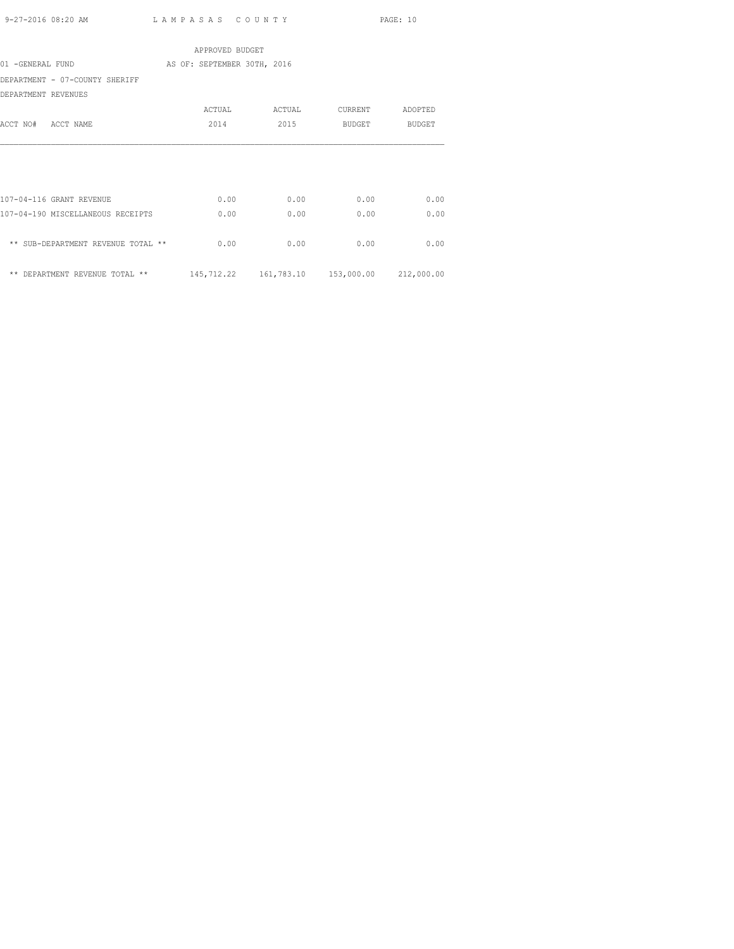|                                    | APPROVED BUDGET             |        |                                                |         |
|------------------------------------|-----------------------------|--------|------------------------------------------------|---------|
| 01 -GENERAL FUND                   | AS OF: SEPTEMBER 30TH, 2016 |        |                                                |         |
| DEPARTMENT - 07-COUNTY SHERIFF     |                             |        |                                                |         |
| DEPARTMENT REVENUES                |                             |        |                                                |         |
|                                    | ACTUAL                      | ACTUAL | CURRENT                                        | ADOPTED |
| ACCT NO# ACCT NAME                 | 2014                        | 2015   | BUDGET                                         | BUDGET  |
|                                    |                             |        |                                                |         |
| 107-04-116 GRANT REVENUE           | 0.00                        | 0.00   | 0.00                                           | 0.00    |
| 107-04-190 MISCELLANEOUS RECEIPTS  | 0.00                        | 0.00   | 0.00                                           | 0.00    |
| ** SUB-DEPARTMENT REVENUE TOTAL ** | 0.00                        | 0.00   | 0.00                                           | 0.00    |
| ** DEPARTMENT REVENUE TOTAL **     |                             |        | 145,712.22  161,783.10  153,000.00  212,000.00 |         |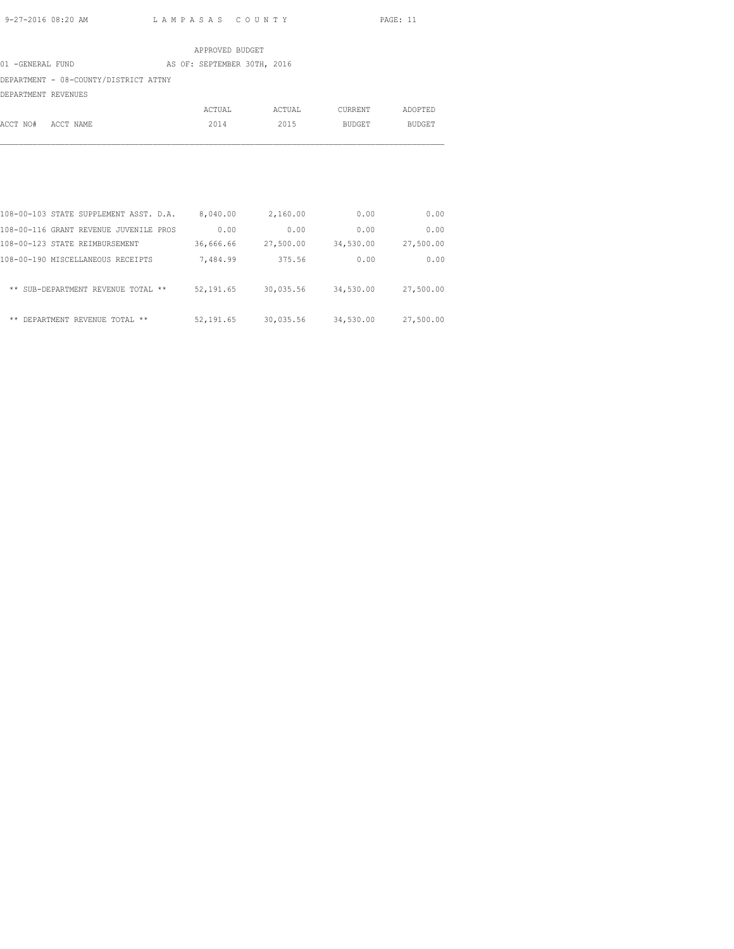|                                       |  | APPROVED BUDGET             |        |               |               |
|---------------------------------------|--|-----------------------------|--------|---------------|---------------|
| 01 -GENERAL FUND                      |  | AS OF: SEPTEMBER 30TH, 2016 |        |               |               |
| DEPARTMENT - 08-COUNTY/DISTRICT ATTNY |  |                             |        |               |               |
| DEPARTMENT REVENUES                   |  |                             |        |               |               |
|                                       |  | ACTUAL                      | ACTUAL | CURRENT       | ADOPTED       |
| ACCT NO#<br>ACCT NAME                 |  | 2014                        | 2015   | <b>BUDGET</b> | <b>BUDGET</b> |
|                                       |  |                             |        |               |               |

| 0.00      | 0.00      | 2,160.00  | 8,040.00   | 108-00-103 STATE SUPPLEMENT ASST. D.A. |  |
|-----------|-----------|-----------|------------|----------------------------------------|--|
| 0.00      | 0.00      | 0.00      | 0.00       | 108-00-116 GRANT REVENUE JUVENILE PROS |  |
| 27,500.00 | 34,530.00 | 27,500.00 | 36,666.66  | 108-00-123 STATE REIMBURSEMENT         |  |
| 0.00      | 0.00      | 375.56    | 7,484.99   | 108-00-190 MISCELLANEOUS RECEIPTS      |  |
| 27,500.00 | 34,530.00 | 30,035.56 | 52, 191.65 | ** SUB-DEPARTMENT REVENUE TOTAL **     |  |
| 27,500.00 | 34,530.00 | 30,035.56 | 52, 191.65 | ** DEPARTMENT REVENUE TOTAL **         |  |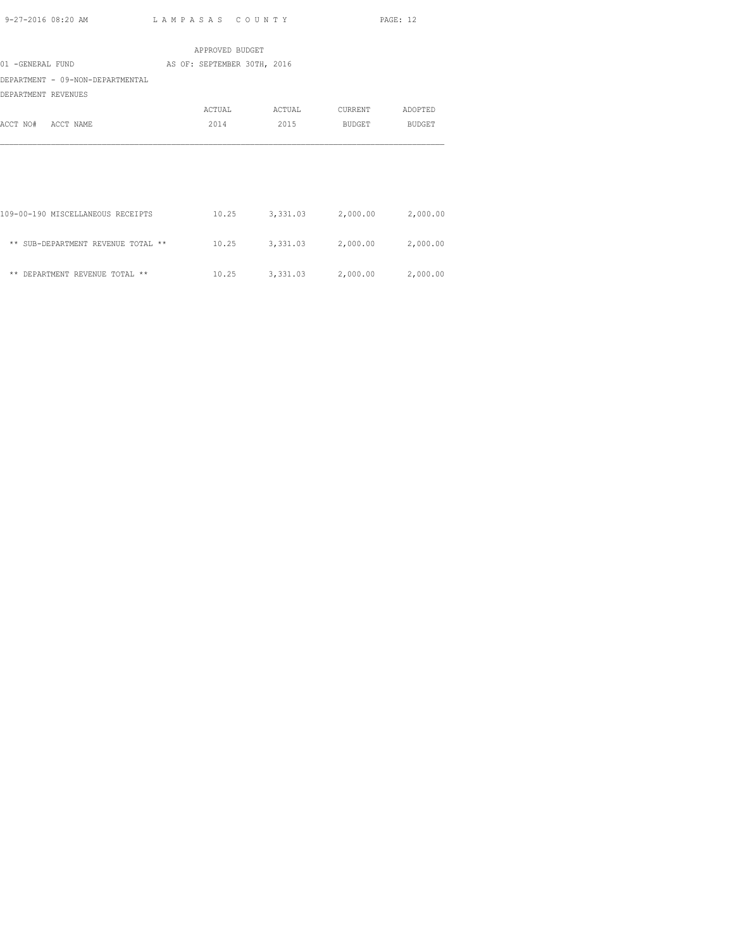|                                    | APPROVED BUDGET             |        |                            |          |
|------------------------------------|-----------------------------|--------|----------------------------|----------|
| 01 -GENERAL FUND                   | AS OF: SEPTEMBER 30TH, 2016 |        |                            |          |
| DEPARTMENT - 09-NON-DEPARTMENTAL   |                             |        |                            |          |
| DEPARTMENT REVENUES                |                             |        |                            |          |
|                                    | ACTUAL                      | ACTUAL | CURRENT                    | ADOPTED  |
| ACCT NAME<br>ACCT NO#              | 2014                        | 2015   | BUDGET                     | BUDGET   |
|                                    |                             |        |                            |          |
|                                    |                             |        |                            |          |
|                                    |                             |        |                            |          |
|                                    |                             |        |                            |          |
|                                    |                             |        |                            |          |
| 109-00-190 MISCELLANEOUS RECEIPTS  | 10.25                       |        | 3,331.03 2,000.00          | 2,000.00 |
|                                    |                             |        |                            |          |
| ** SUB-DEPARTMENT REVENUE TOTAL ** | 10.25                       |        | 3,331.03 2,000.00          | 2,000.00 |
|                                    |                             |        |                            |          |
| ** DEPARTMENT REVENUE TOTAL **     | 10.25                       |        | 3,331.03 2,000.00 2,000.00 |          |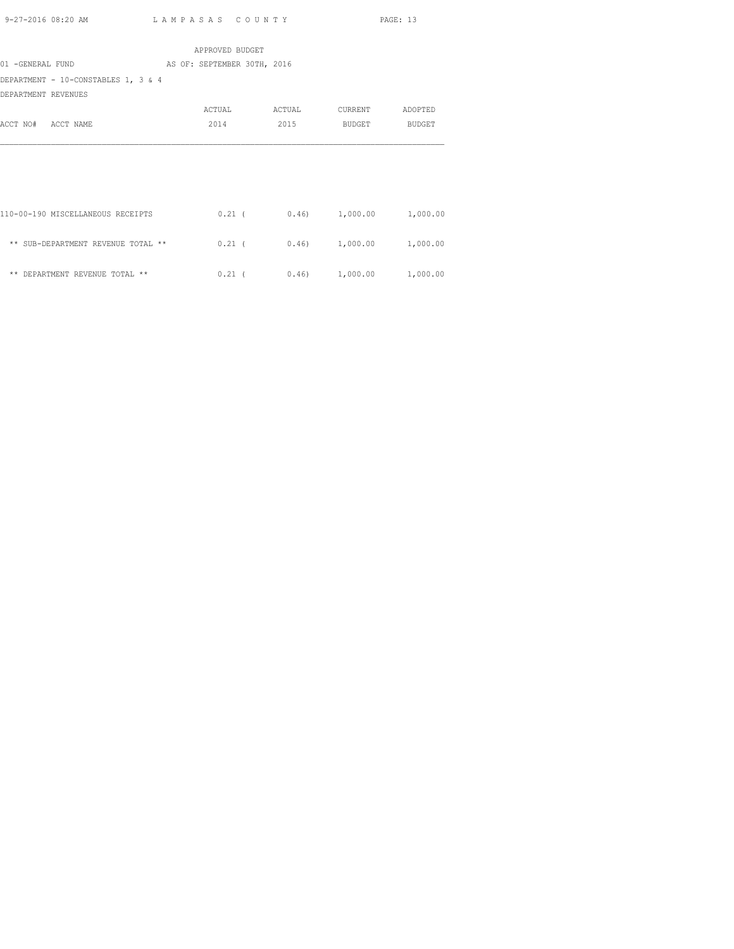|                     |                                     | APPROVED BUDGET             |        |      |                              |          |
|---------------------|-------------------------------------|-----------------------------|--------|------|------------------------------|----------|
| 01 -GENERAL FUND    |                                     | AS OF: SEPTEMBER 30TH, 2016 |        |      |                              |          |
|                     | DEPARTMENT - 10-CONSTABLES 1, 3 & 4 |                             |        |      |                              |          |
| DEPARTMENT REVENUES |                                     |                             |        |      |                              |          |
|                     |                                     | ACTUAL                      | ACTUAL |      | CURRENT                      | ADOPTED  |
| ACCT NO# ACCT NAME  |                                     | 2014                        |        | 2015 | <b>BUDGET</b>                | BUDGET   |
|                     |                                     |                             |        |      |                              |          |
|                     |                                     |                             |        |      |                              |          |
|                     |                                     |                             |        |      |                              |          |
|                     |                                     |                             |        |      |                              |          |
|                     |                                     |                             |        |      |                              |          |
|                     | 110-00-190 MISCELLANEOUS RECEIPTS   |                             |        |      | $0.21$ ( $0.46$ ) 1,000.00   | 1,000.00 |
|                     |                                     |                             |        |      |                              |          |
|                     | ** SUB-DEPARTMENT REVENUE TOTAL **  |                             |        |      | $0.21$ ( $0.46$ ) $1,000.00$ | 1,000.00 |

\*\* DEPARTMENT REVENUE TOTAL \*\*  $0.21$  (  $0.46$ )  $1,000.00$   $1,000.00$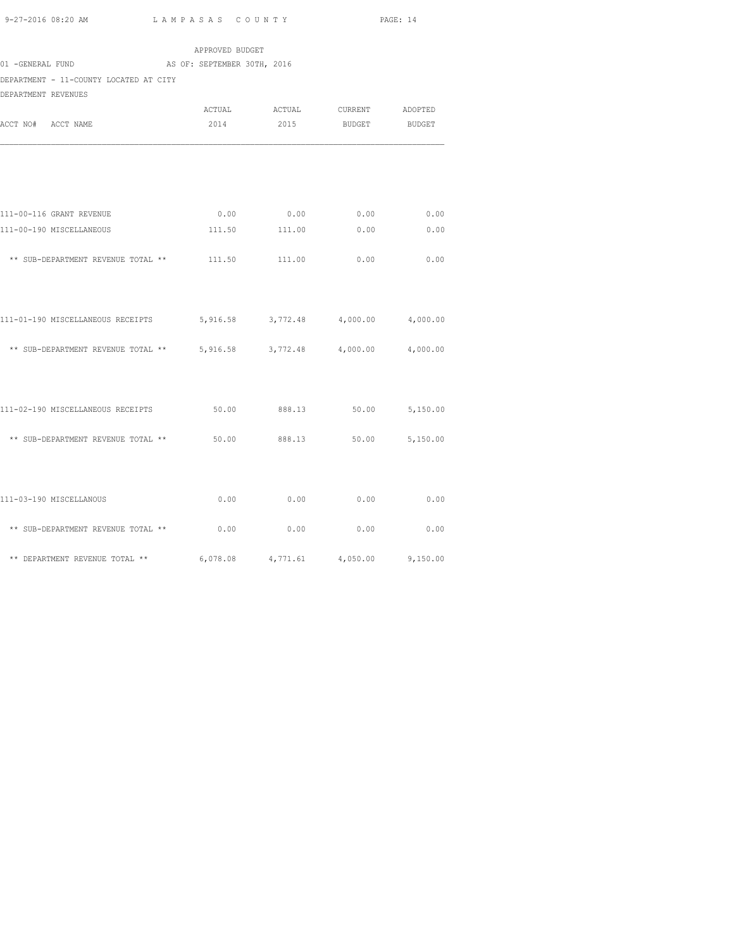|                                                                   | APPROVED BUDGET |                               |                   |                |
|-------------------------------------------------------------------|-----------------|-------------------------------|-------------------|----------------|
| AS OF: SEPTEMBER 30TH, 2016<br>01 -GENERAL FUND                   |                 |                               |                   |                |
| DEPARTMENT - 11-COUNTY LOCATED AT CITY                            |                 |                               |                   |                |
| DEPARTMENT REVENUES                                               |                 |                               |                   |                |
|                                                                   |                 | ACTUAL ACTUAL CURRENT ADOPTED |                   |                |
| ACCT NO# ACCT NAME                                                | 2014            | 2015                          | BUDGET            | BUDGET         |
|                                                                   |                 |                               |                   |                |
| 111-00-116 GRANT REVENUE                                          |                 | $0.00$ 0.00                   | 0.00              | 0.00           |
| 111-00-190 MISCELLANEOUS                                          |                 | 111.50 111.00 0.00            |                   | 0.00           |
| $**$ SUB-DEPARTMENT REVENUE TOTAL $**$ 111.50 111.00 0.00         |                 |                               |                   | 0.00           |
| 111-01-190 MISCELLANEOUS RECEIPTS                                 |                 | 5,916.58 3,772.48 4,000.00    |                   | 4,000.00       |
| ** SUB-DEPARTMENT REVENUE TOTAL ** $5,916.58$ 3,772.48 $4,000.00$ |                 |                               |                   | 4,000.00       |
| 111-02-190 MISCELLANEOUS RECEIPTS                                 |                 | 50.00 888.13 50.00 5,150.00   |                   |                |
| ** SUB-DEPARTMENT REVENUE TOTAL ** 50.00 888.13                   |                 |                               |                   | 50.00 5,150.00 |
| 111-03-190 MISCELLANOUS                                           | 0.00            | 0.00                          | 0.00              | 0.00           |
| ** SUB-DEPARTMENT REVENUE TOTAL **                                | 0.00            | 0.00                          | 0.00              | 0.00           |
| ** DEPARTMENT REVENUE TOTAL **                                    | 6,078.08        |                               | 4,771.61 4,050.00 | 9,150.00       |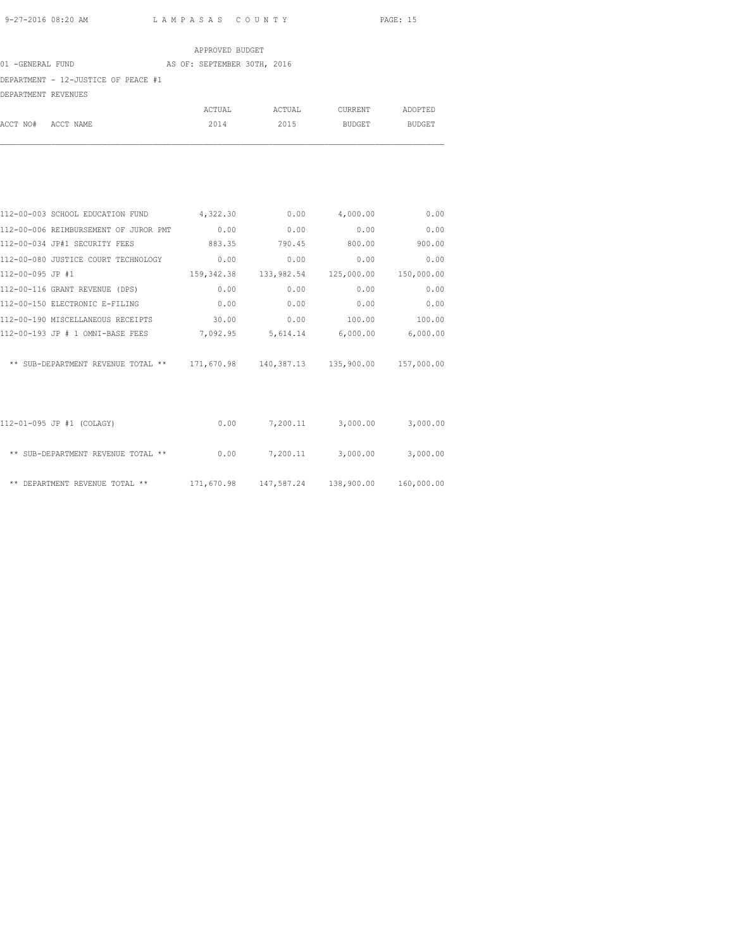|                     |                                     |  | APPROVED BUDGET             |        |               |               |
|---------------------|-------------------------------------|--|-----------------------------|--------|---------------|---------------|
| 01 -GENERAL FUND    |                                     |  | AS OF: SEPTEMBER 30TH, 2016 |        |               |               |
|                     | DEPARTMENT - 12-JUSTICE OF PEACE #1 |  |                             |        |               |               |
| DEPARTMENT REVENUES |                                     |  |                             |        |               |               |
|                     |                                     |  | ACTUAL                      | ACTUAL | CURRENT       | ADOPTED       |
| ACCT NO#            | ACCT NAME                           |  | 2014                        | 2015   | <b>BUDGET</b> | <b>BUDGET</b> |

| 112-00-003 SCHOOL EDUCATION FUND                                               | 4,322.30 | 0.00   | 4,000.00                                       | 0.00       |
|--------------------------------------------------------------------------------|----------|--------|------------------------------------------------|------------|
| 112-00-006 REIMBURSEMENT OF JUROR PMT                                          | 0.00     | 0.00   | 0.00                                           | 0.00       |
| 112-00-034 JP#1 SECURITY FEES                                                  | 883.35   | 790.45 | 800.00                                         | 900.00     |
| 112-00-080 JUSTICE COURT TECHNOLOGY                                            | 0.00     | 0.00   | 0.00                                           | 0.00       |
| 112-00-095 JP #1                                                               |          |        | 159, 342.38 133, 982.54 125, 000.00            | 150,000.00 |
| 112-00-116 GRANT REVENUE (DPS)                                                 | 0.00     | 0.00   | 0.00                                           | 0.00       |
| 112-00-150 ELECTRONIC E-FILING                                                 | 0.00     | 0.00   | 0.00                                           | 0.00       |
| 112-00-190 MISCELLANEOUS RECEIPTS                                              | 30.00    | 0.00   | 100.00                                         | 100.00     |
| 112-00-193 JP # 1 OMNI-BASE FEES                                               |          |        | 7,092.95 5,614.14 6,000.00                     | 6,000.00   |
| ** SUB-DEPARTMENT REVENUE TOTAL ** 171,670.98 140,387.13 135,900.00 157,000.00 |          |        |                                                |            |
| 112-01-095 JP #1 (COLAGY)                                                      |          |        | $0.00$ $7,200.11$ $3,000.00$                   | 3,000.00   |
| ** SUB-DEPARTMENT REVENUE TOTAL **                                             | 0.00     |        | 7,200.11 3,000.00                              | 3,000.00   |
| ** DEPARTMENT REVENUE TOTAL **                                                 |          |        | 171,670.98  147,587.24  138,900.00  160,000.00 |            |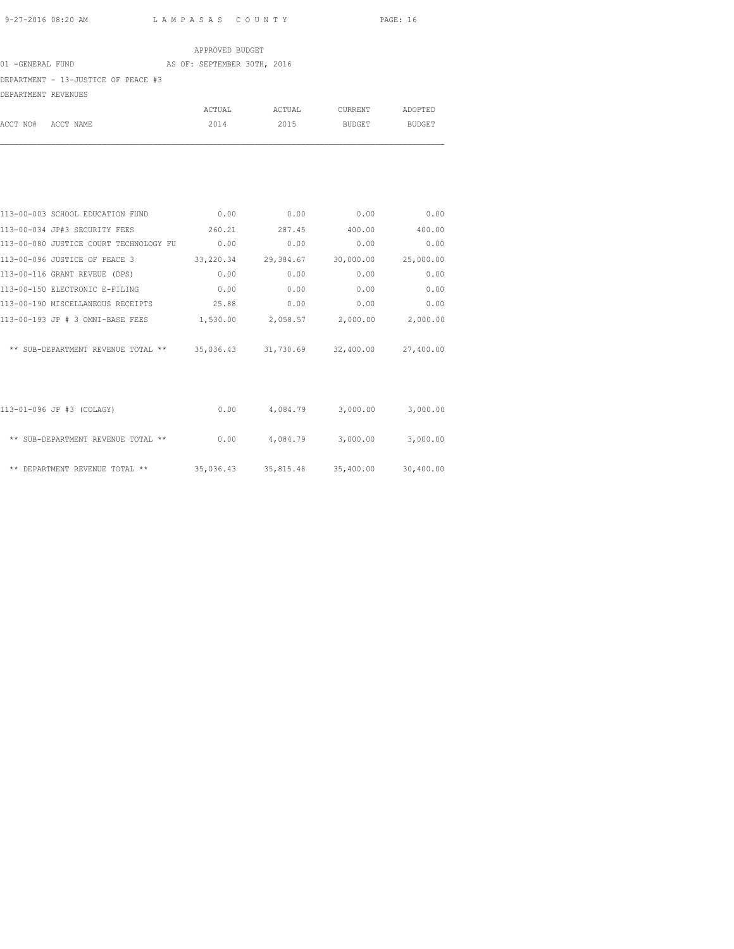### APPROVED BUDGET 01 -GENERAL FUND AS OF: SEPTEMBER 30TH, 2016 DEPARTMENT - 13-JUSTICE OF PEACE #3 DEPARTMENT REVENUES ACTUAL ACTUAL CURRENT ADOPTED

ACCT NO# ACCT NAME 2014 2015 BUDGET BUDGET

| 113-00-003 SCHOOL EDUCATION FUND       | 0.00      | 0.00                                    | 0.00                | 0.00      |
|----------------------------------------|-----------|-----------------------------------------|---------------------|-----------|
| 113-00-034 JP#3 SECURITY FEES          | 260.21    | 287.45                                  | 400.00              | 400.00    |
| 113-00-080 JUSTICE COURT TECHNOLOGY FU | 0.00      | 0.00                                    | 0.00                | 0.00      |
| 113-00-096 JUSTICE OF PEACE 3          | 33,220.34 | 29,384.67                               | 30,000.00           | 25,000.00 |
| 113-00-116 GRANT REVEUE (DPS)          | 0.00      | 0.00                                    | 0.00                | 0.00      |
| 113-00-150 ELECTRONIC E-FILING         | 0.00      | 0.00                                    | 0.00                | 0.00      |
| 113-00-190 MISCELLANEOUS RECEIPTS      | 25.88     | 0.00                                    | 0.00                | 0.00      |
| 113-00-193 JP # 3 OMNI-BASE FEES       | 1,530.00  | 2,058.57 2,000.00                       |                     | 2,000.00  |
| ** SUB-DEPARTMENT REVENUE TOTAL **     |           | 35,036.43 31,730.69 32,400.00 27,400.00 |                     |           |
| 113-01-096 JP #3 (COLAGY)              |           | $0.00$ 4,084.79 3,000.00                |                     | 3,000.00  |
| ** SUB-DEPARTMENT REVENUE TOTAL **     | 0.00      |                                         | 4,084.79 3,000.00   | 3,000.00  |
| ** DEPARTMENT REVENUE TOTAL **         | 35,036.43 |                                         | 35,815.48 35,400.00 | 30,400.00 |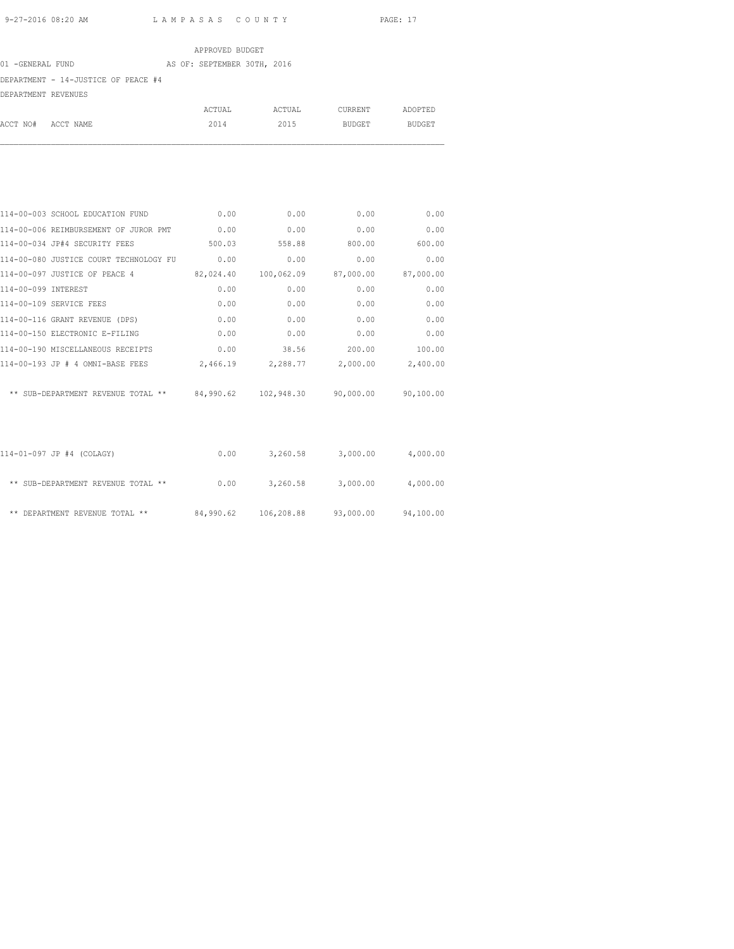|                                     | APPROVED BUDGET             |        |               |               |
|-------------------------------------|-----------------------------|--------|---------------|---------------|
| 01 -GENERAL FUND                    | AS OF: SEPTEMBER 30TH, 2016 |        |               |               |
| DEPARTMENT - 14-JUSTICE OF PEACE #4 |                             |        |               |               |
| DEPARTMENT REVENUES                 |                             |        |               |               |
|                                     | ACTUAL                      | ACTUAL | CURRENT       | ADOPTED       |
| ACCT NO#<br>ACCT NAME               | 2014                        | 2015   | <b>BUDGET</b> | <b>BUDGET</b> |

| 114-00-003 SCHOOL EDUCATION FUND                                               | 0.00      | 0.00                                    | 0.00      | 0.00      |
|--------------------------------------------------------------------------------|-----------|-----------------------------------------|-----------|-----------|
| 114-00-006 REIMBURSEMENT OF JUROR PMT 0.00                                     |           | 0.00                                    | 0.00      | 0.00      |
| 114-00-034 JP#4 SECURITY FEES                                                  | 500.03    | 558.88                                  | 800.00    | 600.00    |
| 114-00-080 JUSTICE COURT TECHNOLOGY FU                                         | 0.00      | 0.00                                    | 0.00      | 0.00      |
| 114-00-097 JUSTICE OF PEACE 4                                                  | 82,024.40 | 100,062.09                              | 87,000.00 | 87,000.00 |
| 114-00-099 INTEREST                                                            | 0.00      | 0.00                                    | 0.00      | 0.00      |
| 114-00-109 SERVICE FEES                                                        | 0.00      | 0.00                                    | 0.00      | 0.00      |
| 114-00-116 GRANT REVENUE (DPS)                                                 | 0.00      | 0.00                                    | 0.00      | 0.00      |
| 114-00-150 ELECTRONIC E-FILING                                                 | 0.00      | 0.00                                    | 0.00      | 0.00      |
| 114-00-190 MISCELLANEOUS RECEIPTS                                              | 0.00      | 38.56                                   | 200.00    | 100.00    |
| $114-00-193$ JP # 4 OMNI-BASE FEES $2,466.19$ $2,288.77$ $2,000.00$ $2,400.00$ |           |                                         |           |           |
| ** SUB-DEPARTMENT REVENUE TOTAL ** 84,990.62 102,948.30 90,000.00 90,100.00    |           |                                         |           |           |
|                                                                                |           |                                         |           |           |
| 114-01-097 JP #4 (COLAGY)                                                      |           | $0.00$ $3,260.58$ $3,000.00$ $4,000.00$ |           |           |
| ** SUB-DEPARTMENT REVENUE TOTAL **                                             |           | $0.00$ $3,260.58$ $3,000.00$ $4,000.00$ |           |           |
| ** DEPARTMENT REVENUE TOTAL ** 84,990.62 106,208.88 93,000.00 94,100.00        |           |                                         |           |           |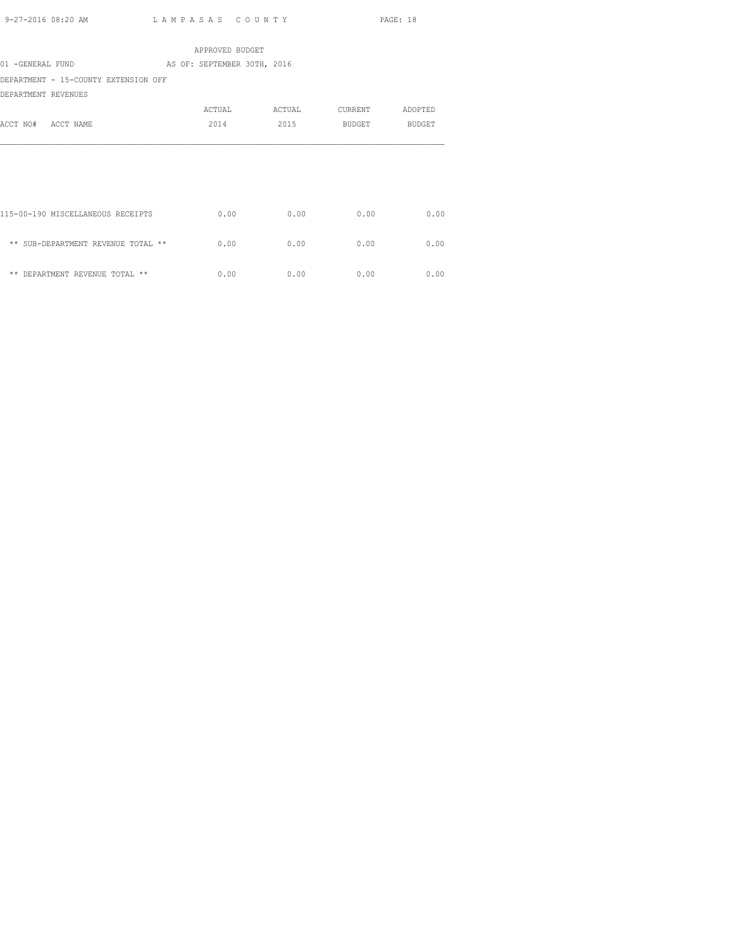| APPROVED BUDGET                      |                             |        |         |         |  |  |  |  |
|--------------------------------------|-----------------------------|--------|---------|---------|--|--|--|--|
| 01 -GENERAL FUND                     | AS OF: SEPTEMBER 30TH, 2016 |        |         |         |  |  |  |  |
| DEPARTMENT - 15-COUNTY EXTENSION OFF |                             |        |         |         |  |  |  |  |
| DEPARTMENT REVENUES                  |                             |        |         |         |  |  |  |  |
|                                      | ACTUAL                      | ACTUAL | CURRENT | ADOPTED |  |  |  |  |
| ACCT NO# ACCT NAME                   | 2014                        | 2015   | BUDGET  | BUDGET  |  |  |  |  |
|                                      |                             |        |         |         |  |  |  |  |
|                                      |                             |        |         |         |  |  |  |  |
|                                      |                             |        |         |         |  |  |  |  |
|                                      |                             |        |         |         |  |  |  |  |
|                                      |                             |        |         |         |  |  |  |  |
| 115-00-190 MISCELLANEOUS RECEIPTS    | 0.00                        | 0.00   | 0.00    | 0.00    |  |  |  |  |
|                                      |                             |        |         |         |  |  |  |  |
| ** SUB-DEPARTMENT REVENUE TOTAL **   | 0.00                        | 0.00   | 0.00    | 0.00    |  |  |  |  |
|                                      |                             |        |         |         |  |  |  |  |
| ** DEPARTMENT REVENUE TOTAL **       | 0.00                        | 0.00   | 0.00    | 0.00    |  |  |  |  |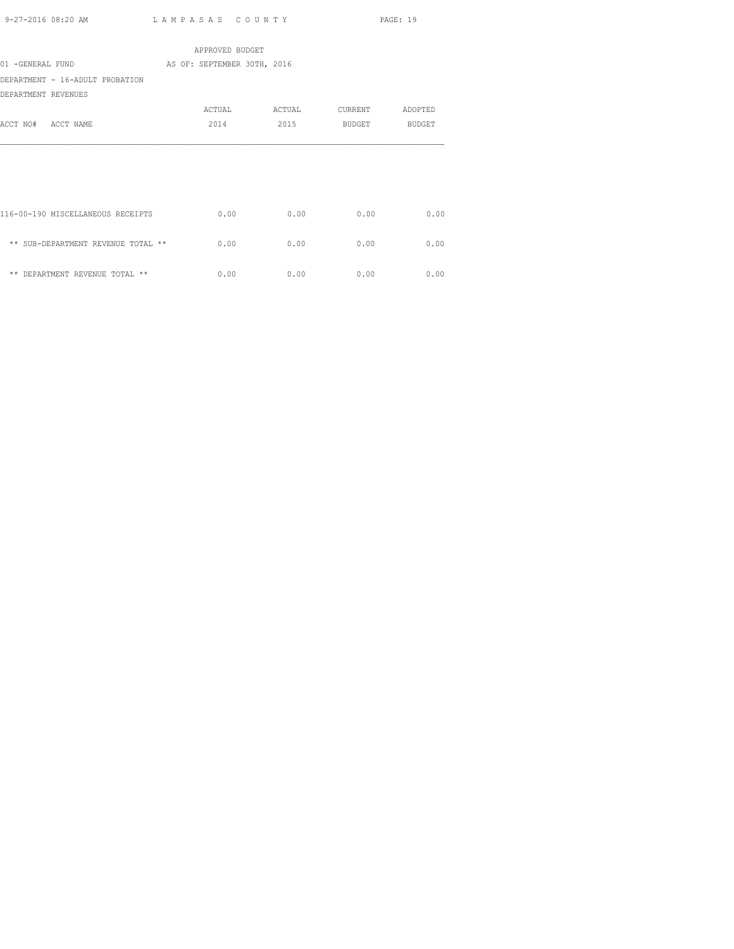| ACTUAL                                     | ACTUAL | CURRENT                                        | ADOPTED |
|--------------------------------------------|--------|------------------------------------------------|---------|
| 2014                                       | 2015   | <b>BUDGET</b>                                  | BUDGET  |
|                                            |        |                                                |         |
|                                            |        |                                                |         |
|                                            |        |                                                |         |
|                                            |        |                                                |         |
|                                            |        |                                                |         |
| 0.00                                       | 0.00   | 0.00                                           | 0.00    |
|                                            |        |                                                |         |
| 0.00<br>** SUB-DEPARTMENT REVENUE TOTAL ** | 0.00   | 0.00                                           | 0.00    |
|                                            |        |                                                |         |
| 0.00                                       | 0.00   | 0.00                                           | 0.00    |
|                                            |        | APPROVED BUDGET<br>AS OF: SEPTEMBER 30TH, 2016 |         |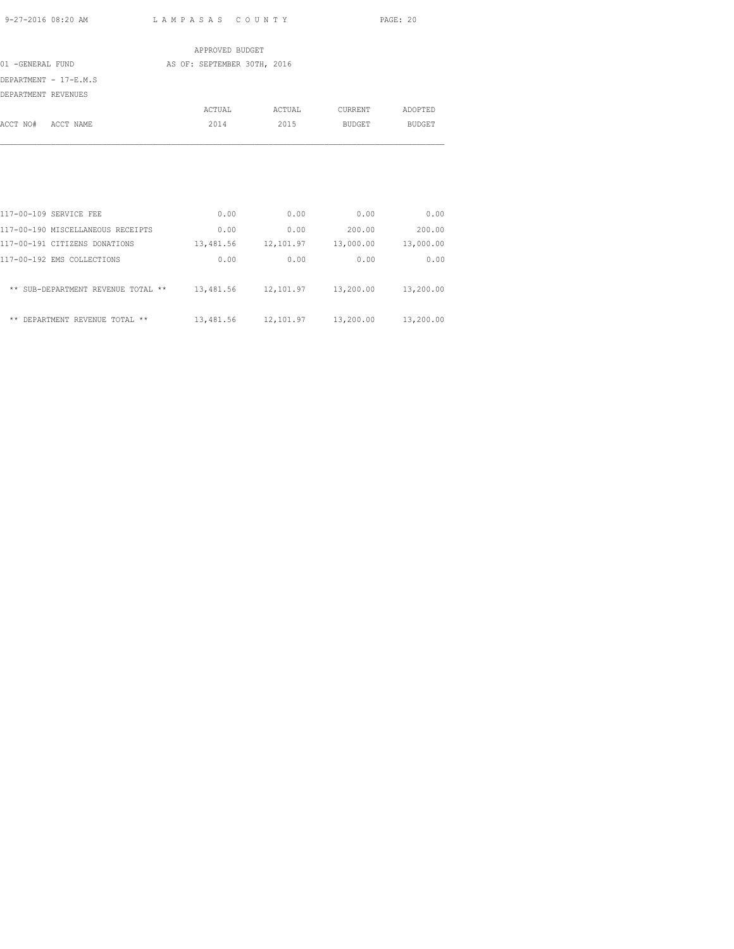|                       | APPROVED BUDGET             |        |         |               |
|-----------------------|-----------------------------|--------|---------|---------------|
| 01 -GENERAL FUND      | AS OF: SEPTEMBER 30TH, 2016 |        |         |               |
| DEPARTMENT - 17-E.M.S |                             |        |         |               |
| DEPARTMENT REVENUES   |                             |        |         |               |
|                       | ACTUAL                      | ACTUAL | CURRENT | ADOPTED       |
| ACCT NO# ACCT NAME    | 2014                        | 2015   | BUDGET  | <b>BUDGET</b> |
|                       |                             |        |         |               |
|                       |                             |        |         |               |
|                       |                             |        |         |               |
|                       |                             |        |         |               |
|                       |                             |        |         |               |

| 117-00-109 SERVICE FEE             | 0.00      | 0.00      | 0.00      | 0.00      |
|------------------------------------|-----------|-----------|-----------|-----------|
| 117-00-190 MISCELLANEOUS RECEIPTS  | 0.00      | 0.00      | 200.00    | 200.00    |
| 117-00-191 CITIZENS DONATIONS      | 13,481.56 | 12,101.97 | 13,000.00 | 13,000.00 |
| 117-00-192 EMS COLLECTIONS         | 0.00      | 0.00      | 0.00      | 0.00      |
|                                    |           |           |           |           |
| ** SUB-DEPARTMENT REVENUE TOTAL ** | 13,481.56 | 12,101.97 | 13,200.00 | 13,200.00 |
|                                    |           |           |           |           |
| ** DEPARTMENT REVENUE TOTAL **     | 13,481.56 | 12,101.97 | 13,200.00 | 13,200.00 |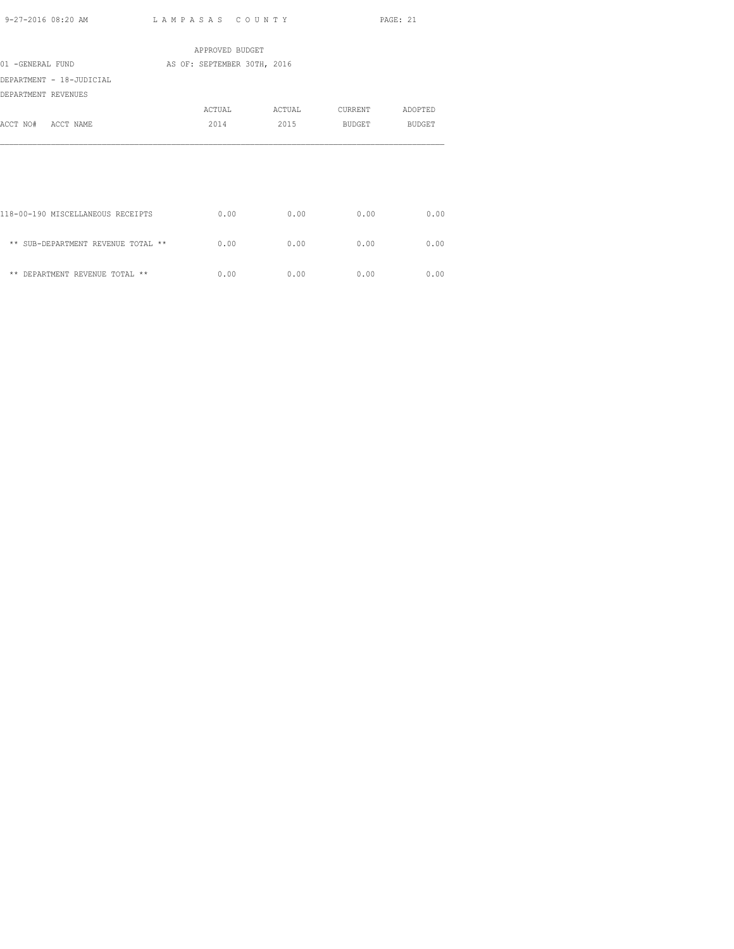|                                    | APPROVED BUDGET             |        |         |               |
|------------------------------------|-----------------------------|--------|---------|---------------|
| 01 -GENERAL FUND                   | AS OF: SEPTEMBER 30TH, 2016 |        |         |               |
| DEPARTMENT - 18-JUDICIAL           |                             |        |         |               |
| DEPARTMENT REVENUES                |                             |        |         |               |
|                                    | ACTUAL                      | ACTUAL | CURRENT | ADOPTED       |
| ACCT NO# ACCT NAME                 | 2014                        | 2015   | BUDGET  | <b>BUDGET</b> |
|                                    |                             |        |         |               |
| 118-00-190 MISCELLANEOUS RECEIPTS  | 0.00                        | 0.00   | 0.00    | 0.00          |
| ** SUB-DEPARTMENT REVENUE TOTAL ** | 0.00                        | 0.00   | 0.00    | 0.00          |
| ** DEPARTMENT REVENUE TOTAL **     | 0.00                        | 0.00   | 0.00    | 0.00          |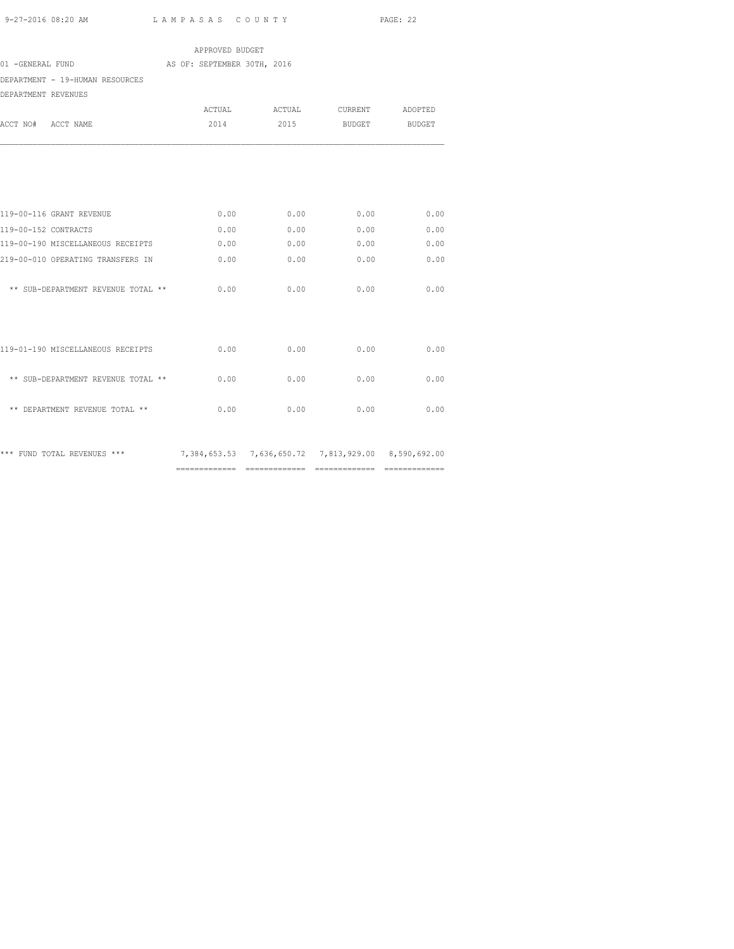|                                                                                 | APPROVED BUDGET             |        |                 |      |
|---------------------------------------------------------------------------------|-----------------------------|--------|-----------------|------|
| 01 - GENERAL FUND                                                               | AS OF: SEPTEMBER 30TH, 2016 |        |                 |      |
| DEPARTMENT - 19-HUMAN RESOURCES                                                 |                             |        |                 |      |
| DEPARTMENT REVENUES                                                             |                             |        |                 |      |
|                                                                                 | ACTUAL                      | ACTUAL | CURRENT ADOPTED |      |
| ACCT NO# ACCT NAME                                                              | 2014                        | 2015   | BUDGET BUDGET   |      |
|                                                                                 |                             |        |                 |      |
| 119-00-116 GRANT REVENUE                                                        | 0.00                        | 0.00   | 0.00            | 0.00 |
| 119-00-152 CONTRACTS                                                            | 0.00                        | 0.00   | 0.00            | 0.00 |
| 119-00-190 MISCELLANEOUS RECEIPTS                                               | 0.00                        | 0.00   | 0.00            | 0.00 |
| 219-00-010 OPERATING TRANSFERS IN                                               | 0.00                        | 0.00   | 0.00            | 0.00 |
| ** SUB-DEPARTMENT REVENUE TOTAL **                                              | 0.00                        | 0.00   | 0.00            | 0.00 |
|                                                                                 |                             |        |                 |      |
| 119-01-190 MISCELLANEOUS RECEIPTS                                               | 0.00                        | 0.00   | 0.00            | 0.00 |
| ** SUB-DEPARTMENT REVENUE TOTAL **                                              | 0.00                        | 0.00   | 0.00            | 0.00 |
| ** DEPARTMENT REVENUE TOTAL **                                                  | 0.00                        | 0.00   | 0.00            | 0.00 |
| *** FUND TOTAL REVENUES *** 7,384,653.53 7,636,650.72 7,813,929.00 8,590,692.00 |                             |        |                 |      |

============= ============= ============= =============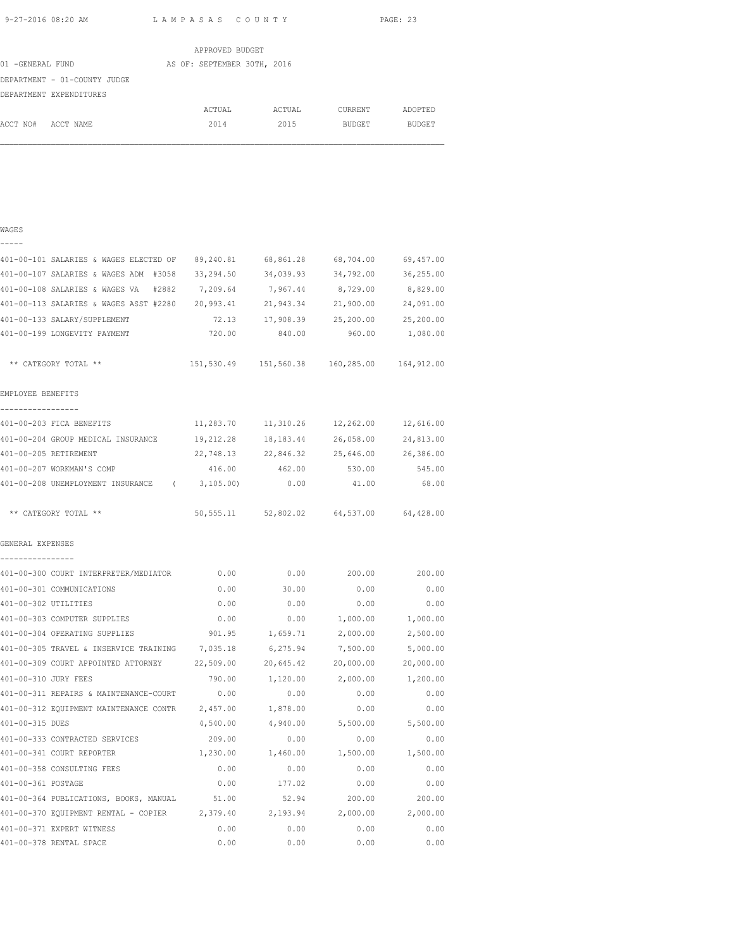|                              | APPROVED BUDGET             |        |               |               |
|------------------------------|-----------------------------|--------|---------------|---------------|
| 01 -GENERAL FUND             | AS OF: SEPTEMBER 30TH, 2016 |        |               |               |
| DEPARTMENT - 01-COUNTY JUDGE |                             |        |               |               |
| DEPARTMENT EXPENDITURES      |                             |        |               |               |
|                              | ACTUAL                      | ACTUAL | CURRENT       | ADOPTED       |
| ACCT NO#<br>ACCT NAME        | 2014                        | 2015   | <b>BUDGET</b> | <b>BUDGET</b> |
|                              |                             |        |               |               |

#### WAGES

| _ | — | – | _ |  |
|---|---|---|---|--|
|   |   |   |   |  |

| 401-00-101 SALARIES & WAGES ELECTED OF           | 89,240.81  | 68,861.28                     | 68,704.00                                      | 69,457.00           |
|--------------------------------------------------|------------|-------------------------------|------------------------------------------------|---------------------|
| 401-00-107 SALARIES & WAGES ADM #3058            | 33,294.50  | 34,039.93                     | 34,792.00                                      | 36,255.00           |
| 401-00-108 SALARIES & WAGES VA #2882             | 7,209.64   | 7,967.44                      | 8,729.00                                       | 8,829.00            |
| 401-00-113 SALARIES & WAGES ASST #2280 20,993.41 |            | 21,943.34                     | 21,900.00                                      | 24,091.00           |
| 401-00-133 SALARY/SUPPLEMENT                     | 72.13      |                               | 17,908.39 25,200.00                            | 25,200.00           |
| 401-00-199 LONGEVITY PAYMENT                     | 720.00     | 840.00                        | 960.00                                         | 1,080.00            |
| ** CATEGORY TOTAL **                             |            |                               | 151,530.49  151,560.38  160,285.00  164,912.00 |                     |
| EMPLOYEE BENEFITS                                |            |                               |                                                |                     |
| -----------------<br>401-00-203 FICA BENEFITS    | 11,283.70  | 11,310.26                     |                                                | 12,262.00 12,616.00 |
| 401-00-204 GROUP MEDICAL INSURANCE               | 19,212.28  | 18, 183. 44                   | 26,058.00                                      | 24,813.00           |
| 401-00-205 RETIREMENT                            |            | 22,748.13 22,846.32 25,646.00 |                                                | 26,386.00           |
| 401-00-207 WORKMAN'S COMP                        | 416.00     | 462.00                        | 530.00                                         | 545.00              |
| 401-00-208 UNEMPLOYMENT INSURANCE (              | 3,105.00   | 0.00                          | 41.00                                          | 68.00               |
| ** CATEGORY TOTAL **                             | 50, 555.11 | 52,802.02                     | 64,537.00                                      | 64,428.00           |
| GENERAL EXPENSES<br>----------------             |            |                               |                                                |                     |
| 401-00-300 COURT INTERPRETER/MEDIATOR            | 0.00       | 0.00                          | 200.00                                         | 200.00              |
| 401-00-301 COMMUNICATIONS                        | 0.00       | 30.00                         | 0.00                                           | 0.00                |
| 401-00-302 UTILITIES                             | 0.00       | 0.00                          | 0.00                                           | 0.00                |
| 401-00-303 COMPUTER SUPPLIES                     | 0.00       | 0.00                          | 1,000.00                                       | 1,000.00            |
| 401-00-304 OPERATING SUPPLIES                    | 901.95     | 1,659.71                      | 2,000.00                                       | 2,500.00            |
| 401-00-305 TRAVEL & INSERVICE TRAINING           | 7,035.18   | 6,275.94                      | 7,500.00                                       | 5,000.00            |
| 401-00-309 COURT APPOINTED ATTORNEY 22,509.00    |            | 20,645.42                     | 20,000.00                                      | 20,000.00           |
| 401-00-310 JURY FEES                             | 790.00     | 1,120.00                      | 2,000.00                                       | 1,200.00            |
| 401-00-311 REPAIRS & MAINTENANCE-COURT           | 0.00       | 0.00                          | 0.00                                           | 0.00                |
| 401-00-312 EQUIPMENT MAINTENANCE CONTR           | 2,457.00   | 1,878.00                      | 0.00                                           | 0.00                |
| 401-00-315 DUES                                  | 4,540.00   | 4,940.00                      | 5,500.00                                       | 5,500.00            |
| 401-00-333 CONTRACTED SERVICES                   | 209.00     | 0.00                          | 0.00                                           | 0.00                |
| 401-00-341 COURT REPORTER                        | 1,230.00   | 1,460.00                      | 1,500.00                                       | 1,500.00            |
| 401-00-358 CONSULTING FEES                       | 0.00       | 0.00                          | 0.00                                           | 0.00                |
| 401-00-361 POSTAGE                               | 0.00       | 177.02                        | 0.00                                           | 0.00                |
| 401-00-364 PUBLICATIONS, BOOKS, MANUAL           | 51.00      | 52.94                         | 200.00                                         | 200.00              |
| 401-00-370 EQUIPMENT RENTAL - COPIER 2,379.40    |            | 2,193.94                      | 2,000.00                                       | 2,000.00            |
| 401-00-371 EXPERT WITNESS                        | 0.00       | 0.00                          | 0.00                                           | 0.00                |
| 401-00-378 RENTAL SPACE                          | 0.00       | 0.00                          | 0.00                                           | 0.00                |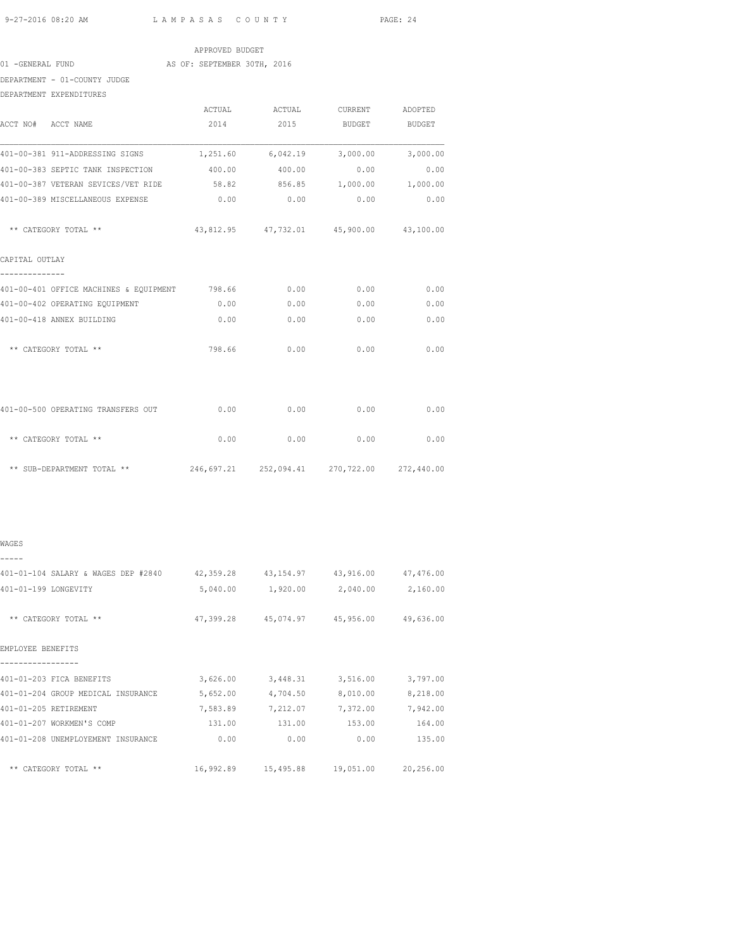|                                                                    |                 |                                            |              | PAGE: 24 |
|--------------------------------------------------------------------|-----------------|--------------------------------------------|--------------|----------|
|                                                                    |                 |                                            |              |          |
| 01 -GENERAL FUND                                                   | APPROVED BUDGET |                                            |              |          |
| AS OF: SEPTEMBER 30TH, 2016                                        |                 |                                            |              |          |
| DEPARTMENT - 01-COUNTY JUDGE                                       |                 |                                            |              |          |
| DEPARTMENT EXPENDITURES                                            |                 |                                            |              |          |
|                                                                    |                 | ACTUAL ACTUAL CURRENT ADOPTED              |              |          |
| ACCT NO# ACCT NAME                                                 |                 | 2014 2015 BUDGET BUDGET                    |              |          |
|                                                                    |                 |                                            |              |          |
| 401-00-383 SEPTIC TANK INSPECTION                                  |                 | 400.00 400.00                              | 0.00         | 0.00     |
| 401-00-387 VETERAN SEVICES/VET RIDE 58.82 856.85 1,000.00 1,000.00 |                 |                                            |              |          |
| 401-00-389 MISCELLANEOUS EXPENSE                                   |                 | $0.00$ 0.00 0.00                           |              | 0.00     |
| ** CATEGORY TOTAL **                                               |                 | 43,812.95  47,732.01  45,900.00  43,100.00 |              |          |
| CAPITAL OUTLAY                                                     |                 |                                            |              |          |
| 401-00-401 OFFICE MACHINES & EQUIPMENT 798.66 0.00 0.00 0.00 0.00  |                 |                                            |              |          |
|                                                                    | 0.00            | 0.00                                       | 0.00         |          |
| 401-00-402 OPERATING EQUIPMENT                                     |                 |                                            |              | 0.00     |
| 401-00-418 ANNEX BUILDING                                          |                 | $0.00$ $0.00$ $0.00$                       |              | 0.00     |
| ** CATEGORY TOTAL **                                               | 798.66          | 0.00                                       | 0.00         | 0.00     |
|                                                                    |                 |                                            |              |          |
| 401-00-500 OPERATING TRANSFERS OUT                                 | 0.00            | 0.00                                       | 0.00         | 0.00     |
| ** CATEGORY TOTAL **                                               | 0.00            |                                            | 0.00<br>0.00 | 0.00     |

\*\* SUB-DEPARTMENT TOTAL \*\* 246,697.21 252,094.41 270,722.00 272,440.00

| WAGES                                                                       |          |                                            |          |          |
|-----------------------------------------------------------------------------|----------|--------------------------------------------|----------|----------|
|                                                                             |          |                                            |          |          |
| 401-01-104 SALARY & WAGES DEP #2840 42,359.28 43,154.97 43,916.00 47,476.00 |          |                                            |          |          |
| 401-01-199 LONGEVITY                                                        |          | 5,040.00 1,920.00 2,040.00 2,160.00        |          |          |
| ** CATEGORY TOTAL **                                                        |          | 47,399.28 45,074.97 45,956.00 49,636.00    |          |          |
| EMPLOYEE BENEFITS                                                           |          |                                            |          |          |
| 401-01-203 FICA BENEFITS                                                    |          | 3,626.00 3,448.31                          | 3,516.00 | 3,797.00 |
| 401-01-204 GROUP MEDICAL INSURANCE                                          | 5,652.00 | 4,704.50                                   | 8,010.00 | 8,218.00 |
| 401-01-205 RETIREMENT                                                       |          | 7,583.89 7,212.07                          | 7,372.00 | 7,942.00 |
| 401-01-207 WORKMEN'S COMP                                                   | 131.00   | 131.00                                     | 153.00   | 164.00   |
| 401-01-208 UNEMPLOYEMENT INSURANCE                                          | 0.00     | 0.00                                       | 0.00     | 135.00   |
| ** CATEGORY TOTAL **                                                        |          | 16,992.89  15,495.88  19,051.00  20,256.00 |          |          |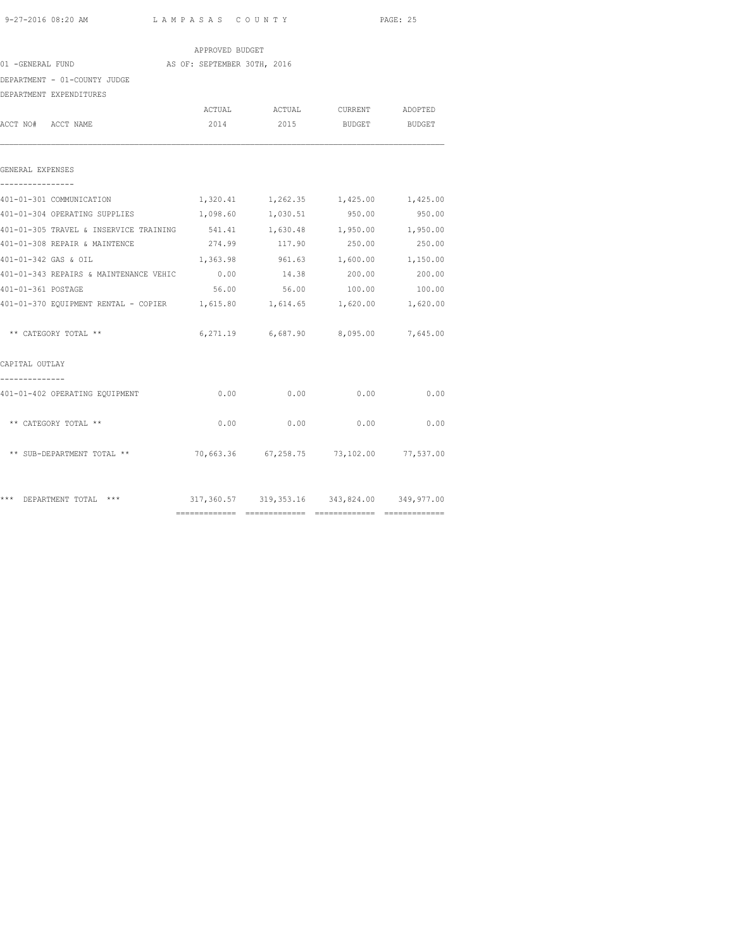|                                                                          |                             |               |                                             | PAGE: 25 |  |
|--------------------------------------------------------------------------|-----------------------------|---------------|---------------------------------------------|----------|--|
|                                                                          | APPROVED BUDGET             |               |                                             |          |  |
| 01 -GENERAL FUND                                                         | AS OF: SEPTEMBER 30TH, 2016 |               |                                             |          |  |
| DEPARTMENT - 01-COUNTY JUDGE                                             |                             |               |                                             |          |  |
| DEPARTMENT EXPENDITURES                                                  |                             |               |                                             |          |  |
|                                                                          |                             |               | ACTUAL ACTUAL CURRENT ADOPTED               |          |  |
| ACCT NO# ACCT NAME                                                       | 2014                        | 2015          | BUDGET BUDGET                               |          |  |
| GENERAL EXPENSES<br>----------------                                     |                             |               |                                             |          |  |
| 401-01-301 COMMUNICATION                                                 |                             |               | 1,320.41 1,262.35 1,425.00 1,425.00         |          |  |
| 401-01-304 OPERATING SUPPLIES                                            | 1,098.60                    | 1,030.51      | 950.00                                      | 950.00   |  |
| 401-01-305 TRAVEL & INSERVICE TRAINING                                   |                             |               |                                             |          |  |
| 401-01-308 REPAIR & MAINTENCE                                            |                             | 274.99 117.90 | 250.00                                      | 250.00   |  |
| 401-01-342 GAS & OIL                                                     |                             |               | 1,363.98 961.63 1,600.00 1,150.00           |          |  |
| 401-01-343 REPAIRS & MAINTENANCE VEHIC                                   | 0.00                        | 14.38         | 200.00                                      | 200.00   |  |
| 401-01-361 POSTAGE                                                       | 56.00                       |               | 56.00 100.00                                | 100.00   |  |
| 401-01-370 EQUIPMENT RENTAL - COPIER 1,615.80 1,614.65 1,620.00 1,620.00 |                             |               |                                             |          |  |
| ** CATEGORY TOTAL **                                                     |                             |               | 6,271.19 6,687.90 8,095.00 7,645.00         |          |  |
| CAPITAL OUTLAY<br>-------------                                          |                             |               |                                             |          |  |
| 401-01-402 OPERATING EQUIPMENT                                           | 0.00                        | 0.00          | 0.00                                        | 0.00     |  |
| ** CATEGORY TOTAL **                                                     |                             | $0.00$ 0.00   | 0.00                                        | 0.00     |  |
| ** SUB-DEPARTMENT TOTAL **                                               |                             |               | 70,663.36 67,258.75 73,102.00 77,537.00     |          |  |
| *** DEPARTMENT TOTAL ***                                                 |                             |               | 317,360.57 319,353.16 343,824.00 349,977.00 |          |  |

============= ============= ============= =============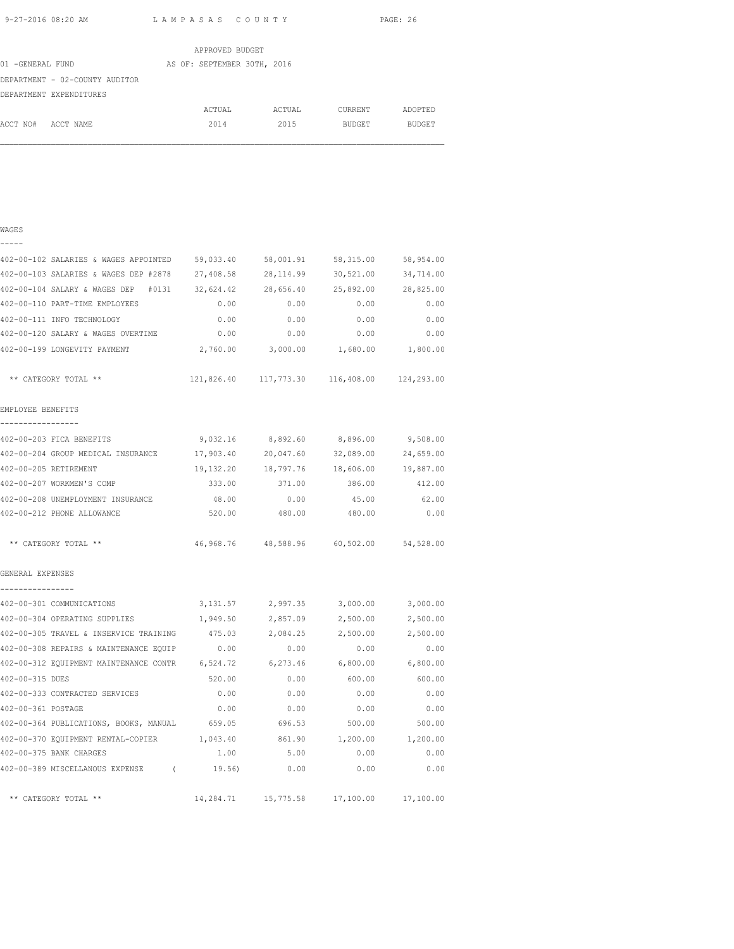|                                | APPROVED BUDGET             |        |         |               |
|--------------------------------|-----------------------------|--------|---------|---------------|
| 01 -GENERAL FUND               | AS OF: SEPTEMBER 30TH, 2016 |        |         |               |
| DEPARTMENT - 02-COUNTY AUDITOR |                             |        |         |               |
| DEPARTMENT EXPENDITURES        |                             |        |         |               |
|                                | ACTUAL                      | ACTUAL | CURRENT | ADOPTED       |
| ACCT NO#<br>ACCT NAME          | 2014                        | 2015   | BUDGET  | <b>BUDGET</b> |

## WAGES ----- 402-00-102 SALARIES & WAGES APPOINTED 59,033.40 58,001.91 58,315.00 58,954.00 402-00-103 SALARIES & WAGES DEP #2878 27,408.58 28,114.99 30,521.00 34,714.00 402-00-104 SALARY & WAGES DEP #0131 32,624.42 28,656.40 25,892.00 28,825.00 402-00-110 PART-TIME EMPLOYEES 0.00 0.00 0.00 0.00 402-00-111 INFO TECHNOLOGY 0.00 0.00 0.00 0.00 402-00-120 SALARY & WAGES OVERTIME 0.00 0.00 0.00 0.00 402-00-199 LONGEVITY PAYMENT 2,760.00 3,000.00 1,680.00 1,800.00 \*\* CATEGORY TOTAL \*\* 121,826.40 117,773.30 116,408.00 124,293.00 EMPLOYEE BENEFITS ----------------- 402-00-203 FICA BENEFITS 9,032.16 8,892.60 8,896.00 9,508.00 402-00-204 GROUP MEDICAL INSURANCE 17,903.40 20,047.60 32,089.00 24,659.00 402-00-205 RETIREMENT 19,132.20 18,797.76 18,606.00 19,887.00 402-00-207 WORKMEN'S COMP 333.00 371.00 386.00 412.00 402-00-208 UNEMPLOYMENT INSURANCE 48.00 0.00 45.00 62.00 402-00-212 PHONE ALLOWANCE 520.00 480.00 480.00 0.00 \*\* CATEGORY TOTAL \*\* 46,968.76 48,588.96 60,502.00 54,528.00 GENERAL EXPENSES ---------------- 402-00-301 COMMUNICATIONS 3,131.57 2,997.35 3,000.00 3,000.00 402-00-304 OPERATING SUPPLIES 1,949.50 2,857.09 2,500.00 2,500.00 402-00-305 TRAVEL & INSERVICE TRAINING 475.03 2,084.25 2,500.00 2,500.00 402-00-308 REPAIRS & MAINTENANCE EQUIP 0.00 0.00 0.00 0.00 402-00-312 EQUIPMENT MAINTENANCE CONTR 6,524.72 6,273.46 6,800.00 6,800.00 402-00-315 DUES 520.00 0.00 600.00 600.00 402-00-333 CONTRACTED SERVICES 0.00 0.00 0.00 0.00 402-00-361 POSTAGE 0.00 0.00 0.00 0.00 402-00-364 PUBLICATIONS, BOOKS, MANUAL 659.05 696.53 500.00 500.00 402-00-370 EQUIPMENT RENTAL-COPIER 1,043.40 861.90 1,200.00 1,200.00 402-00-375 BANK CHARGES 1.00 5.00 0.00 0.00 402-00-389 MISCELLANOUS EXPENSE ( 19.56) 0.00 0.00 0.00 \*\* CATEGORY TOTAL \*\* 14,284.71 15,775.58 17,100.00 17,100.00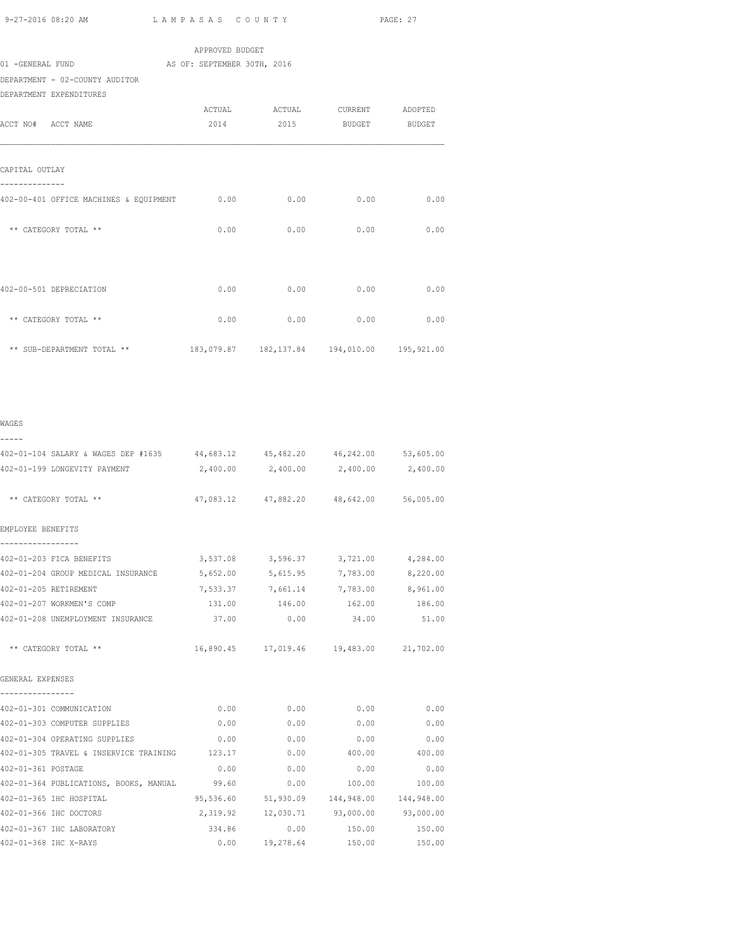| 9-27-2016 08:20 AM                                                                   | LAMPASAS COUNTY |                                                |             | PAGE: 27  |
|--------------------------------------------------------------------------------------|-----------------|------------------------------------------------|-------------|-----------|
| 01 -GENERAL FUND AS OF: SEPTEMBER 30TH, 2016<br>DEPARTMENT - 02-COUNTY AUDITOR       | APPROVED BUDGET |                                                |             |           |
| DEPARTMENT EXPENDITURES<br>ACCT NO# ACCT NAME                                        | 2014            | ACTUAL ACTUAL CURRENT ADOPTED<br>2015          | BUDGET      | BUDGET    |
| CAPITAL OUTLAY                                                                       |                 |                                                |             |           |
| ---------<br>402-00-401 OFFICE MACHINES & EQUIPMENT $0.00$ 0.00 0.00 0.00 0.00       |                 |                                                |             |           |
| ** CATEGORY TOTAL **                                                                 |                 | $0.00$ 0.00                                    | $0.00$ 0.00 |           |
| 402-00-501 DEPRECIATION                                                              |                 | $0.00$ $0.00$                                  | 0.00        | 0.00      |
| ** CATEGORY TOTAL **                                                                 | 0.00            | 0.00                                           | 0.00        | 0.00      |
| ** SUB-DEPARTMENT TOTAL **                                                           |                 | 183,079.87  182,137.84  194,010.00  195,921.00 |             |           |
| WAGES                                                                                |                 |                                                |             |           |
| -----<br>402-01-104 SALARY & WAGES DEP #1635 44,683.12 45,482.20 46,242.00 53,605.00 |                 |                                                |             |           |
| 402-01-199 LONGEVITY PAYMENT                                                         | 2,400.00        | 2,400.00                                       | 2,400.00    | 2,400.00  |
| ** CATEGORY TOTAL **                                                                 |                 | 47,083.12 47,882.20 48,642.00 56,005.00        |             |           |
| EMPLOYEE BENEFITS                                                                    |                 |                                                |             |           |
| -----------------<br>402-01-203 FICA BENEFITS                                        |                 | 3,537.08 3,596.37 3,721.00                     |             | 4,284.00  |
| 402-01-204 GROUP MEDICAL INSURANCE                                                   |                 | 5,652.00 5,615.95 7,783.00                     |             | 8,220.00  |
| 402-01-205 RETIREMENT                                                                |                 | 7,533.37 7,661.14 7,783.00 8,961.00            |             |           |
| 402-01-207 WORKMEN'S COMP                                                            | 131.00          | 146.00                                         | 162.00      | 186.00    |
| 402-01-208 UNEMPLOYMENT INSURANCE                                                    | 37.00           | 0.00                                           | 34.00       | 51.00     |
| ** CATEGORY TOTAL **                                                                 |                 | 16,890.45 17,019.46 19,483.00                  |             | 21,702.00 |
| GENERAL EXPENSES                                                                     |                 |                                                |             |           |
| 402-01-301 COMMUNICATION                                                             | 0.00            | 0.00                                           | 0.00        | 0.00      |

|                    | 402-01-301 COMMUNICATION               | 0.00      | 0.00      | 0.00       | 0.00       |
|--------------------|----------------------------------------|-----------|-----------|------------|------------|
|                    | 402-01-303 COMPUTER SUPPLIES           | 0.00      | 0.00      | 0.00       | 0.00       |
|                    | 402-01-304 OPERATING SUPPLIES          | 0.00      | 0.00      | 0.00       | 0.00       |
|                    | 402-01-305 TRAVEL & INSERVICE TRAINING | 123.17    | 0.00      | 400.00     | 400.00     |
| 402-01-361 POSTAGE |                                        | 0.00      | 0.00      | 0.00       | 0.00       |
|                    | 402-01-364 PUBLICATIONS, BOOKS, MANUAL | 99.60     | 0.00      | 100.00     | 100.00     |
|                    | 402-01-365 IHC HOSPITAL                | 95,536.60 | 51,930.09 | 144,948.00 | 144,948.00 |
|                    | 402-01-366 IHC DOCTORS                 | 2,319.92  | 12,030.71 | 93,000.00  | 93,000.00  |
|                    | 402-01-367 IHC LABORATORY              | 334.86    | 0.00      | 150.00     | 150.00     |
|                    | 402-01-368 IHC X-RAYS                  | 0.00      | 19,278.64 | 150.00     | 150.00     |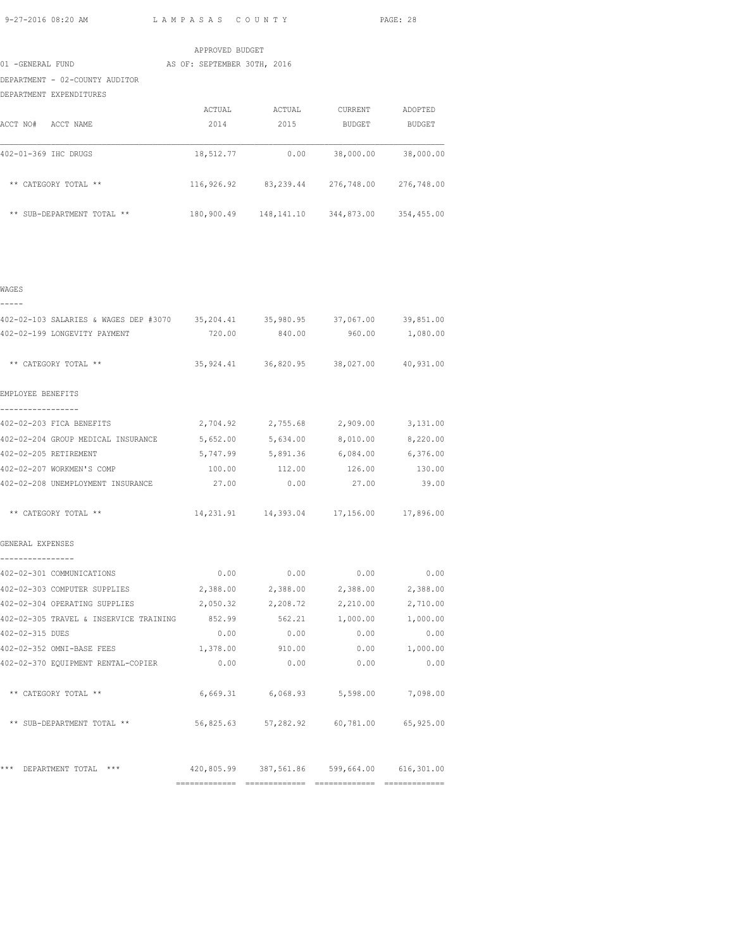|                                | APPROVED BUDGET             |            |            |               |
|--------------------------------|-----------------------------|------------|------------|---------------|
| 01 -GENERAL FUND               | AS OF: SEPTEMBER 30TH, 2016 |            |            |               |
| DEPARTMENT - 02-COUNTY AUDITOR |                             |            |            |               |
| DEPARTMENT EXPENDITURES        |                             |            |            |               |
|                                | ACTUAL                      | ACTUAL     | CURRENT    | ADOPTED       |
| ACCT NO#<br>ACCT NAME          | 2014                        | 2015       | BUDGET     | <b>BUDGET</b> |
| 402-01-369 IHC DRUGS           | 18,512.77                   | 0.00       | 38,000.00  | 38,000.00     |
| $***$<br>CATEGORY TOTAL **     | 116,926.92                  | 83,239.44  | 276,748.00 | 276,748.00    |
| ** SUB-DEPARTMENT TOTAL **     | 180,900.49                  | 148,141.10 | 344,873.00 | 354,455.00    |

| $\sim$<br>$\sim$ |  |
|------------------|--|

| -----                                                                               |        |                                                   |               |          |
|-------------------------------------------------------------------------------------|--------|---------------------------------------------------|---------------|----------|
| 402-02-103 SALARIES & WAGES DEP #3070 35,204.41 35,980.95 37,067.00 39,851.00       |        |                                                   |               |          |
| 402-02-199 LONGEVITY PAYMENT                                                        |        | 720.00 840.00 960.00 1,080.00                     |               |          |
| ** CATEGORY TOTAL **                                                                |        | 35,924.41 36,820.95 38,027.00 40,931.00           |               |          |
| EMPLOYEE BENEFITS                                                                   |        |                                                   |               |          |
| -----------------<br>402-02-203 FICA BENEFITS                                       |        | 2,704.92 2,755.68 2,909.00 3,131.00               |               |          |
| 402-02-204 GROUP MEDICAL INSURANCE 5,652.00 5,634.00 8,010.00 8,220.00              |        |                                                   |               |          |
| 402-02-205 RETIREMENT                                                               |        | 5,747.99 5,891.36 6,084.00 6,376.00               |               |          |
| 402-02-207 WORKMEN'S COMP                                                           | 100.00 | 112.00                                            | 126.00        | 130.00   |
| 402-02-208 UNEMPLOYMENT INSURANCE $27.00$ 0.00 0.00 27.00 39.00                     |        |                                                   |               |          |
| ** CATEGORY TOTAL **                                                                |        | 14, 231.91   14, 393.04   17, 156.00   17, 896.00 |               |          |
| GENERAL EXPENSES                                                                    |        |                                                   |               |          |
| ----------------<br>402-02-301 COMMUNICATIONS                                       |        | $0.00$ $0.00$ $0.00$ $0.00$ $0.00$                |               |          |
| 402-02-303 COMPUTER SUPPLIES         2,388.00    2,388.00     2,388.00     2,388.00 |        |                                                   |               |          |
| 402-02-304 OPERATING SUPPLIES                                                       |        | 2,050.32 2,208.72                                 | 2,210.00      | 2,710.00 |
| 402-02-305 TRAVEL & INSERVICE TRAINING 852.99 562.21 1,000.00 1,000.00              |        |                                                   |               |          |
| 402-02-315 DUES                                                                     |        | $0.00$ $0.00$ $0.00$ $0.00$ $0.00$                |               |          |
| 402-02-352 OMNI-BASE FEES                                                           |        | 1,378.00 910.00                                   | 0.00 1,000.00 |          |
| 402-02-370 EQUIPMENT RENTAL-COPIER                                                  | 0.00   | 0.00                                              | 0.00          | 0.00     |
| ** CATEGORY TOTAL **                                                                |        | 6,669.31 6,068.93 5,598.00 7,098.00               |               |          |
| ** SUB-DEPARTMENT TOTAL ** 56,825.63 57,282.92 60,781.00 65,925.00                  |        |                                                   |               |          |
| *** DEPARTMENT TOTAL *** 420,805.99 387,561.86 599,664.00 616,301.00                |        |                                                   |               |          |
|                                                                                     |        |                                                   |               |          |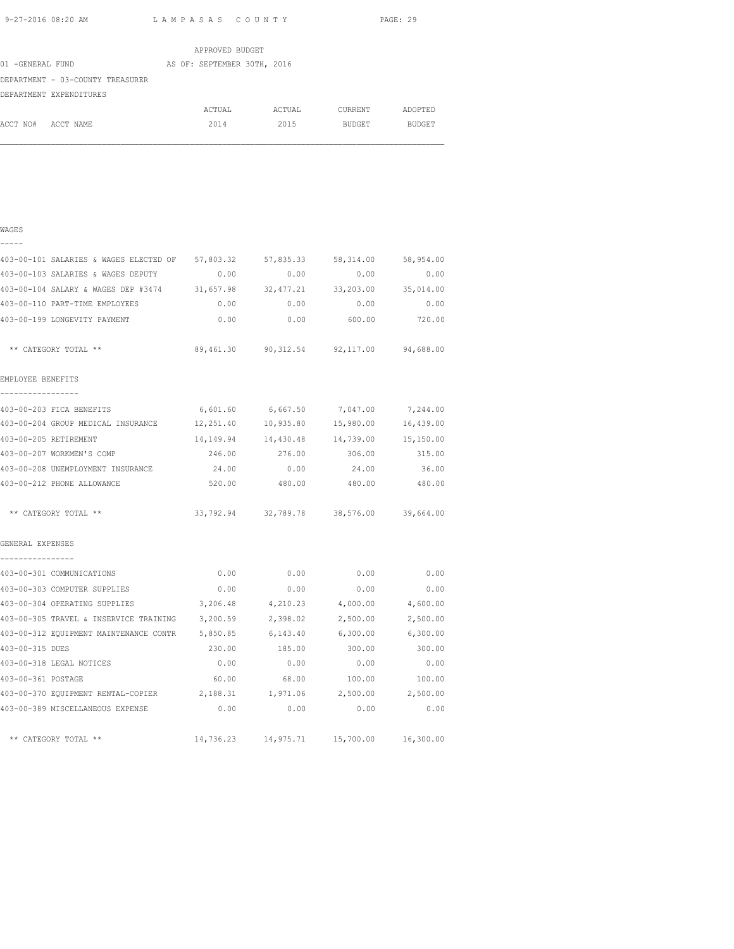|                                  | APPROVED BUDGET             |        |         |               |
|----------------------------------|-----------------------------|--------|---------|---------------|
| 01 -GENERAL FUND                 | AS OF: SEPTEMBER 30TH, 2016 |        |         |               |
| DEPARTMENT - 03-COUNTY TREASURER |                             |        |         |               |
| DEPARTMENT EXPENDITURES          |                             |        |         |               |
|                                  | ACTUAL                      | ACTUAL | CURRENT | ADOPTED       |
| ACCT NO#<br>ACCT NAME            | 2014                        | 2015   | BUDGET  | <b>BUDGET</b> |

| ۰, |  |
|----|--|
|    |  |

| 403-00-101 SALARIES & WAGES ELECTED OF 57,803.32 57,835.33 58,314.00        |       |                                                |                      | 58,954.00 |
|-----------------------------------------------------------------------------|-------|------------------------------------------------|----------------------|-----------|
| 403-00-103 SALARIES & WAGES DEPUTY                                          | 0.00  | 0.00                                           | 0.00                 | 0.00      |
| 403-00-104 SALARY & WAGES DEP #3474 31,657.98 32,477.21 33,203.00 35,014.00 |       |                                                |                      |           |
| 403-00-110 PART-TIME EMPLOYEES                                              | 0.00  | 0.00                                           | 0.00                 | 0.00      |
| 403-00-199 LONGEVITY PAYMENT                                                | 0.00  |                                                | $0.00$ 600.00 720.00 |           |
| ** CATEGORY TOTAL **                                                        |       | 89,461.30 90,312.54 92,117.00 94,688.00        |                      |           |
| EMPLOYEE BENEFITS<br>-----------------                                      |       |                                                |                      |           |
| 403-00-203 FICA BENEFITS                                                    |       | 6,601.60 6,667.50 7,047.00 7,244.00            |                      |           |
| 403-00-204 GROUP MEDICAL INSURANCE 12,251.40 10,935.80 15,980.00 16,439.00  |       |                                                |                      |           |
| 403-00-205 RETIREMENT                                                       |       | 14, 149.94  14, 430.48  14, 739.00  15, 150.00 |                      |           |
| 403-00-207 WORKMEN'S COMP                                                   |       | 246.00 276.00 306.00 315.00                    |                      |           |
| 403-00-208 UNEMPLOYMENT INSURANCE                                           | 24.00 | 0.00                                           | 24.00                | 36.00     |
| 403-00-212 PHONE ALLOWANCE                                                  |       | 520.00 480.00 480.00 480.00                    |                      |           |
| ** CATEGORY TOTAL **                                                        |       | 33, 792.94 32, 789.78 38, 576.00 39, 664.00    |                      |           |
| GENERAL EXPENSES                                                            |       |                                                |                      |           |
| ----------------<br>403-00-301 COMMUNICATIONS                               | 0.00  | 0.00                                           | 0.00                 | 0.00      |
| 403-00-303 COMPUTER SUPPLIES                                                | 0.00  | 0.00                                           | 0.00                 | 0.00      |
| 403-00-304 OPERATING SUPPLIES 3,206.48 4,210.23 4,000.00 4,600.00           |       |                                                |                      |           |
| 403-00-305 TRAVEL & INSERVICE TRAINING                                      |       | 3,200.59 2,398.02                              | 2,500.00             | 2,500.00  |
| 403-00-312 EQUIPMENT MAINTENANCE CONTR 5,850.85 6,143.40 6,300.00 6,300.00  |       |                                                |                      |           |
| 403-00-315 DUES                                                             |       | 230.00 185.00 300.00 300.00                    |                      |           |
| 403-00-318 LEGAL NOTICES                                                    | 0.00  | 0.00                                           | 0.00                 | 0.00      |
| 403-00-361 POSTAGE                                                          | 60.00 | 68.00                                          | 100.00               | 100.00    |
| 403-00-370 EQUIPMENT RENTAL-COPIER 2,188.31 1,971.06 2,500.00 2,500.00      |       |                                                |                      |           |
| 403-00-389 MISCELLANEOUS EXPENSE                                            | 0.00  | 0.00                                           | 0.00                 | 0.00      |
| ** CATEGORY TOTAL **                                                        |       | 14,736.23    14,975.71    15,700.00            |                      | 16,300.00 |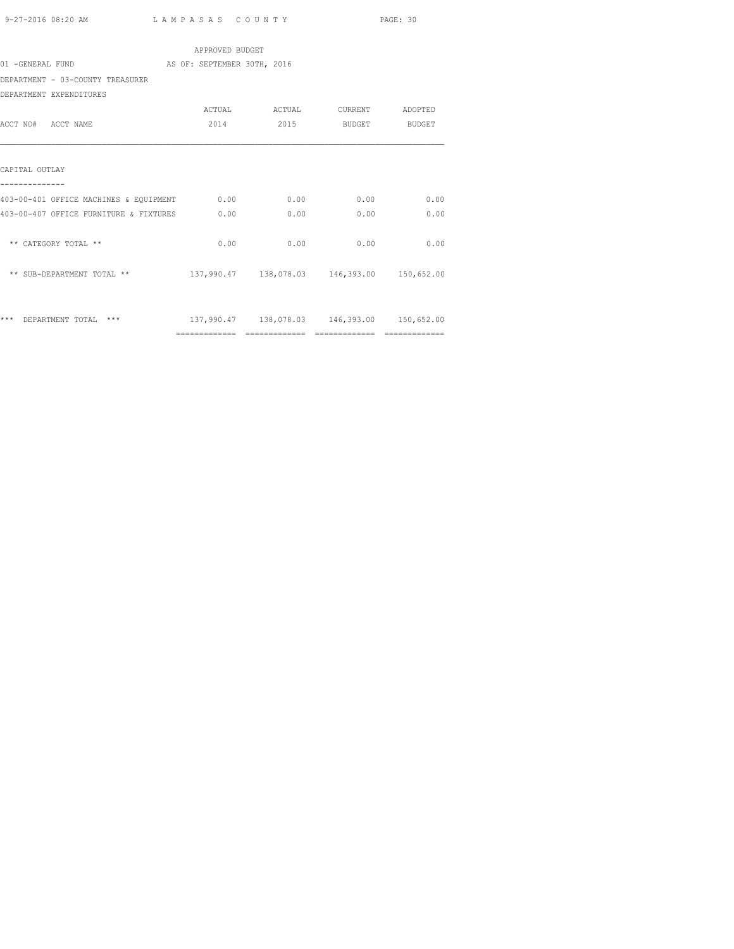| APPROVED BUDGET                             |                             |      |                                                |      |  |  |  |
|---------------------------------------------|-----------------------------|------|------------------------------------------------|------|--|--|--|
| 01 -GENERAL FUND                            | AS OF: SEPTEMBER 30TH, 2016 |      |                                                |      |  |  |  |
| DEPARTMENT - 03-COUNTY TREASURER            |                             |      |                                                |      |  |  |  |
| DEPARTMENT EXPENDITURES                     |                             |      |                                                |      |  |  |  |
|                                             |                             |      |                                                |      |  |  |  |
| ACCT NO# ACCT NAME                          | 2014                        | 2015 | BUDGET BUDGET                                  |      |  |  |  |
|                                             |                             |      |                                                |      |  |  |  |
| CAPITAL OUTLAY                              |                             |      |                                                |      |  |  |  |
| 403-00-401 OFFICE MACHINES & EQUIPMENT 0.00 |                             | 0.00 | 0.00                                           | 0.00 |  |  |  |
| 403-00-407 OFFICE FURNITURE & FIXTURES      | 0.00                        | 0.00 | 0.00                                           | 0.00 |  |  |  |
| ** CATEGORY TOTAL **                        | 0.00                        | 0.00 | 0.00                                           | 0.00 |  |  |  |
| ** SUB-DEPARTMENT TOTAL **                  |                             |      | 137,990.47  138,078.03  146,393.00  150,652.00 |      |  |  |  |
|                                             |                             |      |                                                |      |  |  |  |
| *** DEPARTMENT TOTAL<br>$***$               |                             |      | 137,990.47  138,078.03  146,393.00  150,652.00 |      |  |  |  |
|                                             |                             |      |                                                |      |  |  |  |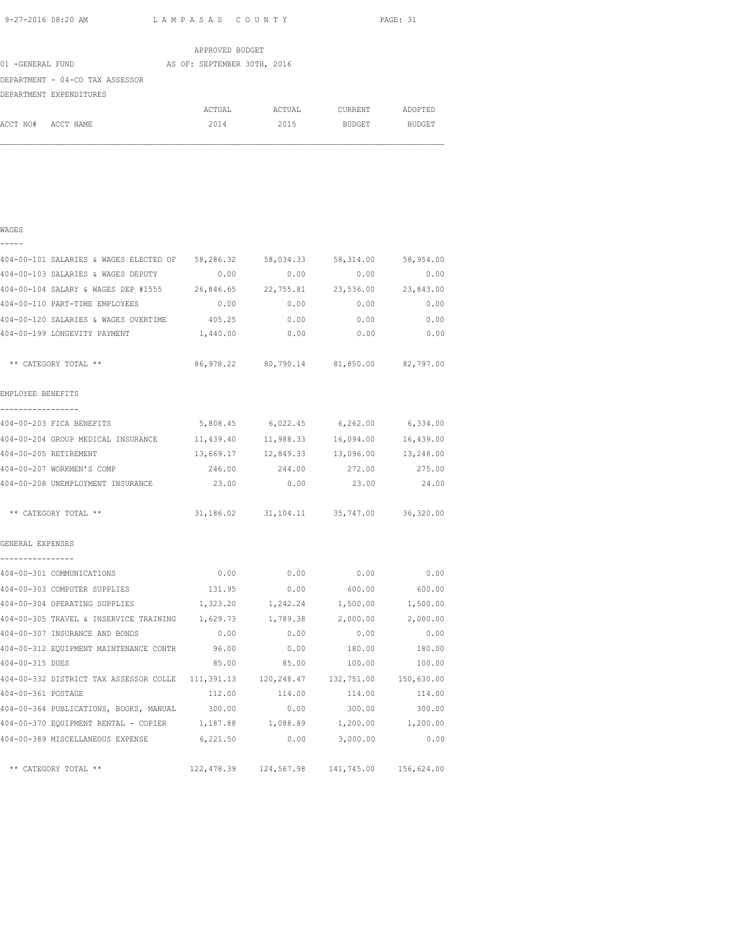WAGES

|                  |                                 | APPROVED BUDGET             |        |               |         |
|------------------|---------------------------------|-----------------------------|--------|---------------|---------|
| 01 -GENERAL FUND |                                 | AS OF: SEPTEMBER 30TH, 2016 |        |               |         |
|                  | DEPARTMENT - 04-CO TAX ASSESSOR |                             |        |               |         |
|                  | DEPARTMENT EXPENDITURES         |                             |        |               |         |
|                  |                                 | ACTUAL                      | ACTUAL | CURRENT       | ADOPTED |
| ACCT NO#         | ACCT NAME                       | 2014                        | 2015   | <b>BUDGET</b> | BUDGET  |

|                                              |           | 0.00                                                                                                 | 0.00                                                                                                                                                                                                                                                                                                                                                                                                                                                                                                                                                                                                                                                                                                                               |
|----------------------------------------------|-----------|------------------------------------------------------------------------------------------------------|------------------------------------------------------------------------------------------------------------------------------------------------------------------------------------------------------------------------------------------------------------------------------------------------------------------------------------------------------------------------------------------------------------------------------------------------------------------------------------------------------------------------------------------------------------------------------------------------------------------------------------------------------------------------------------------------------------------------------------|
|                                              |           |                                                                                                      | 23,843.00                                                                                                                                                                                                                                                                                                                                                                                                                                                                                                                                                                                                                                                                                                                          |
| 0.00                                         |           | 0.00                                                                                                 | 0.00                                                                                                                                                                                                                                                                                                                                                                                                                                                                                                                                                                                                                                                                                                                               |
| 404-00-120 SALARIES & WAGES OVERTIME 405.25  | 0.00      | 0.00                                                                                                 | 0.00                                                                                                                                                                                                                                                                                                                                                                                                                                                                                                                                                                                                                                                                                                                               |
| 1,440.00                                     |           | 0.00                                                                                                 | 0.00                                                                                                                                                                                                                                                                                                                                                                                                                                                                                                                                                                                                                                                                                                                               |
|                                              |           |                                                                                                      |                                                                                                                                                                                                                                                                                                                                                                                                                                                                                                                                                                                                                                                                                                                                    |
|                                              |           |                                                                                                      |                                                                                                                                                                                                                                                                                                                                                                                                                                                                                                                                                                                                                                                                                                                                    |
|                                              |           |                                                                                                      |                                                                                                                                                                                                                                                                                                                                                                                                                                                                                                                                                                                                                                                                                                                                    |
| 11,439.40                                    |           | 16,094.00                                                                                            | 16,439.00                                                                                                                                                                                                                                                                                                                                                                                                                                                                                                                                                                                                                                                                                                                          |
| 13,669.17                                    | 12,849.33 | 13,096.00                                                                                            | 13,248.00                                                                                                                                                                                                                                                                                                                                                                                                                                                                                                                                                                                                                                                                                                                          |
| 246.00                                       | 244.00    | 272.00                                                                                               | 275.00                                                                                                                                                                                                                                                                                                                                                                                                                                                                                                                                                                                                                                                                                                                             |
| 23.00                                        | 0.00      | 23.00                                                                                                | 24.00                                                                                                                                                                                                                                                                                                                                                                                                                                                                                                                                                                                                                                                                                                                              |
|                                              |           |                                                                                                      |                                                                                                                                                                                                                                                                                                                                                                                                                                                                                                                                                                                                                                                                                                                                    |
|                                              |           |                                                                                                      |                                                                                                                                                                                                                                                                                                                                                                                                                                                                                                                                                                                                                                                                                                                                    |
| 0.00                                         |           | 0.00                                                                                                 | 0.00                                                                                                                                                                                                                                                                                                                                                                                                                                                                                                                                                                                                                                                                                                                               |
| 131.95                                       | 0.00      | 600.00                                                                                               | 600.00                                                                                                                                                                                                                                                                                                                                                                                                                                                                                                                                                                                                                                                                                                                             |
|                                              |           |                                                                                                      |                                                                                                                                                                                                                                                                                                                                                                                                                                                                                                                                                                                                                                                                                                                                    |
|                                              |           |                                                                                                      |                                                                                                                                                                                                                                                                                                                                                                                                                                                                                                                                                                                                                                                                                                                                    |
| 0.00                                         | 0.00      | 0.00                                                                                                 | 0.00                                                                                                                                                                                                                                                                                                                                                                                                                                                                                                                                                                                                                                                                                                                               |
| 404-00-312 EQUIPMENT MAINTENANCE CONTR 96.00 | 0.00      | 180.00                                                                                               | 180.00                                                                                                                                                                                                                                                                                                                                                                                                                                                                                                                                                                                                                                                                                                                             |
| 85.00                                        | 85.00     | 100.00                                                                                               | 100.00                                                                                                                                                                                                                                                                                                                                                                                                                                                                                                                                                                                                                                                                                                                             |
|                                              |           |                                                                                                      |                                                                                                                                                                                                                                                                                                                                                                                                                                                                                                                                                                                                                                                                                                                                    |
|                                              |           |                                                                                                      | 114.00                                                                                                                                                                                                                                                                                                                                                                                                                                                                                                                                                                                                                                                                                                                             |
|                                              |           |                                                                                                      | 300.00                                                                                                                                                                                                                                                                                                                                                                                                                                                                                                                                                                                                                                                                                                                             |
|                                              |           |                                                                                                      |                                                                                                                                                                                                                                                                                                                                                                                                                                                                                                                                                                                                                                                                                                                                    |
|                                              |           |                                                                                                      | 0.00                                                                                                                                                                                                                                                                                                                                                                                                                                                                                                                                                                                                                                                                                                                               |
|                                              |           |                                                                                                      |                                                                                                                                                                                                                                                                                                                                                                                                                                                                                                                                                                                                                                                                                                                                    |
|                                              |           | 404-00-103 SALARIES & WAGES DEPUTY 0.00<br>5,808.45<br>404-00-364 PUBLICATIONS, BOOKS, MANUAL 300.00 | 404-00-101 SALARIES & WAGES ELECTED OF 58,286.32 58,034.33 58,314.00 58,954.00<br>0.00<br>404-00-104 SALARY & WAGES DEP #1555 26,846.65 22,755.81 23,536.00<br>0.00<br>0.00<br>86,978.22 80,790.14 81,850.00 82,797.00<br>6,022.45 6,262.00 6,334.00<br>11,988.33<br>31, 186.02 31, 104.11 35, 747.00 36, 320.00<br>0.00<br>1,323.20    1,242.24    1,500.00    1,500.00<br>404-00-305 TRAVEL & INSERVICE TRAINING 1,629.73 1,789.38 2,000.00 2,000.00<br>404-00-332 DISTRICT TAX ASSESSOR COLLE 111,391.13 120,248.47 132,751.00 150,630.00<br>112.00    114.00    114.00<br>$0.00$ 300.00<br>404-00-370 EQUIPMENT RENTAL - COPIER 1,187.88 1,088.89 1,200.00 1,200.00<br>404-00-389 MISCELLANEOUS EXPENSE 6,221.50 0.00 3,000.00 |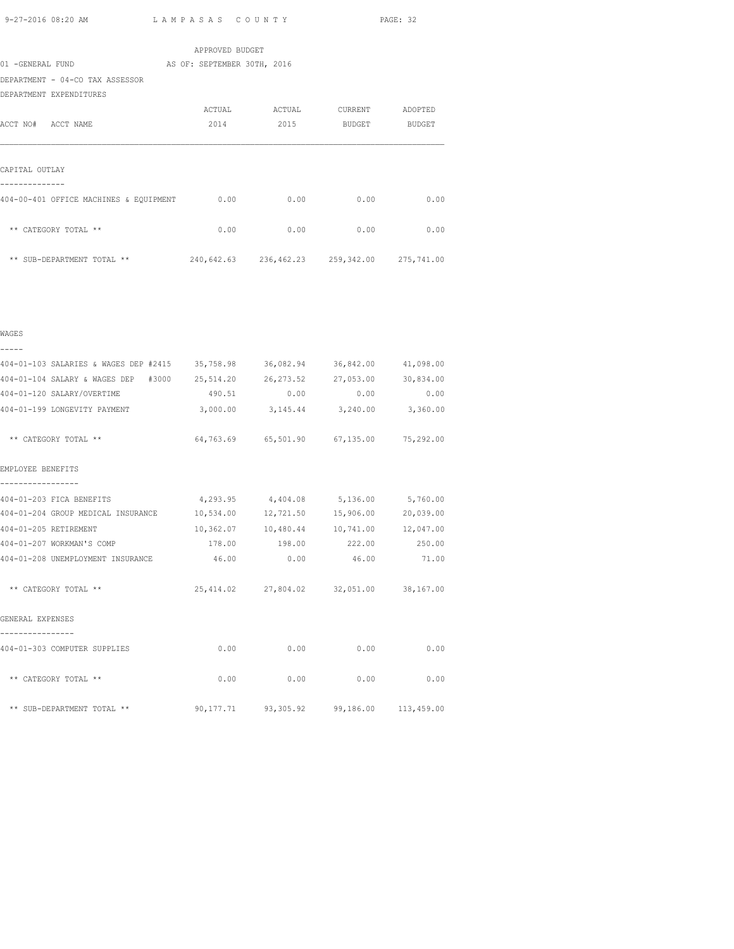| APPROVED BUDGET                        |                                             |        |         |         |  |  |  |
|----------------------------------------|---------------------------------------------|--------|---------|---------|--|--|--|
| 01 -GENERAL FUND                       | AS OF: SEPTEMBER 30TH, 2016                 |        |         |         |  |  |  |
| DEPARTMENT - 04-CO TAX ASSESSOR        |                                             |        |         |         |  |  |  |
| DEPARTMENT EXPENDITURES                |                                             |        |         |         |  |  |  |
|                                        | ACTUAL                                      | ACTUAL | CURRENT | ADOPTED |  |  |  |
| ACCT NO# ACCT NAME                     | 2014                                        | 2015   | BUDGET  | BUDGET  |  |  |  |
|                                        |                                             |        |         |         |  |  |  |
|                                        |                                             |        |         |         |  |  |  |
| CAPITAL OUTLAY                         |                                             |        |         |         |  |  |  |
|                                        |                                             |        |         |         |  |  |  |
| 404-00-401 OFFICE MACHINES & EQUIPMENT | 0.00                                        | 0.00   | 0.00    | 0.00    |  |  |  |
|                                        |                                             |        |         |         |  |  |  |
| ** CATEGORY TOTAL **                   | 0.00                                        | 0.00   | 0.00    | 0.00    |  |  |  |
|                                        |                                             |        |         |         |  |  |  |
| ** SUB-DEPARTMENT TOTAL **             | 240,642.63 236,462.23 259,342.00 275,741.00 |        |         |         |  |  |  |

| 404-01-103 SALARIES & WAGES DEP #2415 35,758.98 36,082.94 36,842.00 41,098.00 |      |                                            |      |              |  |
|-------------------------------------------------------------------------------|------|--------------------------------------------|------|--------------|--|
| 404-01-104 SALARY & WAGES DEP #3000 25,514.20 26,273.52 27,053.00 30,834.00   |      |                                            |      |              |  |
| 404-01-120 SALARY/OVERTIME                                                    |      | 490.51 0.00                                |      | $0.00$ 0.00  |  |
| 404-01-199 LONGEVITY PAYMENT                                                  |      | 3,000.00 3,145.44 3,240.00 3,360.00        |      |              |  |
| ** CATEGORY TOTAL **                                                          |      | 64,763.69 65,501.90 67,135.00 75,292.00    |      |              |  |
| EMPLOYEE BENEFITS                                                             |      |                                            |      |              |  |
| 404-01-203 FICA BENEFITS                                                      |      | 4,293.95 4,404.08 5,136.00 5,760.00        |      |              |  |
| 404-01-204 GROUP MEDICAL INSURANCE 10,534.00 12,721.50 15,906.00              |      |                                            |      | 20,039.00    |  |
| 404-01-205 RETIREMENT                                                         |      | 10,362.07  10,480.44  10,741.00  12,047.00 |      |              |  |
| 404-01-207 WORKMAN'S COMP                                                     |      |                                            |      |              |  |
| 404-01-208 UNEMPLOYMENT INSURANCE 46.00 0.00 46.00 71.00                      |      |                                            |      |              |  |
| ** CATEGORY TOTAL **                                                          |      | 25,414.02 27,804.02 32,051.00 38,167.00    |      |              |  |
| GENERAL EXPENSES                                                              |      |                                            |      |              |  |
| 404-01-303 COMPUTER SUPPLIES                                                  | 0.00 | 0.00                                       | 0.00 | 0.00         |  |
| ** CATEGORY TOTAL **                                                          |      | 0.00<br>0.00                               |      | 0.00<br>0.00 |  |
| ** SUB-DEPARTMENT TOTAL ** 90,177.71 93,305.92 99,186.00 113,459.00           |      |                                            |      |              |  |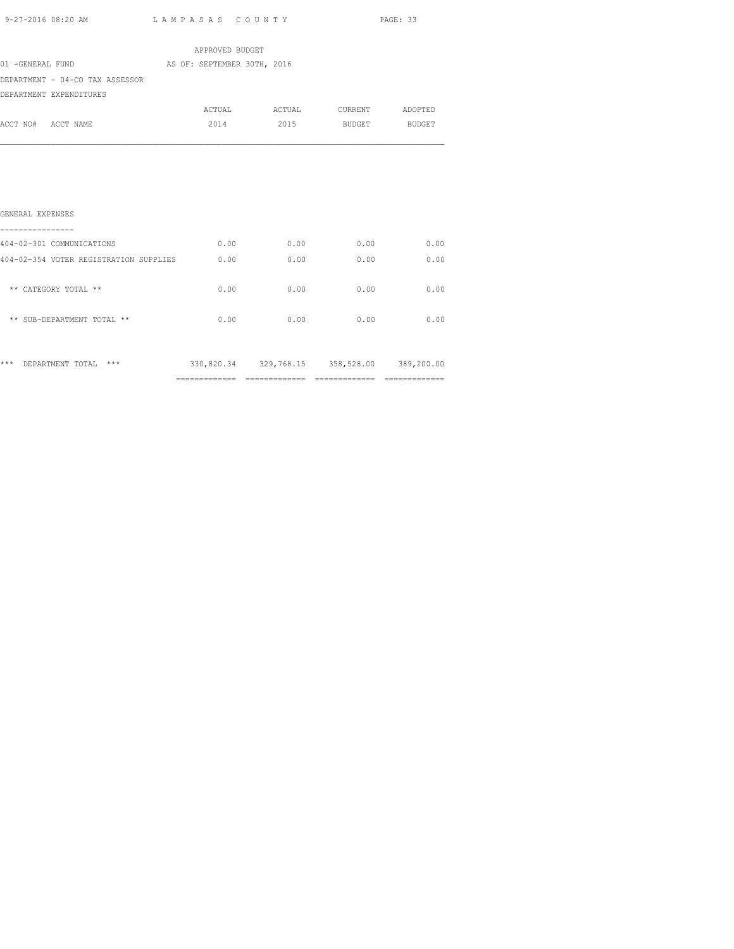| 9-27-2016 08:20 AM                                                   |                 | LAMPASAS COUNTY |                               | PAGE: 33 |  |
|----------------------------------------------------------------------|-----------------|-----------------|-------------------------------|----------|--|
|                                                                      | APPROVED BUDGET |                 |                               |          |  |
| 01 -GENERAL FUND AS OF: SEPTEMBER 30TH, 2016                         |                 |                 |                               |          |  |
| DEPARTMENT - 04-CO TAX ASSESSOR                                      |                 |                 |                               |          |  |
| DEPARTMENT EXPENDITURES                                              |                 |                 |                               |          |  |
|                                                                      |                 |                 | ACTUAL ACTUAL CURRENT ADOPTED |          |  |
| ACCT NO# ACCT NAME                                                   |                 |                 | 2014 2015 BUDGET BUDGET       |          |  |
| GENERAL EXPENSES<br>404-02-301 COMMUNICATIONS                        | 0.00            | 0.00            | 0.00                          | 0.00     |  |
| 404-02-354 VOTER REGISTRATION SUPPLIES                               | 0.00            | 0.00            | 0.00                          | 0.00     |  |
| ** CATEGORY TOTAL **                                                 | 0.00            | 0.00            | 0.00                          | 0.00     |  |
| ** SUB-DEPARTMENT TOTAL **                                           | 0.00            | 0.00            | 0.00                          | 0.00     |  |
| *** DEPARTMENT TOTAL *** 330,820.34 329,768.15 358,528.00 389,200.00 |                 |                 |                               |          |  |

============= ============= ============= =============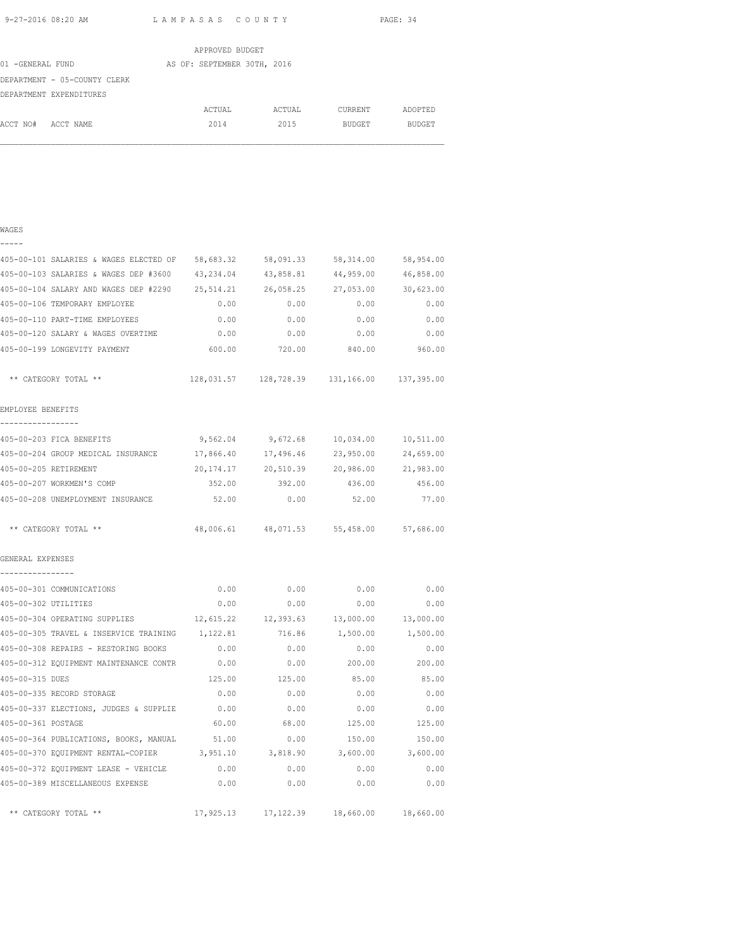|                              | APPROVED BUDGET             |        |               |               |
|------------------------------|-----------------------------|--------|---------------|---------------|
| 01 -GENERAL FUND             | AS OF: SEPTEMBER 30TH, 2016 |        |               |               |
| DEPARTMENT - 05-COUNTY CLERK |                             |        |               |               |
| DEPARTMENT EXPENDITURES      |                             |        |               |               |
|                              | ACTUAL                      | ACTUAL | CURRENT       | ADOPTED       |
| ACCT NO#<br>ACCT NAME        | 2014                        | 2015   | <b>BUDGET</b> | <b>BUDGET</b> |
|                              |                             |        |               |               |

| ۰,<br>۱ |  |
|---------|--|
|         |  |

| 405-00-101 SALARIES & WAGES ELECTED OF          | 58,683.32 | 58,091.33 | 58,314.00                                      | 58,954.00 |
|-------------------------------------------------|-----------|-----------|------------------------------------------------|-----------|
| 405-00-103 SALARIES & WAGES DEP #3600           | 43,234.04 | 43,858.81 | 44,959.00                                      | 46,858.00 |
| 405-00-104 SALARY AND WAGES DEP #2290 25,514.21 |           | 26,058.25 | 27,053.00                                      | 30,623.00 |
| 405-00-106 TEMPORARY EMPLOYEE                   | 0.00      | 0.00      | 0.00                                           | 0.00      |
| 405-00-110 PART-TIME EMPLOYEES                  | 0.00      | 0.00      | 0.00                                           | 0.00      |
| 405-00-120 SALARY & WAGES OVERTIME              | 0.00      | 0.00      | 0.00                                           | 0.00      |
| 405-00-199 LONGEVITY PAYMENT                    | 600.00    | 720.00    | 840.00                                         | 960.00    |
| ** CATEGORY TOTAL **                            |           |           | 128,031.57  128,728.39  131,166.00  137,395.00 |           |
| EMPLOYEE BENEFITS<br>________________           |           |           |                                                |           |
| 405-00-203 FICA BENEFITS                        |           |           | 9,562.04 9,672.68 10,034.00                    | 10,511.00 |
| 405-00-204 GROUP MEDICAL INSURANCE 17,866.40    |           | 17,496.46 | 23,950.00                                      | 24,659.00 |
| 405-00-205 RETIREMENT                           | 20,174.17 | 20,510.39 | 20,986.00                                      | 21,983.00 |
| 405-00-207 WORKMEN'S COMP                       | 352.00    | 392.00    | 436.00                                         | 456.00    |
| 405-00-208 UNEMPLOYMENT INSURANCE               | 52.00     | 0.00      | 52.00                                          | 77.00     |
| ** CATEGORY TOTAL **                            |           |           | 48,006.61 48,071.53 55,458.00 57,686.00        |           |
| GENERAL EXPENSES                                |           |           |                                                |           |
| ----------------                                |           |           |                                                |           |
| 405-00-301 COMMUNICATIONS                       | 0.00      | 0.00      | 0.00                                           | 0.00      |
| 405-00-302 UTILITIES                            | 0.00      | 0.00      | 0.00                                           | 0.00      |
| 405-00-304 OPERATING SUPPLIES                   |           |           | 12,615.22 12,393.63 13,000.00                  | 13,000.00 |
| 405-00-305 TRAVEL & INSERVICE TRAINING 1,122.81 |           | 716.86    | 1,500.00                                       | 1,500.00  |
| 405-00-308 REPAIRS - RESTORING BOOKS            | 0.00      | 0.00      | 0.00                                           | 0.00      |
| 405-00-312 EQUIPMENT MAINTENANCE CONTR          | 0.00      | 0.00      | 200.00                                         | 200.00    |
| 405-00-315 DUES                                 | 125.00    | 125.00    | 85.00                                          | 85.00     |
| 405-00-335 RECORD STORAGE                       | 0.00      | 0.00      | 0.00                                           | 0.00      |
| 405-00-337 ELECTIONS, JUDGES & SUPPLIE          | 0.00      | 0.00      | 0.00                                           | 0.00      |
| 405-00-361 POSTAGE                              | 60.00     | 68.00     | 125.00                                         | 125.00    |
| 405-00-364 PUBLICATIONS, BOOKS, MANUAL          | 51.00     | 0.00      | 150.00                                         | 150.00    |
| 405-00-370 EQUIPMENT RENTAL-COPIER              | 3,951.10  | 3,818.90  | 3,600.00                                       | 3,600.00  |
| 405-00-372 EQUIPMENT LEASE - VEHICLE            | 0.00      | 0.00      | 0.00                                           | 0.00      |
| 405-00-389 MISCELLANEOUS EXPENSE                | 0.00      | 0.00      | 0.00                                           | 0.00      |
| ** CATEGORY TOTAL **                            |           |           | 17,925.13  17,122.39  18,660.00  18,660.00     |           |
|                                                 |           |           |                                                |           |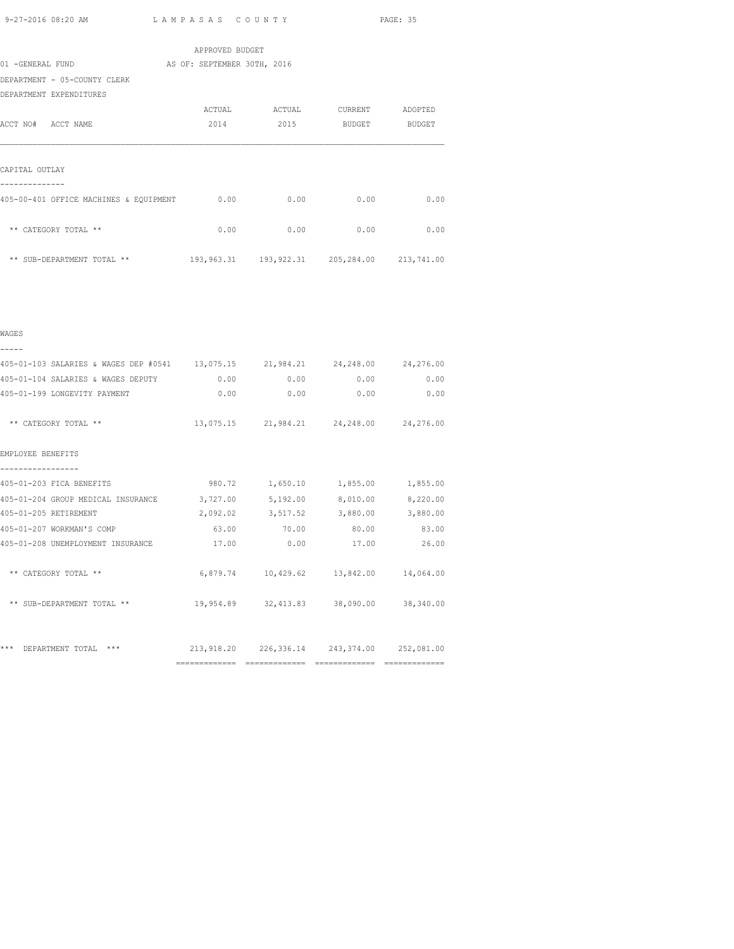| APPROVED BUDGET                        |                                                       |        |         |               |  |  |  |
|----------------------------------------|-------------------------------------------------------|--------|---------|---------------|--|--|--|
| 01 -GENERAL FUND                       | AS OF: SEPTEMBER 30TH, 2016                           |        |         |               |  |  |  |
| DEPARTMENT - 05-COUNTY CLERK           |                                                       |        |         |               |  |  |  |
| DEPARTMENT EXPENDITURES                |                                                       |        |         |               |  |  |  |
|                                        | ACTUAL                                                | ACTUAL | CURRENT | ADOPTED       |  |  |  |
| ACCT NO# ACCT NAME                     | 2014                                                  | 2015   | BUDGET  | <b>BUDGET</b> |  |  |  |
|                                        |                                                       |        |         |               |  |  |  |
| CAPITAL OUTLAY                         |                                                       |        |         |               |  |  |  |
| 405-00-401 OFFICE MACHINES & EQUIPMENT | 0.00                                                  | 0.00   | 0.00    | 0.00          |  |  |  |
| ** CATEGORY TOTAL **                   | 0.00                                                  | 0.00   | 0.00    | 0.00          |  |  |  |
| ** SUB-DEPARTMENT TOTAL **             | 193, 963.31   193, 922.31   205, 284.00   213, 741.00 |        |         |               |  |  |  |

|  |  | ۰, |  |
|--|--|----|--|
|  |  |    |  |

| 405-01-103 SALARIES & WAGES DEP #0541 13,075.15 21,984.21 24,248.00 24,276.00 |                   |                                             |             |             |
|-------------------------------------------------------------------------------|-------------------|---------------------------------------------|-------------|-------------|
| 405-01-104 SALARIES & WAGES DEPUTY                                            |                   | $0.00$ 0.00                                 |             | $0.00$ 0.00 |
| 405-01-199 LONGEVITY PAYMENT                                                  |                   | 0.00<br>0.00                                | 0.00        | 0.00        |
| ** CATEGORY TOTAL **                                                          |                   | 13,075.15 21,984.21 24,248.00 24,276.00     |             |             |
| EMPLOYEE BENEFITS                                                             |                   |                                             |             |             |
| 405-01-203 FICA BENEFITS                                                      | 980.72            | 1,650.10                                    | 1,855.00    | 1,855.00    |
| 405-01-204 GROUP MEDICAL INSURANCE                                            | 3,727.00 5,192.00 |                                             | 8,010.00    | 8,220.00    |
| 405-01-205 RETIREMENT                                                         |                   | 2,092.02 3,517.52                           | 3,880.00    | 3,880.00    |
| 405-01-207 WORKMAN'S COMP                                                     | 63.00             |                                             | 70.00 80.00 | 83.00       |
| 405-01-208 UNEMPLOYMENT INSURANCE                                             | 17.00             | 0.00                                        | 17.00       | 26.00       |
| ** CATEGORY TOTAL **                                                          |                   | 6,879.74  10,429.62  13,842.00  14,064.00   |             |             |
| ** SUB-DEPARTMENT TOTAL **                                                    |                   | 19,954.89 32,413.83 38,090.00 38,340.00     |             |             |
|                                                                               |                   |                                             |             |             |
| ***<br>$***$<br>DEPARTMENT TOTAL                                              |                   | 213,918.20 226,336.14 243,374.00 252,081.00 |             |             |
|                                                                               |                   |                                             |             |             |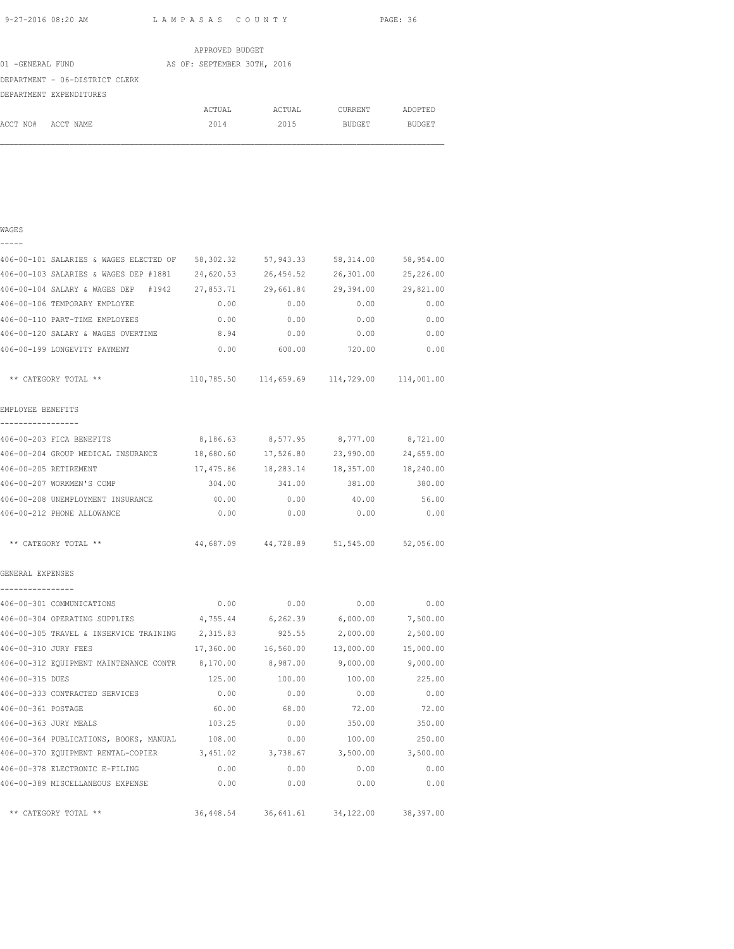WAGES

9-27-2016 08:20 AM L A M P A S A S C O U N T Y PAGE: 36

|                  | APPROVED BUDGET                |  |                             |  |        |  |               |  |               |  |  |  |  |
|------------------|--------------------------------|--|-----------------------------|--|--------|--|---------------|--|---------------|--|--|--|--|
| 01 -GENERAL FUND |                                |  | AS OF: SEPTEMBER 30TH, 2016 |  |        |  |               |  |               |  |  |  |  |
|                  | DEPARTMENT - 06-DISTRICT CLERK |  |                             |  |        |  |               |  |               |  |  |  |  |
|                  | DEPARTMENT EXPENDITURES        |  |                             |  |        |  |               |  |               |  |  |  |  |
|                  |                                |  | ACTUAL                      |  | ACTUAL |  | CURRENT       |  | ADOPTED       |  |  |  |  |
| ACCT NO#         | ACCT NAME                      |  | 2014                        |  | 2015   |  | <b>BUDGET</b> |  | <b>BUDGET</b> |  |  |  |  |
|                  |                                |  |                             |  |        |  |               |  |               |  |  |  |  |

# ----- 406-00-101 SALARIES & WAGES ELECTED OF 58,302.32 57,943.33 58,314.00 58,954.00 406-00-103 SALARIES & WAGES DEP #1881 24,620.53 26,454.52 26,301.00 25,226.00 406-00-104 SALARY & WAGES DEP #1942 27,853.71 29,661.84 29,394.00 29,821.00 406-00-106 TEMPORARY EMPLOYEE 0.00 0.00 0.00 0.00 406-00-110 PART-TIME EMPLOYEES 0.00 0.00 0.00 0.00 406-00-120 SALARY & WAGES OVERTIME 8.94 0.00 0.00 0.00 406-00-199 LONGEVITY PAYMENT 0.00 600.00 720.00 0.00 \*\* CATEGORY TOTAL \*\* 110,785.50 114,659.69 114,729.00 114,001.00 EMPLOYEE BENEFITS ----------------- 406-00-203 FICA BENEFITS 8,186.63 8,577.95 8,777.00 8,721.00 406-00-204 GROUP MEDICAL INSURANCE 18,680.60 17,526.80 23,990.00 24,659.00 406-00-205 RETIREMENT 17,475.86 18,283.14 18,357.00 18,240.00 406-00-207 WORKMEN'S COMP 304.00 341.00 381.00 380.00 406-00-208 UNEMPLOYMENT INSURANCE 40.00 0.00 40.00 56.00 406-00-212 PHONE ALLOWANCE 0.00 0.00 0.00 0.00 \*\* CATEGORY TOTAL \*\* 44,687.09 44,728.89 51,545.00 52,056.00 GENERAL EXPENSES ---------------- 406-00-301 COMMUNICATIONS 0.00 0.00 0.00 0.00 406-00-304 OPERATING SUPPLIES 4,755.44 6,262.39 6,000.00 7,500.00 406-00-305 TRAVEL & INSERVICE TRAINING 2,315.83 925.55 2,000.00 2,500.00 406-00-310 JURY FEES 17,360.00 16,560.00 13,000.00 15,000.00 406-00-312 EQUIPMENT MAINTENANCE CONTR 8,170.00 8,987.00 9,000.00 9,000.00 406-00-315 DUES 125.00 100.00 100.00 225.00 406-00-333 CONTRACTED SERVICES 0.00 0.00 0.00 0.00 406-00-361 POSTAGE 60.00 68.00 72.00 72.00 406-00-363 JURY MEALS 103.25 0.00 350.00 350.00 406-00-364 PUBLICATIONS, BOOKS, MANUAL 108.00 0.00 100.00 250.00 406-00-370 EQUIPMENT RENTAL-COPIER 3,451.02 3,738.67 3,500.00 3,500.00 406-00-378 ELECTRONIC E-FILING 0.00 0.00 0.00 0.00 406-00-389 MISCELLANEOUS EXPENSE 0.00 0.00 0.00 0.00 \*\* CATEGORY TOTAL \*\* 36,448.54 36,641.61 34,122.00 38,397.00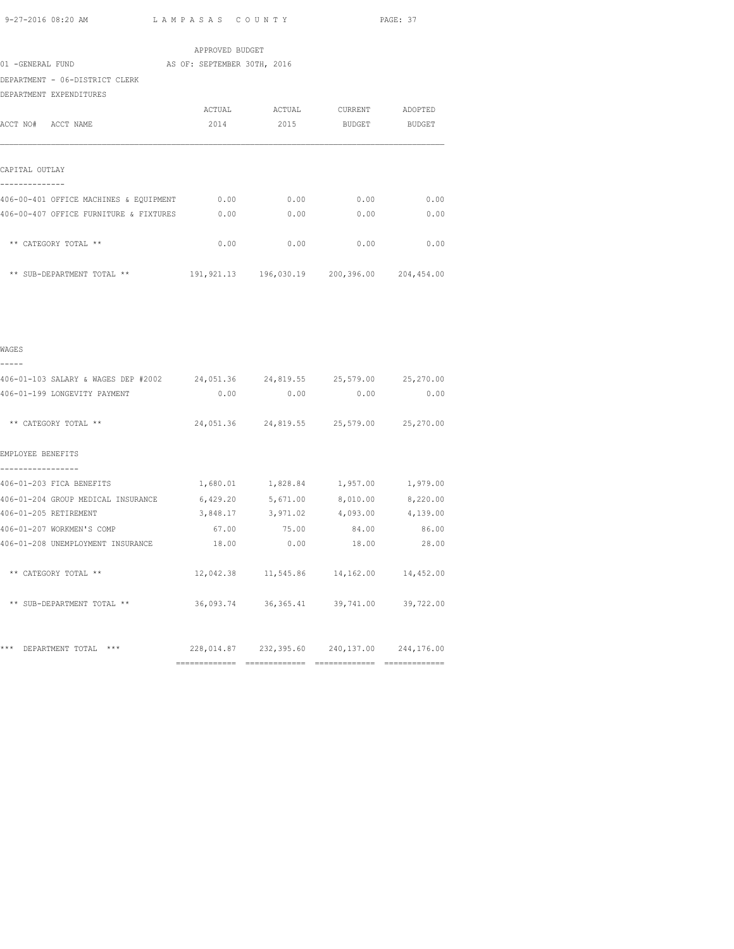|                                                                             | APPROVED BUDGET |                                         |      |
|-----------------------------------------------------------------------------|-----------------|-----------------------------------------|------|
| 01 -GENERAL FUND AS OF: SEPTEMBER 30TH, 2016                                |                 |                                         |      |
| DEPARTMENT - 06-DISTRICT CLERK                                              |                 |                                         |      |
| DEPARTMENT EXPENDITURES                                                     |                 |                                         |      |
|                                                                             |                 | ACTUAL ACTUAL CURRENT ADOPTED           |      |
| ACCT NO# ACCT NAME                                                          |                 | 2014 2015 BUDGET BUDGET                 |      |
| CAPITAL OUTLAY                                                              |                 |                                         |      |
|                                                                             |                 |                                         |      |
| 406-00-407 OFFICE FURNITURE & FIXTURES                                      |                 | $0.00$ $0.00$ $0.00$ $0.00$ $0.00$      |      |
| ** CATEGORY TOTAL **                                                        |                 | $0.00$ $0.00$ $0.00$ $0.00$             | 0.00 |
| ** SUB-DEPARTMENT TOTAL ** 191,921.13 196,030.19 200,396.00 204,454.00      |                 |                                         |      |
|                                                                             |                 |                                         |      |
| WAGES                                                                       |                 |                                         |      |
|                                                                             |                 |                                         |      |
| 406-01-103 SALARY & WAGES DEP #2002 24,051.36 24,819.55 25,579.00 25,270.00 |                 |                                         |      |
| 406-01-199 LONGEVITY PAYMENT                                                |                 | $0.00$ $0.00$ $0.00$ $0.00$ $0.00$      |      |
| ** CATEGORY TOTAL **                                                        |                 | 24,051.36 24,819.55 25,579.00 25,270.00 |      |

EMPLOYEE BENEFITS ----------------- 406-01-203 FICA BENEFITS 1,680.01 1,828.84 1,957.00 1,979.00 406-01-204 GROUP MEDICAL INSURANCE 6,429.20 5,671.00 8,010.00 8,220.00 406-01-205 RETIREMENT 3,848.17 3,971.02 4,093.00 4,139.00 4,093.00 4,139.00 / 1,2011.02 5,2011.02 4,093.00 4,139.00 4,139.00<br>406-01-208 INRMPI.OYMENT TNSIDRAYOR 67.00 75.00 84.00 86.00 406-01-208 UNEMPLOYMENT INSURANCE 18.00 0.00 18.00 28.00 \*\* CATEGORY TOTAL \*\* 12,042.38 11,545.86 14,162.00 14,452.00 \*\* SUB-DEPARTMENT TOTAL \*\* 36,093.74 36,365.41 39,741.00 39,722.00 \*\*\* DEPARTMENT TOTAL \*\*\* 228,014.87 232,395.60 240,137.00 244,176.00 ============= ============= ============= =============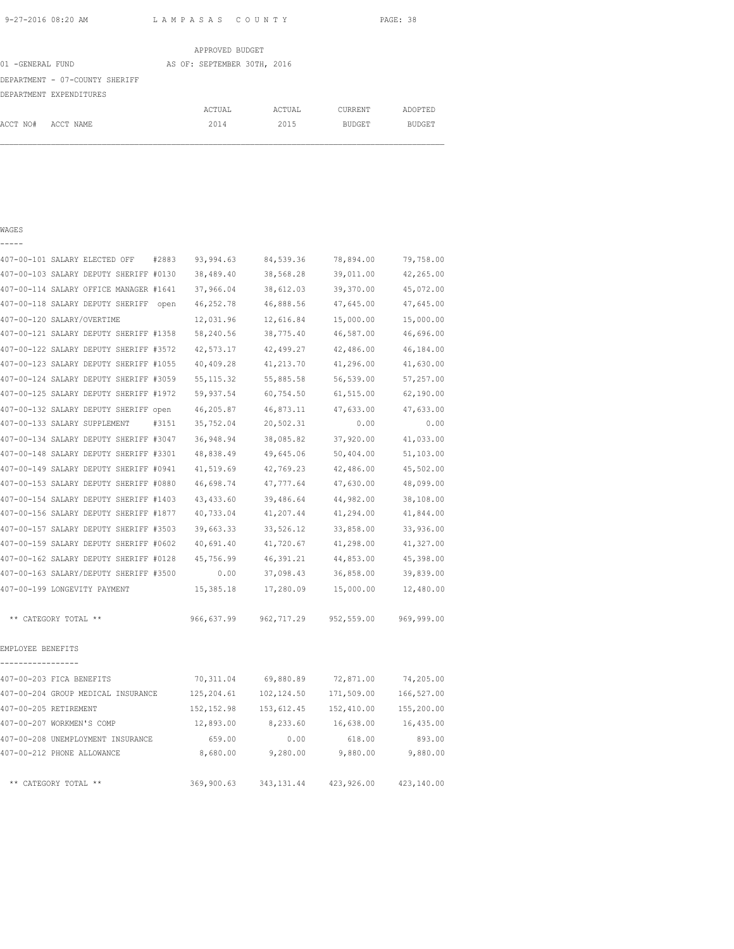|                  |                                | APPROVED BUDGET             |        |         |               |
|------------------|--------------------------------|-----------------------------|--------|---------|---------------|
| 01 -GENERAL FUND |                                | AS OF: SEPTEMBER 30TH, 2016 |        |         |               |
|                  | DEPARTMENT - 07-COUNTY SHERIFF |                             |        |         |               |
|                  | DEPARTMENT EXPENDITURES        |                             |        |         |               |
|                  |                                | ACTUAL                      | ACTUAL | CURRENT | ADOPTED       |
| ACCT NO#         | ACCT NAME                      | 2014                        | 2015   | BUDGET  | <b>BUDGET</b> |

#### WAGES

-----

| 407-00-101 SALARY ELECTED OFF<br>#2883   | 93,994.63   | 84,539.36   | 78,894.00  | 79,758.00  |
|------------------------------------------|-------------|-------------|------------|------------|
| 407-00-103 SALARY DEPUTY SHERIFF #0130   | 38,489.40   | 38,568.28   | 39,011.00  | 42,265.00  |
| 407-00-114 SALARY OFFICE MANAGER #1641   | 37,966.04   | 38,612.03   | 39,370.00  | 45,072.00  |
| 407-00-118 SALARY DEPUTY SHERIFF<br>open | 46,252.78   | 46,888.56   | 47,645.00  | 47,645.00  |
| 407-00-120 SALARY/OVERTIME               | 12,031.96   | 12,616.84   | 15,000.00  | 15,000.00  |
| 407-00-121 SALARY DEPUTY SHERIFF #1358   | 58,240.56   | 38,775.40   | 46,587.00  | 46,696.00  |
| 407-00-122 SALARY DEPUTY SHERIFF #3572   | 42,573.17   | 42,499.27   | 42,486.00  | 46,184.00  |
| 407-00-123 SALARY DEPUTY SHERIFF #1055   | 40,409.28   | 41,213.70   | 41,296.00  | 41,630.00  |
| 407-00-124 SALARY DEPUTY SHERIFF #3059   | 55, 115.32  | 55,885.58   | 56,539.00  | 57,257.00  |
| 407-00-125 SALARY DEPUTY SHERIFF #1972   | 59,937.54   | 60,754.50   | 61,515.00  | 62,190.00  |
| 407-00-132 SALARY DEPUTY SHERIFF open    | 46,205.87   | 46,873.11   | 47,633.00  | 47,633.00  |
| 407-00-133 SALARY SUPPLEMENT<br>#3151    | 35,752.04   | 20,502.31   | 0.00       | 0.00       |
| 407-00-134 SALARY DEPUTY SHERIFF #3047   | 36,948.94   | 38,085.82   | 37,920.00  | 41,033.00  |
| 407-00-148 SALARY DEPUTY SHERIFF #3301   | 48,838.49   | 49,645.06   | 50,404.00  | 51,103.00  |
| 407-00-149 SALARY DEPUTY SHERIFF #0941   | 41,519.69   | 42,769.23   | 42,486.00  | 45,502.00  |
| 407-00-153 SALARY DEPUTY SHERIFF #0880   | 46,698.74   | 47,777.64   | 47,630.00  | 48,099.00  |
| 407-00-154 SALARY DEPUTY SHERIFF #1403   | 43, 433.60  | 39,486.64   | 44,982.00  | 38,108.00  |
| 407-00-156 SALARY DEPUTY SHERIFF #1877   | 40,733.04   | 41,207.44   | 41,294.00  | 41,844.00  |
| 407-00-157 SALARY DEPUTY SHERIFF #3503   | 39,663.33   | 33,526.12   | 33,858.00  | 33,936.00  |
| 407-00-159 SALARY DEPUTY SHERIFF #0602   | 40,691.40   | 41,720.67   | 41,298.00  | 41,327.00  |
| 407-00-162 SALARY DEPUTY SHERIFF #0128   | 45,756.99   | 46,391.21   | 44,853.00  | 45,398.00  |
| 407-00-163 SALARY/DEPUTY SHERIFF #3500   | 0.00        | 37,098.43   | 36,858.00  | 39,839.00  |
| 407-00-199 LONGEVITY PAYMENT             | 15,385.18   | 17,280.09   | 15,000.00  | 12,480.00  |
| ** CATEGORY TOTAL **                     | 966,637.99  | 962,717.29  | 952,559.00 | 969,999.00 |
| EMPLOYEE BENEFITS<br>---------           |             |             |            |            |
| 407-00-203 FICA BENEFITS                 | 70,311.04   | 69,880.89   | 72,871.00  | 74,205.00  |
| 407-00-204 GROUP MEDICAL INSURANCE       | 125,204.61  | 102,124.50  | 171,509.00 | 166,527.00 |
| 407-00-205 RETIREMENT                    | 152, 152.98 | 153,612.45  | 152,410.00 | 155,200.00 |
| 407-00-207 WORKMEN'S COMP                | 12,893.00   | 8,233.60    | 16,638.00  | 16,435.00  |
| 407-00-208 UNEMPLOYMENT INSURANCE        | 659.00      | 0.00        | 618.00     | 893.00     |
| 407-00-212 PHONE ALLOWANCE               | 8,680.00    | 9,280.00    | 9,880.00   | 9,880.00   |
| ** CATEGORY TOTAL **                     | 369,900.63  | 343, 131.44 | 423,926.00 | 423,140.00 |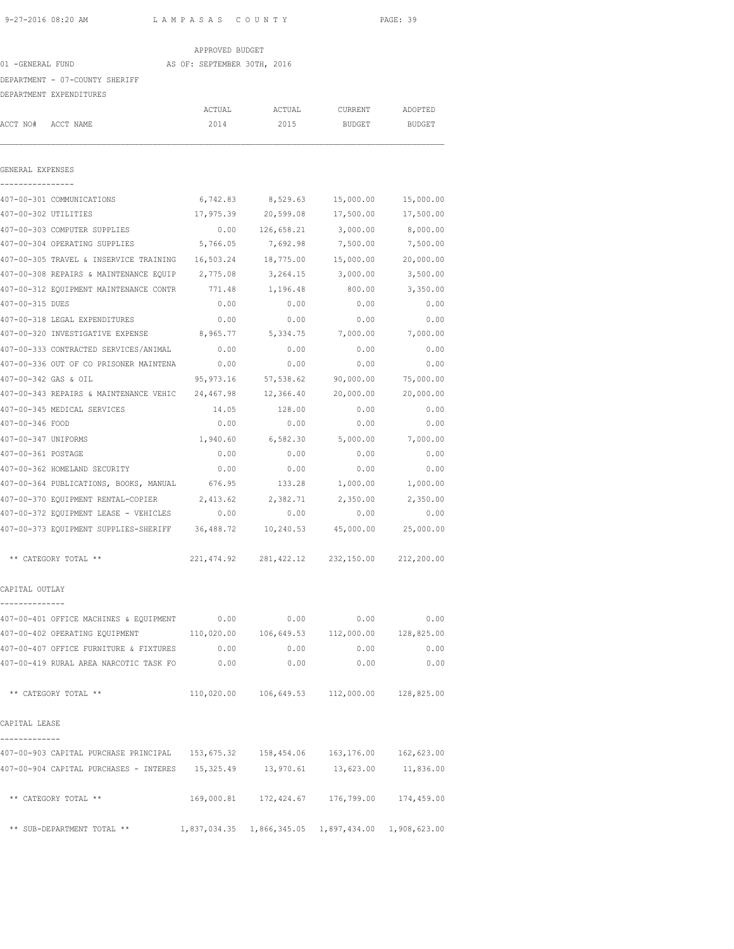| 9-27-2016 08:20 AM                                                                     | LAMPASAS COUNTY             |                                                     |                    | PAGE: 39      |
|----------------------------------------------------------------------------------------|-----------------------------|-----------------------------------------------------|--------------------|---------------|
|                                                                                        | APPROVED BUDGET             |                                                     |                    |               |
| 01 -GENERAL FUND                                                                       | AS OF: SEPTEMBER 30TH, 2016 |                                                     |                    |               |
| DEPARTMENT - 07-COUNTY SHERIFF                                                         |                             |                                                     |                    |               |
| DEPARTMENT EXPENDITURES                                                                |                             |                                                     |                    |               |
|                                                                                        | ACTUAL                      | ACTUAL                                              | CURRENT            | ADOPTED       |
| ACCT NO# ACCT NAME                                                                     | 2014                        | 2015                                                | BUDGET             | <b>BUDGET</b> |
| GENERAL EXPENSES                                                                       |                             |                                                     |                    |               |
| 407-00-301 COMMUNICATIONS                                                              | 6,742.83                    |                                                     | 8,529.63 15,000.00 | 15,000.00     |
| 407-00-302 UTILITIES                                                                   |                             |                                                     |                    |               |
| 407-00-303 COMPUTER SUPPLIES                                                           |                             | $0.00$ $126,658.21$ $3,000.00$                      |                    | 8,000.00      |
| 407-00-304 OPERATING SUPPLIES                                                          | 5,766.05                    | 7,692.98                                            | 7,500.00           | 7,500.00      |
| 407-00-305 TRAVEL & INSERVICE TRAINING    16,503.24    18,775.00                       |                             |                                                     | 15,000.00          | 20,000.00     |
| 407-00-308 REPAIRS & MAINTENANCE EQUIP 2,775.08                                        |                             | 3,264.15                                            | 3,000.00           | 3,500.00      |
| 407-00-312 EQUIPMENT MAINTENANCE CONTR                                                 | 771.48                      | 1,196.48                                            | 800.00             | 3,350.00      |
| 407-00-315 DUES                                                                        | 0.00                        | 0.00                                                | 0.00               | 0.00          |
| 407-00-318 LEGAL EXPENDITURES                                                          | 0.00                        | 0.00                                                | 0.00               | 0.00          |
| 407-00-320 INVESTIGATIVE EXPENSE                                                       | 8,965.77                    | 5,334.75                                            | 7,000.00           | 7,000.00      |
| 407-00-333 CONTRACTED SERVICES/ANIMAL                                                  | 0.00                        | 0.00                                                | 0.00               | 0.00          |
| 407-00-336 OUT OF CO PRISONER MAINTENA                                                 | 0.00                        | 0.00                                                | 0.00               | 0.00          |
| 407-00-342 GAS & OIL                                                                   | 95,973.16                   | 57,538.62                                           | 90,000.00          | 75,000.00     |
| 407-00-343 REPAIRS & MAINTENANCE VEHIC 24,467.98                                       |                             | 12,366.40                                           | 20,000.00          | 20,000.00     |
| 407-00-345 MEDICAL SERVICES                                                            | 14.05                       | 128.00                                              | 0.00               | 0.00          |
| 407-00-346 FOOD                                                                        | 0.00                        | 0.00                                                | 0.00               | 0.00          |
| 407-00-347 UNIFORMS                                                                    |                             | 1,940.60 6,582.30 5,000.00                          |                    | 7,000.00      |
| 407-00-361 POSTAGE                                                                     | 0.00                        | 0.00                                                | 0.00               | 0.00          |
| 407-00-362 HOMELAND SECURITY                                                           | 0.00                        | 0.00                                                | 0.00               | 0.00          |
| 407-00-364 PUBLICATIONS, BOOKS, MANUAL                                                 | 676.95                      | 133.28                                              | 1,000.00           | 1,000.00      |
| 407-00-370 EQUIPMENT RENTAL-COPIER                                                     | 2,413.62                    | 2,382.71                                            | 2,350.00           | 2,350.00      |
| 407-00-372 EQUIPMENT LEASE - VEHICLES                                                  | 0.00                        | 0.00                                                | 0.00               | 0.00          |
| 407-00-373 EQUIPMENT SUPPLIES-SHERIFF 36,488.72                                        |                             | 10,240.53                                           | 45,000.00          | 25,000.00     |
| ** CATEGORY TOTAL **                                                                   |                             | 221,474.92 281,422.12 232,150.00 212,200.00         |                    |               |
| CAPITAL OUTLAY                                                                         |                             |                                                     |                    |               |
| 407-00-401 OFFICE MACHINES & EQUIPMENT 0.00 0.00 0.00 0.00 0.00 0.00                   |                             |                                                     |                    |               |
| 407-00-402 OPERATING EQUIPMENT 110,020.00 106,649.53 112,000.00 128,825.00             |                             |                                                     |                    |               |
| 407-00-407 OFFICE FURNITURE & FIXTURES 0.00                                            |                             | 0.00                                                | 0.00               | 0.00          |
| 407-00-419 RURAL AREA NARCOTIC TASK FO                                                 | 0.00                        | 0.00                                                | 0.00               | 0.00          |
| ** CATEGORY TOTAL **                                                                   |                             | $110,020.00$ $106,649.53$ $112,000.00$ $128,825.00$ |                    |               |
| CAPITAL LEASE                                                                          |                             |                                                     |                    |               |
| 407-00-903 CAPITAL PURCHASE PRINCIPAL 153, 675.32 158, 454.06 163, 176.00 162, 623.00  |                             |                                                     |                    |               |
| 407-00-904 CAPITAL PURCHASES - INTERES 15,325.49 13,970.61 13,623.00 11,836.00         |                             |                                                     |                    |               |
| ** CATEGORY TOTAL **                                                                   |                             | 169,000.81  172,424.67  176,799.00  174,459.00      |                    |               |
| ** SUB-DEPARTMENT TOTAL ** $1,837,034.35$ $1,866,345.05$ $1,897,434.00$ $1,908,623.00$ |                             |                                                     |                    |               |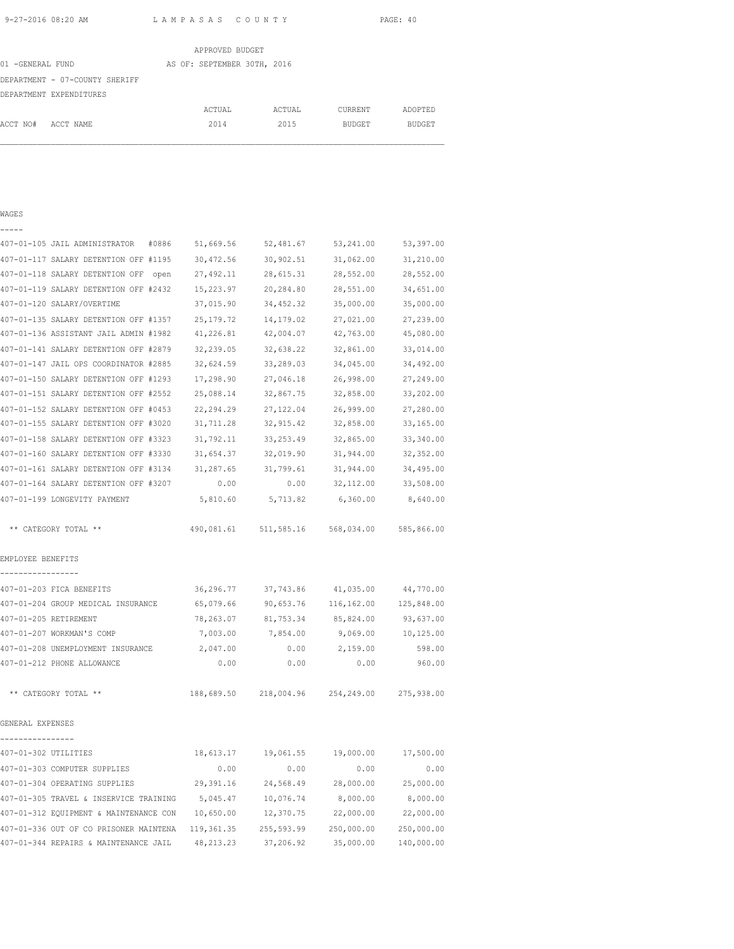|                                | APPROVED BUDGET             |        |               |               |
|--------------------------------|-----------------------------|--------|---------------|---------------|
| 01 -GENERAL FUND               | AS OF: SEPTEMBER 30TH, 2016 |        |               |               |
| DEPARTMENT - 07-COUNTY SHERIFF |                             |        |               |               |
| DEPARTMENT EXPENDITURES        |                             |        |               |               |
|                                | ACTUAL                      | ACTUAL | CURRENT       | ADOPTED       |
| ACCT NO#<br>ACCT NAME          | 2014                        | 2015   | <b>BUDGET</b> | <b>BUDGET</b> |
|                                |                             |        |               |               |

### WAGES -----

| 407-01-105 JAIL ADMINISTRATOR<br>#0886 | 51,669.56   | 52,481.67  | 53,241.00  | 53,397.00  |
|----------------------------------------|-------------|------------|------------|------------|
| 407-01-117 SALARY DETENTION OFF #1195  | 30,472.56   | 30,902.51  | 31,062.00  | 31,210.00  |
| 407-01-118 SALARY DETENTION OFF open   | 27,492.11   | 28,615.31  | 28,552.00  | 28,552.00  |
| 407-01-119 SALARY DETENTION OFF #2432  | 15,223.97   | 20,284.80  | 28,551.00  | 34,651.00  |
| 407-01-120 SALARY/OVERTIME             | 37,015.90   | 34, 452.32 | 35,000.00  | 35,000.00  |
| 407-01-135 SALARY DETENTION OFF #1357  | 25, 179. 72 | 14,179.02  | 27,021.00  | 27,239.00  |
| 407-01-136 ASSISTANT JAIL ADMIN #1982  | 41,226.81   | 42,004.07  | 42,763.00  | 45,080.00  |
| 407-01-141 SALARY DETENTION OFF #2879  | 32,239.05   | 32,638.22  | 32,861.00  | 33,014.00  |
| 407-01-147 JAIL OPS COORDINATOR #2885  | 32,624.59   | 33,289.03  | 34,045.00  | 34,492.00  |
| 407-01-150 SALARY DETENTION OFF #1293  | 17,298.90   | 27,046.18  | 26,998.00  | 27,249.00  |
| 407-01-151 SALARY DETENTION OFF #2552  | 25,088.14   | 32,867.75  | 32,858.00  | 33,202.00  |
| 407-01-152 SALARY DETENTION OFF #0453  | 22, 294.29  | 27, 122.04 | 26,999.00  | 27,280.00  |
| 407-01-155 SALARY DETENTION OFF #3020  | 31,711.28   | 32, 915.42 | 32,858.00  | 33,165.00  |
| 407-01-158 SALARY DETENTION OFF #3323  | 31,792.11   | 33, 253.49 | 32,865.00  | 33,340.00  |
| 407-01-160 SALARY DETENTION OFF #3330  | 31,654.37   | 32,019.90  | 31,944.00  | 32,352.00  |
| 407-01-161 SALARY DETENTION OFF #3134  | 31,287.65   | 31,799.61  | 31,944.00  | 34,495.00  |
| 407-01-164 SALARY DETENTION OFF #3207  | 0.00        | 0.00       | 32,112.00  | 33,508.00  |
| 407-01-199 LONGEVITY PAYMENT           | 5,810.60    | 5,713.82   | 6,360.00   | 8,640.00   |
| ** CATEGORY TOTAL **                   | 490,081.61  | 511,585.16 | 568,034.00 | 585,866.00 |
|                                        |             |            |            |            |
| EMPLOYEE BENEFITS<br>----------------- |             |            |            |            |
| 407-01-203 FICA BENEFITS               | 36,296.77   | 37,743.86  | 41,035.00  | 44,770.00  |
| 407-01-204 GROUP MEDICAL INSURANCE     | 65,079.66   | 90,653.76  | 116,162.00 | 125,848.00 |
| 407-01-205 RETIREMENT                  | 78,263.07   | 81,753.34  | 85,824.00  | 93,637.00  |
| 407-01-207 WORKMAN'S COMP              | 7,003.00    | 7,854.00   | 9,069.00   | 10, 125.00 |
| 407-01-208 UNEMPLOYMENT INSURANCE      | 2,047.00    | 0.00       | 2,159.00   | 598.00     |
| 407-01-212 PHONE ALLOWANCE             | 0.00        | 0.00       | 0.00       | 960.00     |
| ** CATEGORY TOTAL **                   | 188,689.50  | 218,004.96 | 254,249.00 | 275,938.00 |
| GENERAL EXPENSES                       |             |            |            |            |
| ----------------                       |             |            |            |            |
| 407-01-302 UTILITIES                   | 18,613.17   | 19,061.55  | 19,000.00  | 17,500.00  |
| 407-01-303 COMPUTER SUPPLIES           | 0.00        | 0.00       | 0.00       | 0.00       |
| 407-01-304 OPERATING SUPPLIES          | 29,391.16   | 24,568.49  | 28,000.00  | 25,000.00  |
| 407-01-305 TRAVEL & INSERVICE TRAINING | 5,045.47    | 10,076.74  | 8,000.00   | 8,000.00   |
| 407-01-312 EQUIPMENT & MAINTENANCE CON | 10,650.00   | 12,370.75  | 22,000.00  | 22,000.00  |
| 407-01-336 OUT OF CO PRISONER MAINTENA | 119, 361.35 | 255,593.99 | 250,000.00 | 250,000.00 |
| 407-01-344 REPAIRS & MAINTENANCE JAIL  | 48, 213. 23 | 37,206.92  | 35,000.00  | 140,000.00 |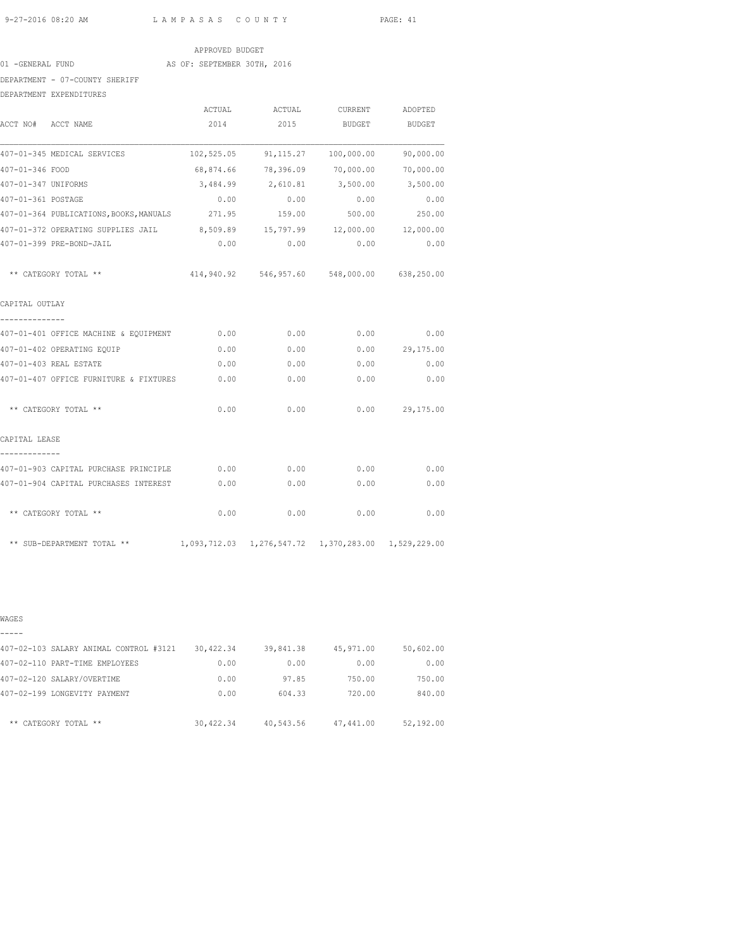# APPROVED BUDGET

01 -GENERAL FUND AS OF: SEPTEMBER 30TH, 2016

DEPARTMENT - 07-COUNTY SHERIFF

| DEPARTMENT EXPENDITURES                                                   |        |                                                        |               |                  |
|---------------------------------------------------------------------------|--------|--------------------------------------------------------|---------------|------------------|
|                                                                           | ACTUAL | ACTUAL                                                 | CURRENT       | ADOPTED          |
| ACCT NO# ACCT NAME                                                        | 2014   | 2015                                                   | <b>BUDGET</b> | BUDGET           |
| 407-01-345 MEDICAL SERVICES                                               |        | 102,525.05 91,115.27 100,000.00                        |               | 90,000.00        |
| 407-01-346 FOOD                                                           |        | 68,874.66 78,396.09 70,000.00 70,000.00                |               |                  |
| 407-01-347 UNIFORMS                                                       |        | 3,484.99 2,610.81 3,500.00 3,500.00                    |               |                  |
| 407-01-361 POSTAGE                                                        | 0.00   | 0.00                                                   | 0.00          | 0.00             |
| 407-01-364 PUBLICATIONS, BOOKS, MANUALS 271.95                            |        | 159.00                                                 | 500.00        | 250.00           |
| 407-01-372 OPERATING SUPPLIES JAIL 8,509.89 15,797.99 12,000.00 12,000.00 |        |                                                        |               |                  |
| 407-01-399 PRE-BOND-JAIL                                                  | 0.00   | 0.00                                                   | 0.00          | 0.00             |
| ** CATEGORY TOTAL **                                                      |        | 414,940.92 546,957.60 548,000.00 638,250.00            |               |                  |
| CAPITAL OUTLAY                                                            |        |                                                        |               |                  |
| 407-01-401 OFFICE MACHINE & EQUIPMENT                                     | 0.00   | 0.00                                                   | 0.00          | 0.00             |
| 407-01-402 OPERATING EQUIP                                                | 0.00   | 0.00                                                   |               | 0.00 29,175.00   |
| 407-01-403 REAL ESTATE                                                    | 0.00   | 0.00                                                   | 0.00          | 0.00             |
| 407-01-407 OFFICE FURNITURE & FIXTURES                                    | 0.00   | 0.00                                                   | 0.00          | 0.00             |
| ** CATEGORY TOTAL **                                                      | 0.00   | 0.00                                                   |               | $0.00$ 29,175.00 |
| CAPITAL LEASE                                                             |        |                                                        |               |                  |
| 407-01-903 CAPITAL PURCHASE PRINCIPLE                                     | 0.00   | 0.00                                                   | 0.00          | 0.00             |
| 407-01-904 CAPITAL PURCHASES INTEREST                                     | 0.00   | 0.00                                                   | 0.00          | 0.00             |
| ** CATEGORY TOTAL **                                                      | 0.00   | 0.00                                                   | 0.00          | 0.00             |
| ** SUB-DEPARTMENT TOTAL **                                                |        | 1,093,712.03  1,276,547.72  1,370,283.00  1,529,229.00 |               |                  |

WAGES

| 407-02-103 SALARY ANIMAL CONTROL #3121 | 30,422.34 | 39,841.38 | 45,971.00 | 50,602.00 |
|----------------------------------------|-----------|-----------|-----------|-----------|
| 407-02-110 PART-TIME EMPLOYEES         | 0.00      | 0.00      | 0.00      | 0.00      |
| 407-02-120 SALARY/OVERTIME             | 0.00      | 97.85     | 750.00    | 750.00    |
| 407-02-199 LONGEVITY PAYMENT           | 0.00      | 604.33    | 720.00    | 840.00    |
| ** CATEGORY TOTAL **                   | 30,422.34 | 40,543.56 | 47,441.00 | 52,192.00 |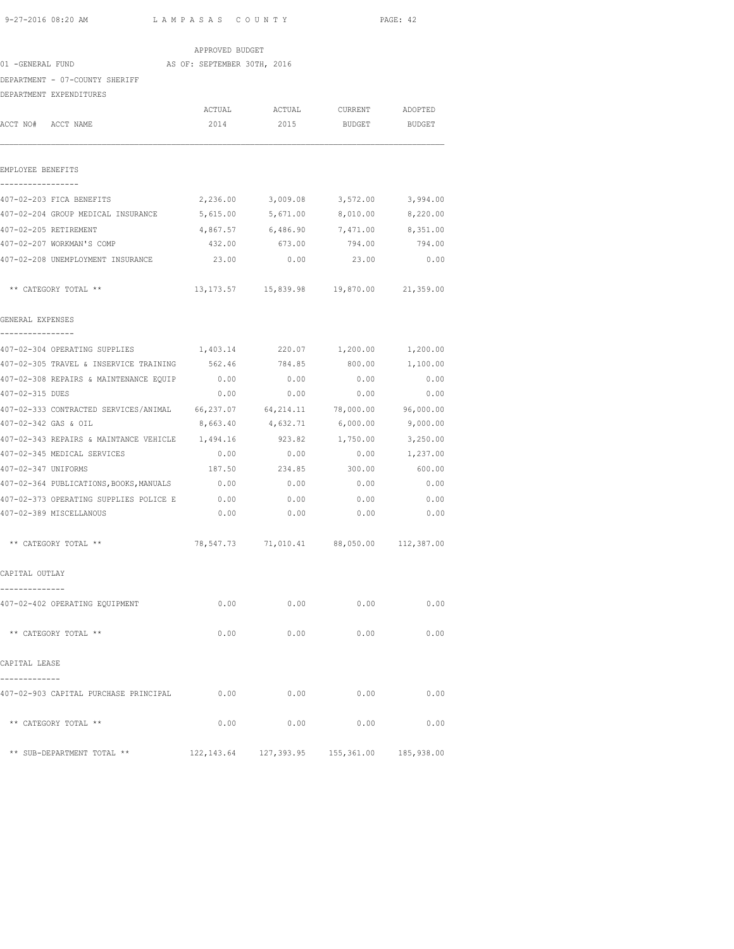|                                                                               | APPROVED BUDGET             |                                                |                        |               |
|-------------------------------------------------------------------------------|-----------------------------|------------------------------------------------|------------------------|---------------|
| 01 -GENERAL FUND                                                              | AS OF: SEPTEMBER 30TH, 2016 |                                                |                        |               |
| DEPARTMENT - 07-COUNTY SHERIFF                                                |                             |                                                |                        |               |
| DEPARTMENT EXPENDITURES                                                       |                             |                                                |                        |               |
|                                                                               | ACTUAL                      |                                                | ACTUAL CURRENT ADOPTED |               |
| ACCT NO# ACCT NAME                                                            | 2014                        | 2015                                           | BUDGET                 | <b>BUDGET</b> |
| EMPLOYEE BENEFITS                                                             |                             |                                                |                        |               |
|                                                                               |                             |                                                |                        |               |
| 407-02-203 FICA BENEFITS                                                      |                             | 2,236.00 3,009.08 3,572.00                     |                        | 3,994.00      |
| 407-02-204 GROUP MEDICAL INSURANCE 5,615.00 5,671.00 8,010.00 8,220.00        |                             |                                                |                        |               |
| 407-02-205 RETIREMENT                                                         |                             | 4,867.57 6,486.90 7,471.00 8,351.00            |                        |               |
| 407-02-207 WORKMAN'S COMP                                                     | 432.00                      | 673.00                                         | 794.00                 | 794.00        |
| 407-02-208 UNEMPLOYMENT INSURANCE                                             | 23.00                       | 0.00                                           | 23.00                  | 0.00          |
| ** CATEGORY TOTAL **                                                          |                             | 13, 173.57  15, 839.98  19, 870.00  21, 359.00 |                        |               |
| GENERAL EXPENSES                                                              |                             |                                                |                        |               |
| 407-02-304 OPERATING SUPPLIES $1,403.14$ 220.07 $1,200.00$ 1,200.00           |                             |                                                |                        |               |
| 407-02-305 TRAVEL & INSERVICE TRAINING 562.46 784.85 800.00 1,100.00          |                             |                                                |                        |               |
| 407-02-308 REPAIRS & MAINTENANCE EQUIP 0.00                                   |                             | 0.00                                           | 0.00                   | 0.00          |
| 407-02-315 DUES                                                               | 0.00                        |                                                | $0.00$ 0.00            | 0.00          |
| 407-02-333 CONTRACTED SERVICES/ANIMAL 66,237.07 64,214.11 78,000.00 96,000.00 |                             |                                                |                        |               |
| 407-02-342 GAS & OIL                                                          | 8,663.40                    | 4,632.71                                       | 6,000.00               | 9,000.00      |
| 407-02-343 REPAIRS & MAINTANCE VEHICLE 1,494.16                               |                             | 923.82                                         | 1,750.00               | 3,250.00      |
| 407-02-345 MEDICAL SERVICES                                                   | 0.00                        | 0.00                                           | 0.00                   | 1,237.00      |
| 407-02-347 UNIFORMS                                                           | 187.50                      | 234.85                                         | 300.00                 | 600.00        |
| 407-02-364 PUBLICATIONS, BOOKS, MANUALS                                       | 0.00                        | 0.00                                           | 0.00                   | 0.00          |
| 407-02-373 OPERATING SUPPLIES POLICE E                                        | 0.00                        | 0.00                                           | 0.00                   | 0.00          |
| 407-02-389 MISCELLANOUS                                                       | 0.00                        | 0.00                                           | 0.00                   | 0.00          |
| ** CATEGORY TOTAL **                                                          |                             | 78,547.73 71,010.41 88,050.00 112,387.00       |                        |               |
| CAPITAL OUTLAY                                                                |                             |                                                |                        |               |
| 407-02-402 OPERATING EQUIPMENT                                                | 0.00                        | 0.00                                           | 0.00                   | 0.00          |
| ** CATEGORY TOTAL **                                                          | 0.00                        | 0.00                                           | 0.00                   | 0.00          |
| CAPITAL LEASE                                                                 |                             |                                                |                        |               |
| 407-02-903 CAPITAL PURCHASE PRINCIPAL                                         | 0.00                        | 0.00                                           | 0.00                   | 0.00          |
| ** CATEGORY TOTAL **                                                          | 0.00                        | 0.00                                           | 0.00                   | 0.00          |
| ** SUB-DEPARTMENT TOTAL **                                                    |                             | 122,143.64 127,393.95 155,361.00 185,938.00    |                        |               |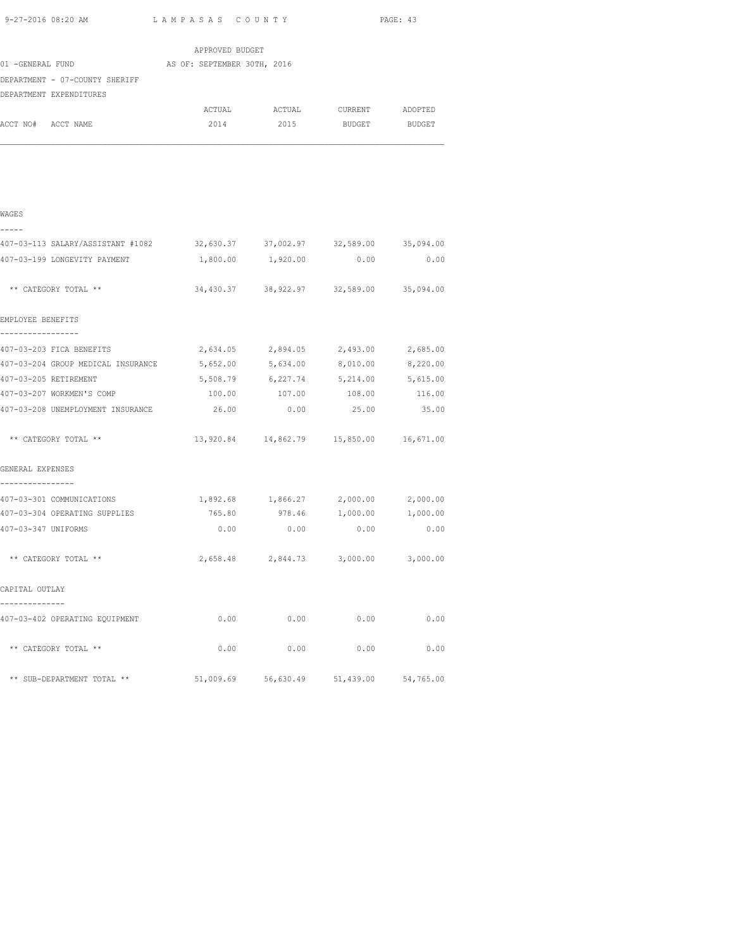|                                                                           |                             |                                     |                                         | PAGE: 43 |
|---------------------------------------------------------------------------|-----------------------------|-------------------------------------|-----------------------------------------|----------|
|                                                                           |                             |                                     |                                         |          |
|                                                                           | APPROVED BUDGET             |                                     |                                         |          |
| 01 -GENERAL FUND                                                          | AS OF: SEPTEMBER 30TH, 2016 |                                     |                                         |          |
| DEPARTMENT - 07-COUNTY SHERIFF                                            |                             |                                     |                                         |          |
| DEPARTMENT EXPENDITURES                                                   |                             |                                     |                                         |          |
|                                                                           |                             |                                     | ACTUAL ACTUAL CURRENT ADOPTED           |          |
| ACCT NO# ACCT NAME                                                        |                             |                                     | 2014 2015 BUDGET BUDGET                 |          |
| WAGES                                                                     |                             |                                     |                                         |          |
| 407-03-113 SALARY/ASSISTANT #1082 32,630.37 37,002.97 32,589.00 35,094.00 |                             |                                     |                                         |          |
| 407-03-199 LONGEVITY PAYMENT                                              |                             |                                     | 1,800.00 1,920.00 0.00                  | 0.00     |
| ** CATEGORY TOTAL **                                                      |                             |                                     | 34,430.37 38,922.97 32,589.00 35,094.00 |          |
| EMPLOYEE BENEFITS                                                         |                             |                                     |                                         |          |
| 407-03-203 FICA BENEFITS                                                  |                             | 2,634.05 2,894.05 2,493.00 2,685.00 |                                         |          |

| 407-03-203 FICA BENEFITS           |                                             |                                         |             |          |
|------------------------------------|---------------------------------------------|-----------------------------------------|-------------|----------|
|                                    |                                             | 2,634.05 2,894.05 2,493.00 2,685.00     |             |          |
| 407-03-204 GROUP MEDICAL INSURANCE |                                             | 5,652.00 5,634.00 8,010.00 8,220.00     |             |          |
| 407-03-205 RETIREMENT              |                                             | 5,508.79 6,227.74 5,214.00 5,615.00     |             |          |
| 407-03-207 WORKMEN'S COMP          |                                             | 100.00   107.00   108.00   116.00       |             |          |
| 407-03-208 UNEMPLOYMENT INSURANCE  | 26.00 0.00                                  |                                         | 25.00       | 35.00    |
| ** CATEGORY TOTAL **               | 13,920.84  14,862.79  15,850.00  16,671.00  |                                         |             |          |
| GENERAL EXPENSES                   |                                             |                                         |             |          |
| 407-03-301 COMMUNICATIONS          | $1,892.68$ $1,866.27$ $2,000.00$ $2,000.00$ |                                         |             |          |
| 407-03-304 OPERATING SUPPLIES      |                                             | 765.80 978.46 1,000.00                  |             | 1,000.00 |
| 407-03-347 UNIFORMS                | 0.00                                        |                                         | $0.00$ 0.00 | 0.00     |
| ** CATEGORY TOTAL **               |                                             | 2,658.48 2,844.73 3,000.00 3,000.00     |             |          |
| CAPITAL OUTLAY                     |                                             |                                         |             |          |
| 407-03-402 OPERATING EQUIPMENT     | 0.00                                        | 0.00                                    | 0.00        | 0.00     |
| ** CATEGORY TOTAL **               | 0.00                                        | 0.00                                    | 0.00        | 0.00     |
| ** SUB-DEPARTMENT TOTAL **         |                                             | 51,009.69 56,630.49 51,439.00 54,765.00 |             |          |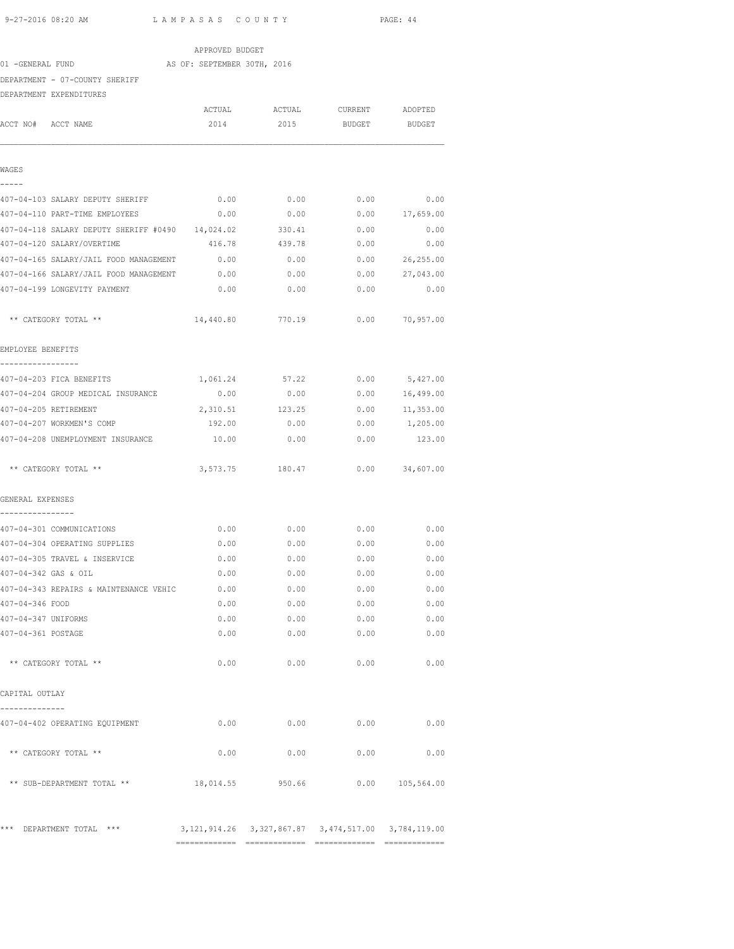| 9-27-2016 08:20 AM<br>LAMPASAS COUNTY            |                             | PAGE: 44                           |                    |                  |
|--------------------------------------------------|-----------------------------|------------------------------------|--------------------|------------------|
|                                                  | APPROVED BUDGET             |                                    |                    |                  |
| 01 -GENERAL FUND                                 | AS OF: SEPTEMBER 30TH, 2016 |                                    |                    |                  |
| DEPARTMENT - 07-COUNTY SHERIFF                   |                             |                                    |                    |                  |
| DEPARTMENT EXPENDITURES                          |                             |                                    |                    |                  |
|                                                  |                             | ACTUAL ACTUAL CURRENT ADOPTED      |                    |                  |
| ACCT NO# ACCT NAME                               | 2014                        |                                    | 2015 BUDGET BUDGET |                  |
| WAGES                                            |                             |                                    |                    |                  |
|                                                  |                             |                                    |                    |                  |
| 407-04-103 SALARY DEPUTY SHERIFF                 | 0.00                        | 0.00                               | 0.00               | 0.00             |
| 407-04-110 PART-TIME EMPLOYEES                   | 0.00                        | 0.00                               | 0.00               | 17,659.00        |
| 407-04-118 SALARY DEPUTY SHERIFF #0490 14,024.02 |                             | 330.41                             | 0.00               | 0.00             |
| 407-04-120 SALARY/OVERTIME                       | 416.78                      | 439.78                             | 0.00               | 0.00             |
| 407-04-165 SALARY/JAIL FOOD MANAGEMENT           | 0.00                        | 0.00                               | 0.00               | 26,255.00        |
| 407-04-166 SALARY/JAIL FOOD MANAGEMENT 0.00      |                             | 0.00                               | 0.00               | 27,043.00        |
| 407-04-199 LONGEVITY PAYMENT                     | 0.00                        | 0.00                               | 0.00               | 0.00             |
| ** CATEGORY TOTAL **                             |                             | 14,440.80 770.19                   | 0.00               | 70,957.00        |
| EMPLOYEE BENEFITS                                |                             |                                    |                    |                  |
| ---------------<br>407-04-203 FICA BENEFITS      | 1,061.24                    | 57.22                              | 0.00               | 5,427.00         |
| 407-04-204 GROUP MEDICAL INSURANCE               | 0.00                        | 0.00                               | 0.00               | 16,499.00        |
| 407-04-205 RETIREMENT                            | 2,310.51                    | 123.25                             | 0.00               | 11,353.00        |
| 407-04-207 WORKMEN'S COMP                        | 192.00                      | 0.00                               | 0.00               | 1,205.00         |
| 407-04-208 UNEMPLOYMENT INSURANCE                | 10.00                       | 0.00                               | 0.00               | 123.00           |
| ** CATEGORY TOTAL **                             |                             | 3,573.75 180.47                    |                    | $0.00$ 34,607.00 |
| GENERAL EXPENSES                                 |                             |                                    |                    |                  |
| 407-04-301 COMMUNICATIONS                        | 0.00                        | 0.00                               | 0.00               | 0.00             |
| 407-04-304 OPERATING SUPPLIES                    |                             | $0.00$ $0.00$ $0.00$ $0.00$ $0.00$ |                    |                  |
| 407-04-305 TRAVEL & INSERVICE                    | 0.00                        | 0.00                               | 0.00               | 0.00             |
| 407-04-342 GAS & OIL                             | 0.00                        | 0.00                               | 0.00               | 0.00             |
| 407-04-343 REPAIRS & MAINTENANCE VEHIC           | 0.00                        | 0.00                               | 0.00               | 0.00             |
| 407-04-346 FOOD                                  | 0.00                        | 0.00                               | 0.00               | 0.00             |
| 407-04-347 UNIFORMS                              | 0.00                        | 0.00                               | 0.00               | 0.00             |
| 407-04-361 POSTAGE                               | 0.00                        | 0.00                               | 0.00               | 0.00             |
| ** CATEGORY TOTAL **                             | 0.00                        | 0.00                               | 0.00               | 0.00             |
| CAPITAL OUTLAY                                   |                             |                                    |                    |                  |
| --------------<br>407-04-402 OPERATING EQUIPMENT | 0.00                        | 0.00                               | 0.00               | 0.00             |
| ** CATEGORY TOTAL **                             | 0.00                        | 0.00                               | 0.00               | 0.00             |
| ** SUB-DEPARTMENT TOTAL **                       |                             | 18,014.55 950.66                   |                    | 0.00 105,564.00  |

\*\*\* DEPARTMENT TOTAL \*\*\* 3,121,914.26 3,327,867.87 3,474,517.00 3,784,119.00

============= ============= ============= =============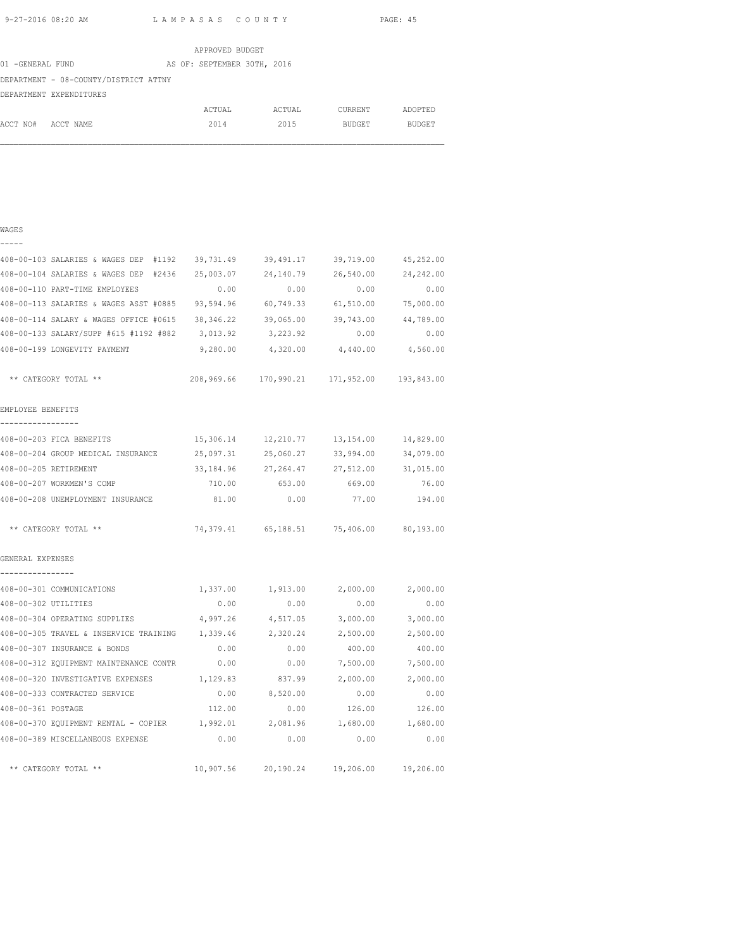WAGES

9-27-2016 08:20 AM L A M P A S A S C O U N T Y PAGE: 45

|                                       | APPROVED BUDGET             |        |         |               |
|---------------------------------------|-----------------------------|--------|---------|---------------|
| 01 -GENERAL FUND                      | AS OF: SEPTEMBER 30TH, 2016 |        |         |               |
| DEPARTMENT - 08-COUNTY/DISTRICT ATTNY |                             |        |         |               |
| DEPARTMENT EXPENDITURES               |                             |        |         |               |
|                                       | ACTUAL                      | ACTUAL | CURRENT | ADOPTED       |
| ACCT NO#<br>ACCT NAME                 | 2014                        | 2015   | BUDGET  | <b>BUDGET</b> |

# ----- 408-00-103 SALARIES & WAGES DEP #1192 39,731.49 39,491.17 39,719.00 45,252.00 408-00-104 SALARIES & WAGES DEP #2436 25,003.07 24,140.79 26,540.00 24,242.00 408-00-110 PART-TIME EMPLOYEES 0.00 0.00 0.00 0.00 408-00-113 SALARIES & WAGES ASST #0885 93,594.96 60,749.33 61,510.00 75,000.00 408-00-114 SALARY & WAGES OFFICE #0615 38,346.22 39,065.00 39,743.00 44,789.00 408-00-133 SALARY/SUPP #615 #1192 #882 3,013.92 3,223.92 0.00 0.00 408-00-199 LONGEVITY PAYMENT 9,280.00 4,320.00 4,440.00 4,560.00 \*\* CATEGORY TOTAL \*\* 208,969.66 170,990.21 171,952.00 193,843.00 EMPLOYEE BENEFITS ----------------- 408-00-203 FICA BENEFITS 15,306.14 12,210.77 13,154.00 14,829.00 408-00-204 GROUP MEDICAL INSURANCE 25,097.31 25,060.27 33,994.00 34,079.00 408-00-205 RETIREMENT 33,184.96 27,264.47 27,512.00 31,015.00 408-00-207 WORKMEN'S COMP 710.00 653.00 669.00 76.00 408-00-208 UNEMPLOYMENT INSURANCE 81.00 0.00 77.00 194.00 \*\* CATEGORY TOTAL \*\* 74,379.41 65,188.51 75,406.00 80,193.00 GENERAL EXPENSES ---------------- 408-00-301 COMMUNICATIONS 1,337.00 1,913.00 2,000.00 2,000.00 408-00-302 UTILITIES 0.00 0.00 0.00 0.00 408-00-304 OPERATING SUPPLIES 4,997.26 4,517.05 3,000.00 3,000.00 408-00-305 TRAVEL & INSERVICE TRAINING 1,339.46 2,320.24 2,500.00 2,500.00 408-00-307 INSURANCE & BONDS 0.00 0.00 400.00 400.00 408-00-312 EQUIPMENT MAINTENANCE CONTR 0.00 0.00 7,500.00 7,500.00 408-00-320 INVESTIGATIVE EXPENSES 1,129.83 837.99 2,000.00 2,000.00 408-00-333 CONTRACTED SERVICE 0.00 8,520.00 0.00 0.00 408-00-361 POSTAGE 112.00 0.00 126.00 126.00 408-00-370 EQUIPMENT RENTAL - COPIER 1,992.01 2,081.96 1,680.00 1,680.00 408-00-389 MISCELLANEOUS EXPENSE 0.00 0.00 0.00 0.00 \*\* CATEGORY TOTAL \*\* 10,907.56 20,190.24 19,206.00 19,206.00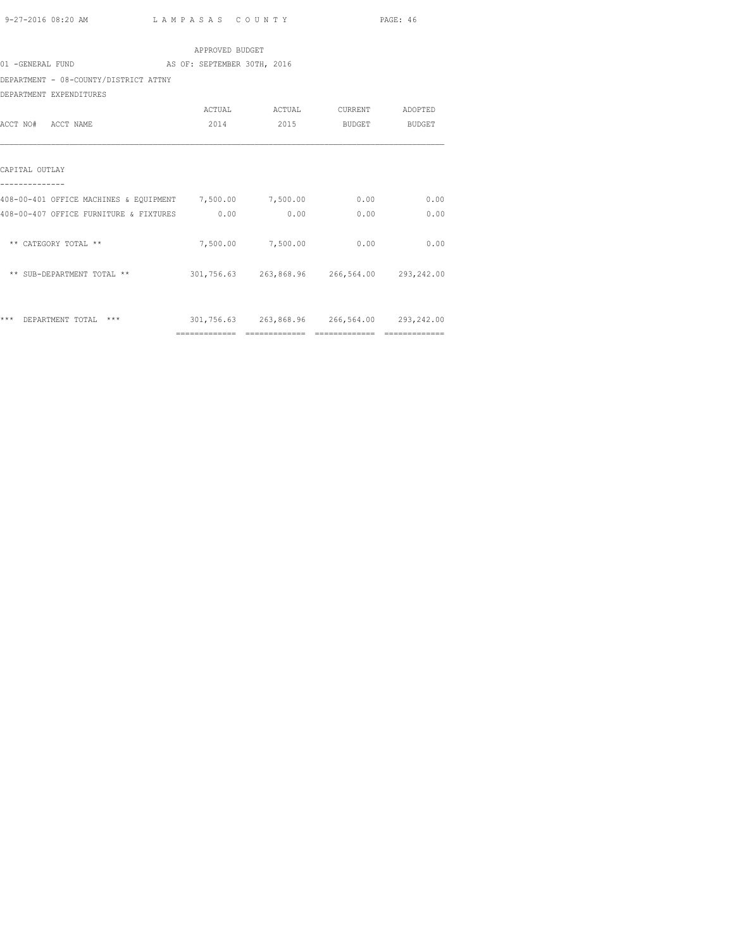|                                                          | APPROVED BUDGET             |                                             |      |      |
|----------------------------------------------------------|-----------------------------|---------------------------------------------|------|------|
| 01 -GENERAL FUND                                         | AS OF: SEPTEMBER 30TH, 2016 |                                             |      |      |
| DEPARTMENT - 08-COUNTY/DISTRICT ATTNY                    |                             |                                             |      |      |
| DEPARTMENT EXPENDITURES                                  |                             |                                             |      |      |
|                                                          |                             | ACTUAL ACTUAL CURRENT ADOPTED               |      |      |
| ACCT NO# ACCT NAME                                       |                             | 2014 2015 BUDGET BUDGET                     |      |      |
| CAPITAL OUTLAY                                           |                             |                                             |      |      |
| 408-00-401 OFFICE MACHINES & EQUIPMENT 7,500.00 7,500.00 |                             |                                             | 0.00 | 0.00 |
| 408-00-407 OFFICE FURNITURE & FIXTURES 0.00              |                             | 0.00                                        | 0.00 | 0.00 |
| ** CATEGORY TOTAL **                                     |                             | 7,500.00 7,500.00                           | 0.00 | 0.00 |
| ** SUB-DEPARTMENT TOTAL **                               |                             | 301,756.63 263,868.96 266,564.00 293,242.00 |      |      |
| *** DEPARTMENT TOTAL ***                                 |                             | 301,756.63 263,868.96 266,564.00 293,242.00 |      |      |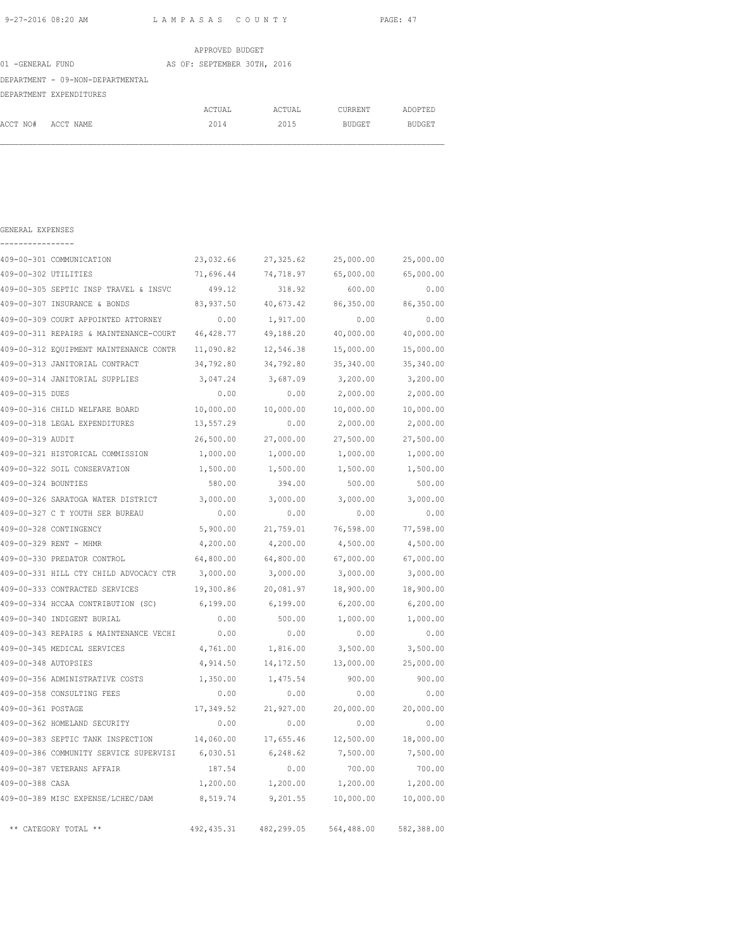| APPROVED BUDGET                  |                             |        |               |               |  |  |
|----------------------------------|-----------------------------|--------|---------------|---------------|--|--|
| 01 -GENERAL FUND                 | AS OF: SEPTEMBER 30TH, 2016 |        |               |               |  |  |
| DEPARTMENT - 09-NON-DEPARTMENTAL |                             |        |               |               |  |  |
| DEPARTMENT EXPENDITURES          |                             |        |               |               |  |  |
|                                  | ACTUAL                      | ACTUAL | CURRENT       | ADOPTED       |  |  |
| ACCT NO#<br>ACCT NAME            | 2014                        | 2015   | <b>BUDGET</b> | <b>BUDGET</b> |  |  |

| GENERAL EXPENSES     |                                        |             |            |            |            |
|----------------------|----------------------------------------|-------------|------------|------------|------------|
|                      | 409-00-301 COMMUNICATION               | 23,032.66   | 27, 325.62 | 25,000.00  | 25,000.00  |
| 409-00-302 UTILITIES |                                        | 71,696.44   | 74,718.97  | 65,000.00  | 65,000.00  |
|                      | 409-00-305 SEPTIC INSP TRAVEL & INSVC  | 499.12      | 318.92     | 600.00     | 0.00       |
|                      | 409-00-307 INSURANCE & BONDS           | 83,937.50   | 40,673.42  | 86,350.00  | 86,350.00  |
|                      | 409-00-309 COURT APPOINTED ATTORNEY    | 0.00        | 1,917.00   | 0.00       | 0.00       |
|                      | 409-00-311 REPAIRS & MAINTENANCE-COURT | 46, 428.77  | 49,188.20  | 40,000.00  | 40,000.00  |
|                      | 409-00-312 EQUIPMENT MAINTENANCE CONTR | 11,090.82   | 12,546.38  | 15,000.00  | 15,000.00  |
|                      | 409-00-313 JANITORIAL CONTRACT         | 34,792.80   | 34,792.80  | 35,340.00  | 35,340.00  |
|                      | 409-00-314 JANITORIAL SUPPLIES         | 3,047.24    | 3,687.09   | 3,200.00   | 3,200.00   |
| 409-00-315 DUES      |                                        | 0.00        | 0.00       | 2,000.00   | 2,000.00   |
|                      | 409-00-316 CHILD WELFARE BOARD         | 10,000.00   | 10,000.00  | 10,000.00  | 10,000.00  |
|                      | 409-00-318 LEGAL EXPENDITURES          | 13,557.29   | 0.00       | 2,000.00   | 2,000.00   |
| 409-00-319 AUDIT     |                                        | 26,500.00   | 27,000.00  | 27,500.00  | 27,500.00  |
|                      | 409-00-321 HISTORICAL COMMISSION       | 1,000.00    | 1,000.00   | 1,000.00   | 1,000.00   |
|                      | 409-00-322 SOIL CONSERVATION           | 1,500.00    | 1,500.00   | 1,500.00   | 1,500.00   |
| 409-00-324 BOUNTIES  |                                        | 580.00      | 394.00     | 500.00     | 500.00     |
|                      | 409-00-326 SARATOGA WATER DISTRICT     | 3,000.00    | 3,000.00   | 3,000.00   | 3,000.00   |
|                      | 409-00-327 C T YOUTH SER BUREAU        | 0.00        | 0.00       | 0.00       | 0.00       |
|                      | 409-00-328 CONTINGENCY                 | 5,900.00    | 21,759.01  | 76,598.00  | 77,598.00  |
|                      | 409-00-329 RENT - MHMR                 | 4,200.00    | 4,200.00   | 4,500.00   | 4,500.00   |
|                      | 409-00-330 PREDATOR CONTROL            | 64,800.00   | 64,800.00  | 67,000.00  | 67,000.00  |
|                      | 409-00-331 HILL CTY CHILD ADVOCACY CTR | 3,000.00    | 3,000.00   | 3,000.00   | 3,000.00   |
|                      | 409-00-333 CONTRACTED SERVICES         | 19,300.86   | 20,081.97  | 18,900.00  | 18,900.00  |
|                      | 409-00-334 HCCAA CONTRIBUTION (SC)     | 6,199.00    | 6,199.00   | 6, 200.00  | 6, 200.00  |
|                      | 409-00-340 INDIGENT BURIAL             | 0.00        | 500.00     | 1,000.00   | 1,000.00   |
|                      | 409-00-343 REPAIRS & MAINTENANCE VECHI | 0.00        | 0.00       | 0.00       | 0.00       |
|                      | 409-00-345 MEDICAL SERVICES            | 4,761.00    | 1,816.00   | 3,500.00   | 3,500.00   |
| 409-00-348 AUTOPSIES |                                        | 4,914.50    | 14,172.50  | 13,000.00  | 25,000.00  |
|                      | 409-00-356 ADMINISTRATIVE COSTS        | 1,350.00    | 1,475.54   | 900.00     | 900.00     |
|                      | 409-00-358 CONSULTING FEES             | 0.00        | 0.00       | 0.00       | 0.00       |
| 409-00-361 POSTAGE   |                                        | 17,349.52   | 21,927.00  | 20,000.00  | 20,000.00  |
|                      | 409-00-362 HOMELAND SECURITY           | 0.00        | 0.00       | 0.00       | 0.00       |
|                      | 409-00-383 SEPTIC TANK INSPECTION      | 14,060.00   | 17,655.46  | 12,500.00  | 18,000.00  |
|                      | 409-00-386 COMMUNITY SERVICE SUPERVISI | 6,030.51    | 6,248.62   | 7,500.00   | 7,500.00   |
|                      | 409-00-387 VETERANS AFFAIR             | 187.54      | 0.00       | 700.00     | 700.00     |
| 409-00-388 CASA      |                                        | 1,200.00    | 1,200.00   | 1,200.00   | 1,200.00   |
|                      | 409-00-389 MISC EXPENSE/LCHEC/DAM      | 8,519.74    | 9,201.55   | 10,000.00  | 10,000.00  |
|                      | ** CATEGORY TOTAL **                   | 492, 435.31 | 482,299.05 | 564,488.00 | 582,388.00 |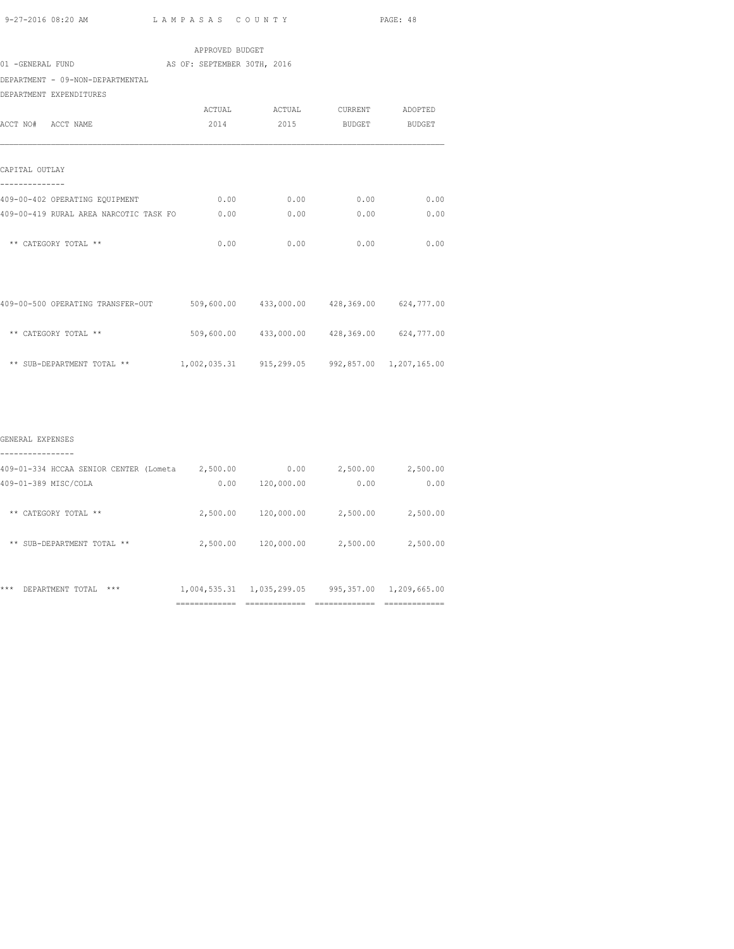|                                                                               |                                                 |                                             |      | PAGE: 48 |
|-------------------------------------------------------------------------------|-------------------------------------------------|---------------------------------------------|------|----------|
|                                                                               | APPROVED BUDGET                                 |                                             |      |          |
| 01 -GENERAL FUND AS OF: SEPTEMBER 30TH, 2016                                  |                                                 |                                             |      |          |
| DEPARTMENT - 09-NON-DEPARTMENTAL                                              |                                                 |                                             |      |          |
| DEPARTMENT EXPENDITURES                                                       |                                                 |                                             |      |          |
|                                                                               |                                                 | ACTUAL ACTUAL CURRENT ADOPTED               |      |          |
| ACCT NO# ACCT NAME                                                            |                                                 | 2014 2015 BUDGET BUDGET                     |      |          |
| CAPITAL OUTLAY<br>--------------                                              |                                                 |                                             |      |          |
| 409-00-402 OPERATING EQUIPMENT 6.00 0.00 0.00 0.00 0.00                       |                                                 |                                             |      | 0.00     |
| 409-00-419 RURAL AREA NARCOTIC TASK FO 0.00                                   |                                                 | 0.00                                        | 0.00 | 0.00     |
| ** CATEGORY TOTAL **                                                          | 0.00                                            | 0.00                                        | 0.00 | 0.00     |
| 409-00-500 OPERATING TRANSFER-OUT 509,600.00 433,000.00 428,369.00 624,777.00 |                                                 |                                             |      |          |
| ** CATEGORY TOTAL **                                                          |                                                 | 509,600.00 433,000.00 428,369.00 624,777.00 |      |          |
| ** SUB-DEPARTMENT TOTAL **                                                    | 1,002,035.31 915,299.05 992,857.00 1,207,165.00 |                                             |      |          |
|                                                                               |                                                 |                                             |      |          |
| GENERAL EXPENSES                                                              |                                                 |                                             |      |          |

|                                        | ___________<br>------------ | ------------- |            | ____________<br>------------- |
|----------------------------------------|-----------------------------|---------------|------------|-------------------------------|
| ***<br>DEPARTMENT TOTAL<br>***         | 1,004,535.31                | 1,035,299.05  | 995,357.00 | 1,209,665.00                  |
| ** SUB-DEPARTMENT TOTAL **             | 2,500.00                    | 120,000.00    | 2,500.00   | 2,500.00                      |
| CATEGORY TOTAL<br>$* *$<br>**          | 2,500.00                    | 120,000.00    | 2,500.00   | 2,500.00                      |
| 409-01-389 MISC/COLA                   | 0.00                        | 120,000.00    | 0.00       | 0.00                          |
| 409-01-334 HCCAA SENIOR CENTER (Lometa | 2,500.00                    | 0.00          | 2,500.00   | 2,500.00                      |
|                                        |                             |               |            |                               |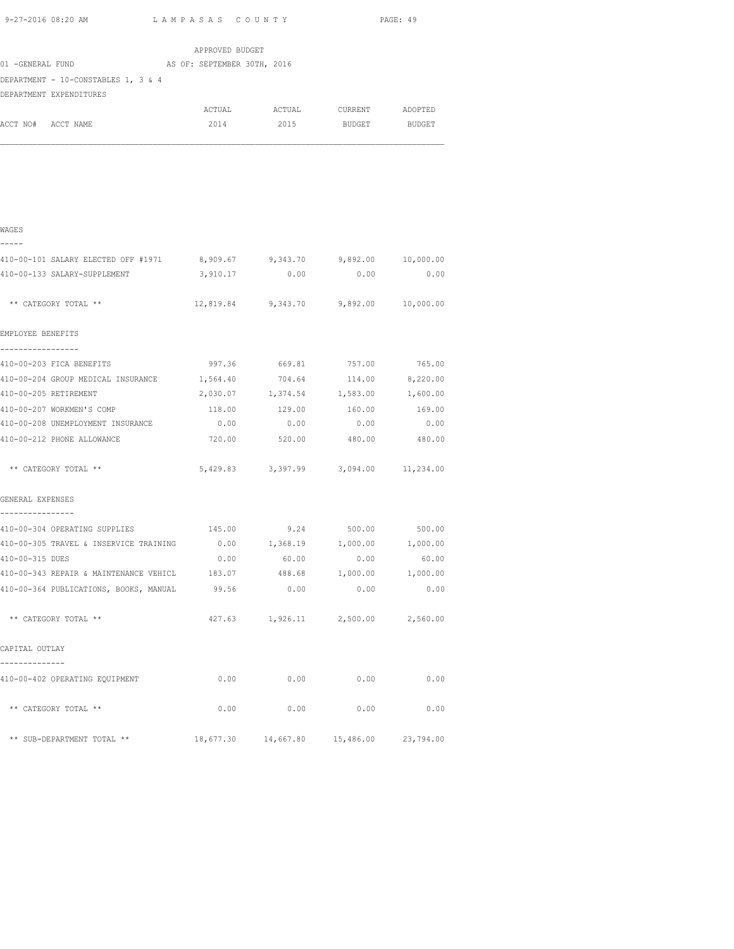APPROVED BUDGET 01 -GENERAL FUND AS OF: SEPTEMBER 30TH, 2016 DEPARTMENT - 10-CONSTABLES 1, 3 & 4 DEPARTMENT EXPENDITURES ACTUAL ACTUAL CURRENT ADOPTED ACCT NO# ACCT NAME 2014 2015 BUDGET BUDGET

| WAGES                                                                    |          |                                            |                        |          |
|--------------------------------------------------------------------------|----------|--------------------------------------------|------------------------|----------|
| -----                                                                    |          |                                            |                        |          |
| 410-00-101 SALARY ELECTED OFF #1971 8,909.67 9,343.70 9,892.00 10,000.00 |          |                                            |                        |          |
| 410-00-133 SALARY-SUPPLEMENT                                             |          | 3,910.17 0.00 0.00                         |                        | 0.00     |
| ** CATEGORY TOTAL **                                                     |          | 12,819.84 9,343.70 9,892.00 10,000.00      |                        |          |
| EMPLOYEE BENEFITS                                                        |          |                                            |                        |          |
| -----------------<br>410-00-203 FICA BENEFITS                            |          | 997.36 669.81 757.00 765.00                |                        |          |
| 410-00-204 GROUP MEDICAL INSURANCE 1,564.40                              |          |                                            | 704.64 114.00 8,220.00 |          |
| 410-00-205 RETIREMENT                                                    | 2,030.07 | 1,374.54                                   | 1,583.00               | 1,600.00 |
| 410-00-207 WORKMEN'S COMP                                                | 118.00   | 129.00                                     | 160.00                 | 169.00   |
| 410-00-208 UNEMPLOYMENT INSURANCE                                        | 0.00     | 0.00                                       | 0.00                   | 0.00     |
| 410-00-212 PHONE ALLOWANCE                                               |          | 720.00 520.00 480.00 480.00                |                        |          |
| ** CATEGORY TOTAL **                                                     |          | 5,429.83 3,397.99 3,094.00 11,234.00       |                        |          |
| GENERAL EXPENSES                                                         |          |                                            |                        |          |
| ----------------                                                         |          |                                            |                        |          |
| 410-00-304 OPERATING SUPPLIES 145.00 9.24 500.00                         |          |                                            |                        | 500.00   |
| 410-00-305 TRAVEL & INSERVICE TRAINING $0.00$ 1,368.19 1,000.00 1,000.00 |          |                                            |                        |          |
| 410-00-315 DUES                                                          |          | $0.00$ 60.00 0.00                          |                        | 60.00    |
| 410-00-343 REPAIR & MAINTENANCE VEHICL 183.07 488.68 1,000.00 1,000.00   |          |                                            |                        |          |
| 410-00-364 PUBLICATIONS, BOOKS, MANUAL 99.56 0.00                        |          |                                            | 0.00                   | 0.00     |
| ** CATEGORY TOTAL **                                                     |          | 427.63 1,926.11 2,500.00 2,560.00          |                        |          |
| CAPITAL OUTLAY                                                           |          |                                            |                        |          |
| --------------<br>410-00-402 OPERATING EQUIPMENT                         |          | $0.00$ $0.00$ $0.00$ $0.00$ $0.00$         |                        |          |
| ** CATEGORY TOTAL **                                                     | 0.00     | 0.00                                       | 0.00                   | 0.00     |
| ** SUB-DEPARTMENT TOTAL **                                               |          | 18,677.30  14,667.80  15,486.00  23,794.00 |                        |          |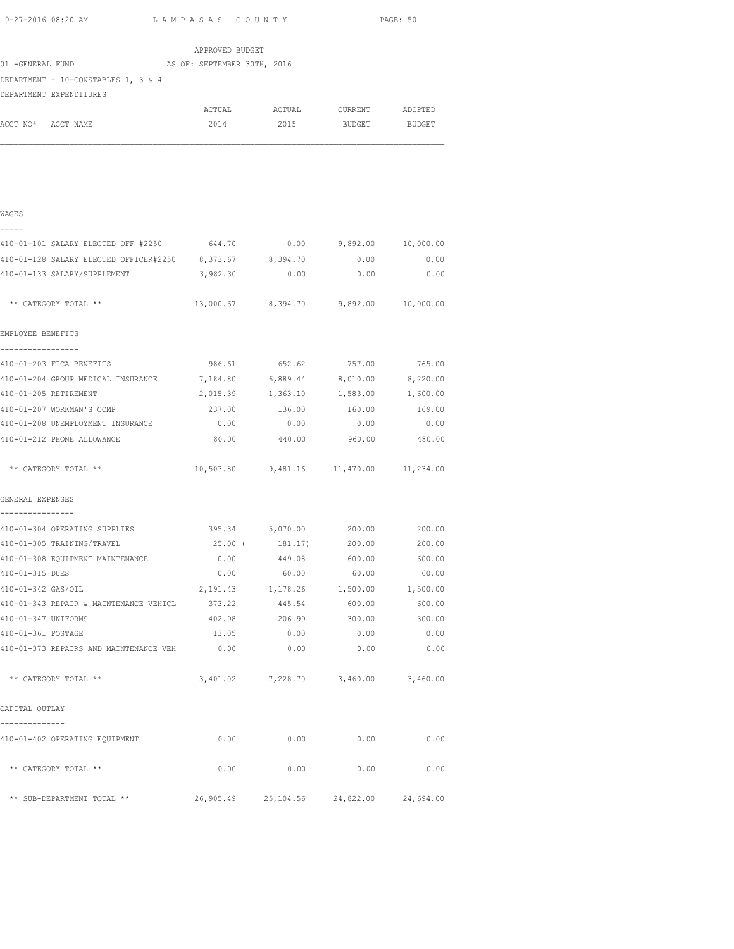| 9-27-2016 08:20 AM                                                     | LAMPASAS COUNTY |                                         |                      | PAGE: 50      |
|------------------------------------------------------------------------|-----------------|-----------------------------------------|----------------------|---------------|
|                                                                        | APPROVED BUDGET |                                         |                      |               |
| 01 -GENERAL FUND AS OF: SEPTEMBER 30TH, 2016                           |                 |                                         |                      |               |
| DEPARTMENT - 10-CONSTABLES 1, 3 & 4                                    |                 |                                         |                      |               |
| DEPARTMENT EXPENDITURES                                                |                 |                                         |                      |               |
|                                                                        | ACTUAL          | ACTUAL                                  | CURRENT              | ADOPTED       |
| ACCT NO# ACCT NAME                                                     | 2014            | 2015                                    | <b>BUDGET</b>        | <b>BUDGET</b> |
|                                                                        |                 |                                         |                      |               |
|                                                                        |                 |                                         |                      |               |
| WAGES                                                                  |                 |                                         |                      |               |
| 410-01-101 SALARY ELECTED OFF #2250 644.70 0.00 9,892.00 10,000.00     |                 |                                         |                      |               |
| 410-01-128 SALARY ELECTED OFFICER#2250 8,373.67 8,394.70               |                 |                                         | $0.00$ 0.00          |               |
| 410-01-133 SALARY/SUPPLEMENT                                           | 3,982.30        | 0.00                                    | 0.00                 | 0.00          |
| ** CATEGORY TOTAL **                                                   |                 | 13,000.67 8,394.70 9,892.00 10,000.00   |                      |               |
| EMPLOYEE BENEFITS                                                      |                 |                                         |                      |               |
| 410-01-203 FICA BENEFITS                                               |                 | 986.61 652.62 757.00 765.00             |                      |               |
| 410-01-204 GROUP MEDICAL INSURANCE 7,184.80 6,889.44 8,010.00 8,220.00 |                 |                                         |                      |               |
| 410-01-205 RETIREMENT                                                  |                 | 2,015.39 1,363.10 1,583.00 1,600.00     |                      |               |
| 410-01-207 WORKMAN'S COMP                                              |                 | 237.00    136.00    160.00    169.00    |                      |               |
| 410-01-208 UNEMPLOYMENT INSURANCE                                      |                 | $0.00$ 0.00                             | 0.00                 | 0.00          |
| 410-01-212 PHONE ALLOWANCE                                             | 80.00 00        |                                         | 440.00 960.00 480.00 |               |
| ** CATEGORY TOTAL **                                                   |                 | 10,503.80 9,481.16 11,470.00 11,234.00  |                      |               |
| GENERAL EXPENSES                                                       |                 |                                         |                      |               |
| 410-01-304 OPERATING SUPPLIES                                          |                 | $395.34$ $5,070.00$ 200.00 200.00       |                      |               |
| 410-01-305 TRAINING/TRAVEL                                             |                 | 25.00 (181.17)                          | 200.00               | 200.00        |
| 410-01-308 EQUIPMENT MAINTENANCE                                       | 0.00            | 449.08                                  | 600.00               | 600.00        |
| 410-01-315 DUES                                                        |                 | $0.00$ 60.00 60.00                      |                      | 60.00         |
| 410-01-342 GAS/OIL                                                     |                 | 2,191.43 1,178.26 1,500.00 1,500.00     |                      |               |
| 410-01-343 REPAIR & MAINTENANCE VEHICL 373.22 445.54 600.00 600.00     |                 |                                         |                      |               |
| 410-01-347 UNIFORMS                                                    |                 | 402.98 206.99                           | 300.00 300.00        |               |
| 410-01-361 POSTAGE                                                     | 13.05           | 0.00                                    | 0.00                 | 0.00          |
| 410-01-373 REPAIRS AND MAINTENANCE VEH                                 | 0.00            | 0.00                                    | 0.00                 | 0.00          |
| ** CATEGORY TOTAL **                                                   |                 | 3,401.02 7,228.70 3,460.00 3,460.00     |                      |               |
| CAPITAL OUTLAY                                                         |                 |                                         |                      |               |
| 410-01-402 OPERATING EQUIPMENT                                         | 0.00            | 0.00                                    | 0.00                 | 0.00          |
| ** CATEGORY TOTAL **                                                   | 0.00            | 0.00                                    | 0.00                 | 0.00          |
| ** SUB-DEPARTMENT TOTAL **                                             |                 | 26,905.49 25,104.56 24,822.00 24,694.00 |                      |               |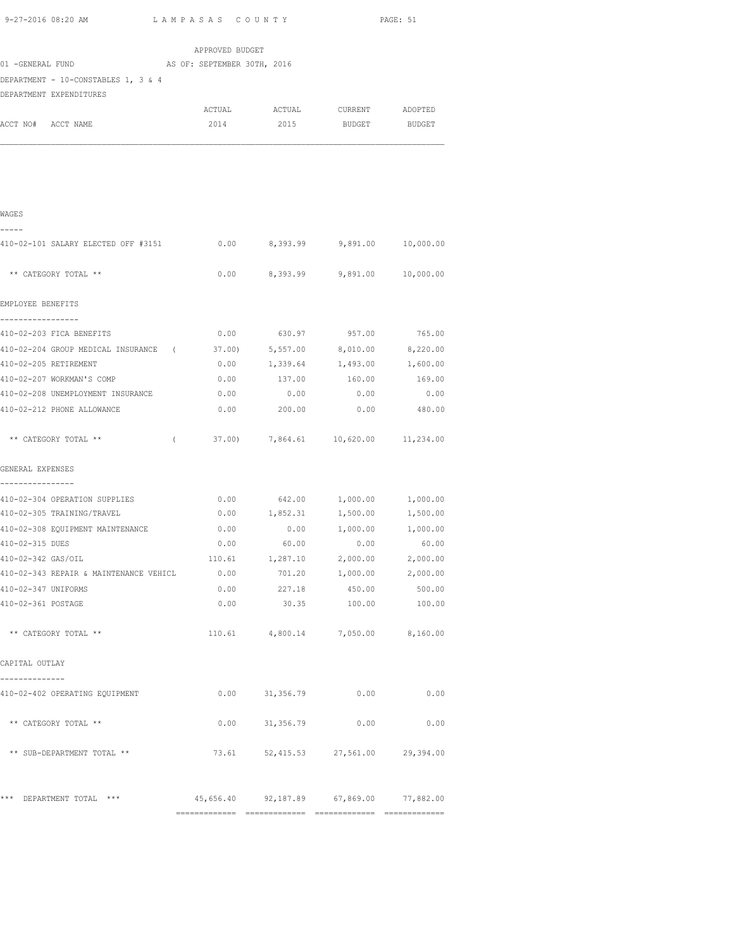| 9-27-2016 08:20 AM                                                                             | LAMPASAS COUNTY             |                         |                                     | PAGE: 51 |
|------------------------------------------------------------------------------------------------|-----------------------------|-------------------------|-------------------------------------|----------|
|                                                                                                | APPROVED BUDGET             |                         |                                     |          |
| 01 -GENERAL FUND                                                                               | AS OF: SEPTEMBER 30TH, 2016 |                         |                                     |          |
| DEPARTMENT - 10-CONSTABLES 1, 3 & 4                                                            |                             |                         |                                     |          |
| DEPARTMENT EXPENDITURES                                                                        |                             |                         |                                     |          |
|                                                                                                |                             |                         |                                     |          |
| ACCT NO# ACCT NAME                                                                             | 2014                        |                         | 2015 BUDGET BUDGET                  |          |
|                                                                                                |                             |                         |                                     |          |
| WAGES                                                                                          |                             |                         |                                     |          |
| 410-02-101 SALARY ELECTED OFF #3151                                                            |                             |                         | $0.00$ 8,393.99 9,891.00 10,000.00  |          |
| ** CATEGORY TOTAL **                                                                           |                             |                         | $0.00$ 8,393.99 9,891.00 10,000.00  |          |
| EMPLOYEE BENEFITS                                                                              |                             |                         |                                     |          |
| -----------------<br>410-02-203 FICA BENEFITS                                                  |                             |                         | 0.00 630.97 957.00 765.00           |          |
|                                                                                                |                             |                         |                                     |          |
| 410-02-204 GROUP MEDICAL INSURANCE (37.00) 5,557.00 8,010.00 8,220.00<br>410-02-205 RETIREMENT |                             |                         | $0.00$ 1,339.64 1,493.00 1,600.00   |          |
|                                                                                                |                             |                         | 160.00                              | 169.00   |
| 410-02-207 WORKMAN'S COMP<br>410-02-208 UNEMPLOYMENT INSURANCE                                 | 0.00                        | $0.00$ 137.00<br>0.00   | 0.00                                | 0.00     |
| 410-02-212 PHONE ALLOWANCE                                                                     | 0.00                        | 200.00                  | 0.00                                | 480.00   |
|                                                                                                |                             |                         |                                     |          |
| ** CATEGORY TOTAL **<br>$\sqrt{2}$                                                             |                             |                         | 37.00) 7,864.61 10,620.00 11,234.00 |          |
| GENERAL EXPENSES                                                                               |                             |                         |                                     |          |
| 410-02-304 OPERATION SUPPLIES                                                                  |                             |                         | $0.00$ 642.00 1,000.00 1,000.00     |          |
| 410-02-305 TRAINING/TRAVEL                                                                     |                             |                         | $0.00$ 1,852.31 1,500.00 1,500.00   |          |
| 410-02-308 EQUIPMENT MAINTENANCE                                                               | 0.00                        |                         | $0.00$ 1,000.00 1,000.00            |          |
| 410-02-315 DUES                                                                                |                             |                         | $0.00$ 60.00 0.00 60.00             |          |
| 410-02-342 GAS/OIL                                                                             | 110.61                      | 1,287.10                | 2,000.00                            | 2,000.00 |
| 410-02-343 REPAIR & MAINTENANCE VEHICL                                                         | 0.00                        | 701.20                  | 1,000.00                            | 2,000.00 |
| 410-02-347 UNIFORMS                                                                            | 0.00                        | 227.18                  | 450.00                              | 500.00   |
| 410-02-361 POSTAGE                                                                             | 0.00                        | 30.35                   | 100.00                              | 100.00   |
| ** CATEGORY TOTAL **                                                                           |                             |                         | 110.61 4,800.14 7,050.00 8,160.00   |          |
| CAPITAL OUTLAY                                                                                 |                             |                         |                                     |          |
| 410-02-402 OPERATING EQUIPMENT                                                                 |                             | $0.00$ $31,356.79$ 0.00 |                                     | 0.00     |
| ** CATEGORY TOTAL **                                                                           |                             | $0.00$ $31,356.79$      | 0.00                                | 0.00     |
| ** SUB-DEPARTMENT TOTAL **                                                                     |                             | 73.61 52,415.53         | 27,561.00 29,394.00                 |          |
|                                                                                                |                             |                         |                                     |          |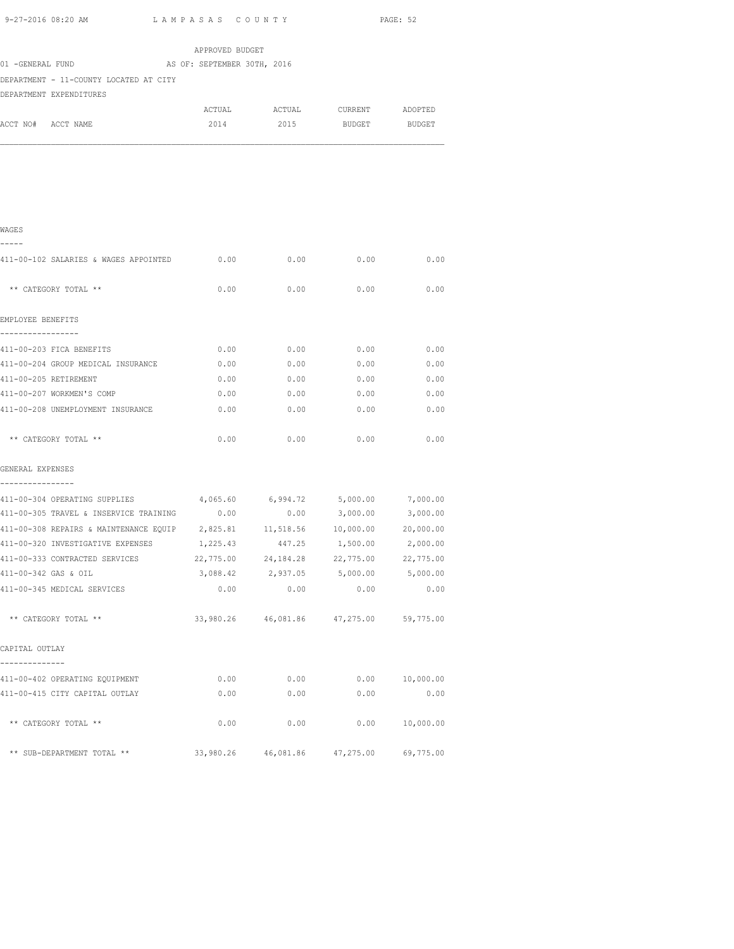| 9-27-2016 08:20 AM<br>LAMPASAS COUNTY                                                                                                   |           |                                             |                    | PAGE: 52  |  |  |  |
|-----------------------------------------------------------------------------------------------------------------------------------------|-----------|---------------------------------------------|--------------------|-----------|--|--|--|
| APPROVED BUDGET<br>01 -GENERAL FUND<br>AS OF: SEPTEMBER 30TH, 2016<br>DEPARTMENT - 11-COUNTY LOCATED AT CITY<br>DEPARTMENT EXPENDITURES |           |                                             |                    |           |  |  |  |
|                                                                                                                                         |           | ACTUAL ACTUAL CURRENT ADOPTED               |                    |           |  |  |  |
| ACCT NO# ACCT NAME                                                                                                                      | 2014      |                                             | 2015 BUDGET BUDGET |           |  |  |  |
|                                                                                                                                         |           |                                             |                    |           |  |  |  |
| WAGES                                                                                                                                   |           |                                             |                    |           |  |  |  |
| 411-00-102 SALARIES & WAGES APPOINTED                                                                                                   | 0.00      | 0.00                                        | 0.00               | 0.00      |  |  |  |
| ** CATEGORY TOTAL **                                                                                                                    | 0.00      | 0.00                                        | 0.00               | 0.00      |  |  |  |
| EMPLOYEE BENEFITS                                                                                                                       |           |                                             |                    |           |  |  |  |
| 411-00-203 FICA BENEFITS                                                                                                                | 0.00      |                                             | $0.00$ 0.00        | 0.00      |  |  |  |
| 411-00-204 GROUP MEDICAL INSURANCE                                                                                                      | 0.00      | 0.00                                        | 0.00               | 0.00      |  |  |  |
| 411-00-205 RETIREMENT                                                                                                                   | 0.00      | 0.00                                        | 0.00               | 0.00      |  |  |  |
| 411-00-207 WORKMEN'S COMP                                                                                                               | 0.00      | 0.00                                        | 0.00               | 0.00      |  |  |  |
| 411-00-208 UNEMPLOYMENT INSURANCE                                                                                                       | 0.00      | 0.00                                        | 0.00               | 0.00      |  |  |  |
| ** CATEGORY TOTAL **                                                                                                                    | 0.00      | 0.00                                        | 0.00               | 0.00      |  |  |  |
| GENERAL EXPENSES                                                                                                                        |           |                                             |                    |           |  |  |  |
| 411-00-304 OPERATING SUPPLIES                                                                                                           |           | $4,065.60$ $6,994.72$ $5,000.00$ $7,000.00$ |                    |           |  |  |  |
| 411-00-305 TRAVEL & INSERVICE TRAINING $0.00$ 0.00 3,000.00 3,000.00                                                                    |           |                                             |                    |           |  |  |  |
| 411-00-308 REPAIRS & MAINTENANCE EQUIP 2,825.81 11,518.56 10,000.00 20,000.00                                                           |           |                                             |                    |           |  |  |  |
| 411-00-320 INVESTIGATIVE EXPENSES                                                                                                       | 1,225.43  | 447.25                                      | 1,500.00           | 2,000.00  |  |  |  |
| 411-00-333 CONTRACTED SERVICES                                                                                                          | 22,775.00 | 24,184.28                                   | 22,775.00          | 22,775.00 |  |  |  |
| 411-00-342 GAS & OIL                                                                                                                    | 3,088.42  | 2,937.05                                    | 5,000.00           | 5,000.00  |  |  |  |
| 411-00-345 MEDICAL SERVICES                                                                                                             | 0.00      | 0.00                                        | 0.00               | 0.00      |  |  |  |
| ** CATEGORY TOTAL **                                                                                                                    |           | 33,980.26 46,081.86 47,275.00               |                    | 59,775.00 |  |  |  |
| CAPITAL OUTLAY                                                                                                                          |           |                                             |                    |           |  |  |  |
| 411-00-402 OPERATING EQUIPMENT                                                                                                          | 0.00      | 0.00                                        | 0.00               | 10,000.00 |  |  |  |
| 411-00-415 CITY CAPITAL OUTLAY                                                                                                          | 0.00      | 0.00                                        | 0.00               | 0.00      |  |  |  |
| ** CATEGORY TOTAL **                                                                                                                    | 0.00      | 0.00                                        | 0.00               | 10,000.00 |  |  |  |

\*\* SUB-DEPARTMENT TOTAL \*\* 33,980.26 46,081.86 47,275.00 69,775.00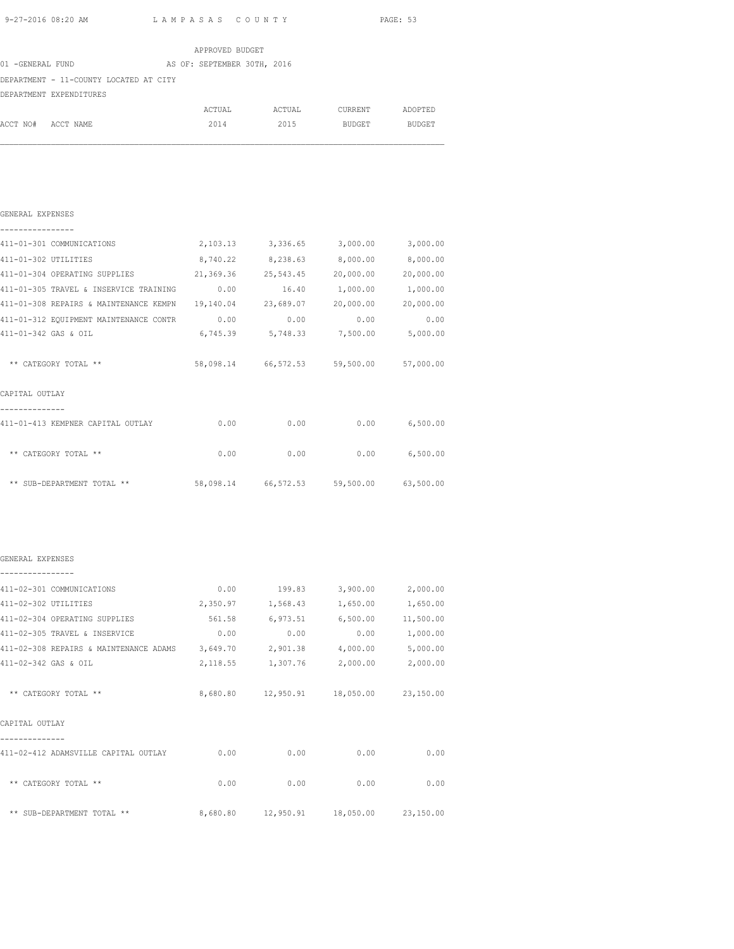|                      | 9-27-2016 08:20 AM<br>LAMPASAS COUNTY                                              |                 |                   |                                             | PAGE: 53          |
|----------------------|------------------------------------------------------------------------------------|-----------------|-------------------|---------------------------------------------|-------------------|
|                      |                                                                                    | APPROVED BUDGET |                   |                                             |                   |
|                      | 01 -GENERAL FUND AS OF: SEPTEMBER 30TH, 2016                                       |                 |                   |                                             |                   |
|                      | DEPARTMENT - 11-COUNTY LOCATED AT CITY                                             |                 |                   |                                             |                   |
|                      | DEPARTMENT EXPENDITURES                                                            |                 |                   |                                             |                   |
|                      |                                                                                    |                 |                   | ACTUAL ACTUAL CURRENT ADOPTED               |                   |
|                      | ACCT NO# ACCT NAME                                                                 |                 |                   | 2014 2015 BUDGET BUDGET                     |                   |
|                      |                                                                                    |                 |                   |                                             |                   |
| GENERAL EXPENSES     |                                                                                    |                 |                   |                                             |                   |
|                      | 411-01-301 COMMUNICATIONS 2,103.13 3,336.65 3,000.00 3,000.00                      |                 |                   |                                             |                   |
| 411-01-302 UTILITIES |                                                                                    |                 |                   | $8,740.22$ $8,238.63$ $8,000.00$ $8,000.00$ |                   |
|                      | 411-01-304 OPERATING SUPPLIES 21,369.36 25,543.45 20,000.00 20,000.00              |                 |                   |                                             |                   |
|                      | 411-01-305 TRAVEL & INSERVICE TRAINING $0.00$ 16.40 1,000.00 1,000.00              |                 |                   |                                             |                   |
|                      | 411-01-308 REPAIRS & MAINTENANCE KEMPN  19,140.04  23,689.07  20,000.00  20,000.00 |                 |                   |                                             |                   |
|                      | 411-01-312 EQUIPMENT MAINTENANCE CONTR 0.00 0.00 0.00 0.00                         |                 |                   |                                             | 0.00              |
|                      | 411-01-342 GAS & OIL                                                               |                 |                   | 6,745.39 5,748.33 7,500.00 5,000.00         |                   |
|                      | ** CATEGORY TOTAL **                                                               |                 |                   | 58,098.14 66,572.53 59,500.00 57,000.00     |                   |
| CAPITAL OUTLAY       |                                                                                    |                 |                   |                                             |                   |
|                      | 411-01-413 KEMPNER CAPITAL OUTLAY 6.00 0.00 0.00 0.00 6,500.00                     |                 |                   |                                             |                   |
|                      | ** CATEGORY TOTAL **                                                               |                 |                   | $0.00$ 0.00 0.00 6,500.00                   |                   |
|                      | ** SUB-DEPARTMENT TOTAL ** 58,098.14 66,572.53 59,500.00 63,500.00                 |                 |                   |                                             |                   |
| GENERAL EXPENSES     |                                                                                    |                 |                   |                                             |                   |
|                      | 411-02-301 COMMUNICATIONS                                                          | 0.00            | 199.83            | 3,900.00                                    | 2,000.00          |
|                      | 411-02-302 UTILITIES                                                               |                 | 2,350.97 1,568.43 | 1,650.00                                    | 1,650.00          |
|                      | 411-02-304 OPERATING SUPPLIES                                                      |                 |                   | 561.58 6,973.51 6,500.00 11,500.00          |                   |
|                      | 411-02-305 TRAVEL & INSERVICE                                                      | 0.00            | 0.00              |                                             | $0.00$ 1,000.00   |
|                      | 411-02-308 REPAIRS & MAINTENANCE ADAMS 3,649.70                                    |                 | 2,901.38          |                                             | 4,000.00 5,000.00 |
|                      | 411-02-342 GAS & OIL                                                               |                 |                   | 2,118.55 1,307.76 2,000.00 2,000.00         |                   |
|                      | ** CATEGORY TOTAL **                                                               |                 |                   | 8,680.80  12,950.91  18,050.00  23,150.00   |                   |
| CAPITAL OUTLAY       |                                                                                    |                 |                   |                                             |                   |
|                      | 411-02-412 ADAMSVILLE CAPITAL OUTLAY                                               | 0.00            | 0.00              | 0.00                                        | 0.00              |
|                      | ** CATEGORY TOTAL **                                                               | 0.00            | 0.00              | 0.00                                        | 0.00              |
|                      |                                                                                    |                 |                   |                                             |                   |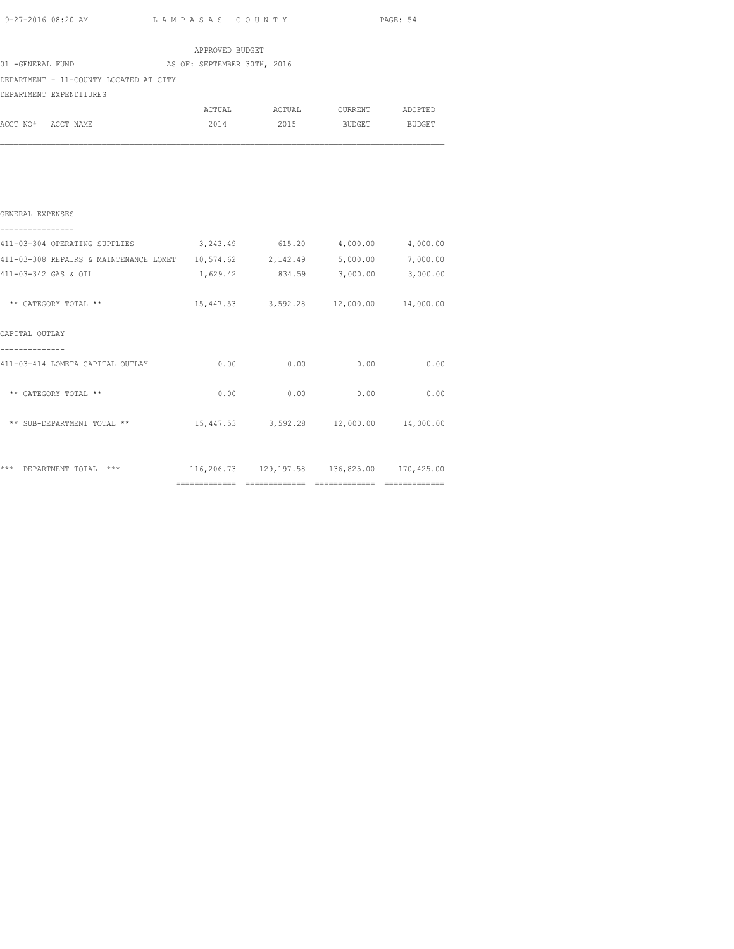| 9-27-2016 08:20 AM                                                          | LAMPASAS COUNTY |           | PAGE: 54                               |      |
|-----------------------------------------------------------------------------|-----------------|-----------|----------------------------------------|------|
|                                                                             | APPROVED BUDGET |           |                                        |      |
| 01 -GENERAL FUND AS OF: SEPTEMBER 30TH, 2016                                |                 |           |                                        |      |
| DEPARTMENT - 11-COUNTY LOCATED AT CITY                                      |                 |           |                                        |      |
| DEPARTMENT EXPENDITURES                                                     |                 |           |                                        |      |
|                                                                             |                 |           |                                        |      |
| ACCT NO# ACCT NAME                                                          |                 | 2014 2015 | BUDGET BUDGET                          |      |
|                                                                             |                 |           |                                        |      |
| GENERAL EXPENSES                                                            |                 |           |                                        |      |
| 411-03-304 OPERATING SUPPLIES 3,243.49 615.20 4,000.00 4,000.00             |                 |           |                                        |      |
| 411-03-308 REPAIRS & MAINTENANCE LOMET 10,574.62 2,142.49 5,000.00 7,000.00 |                 |           |                                        |      |
| 411-03-342 GAS & OIL                                                        | 1,629.42        |           | 834.59 3,000.00 3,000.00               |      |
| ** CATEGORY TOTAL **                                                        |                 |           | 15,447.53 3,592.28 12,000.00 14,000.00 |      |
| CAPITAL OUTLAY                                                              |                 |           |                                        |      |
| 411-03-414 LOMETA CAPITAL OUTLAY                                            |                 |           | $0.00$ 0.00 0.00                       | 0.00 |
| ** CATEGORY TOTAL **                                                        |                 |           | $0.00$ 0.00 0.00                       | 0.00 |
| ** SUB-DEPARTMENT TOTAL **                                                  |                 |           | 15,447.53 3,592.28 12,000.00 14,000.00 |      |
|                                                                             |                 |           |                                        |      |

|                          | ---------- | -------------         | ___________ |            |
|--------------------------|------------|-----------------------|-------------|------------|
| *** DEPARTMENT TOTAL *** |            | 116,206.73 129,197.58 | 136,825.00  | 170,425.00 |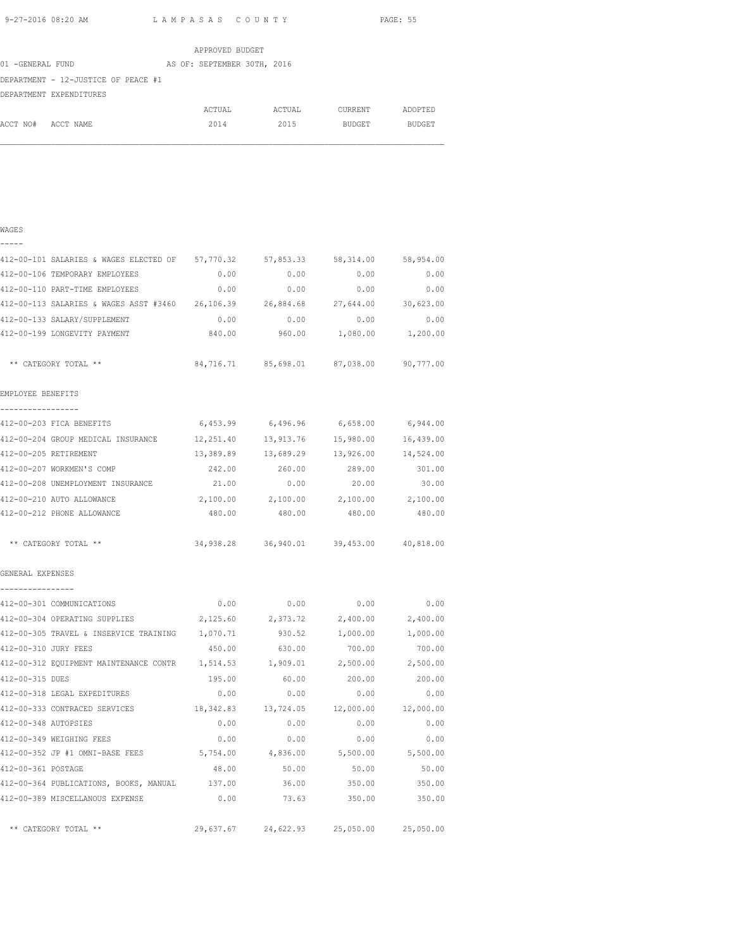|                  |                                     |  |  | APPROVED BUDGET             |        |               |               |
|------------------|-------------------------------------|--|--|-----------------------------|--------|---------------|---------------|
| 01 -GENERAL FUND |                                     |  |  | AS OF: SEPTEMBER 30TH, 2016 |        |               |               |
|                  | DEPARTMENT - 12-JUSTICE OF PEACE #1 |  |  |                             |        |               |               |
|                  | DEPARTMENT EXPENDITURES             |  |  |                             |        |               |               |
|                  |                                     |  |  | ACTUAL                      | ACTUAL | CURRENT       | ADOPTED       |
| ACCT NO#         | ACCT NAME                           |  |  | 2014                        | 2015   | <b>BUDGET</b> | <b>BUDGET</b> |

### WAGES -----

| 412-00-101 SALARIES & WAGES ELECTED OF 57,770.32 57,853.33 58,314.00 58,954.00 |           |                                             |                          |           |
|--------------------------------------------------------------------------------|-----------|---------------------------------------------|--------------------------|-----------|
| 412-00-106 TEMPORARY EMPLOYEES                                                 | 0.00      | 0.00                                        | 0.00                     | 0.00      |
| 412-00-110 PART-TIME EMPLOYEES                                                 | 0.00      | 0.00                                        | 0.00                     | 0.00      |
| 412-00-113 SALARIES & WAGES ASST #3460 26,106.39                               |           | 26,884.68                                   | 27,644.00                | 30,623.00 |
| 412-00-133 SALARY/SUPPLEMENT                                                   | 0.00      | 0.00                                        | 0.00                     | 0.00      |
| 412-00-199 LONGEVITY PAYMENT                                                   | 840.00    | 960.00                                      | 1,080.00                 | 1,200.00  |
| ** CATEGORY TOTAL **                                                           |           | 84,716.71 85,698.01 87,038.00 90,777.00     |                          |           |
| EMPLOYEE BENEFITS                                                              |           |                                             |                          |           |
| -----------------                                                              |           |                                             |                          |           |
| 412-00-203 FICA BENEFITS                                                       |           | $6,453.99$ $6,496.96$ $6,658.00$ $6,944.00$ |                          |           |
| 412-00-204 GROUP MEDICAL INSURANCE 12, 251.40 13, 913.76 15, 980.00 16, 439.00 |           |                                             |                          |           |
| 412-00-205 RETIREMENT                                                          |           | 13,389.89  13,689.29  13,926.00  14,524.00  |                          |           |
| 412-00-207 WORKMEN'S COMP                                                      | 242.00    | 260.00                                      | 289.00                   | 301.00    |
| 412-00-208 UNEMPLOYMENT INSURANCE                                              | 21.00     | 0.00                                        | 20.00                    | 30.00     |
| 412-00-210 AUTO ALLOWANCE                                                      | 2,100.00  | 2,100.00                                    | 2,100.00                 | 2,100.00  |
| 412-00-212 PHONE ALLOWANCE                                                     | 480.00    | 480.00                                      | 480.00                   | 480.00    |
| ** CATEGORY TOTAL **                                                           |           | 34,938.28 36,940.01 39,453.00 40,818.00     |                          |           |
| GENERAL EXPENSES                                                               |           |                                             |                          |           |
| 412-00-301 COMMUNICATIONS                                                      | 0.00      | $0.00$ $0.00$ $0.00$ $0.00$                 |                          |           |
| 412-00-304 OPERATING SUPPLIES                                                  |           | 2,125.60 2,373.72 2,400.00 2,400.00         |                          |           |
| 412-00-305 TRAVEL & INSERVICE TRAINING 1,070.71                                |           |                                             | 930.52 1,000.00 1,000.00 |           |
| 412-00-310 JURY FEES                                                           | 450.00    | 630.00                                      | 700.00                   | 700.00    |
| 412-00-312 EQUIPMENT MAINTENANCE CONTR 1,514.53                                |           | 1,909.01                                    | 2,500.00                 | 2,500.00  |
| 412-00-315 DUES                                                                | 195.00    | 60.00                                       | 200.00                   | 200.00    |
| 412-00-318 LEGAL EXPEDITURES                                                   | 0.00      | 0.00                                        | 0.00                     | 0.00      |
| 412-00-333 CONTRACED SERVICES                                                  |           | 18,342.83  13,724.05  12,000.00             |                          | 12,000.00 |
| 412-00-348 AUTOPSIES                                                           | 0.00      | 0.00                                        | 0.00                     | 0.00      |
| 412-00-349 WEIGHING FEES                                                       | 0.00      | 0.00                                        | 0.00                     | 0.00      |
| 412-00-352 JP #1 OMNI-BASE FEES 5,754.00 4,836.00 5,500.00 5,500.00            |           |                                             |                          |           |
| 412-00-361 POSTAGE                                                             | 48.00     | 50.00                                       | 50.00                    | 50.00     |
| 412-00-364 PUBLICATIONS, BOOKS, MANUAL 137.00 36.00 350.00 350.00 350.00       |           |                                             |                          |           |
| 412-00-389 MISCELLANOUS EXPENSE                                                |           | $0.00$ 73.63 350.00                         |                          | 350.00    |
| ** CATEGORY TOTAL **                                                           | 29,637.67 | 24,622.93                                   | 25,050.00                | 25,050.00 |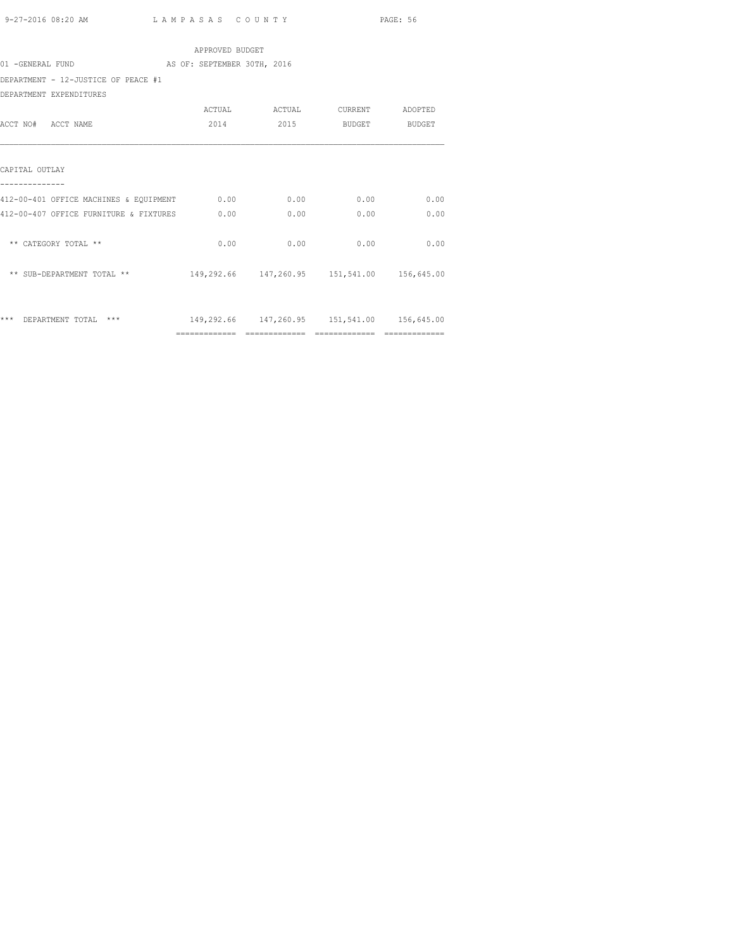|                                              | APPROVED BUDGET |      |                                             |               |
|----------------------------------------------|-----------------|------|---------------------------------------------|---------------|
| 01 -GENERAL FUND AS OF: SEPTEMBER 30TH, 2016 |                 |      |                                             |               |
| DEPARTMENT - 12-JUSTICE OF PEACE #1          |                 |      |                                             |               |
| DEPARTMENT EXPENDITURES                      |                 |      |                                             |               |
|                                              |                 |      | ACTUAL ACTUAL CURRENT                       | ADOPTED       |
| ACCT NO# ACCT NAME                           | 2014            | 2015 |                                             | BUDGET BUDGET |
|                                              |                 |      |                                             |               |
| CAPITAL OUTLAY                               |                 |      |                                             |               |
| 412-00-401 OFFICE MACHINES & EQUIPMENT 0.00  |                 | 0.00 | 0.00                                        | 0.00          |
| 412-00-407 OFFICE FURNITURE & FIXTURES 0.00  |                 | 0.00 | 0.00                                        | 0.00          |
| ** CATEGORY TOTAL **                         | 0.00            | 0.00 | 0.00                                        | 0.00          |
| ** SUB-DEPARTMENT TOTAL **                   |                 |      | 149,292.66 147,260.95 151,541.00 156,645.00 |               |
| *** DEPARTMENT TOTAL ***                     |                 |      | 149,292.66 147,260.95 151,541.00 156,645.00 |               |
|                                              |                 |      |                                             |               |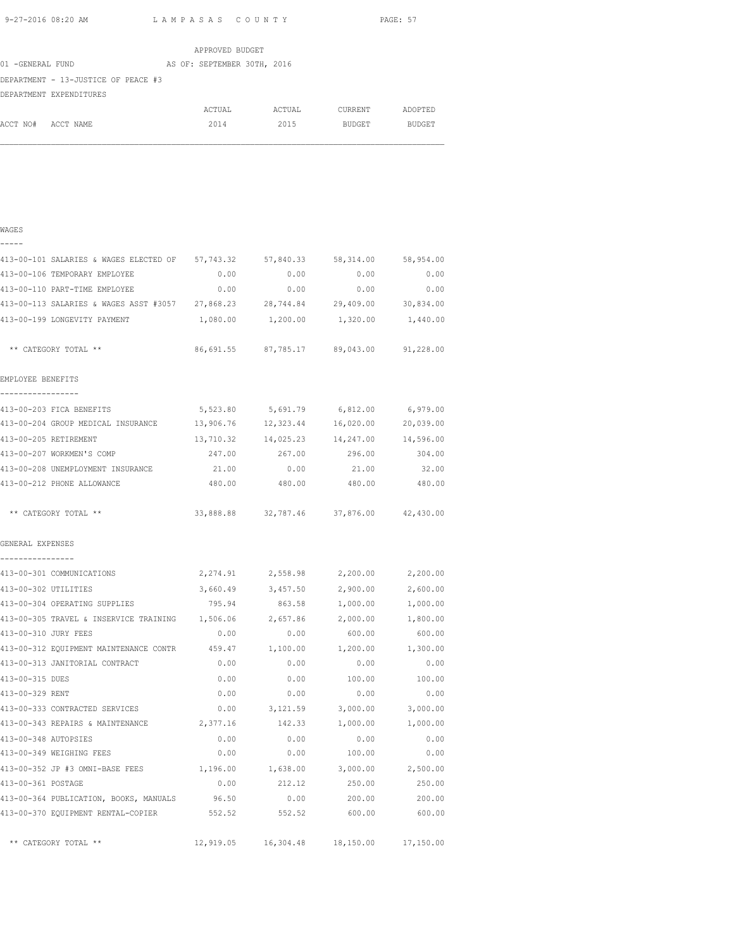|                  |                                     |  |  | APPROVED BUDGET             |        |               |               |
|------------------|-------------------------------------|--|--|-----------------------------|--------|---------------|---------------|
| 01 -GENERAL FUND |                                     |  |  | AS OF: SEPTEMBER 30TH, 2016 |        |               |               |
|                  | DEPARTMENT - 13-JUSTICE OF PEACE #3 |  |  |                             |        |               |               |
|                  | DEPARTMENT EXPENDITURES             |  |  |                             |        |               |               |
|                  |                                     |  |  | ACTUAL                      | ACTUAL | CURRENT       | ADOPTED       |
| ACCT NO#         | ACCT NAME                           |  |  | 2014                        | 2015   | <b>BUDGET</b> | <b>BUDGET</b> |

| - | - | - | - |  |
|---|---|---|---|--|
|   |   |   |   |  |

| 413-00-101 SALARIES & WAGES ELECTED OF 57,743.32                               |           | 57,840.33                               | 58,314.00                     | 58,954.00 |
|--------------------------------------------------------------------------------|-----------|-----------------------------------------|-------------------------------|-----------|
| 413-00-106 TEMPORARY EMPLOYEE                                                  | 0.00      | 0.00                                    | 0.00                          | 0.00      |
| 413-00-110 PART-TIME EMPLOYEE                                                  | 0.00      | 0.00                                    | 0.00                          | 0.00      |
| 413-00-113 SALARIES & WAGES ASST #3057 27,868.23 28,744.84 29,409.00 30,834.00 |           |                                         |                               |           |
| 413-00-199 LONGEVITY PAYMENT                                                   |           | 1,080.00 1,200.00 1,320.00 1,440.00     |                               |           |
| ** CATEGORY TOTAL **                                                           |           | 86,691.55 87,785.17 89,043.00 91,228.00 |                               |           |
| EMPLOYEE BENEFITS                                                              |           |                                         |                               |           |
| _________________                                                              |           |                                         |                               |           |
| 413-00-203 FICA BENEFITS                                                       | 5,523.80  |                                         | 5,691.79 6,812.00             | 6,979.00  |
| 413-00-204 GROUP MEDICAL INSURANCE 13,906.76                                   |           |                                         | 12,323.44 16,020.00 20,039.00 |           |
| 413-00-205 RETIREMENT                                                          |           | 13,710.32 14,025.23 14,247.00 14,596.00 |                               |           |
| 413-00-207 WORKMEN'S COMP                                                      | 247.00    | 267.00                                  | 296.00                        | 304.00    |
| 413-00-208 UNEMPLOYMENT INSURANCE                                              | 21.00     | 0.00                                    | 21.00                         | 32.00     |
| 413-00-212 PHONE ALLOWANCE                                                     | 480.00    | 480.00                                  | 480.00                        | 480.00    |
| ** CATEGORY TOTAL **                                                           |           | 33,888.88 32,787.46 37,876.00 42,430.00 |                               |           |
| GENERAL EXPENSES                                                               |           |                                         |                               |           |
| ----------------<br>413-00-301 COMMUNICATIONS                                  |           | 2,274.91 2,558.98 2,200.00 2,200.00     |                               |           |
| 413-00-302 UTILITIES                                                           |           | 3,660.49 3,457.50                       | 2,900.00                      | 2,600.00  |
| 413-00-304 OPERATING SUPPLIES                                                  | 795.94    | 863.58                                  | 1,000.00                      | 1,000.00  |
| 413-00-305 TRAVEL & INSERVICE TRAINING                                         | 1,506.06  | 2,657.86                                | 2,000.00                      | 1,800.00  |
| 413-00-310 JURY FEES                                                           | 0.00      | 0.00                                    | 600.00                        | 600.00    |
| 413-00-312 EQUIPMENT MAINTENANCE CONTR                                         | 459.47    | 1,100.00                                | 1,200.00                      | 1,300.00  |
| 413-00-313 JANITORIAL CONTRACT                                                 | 0.00      | 0.00                                    | 0.00                          | 0.00      |
| 413-00-315 DUES                                                                | 0.00      | 0.00                                    | 100.00                        | 100.00    |
| 413-00-329 RENT                                                                | 0.00      | 0.00                                    | 0.00                          | 0.00      |
| 413-00-333 CONTRACTED SERVICES                                                 | 0.00      | 3, 121.59                               | 3,000.00                      | 3,000.00  |
| 413-00-343 REPAIRS & MAINTENANCE                                               | 2,377.16  | 142.33                                  | 1,000.00                      | 1,000.00  |
| 413-00-348 AUTOPSIES                                                           | 0.00      | 0.00                                    | 0.00                          | 0.00      |
| 413-00-349 WEIGHING FEES                                                       | 0.00      | 0.00                                    | 100.00                        | 0.00      |
| 413-00-352 JP #3 OMNI-BASE FEES                                                | 1,196.00  | 1,638.00                                | 3,000.00                      | 2,500.00  |
| 413-00-361 POSTAGE                                                             | 0.00      | 212.12                                  | 250.00                        | 250.00    |
| 413-00-364 PUBLICATION, BOOKS, MANUALS 96.50                                   |           | 0.00                                    | 200.00                        | 200.00    |
| 413-00-370 EQUIPMENT RENTAL-COPIER 552.52                                      |           | 552.52                                  | 600.00                        | 600.00    |
| ** CATEGORY TOTAL **                                                           | 12,919.05 | 16,304.48                               | 18,150.00 17,150.00           |           |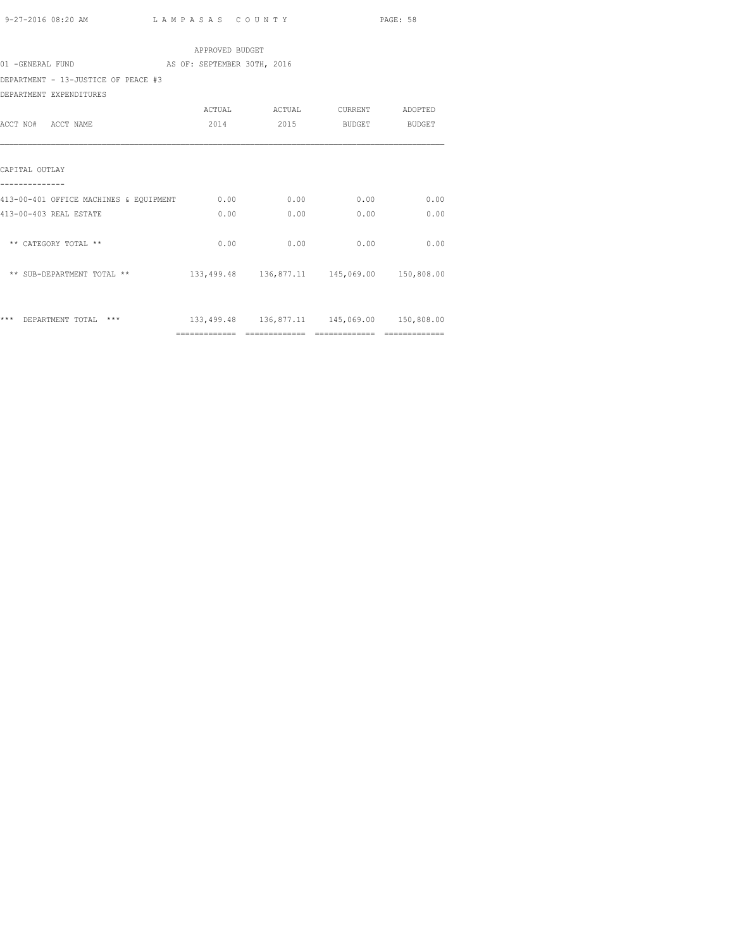| APPROVED BUDGET                              |      |      |                                             |               |  |  |  |  |  |  |  |  |  |
|----------------------------------------------|------|------|---------------------------------------------|---------------|--|--|--|--|--|--|--|--|--|
| 01 -GENERAL FUND AS OF: SEPTEMBER 30TH, 2016 |      |      |                                             |               |  |  |  |  |  |  |  |  |  |
| DEPARTMENT - 13-JUSTICE OF PEACE #3          |      |      |                                             |               |  |  |  |  |  |  |  |  |  |
| DEPARTMENT EXPENDITURES                      |      |      |                                             |               |  |  |  |  |  |  |  |  |  |
|                                              |      |      |                                             |               |  |  |  |  |  |  |  |  |  |
| ACCT NO# ACCT NAME                           | 2014 | 2015 |                                             | BUDGET BUDGET |  |  |  |  |  |  |  |  |  |
|                                              |      |      |                                             |               |  |  |  |  |  |  |  |  |  |
| CAPITAL OUTLAY                               |      |      |                                             |               |  |  |  |  |  |  |  |  |  |
| 413-00-401 OFFICE MACHINES & EQUIPMENT       | 0.00 | 0.00 | 0.00                                        | 0.00          |  |  |  |  |  |  |  |  |  |
| 413-00-403 REAL ESTATE                       | 0.00 | 0.00 | 0.00                                        | 0.00          |  |  |  |  |  |  |  |  |  |
| ** CATEGORY TOTAL **                         | 0.00 | 0.00 | 0.00                                        | 0.00          |  |  |  |  |  |  |  |  |  |
| ** SUB-DEPARTMENT TOTAL **                   |      |      | 133,499.48 136,877.11 145,069.00 150,808.00 |               |  |  |  |  |  |  |  |  |  |
|                                              |      |      |                                             |               |  |  |  |  |  |  |  |  |  |
| *** DEPARTMENT TOTAL<br>***                  |      |      | 133,499.48 136,877.11 145,069.00 150,808.00 |               |  |  |  |  |  |  |  |  |  |
|                                              |      |      |                                             |               |  |  |  |  |  |  |  |  |  |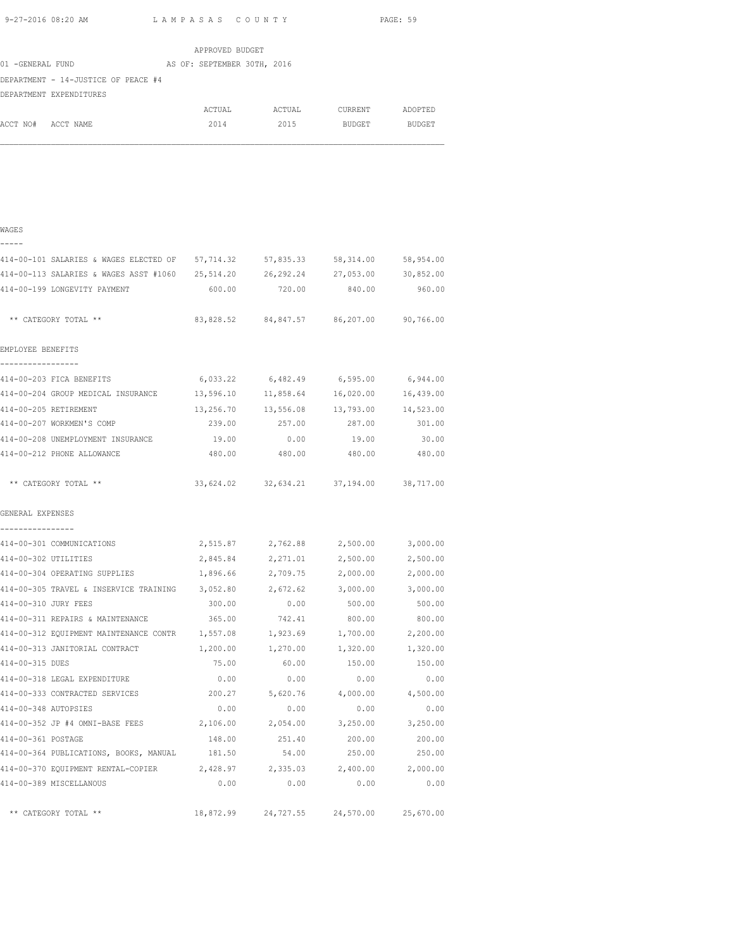|                                                                                |                 |                                         |                    | PAGE: 59 |
|--------------------------------------------------------------------------------|-----------------|-----------------------------------------|--------------------|----------|
|                                                                                | APPROVED BUDGET |                                         |                    |          |
| 01 -GENERAL FUND AS OF: SEPTEMBER 30TH, 2016                                   |                 |                                         |                    |          |
| DEPARTMENT - 14-JUSTICE OF PEACE #4<br>DEPARTMENT EXPENDITURES                 |                 |                                         |                    |          |
|                                                                                |                 | ACTUAL ACTUAL CURRENT ADOPTED           |                    |          |
| ACCT NO# ACCT NAME                                                             | 2014            |                                         | 2015 BUDGET BUDGET |          |
|                                                                                |                 |                                         |                    |          |
| WAGES                                                                          |                 |                                         |                    |          |
|                                                                                |                 |                                         |                    |          |
| 414-00-101 SALARIES & WAGES ELECTED OF 57,714.32 57,835.33 58,314.00 58,954.00 |                 |                                         |                    |          |
| 414-00-113 SALARIES & WAGES ASST #1060 25,514.20 26,292.24 27,053.00 30,852.00 |                 |                                         |                    |          |
| 414-00-199 LONGEVITY PAYMENT                                                   |                 | 600.00 720.00 840.00 960.00             |                    |          |
| ** CATEGORY TOTAL **                                                           |                 | 83,828.52 84,847.57 86,207.00 90,766.00 |                    |          |

| 414-00-203 FICA BENEFITS           | 6,033.22  | 6,482.49  | 6, 595.00 | 6,944.00  |  |
|------------------------------------|-----------|-----------|-----------|-----------|--|
| 414-00-204 GROUP MEDICAL INSURANCE | 13,596.10 | 11,858.64 | 16,020.00 | 16,439.00 |  |
| 414-00-205 RETIREMENT              | 13,256.70 | 13,556.08 | 13,793.00 | 14,523.00 |  |
| 414-00-207 WORKMEN'S COMP          | 239.00    | 257.00    | 287.00    | 301.00    |  |
| 414-00-208 UNEMPLOYMENT INSURANCE  | 19.00     | 0.00      | 19.00     | 30.00     |  |
| 414-00-212 PHONE ALLOWANCE         | 480.00    | 480.00    | 480.00    | 480.00    |  |
|                                    |           |           |           |           |  |
| ** CATEGORY TOTAL **               | 33,624.02 | 32,634.21 | 37,194.00 | 38,717.00 |  |

| GENERAL EXPENSES |
|------------------|
|                  |

| 414-00-301 COMMUNICATIONS                       |          | 2,515.87 2,762.88 2,500.00              |          | 3,000.00 |
|-------------------------------------------------|----------|-----------------------------------------|----------|----------|
| 414-00-302 UTILITIES                            |          | 2,845.84 2,271.01                       | 2,500.00 | 2,500.00 |
| 414-00-304 OPERATING SUPPLIES                   | 1,896.66 | 2,709.75                                | 2,000.00 | 2,000.00 |
| 414-00-305 TRAVEL & INSERVICE TRAINING          | 3,052.80 | 2,672.62                                | 3,000.00 | 3,000.00 |
| 414-00-310 JURY FEES                            | 300.00   | 0.00                                    | 500.00   | 500.00   |
| 414-00-311 REPAIRS & MAINTENANCE                | 365.00   | 742.41                                  | 800.00   | 800.00   |
| 414-00-312 EQUIPMENT MAINTENANCE CONTR 1,557.08 |          | 1,923.69                                | 1,700.00 | 2,200.00 |
| 414-00-313 JANITORIAL CONTRACT                  | 1,200.00 | 1,270.00                                | 1,320.00 | 1,320.00 |
| 414-00-315 DUES                                 | 75.00    | 60.00                                   | 150.00   | 150.00   |
| 414-00-318 LEGAL EXPENDITURE                    | 0.00     | 0.00                                    | 0.00     | 0.00     |
| 414-00-333 CONTRACTED SERVICES                  | 200.27   | 5,620.76                                | 4,000.00 | 4,500.00 |
| 414-00-348 AUTOPSIES                            | 0.00     | 0.00                                    | 0.00     | 0.00     |
| 414-00-352 JP #4 OMNI-BASE FEES                 | 2,106.00 | 2,054.00                                | 3,250.00 | 3,250.00 |
| 414-00-361 POSTAGE                              | 148.00   | 251.40                                  | 200.00   | 200.00   |
| 414-00-364 PUBLICATIONS, BOOKS, MANUAL 181.50   |          | 54.00                                   | 250.00   | 250.00   |
| 414-00-370 EQUIPMENT RENTAL-COPIER              |          | 2,428.97 2,335.03 2,400.00              |          | 2,000.00 |
| 414-00-389 MISCELLANOUS                         | 0.00     | 0.00                                    | 0.00     | 0.00     |
| ** CATEGORY TOTAL **                            |          | 18,872.99 24,727.55 24,570.00 25,670.00 |          |          |
|                                                 |          |                                         |          |          |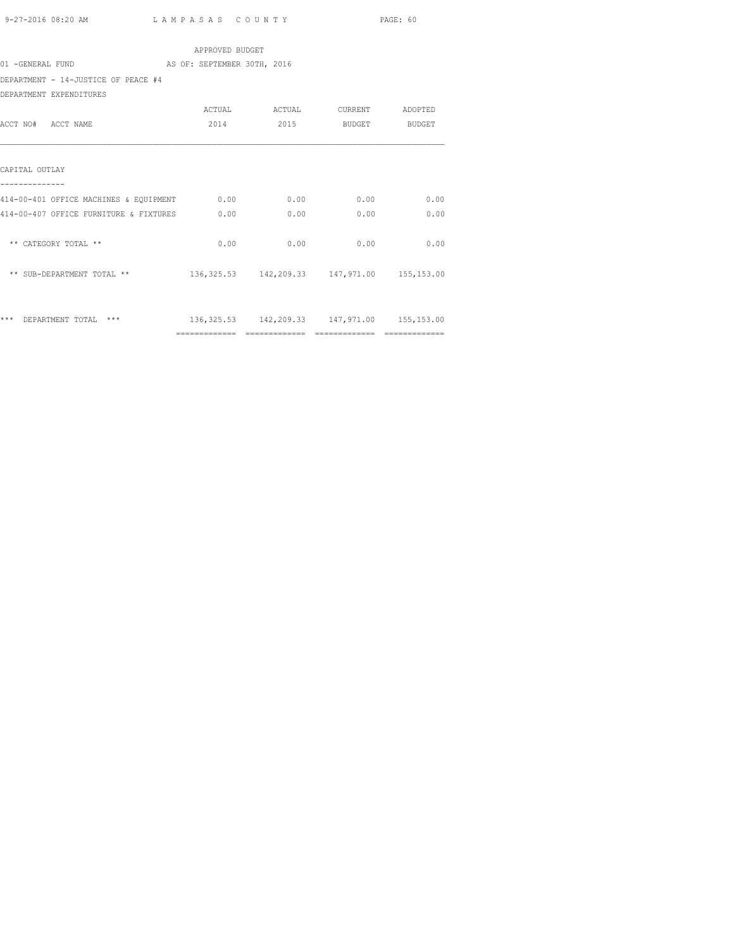| APPROVED BUDGET                        |                             |      |                                                 |      |  |  |  |  |
|----------------------------------------|-----------------------------|------|-------------------------------------------------|------|--|--|--|--|
| 01 -GENERAL FUND                       | AS OF: SEPTEMBER 30TH, 2016 |      |                                                 |      |  |  |  |  |
| DEPARTMENT - 14-JUSTICE OF PEACE #4    |                             |      |                                                 |      |  |  |  |  |
| DEPARTMENT EXPENDITURES                |                             |      |                                                 |      |  |  |  |  |
|                                        |                             |      | ACTUAL ACTUAL CURRENT ADOPTED                   |      |  |  |  |  |
| ACCT NO# ACCT NAME                     | 2014                        |      | 2015 BUDGET BUDGET                              |      |  |  |  |  |
| CAPITAL OUTLAY                         |                             |      |                                                 |      |  |  |  |  |
| 414-00-401 OFFICE MACHINES & EQUIPMENT | 0.00                        | 0.00 | 0.00                                            | 0.00 |  |  |  |  |
| 414-00-407 OFFICE FURNITURE & FIXTURES | 0.00                        | 0.00 | 0.00                                            | 0.00 |  |  |  |  |
| ** CATEGORY TOTAL **                   | 0.00                        | 0.00 | 0.00                                            | 0.00 |  |  |  |  |
| ** SUB-DEPARTMENT TOTAL **             |                             |      | 136, 325.53 142, 209.33 147, 971.00 155, 153.00 |      |  |  |  |  |
|                                        |                             |      |                                                 |      |  |  |  |  |
| *** DEPARTMENT TOTAL<br>***            |                             |      | 136, 325.53 142, 209.33 147, 971.00 155, 153.00 |      |  |  |  |  |
|                                        |                             |      |                                                 |      |  |  |  |  |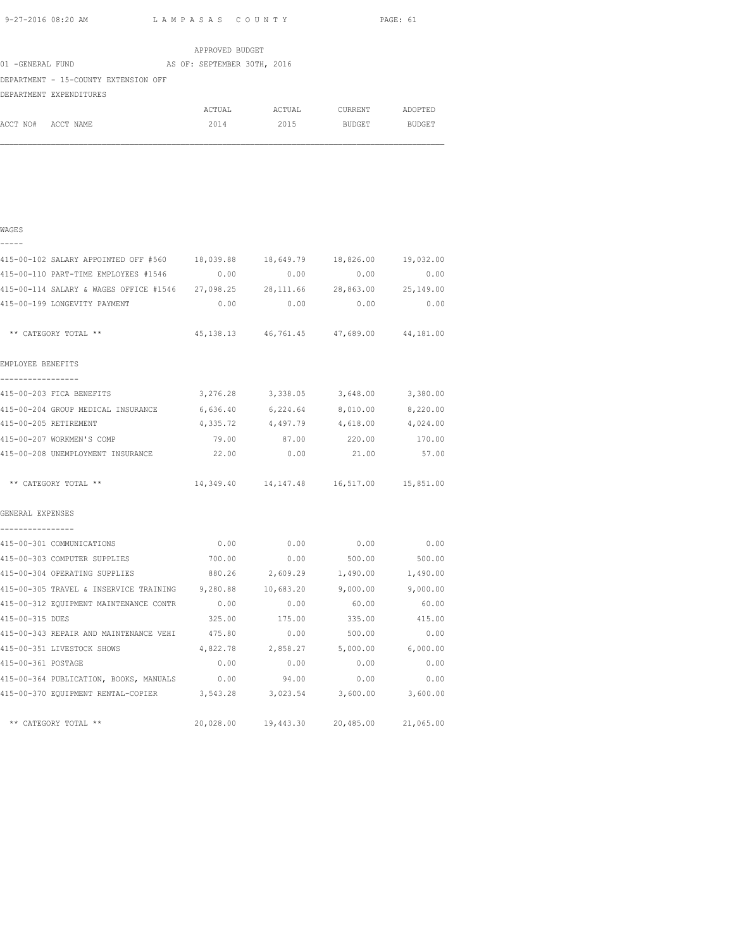WAGES

|                  |                                      |  | APPROVED BUDGET             |        |         |         |
|------------------|--------------------------------------|--|-----------------------------|--------|---------|---------|
| 01 -GENERAL FUND |                                      |  | AS OF: SEPTEMBER 30TH, 2016 |        |         |         |
|                  | DEPARTMENT - 15-COUNTY EXTENSION OFF |  |                             |        |         |         |
|                  | DEPARTMENT EXPENDITURES              |  |                             |        |         |         |
|                  |                                      |  | ACTUAL                      | ACTUAL | CURRENT | ADOPTED |
| ACCT NO#         | ACCT NAME                            |  | 2014                        | 2015   | BUDGET  | BUDGET  |
|                  |                                      |  |                             |        |         |         |

| -----                                                                        |          |                                                 |          |                     |
|------------------------------------------------------------------------------|----------|-------------------------------------------------|----------|---------------------|
| 415-00-102 SALARY APPOINTED OFF #560 18,039.88 18,649.79 18,826.00 19,032.00 |          |                                                 |          |                     |
| 415-00-110 PART-TIME EMPLOYEES #1546 0.00                                    |          | 0.00                                            | 0.00     | 0.00                |
| 415-00-114 SALARY & WAGES OFFICE #1546 27,098.25 28,111.66                   |          |                                                 |          | 28,863.00 25,149.00 |
| 415-00-199 LONGEVITY PAYMENT                                                 |          | $0.00$ $0.00$ $0.00$ $0.00$ $0.00$              |          |                     |
| ** CATEGORY TOTAL **                                                         |          | 45, 138.13  46, 761.45  47, 689.00  44, 181.00  |          |                     |
| EMPLOYEE BENEFITS                                                            |          |                                                 |          |                     |
| _________________<br>415-00-203 FICA BENEFITS                                |          | 3,276.28 3,338.05 3,648.00 3,380.00             |          |                     |
| 415-00-204 GROUP MEDICAL INSURANCE 6,636.40 6,224.64 8,010.00 8,220.00       |          |                                                 |          |                     |
| 415-00-205 RETIREMENT                                                        | 4,335.72 | 4,497.79                                        | 4,618.00 | 4,024.00            |
| 415-00-207 WORKMEN'S COMP                                                    |          | 79.00 87.00 220.00 170.00                       |          |                     |
| 415-00-208 UNEMPLOYMENT INSURANCE $22.00$ 0.00 0.00 21.00 57.00              |          |                                                 |          |                     |
| ** CATEGORY TOTAL **                                                         |          | 14, 349.40 14, 147.48 16, 517.00 15, 851.00     |          |                     |
| GENERAL EXPENSES                                                             |          |                                                 |          |                     |
| ----------------<br>415-00-301 COMMUNICATIONS                                | 0.00     | 0.00                                            | 0.00     | 0.00                |
| 415-00-303 COMPUTER SUPPLIES                                                 | 700.00   | $0.00$ 500.00 500.00                            |          |                     |
| 415-00-304 OPERATING SUPPLIES 680.26 2,609.29 1,490.00 1,490.00              |          |                                                 |          |                     |
| 415-00-305 TRAVEL & INSERVICE TRAINING 9,280.88 10,683.20 9,000.00 9,000.00  |          |                                                 |          |                     |
| 415-00-312 EQUIPMENT MAINTENANCE CONTR                                       | 0.00     | 0.00                                            | 60.00    | 60.00               |
| 415-00-315 DUES                                                              |          | 325.00 175.00                                   |          | 335.00 415.00       |
| 415-00-343 REPAIR AND MAINTENANCE VEHI 475.80 0.00 500.00 600.00 0.00        |          |                                                 |          |                     |
| 415-00-351 LIVESTOCK SHOWS                                                   |          | 4,822.78 2,858.27 5,000.00 6,000.00             |          |                     |
| 415-00-361 POSTAGE                                                           | 0.00     | 0.00                                            | 0.00     | 0.00                |
| 415-00-364 PUBLICATION, BOOKS, MANUALS 0.00 94.00                            |          |                                                 | 0.00     | 0.00                |
| 415-00-370 EQUIPMENT RENTAL-COPIER 3,543.28 3,023.54 3,600.00 3,600.00       |          |                                                 |          |                     |
| ** CATEGORY TOTAL **                                                         |          | $20,028.00$ $19,443.30$ $20,485.00$ $21,065.00$ |          |                     |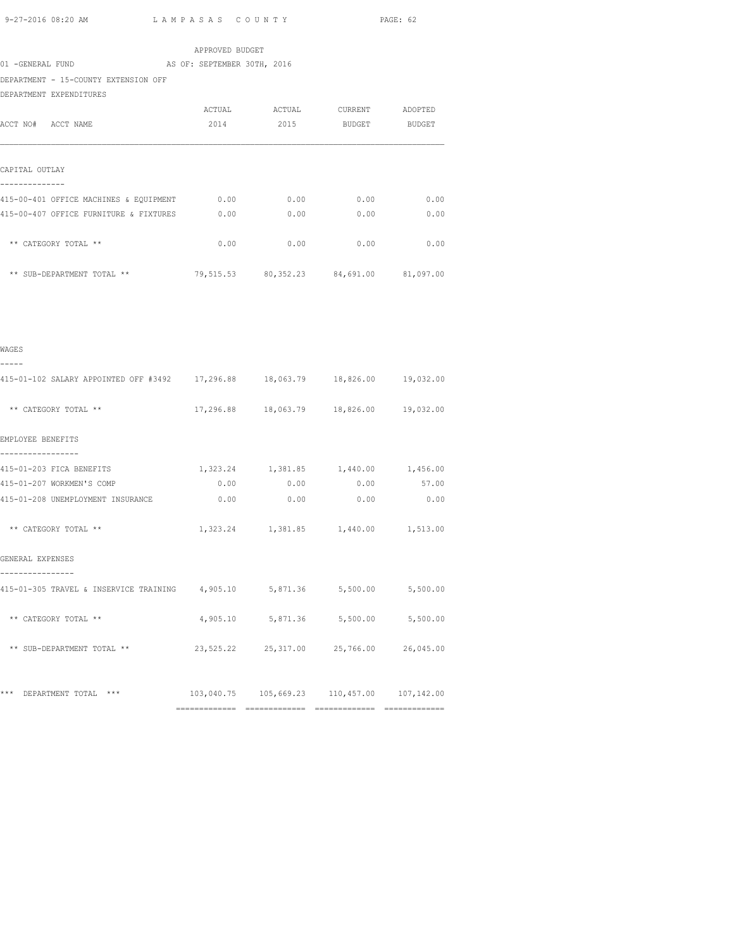|                                                                               |                             |                                         |               | PAGE: 62 |
|-------------------------------------------------------------------------------|-----------------------------|-----------------------------------------|---------------|----------|
|                                                                               | APPROVED BUDGET             |                                         |               |          |
| 01 -GENERAL FUND                                                              | AS OF: SEPTEMBER 30TH, 2016 |                                         |               |          |
| DEPARTMENT - 15-COUNTY EXTENSION OFF                                          |                             |                                         |               |          |
| DEPARTMENT EXPENDITURES                                                       |                             |                                         |               |          |
|                                                                               |                             | ACTUAL ACTUAL CURRENT ADOPTED           |               |          |
| ACCT NO# ACCT NAME                                                            | 2014                        | 2015                                    | BUDGET BUDGET |          |
| CAPITAL OUTLAY                                                                |                             |                                         |               |          |
| --------------<br>415-00-401 OFFICE MACHINES & EQUIPMENT                      | 0.00                        | 0.00                                    | 0.00          | 0.00     |
| 415-00-407 OFFICE FURNITURE & FIXTURES                                        | 0.00                        | 0.00                                    | 0.00          | 0.00     |
| ** CATEGORY TOTAL **                                                          |                             | $0.00$ 0.00                             | 0.00          | 0.00     |
| ** SUB-DEPARTMENT TOTAL **                                                    |                             | 79,515.53 80,352.23 84,691.00 81,097.00 |               |          |
|                                                                               |                             |                                         |               |          |
| WAGES<br>-----                                                                |                             |                                         |               |          |
| 415-01-102 SALARY APPOINTED OFF #3492 17,296.88 18,063.79 18,826.00 19,032.00 |                             |                                         |               |          |
| ** CATEGORY TOTAL **                                                          |                             | 17,296.88 18,063.79 18,826.00 19,032.00 |               |          |
| EMPLOYEE BENEFITS                                                             |                             |                                         |               |          |
| ----------<br>415-01-203 FICA BENEFITS                                        |                             | 1,323.24 1,381.85 1,440.00 1,456.00     |               |          |
| 415-01-207 WORKMEN'S COMP                                                     | 0.00                        | 0.00                                    | 0.00          | 57.00    |
| 415-01-208 UNEMPLOYMENT INSURANCE                                             | 0.00                        | 0.00                                    | 0.00          | 0.00     |

\*\* CATEGORY TOTAL \*\* <br>1,323.24 1,381.85 1,440.00 1,513.00

415-01-305 TRAVEL & INSERVICE TRAINING 4,905.10 5,871.36 5,500.00 5,500.00

\*\* CATEGORY TOTAL \*\*  $4,905.10$   $5,871.36$   $5,500.00$   $5,500.00$ 

\*\* SUB-DEPARTMENT TOTAL \*\* 23,525.22 25,317.00 25,766.00 26,045.00

\*\*\* DEPARTMENT TOTAL \*\*\* 103,040.75 105,669.23 110,457.00 107,142.00

============= ============= ============= =============

GENERAL EXPENSES ----------------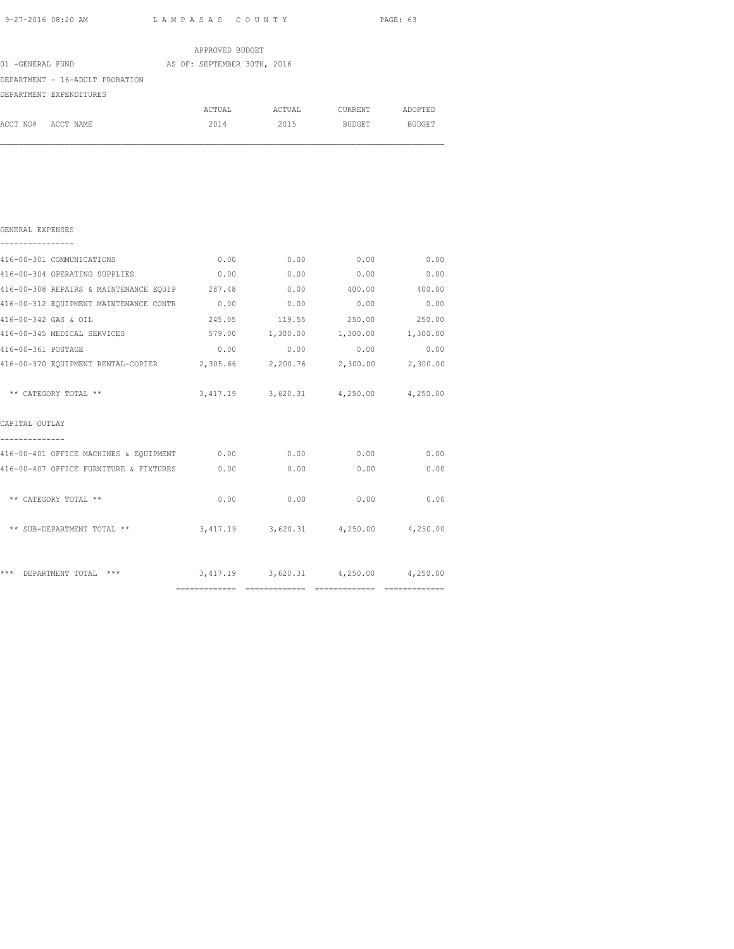|                                 | APPROVED BUDGET             |        |                |               |
|---------------------------------|-----------------------------|--------|----------------|---------------|
| 01 -GENERAL FUND                | AS OF: SEPTEMBER 30TH, 2016 |        |                |               |
| DEPARTMENT - 16-ADULT PROBATION |                             |        |                |               |
| DEPARTMENT EXPENDITURES         |                             |        |                |               |
|                                 | ACTUAL                      | ACTUAL | <b>CURRENT</b> | ADOPTED       |
| ACCT NO#<br>ACCT NAME           | 2014                        | 2015   | <b>BUDGET</b>  | <b>BUDGET</b> |
|                                 |                             |        |                |               |
|                                 |                             |        |                |               |

| GENERAL EXPENSES                                                       |      |             |                                             |             |
|------------------------------------------------------------------------|------|-------------|---------------------------------------------|-------------|
| 416-00-301 COMMUNICATIONS                                              |      | $0.00$ 0.00 | 0.00                                        | 0.00        |
| 416-00-304 OPERATING SUPPLIES 0.00                                     |      | 0.00        |                                             | $0.00$ 0.00 |
| 416-00-308 REPAIRS & MAINTENANCE EQUIP 287.48                          |      |             | $0.00$ 400.00 400.00                        |             |
| 416-00-312 EQUIPMENT MAINTENANCE CONTR 0.00                            |      |             | $0.00$ 0.00                                 | 0.00        |
| 416-00-342 GAS & OIL                                                   |      |             | 245.05 119.55 250.00 250.00                 |             |
| 416-00-345 MEDICAL SERVICES                                            |      |             | 579.00  1,300.00  1,300.00  1,300.00        |             |
| 416-00-361 POSTAGE                                                     | 0.00 | 0.00        | 0.00                                        | 0.00        |
| 416-00-370 EQUIPMENT RENTAL-COPIER 2,305.66 2,200.76 2,300.00 2,300.00 |      |             |                                             |             |
| ** CATEGORY TOTAL **                                                   |      |             | 3,417.19 3,620.31 4,250.00 4,250.00         |             |
| CAPITAL OUTLAY                                                         |      |             |                                             |             |
| 416-00-401 OFFICE MACHINES & EQUIPMENT 0.00 0.00 0.00 0.00             |      |             |                                             | 0.00        |
| 416-00-407 OFFICE FURNITURE & FIXTURES 0.00                            |      | 0.00        | 0.00                                        | 0.00        |
| ** CATEGORY TOTAL **                                                   | 0.00 | 0.00        | 0.00                                        | 0.00        |
| ** SUB-DEPARTMENT TOTAL **                                             |      |             | 3,417.19 3,620.31 4,250.00 4,250.00         |             |
| ***<br>DEPARTMENT TOTAL ***                                            |      |             | $3,417.19$ $3,620.31$ $4,250.00$ $4,250.00$ |             |
|                                                                        |      |             |                                             |             |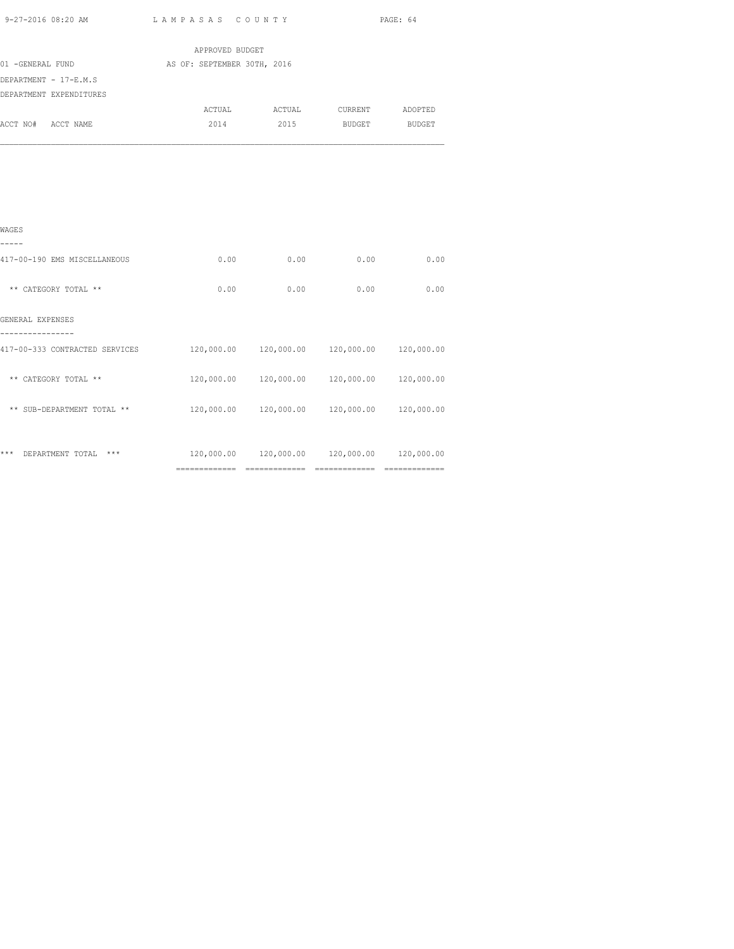|                         |           | APPROVED BUDGET             |        |               |               |
|-------------------------|-----------|-----------------------------|--------|---------------|---------------|
| 01 -GENERAL FUND        |           | AS OF: SEPTEMBER 30TH, 2016 |        |               |               |
| DEPARTMENT - 17-E.M.S   |           |                             |        |               |               |
| DEPARTMENT EXPENDITURES |           |                             |        |               |               |
|                         |           | ACTUAL                      | ACTUAL | CURRENT       | ADOPTED       |
| ACCT NO#                | ACCT NAME | 2014                        | 2015   | <b>BUDGET</b> | <b>BUDGET</b> |
|                         |           |                             |        |               |               |
|                         |           |                             |        |               |               |
|                         |           |                             |        |               |               |

| WAGES                            |                |            |            |            |
|----------------------------------|----------------|------------|------------|------------|
| 417-00-190 EMS MISCELLANEOUS     | 0.00           | 0.00       | 0.00       | 0.00       |
| ** CATEGORY TOTAL **             | 0.00           | 0.00       | 0.00       | 0.00       |
| GENERAL EXPENSES                 |                |            |            |            |
| 417-00-333 CONTRACTED SERVICES   | 120,000.00     | 120,000.00 | 120,000.00 | 120,000.00 |
| ** CATEGORY TOTAL **             | 120,000.00     | 120,000.00 | 120,000.00 | 120,000.00 |
| ** SUB-DEPARTMENT TOTAL **       | 120,000.00     | 120,000.00 | 120,000.00 | 120,000.00 |
|                                  |                |            |            |            |
| ***<br>$***$<br>DEPARTMENT TOTAL | 120,000.00     | 120,000.00 | 120,000.00 | 120,000.00 |
|                                  | -------------- |            |            |            |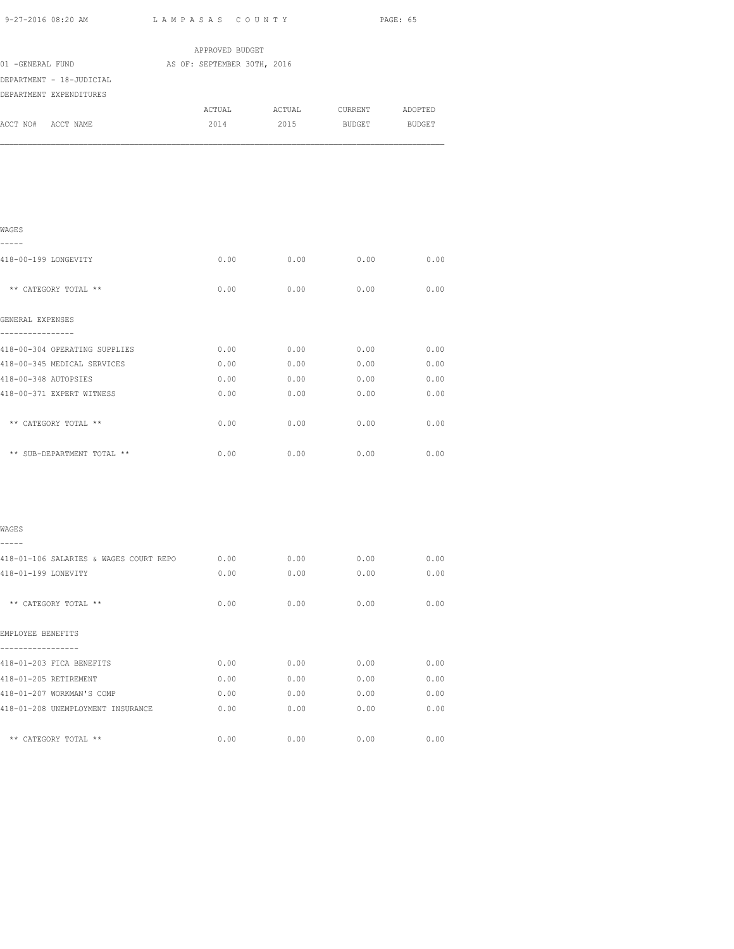| 9-27-2016 08:20 AM<br>LAMPASAS COUNTY                              |                                                | PAGE: 65         |                |              |
|--------------------------------------------------------------------|------------------------------------------------|------------------|----------------|--------------|
|                                                                    |                                                |                  |                |              |
| 01 -GENERAL FUND                                                   | APPROVED BUDGET<br>AS OF: SEPTEMBER 30TH, 2016 |                  |                |              |
| DEPARTMENT - 18-JUDICIAL                                           |                                                |                  |                |              |
| DEPARTMENT EXPENDITURES                                            |                                                |                  |                |              |
|                                                                    | ACTUAL                                         |                  | ACTUAL CURRENT | ADOPTED      |
| ACCT NO# ACCT NAME                                                 | 2014                                           | 2015             | BUDGET         | BUDGET       |
|                                                                    |                                                |                  |                |              |
| WAGES                                                              |                                                |                  |                |              |
| -----                                                              |                                                |                  |                |              |
| 418-00-199 LONGEVITY                                               | 0.00                                           | 0.00             | 0.00           | 0.00         |
| ** CATEGORY TOTAL **                                               | 0.00                                           | 0.00             | 0.00           | 0.00         |
| GENERAL EXPENSES<br>----------                                     |                                                |                  |                |              |
| 418-00-304 OPERATING SUPPLIES                                      |                                                | $0.00$ 0.00 0.00 |                | 0.00         |
| 418-00-345 MEDICAL SERVICES                                        | 0.00                                           | 0.00             | 0.00           | 0.00         |
| 418-00-348 AUTOPSIES                                               | 0.00                                           | 0.00             | 0.00           | 0.00         |
| 418-00-371 EXPERT WITNESS                                          | 0.00                                           | 0.00             | 0.00           | 0.00         |
| ** CATEGORY TOTAL **                                               | 0.00                                           | 0.00             | 0.00           | 0.00         |
| ** SUB-DEPARTMENT TOTAL **                                         | 0.00                                           | 0.00             | 0.00           | 0.00         |
| WAGES                                                              |                                                |                  |                |              |
|                                                                    |                                                |                  |                |              |
| 418-01-106 SALARIES & WAGES COURT REPO 0.00<br>418-01-199 LONEVITY | 0.00                                           | 0.00<br>0.00     | 0.00<br>0.00   | 0.00<br>0.00 |
|                                                                    |                                                |                  |                |              |
| ** CATEGORY TOTAL **                                               | 0.00                                           | 0.00             | 0.00           | 0.00         |
| EMPLOYEE BENEFITS                                                  |                                                |                  |                |              |
| 418-01-203 FICA BENEFITS                                           | 0.00                                           | 0.00             | 0.00           | 0.00         |
| 418-01-205 RETIREMENT                                              | 0.00                                           | 0.00             | 0.00           | 0.00         |
| 418-01-207 WORKMAN'S COMP                                          | 0.00                                           | 0.00             | 0.00           | 0.00         |
| 418-01-208 UNEMPLOYMENT INSURANCE                                  | 0.00                                           | 0.00             | 0.00           | 0.00         |

\*\* CATEGORY TOTAL \*\* 0.00 0.00 0.00 0.00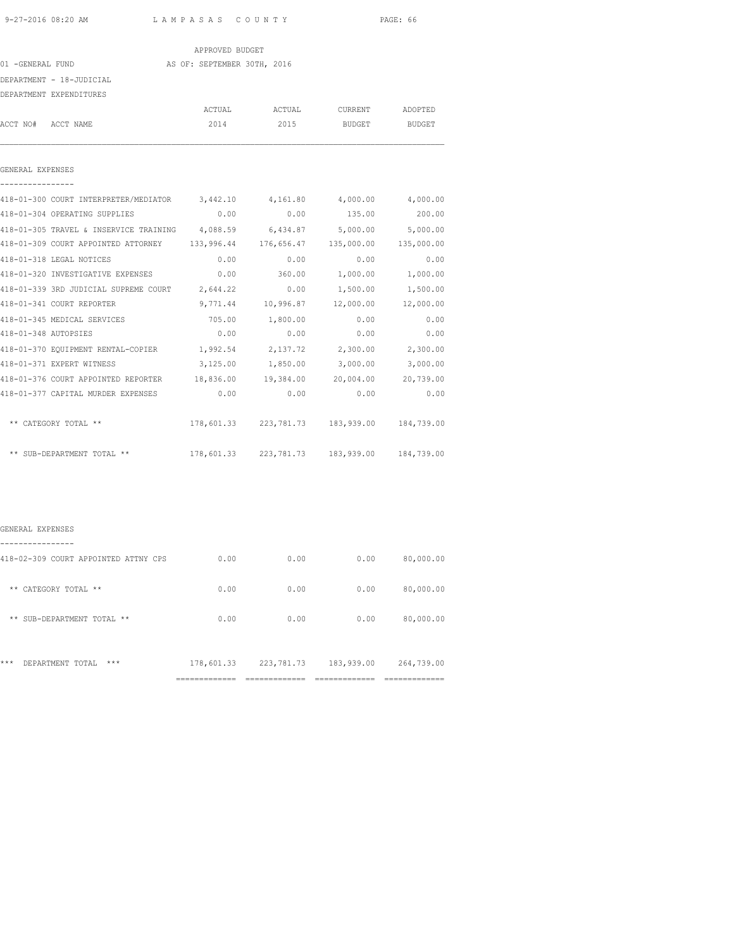### APPROVED BUDGET

#### 01 -GENERAL FUND AS OF: SEPTEMBER 30TH, 2016

DEPARTMENT - 18-JUDICIAL

|                      | DBPAKIMBNI - 10-JUDICIAL                                                        |             |                        |           |           |
|----------------------|---------------------------------------------------------------------------------|-------------|------------------------|-----------|-----------|
|                      | DEPARTMENT EXPENDITURES                                                         |             |                        |           |           |
|                      |                                                                                 | ACTUAL      | ACTUAL                 | CURRENT   | ADOPTED   |
| ACCT NO#             | ACCT NAME                                                                       | 2014        | 2015                   | BUDGET    | BUDGET    |
|                      |                                                                                 |             |                        |           |           |
| GENERAL EXPENSES     |                                                                                 |             |                        |           |           |
|                      | 418-01-300 COURT INTERPRETER/MEDIATOR 3,442.10 4,161.80 4,000.00 4,000.00       |             |                        |           |           |
|                      | 418-01-304 OPERATING SUPPLIES                                                   |             | $0.00$ $0.00$ $135.00$ |           | 200.00    |
|                      | 418-01-305 TRAVEL & INSERVICE TRAINING 4,088.59 6,434.87 5,000.00 5,000.00      |             |                        |           |           |
|                      | 418-01-309 COURT APPOINTED ATTORNEY 133,996.44 176,656.47 135,000.00 135,000.00 |             |                        |           |           |
|                      | 418-01-318 LEGAL NOTICES                                                        | 0.00        | 0.00                   | 0.00      | 0.00      |
|                      | 418-01-320 INVESTIGATIVE EXPENSES 0.00                                          |             | 360.00                 | 1,000.00  | 1,000.00  |
|                      | 418-01-339 3RD JUDICIAL SUPREME COURT 2,644.22 0.00 1,500.00                    |             |                        |           | 1,500.00  |
|                      | 418-01-341 COURT REPORTER                                                       |             | 9,771.44 10,996.87     | 12,000.00 | 12,000.00 |
|                      | 418-01-345 MEDICAL SERVICES                                                     |             | 705.00 1,800.00        | 0.00      | 0.00      |
| 418-01-348 AUTOPSIES |                                                                                 | 0.00        | 0.00                   | 0.00      | 0.00      |
|                      | סקדסמר במרחב המידור המידור המידור מדר ב-118 מ                                   | 1 0 0 2 5 4 | 2 137 72               | 2.300.00  | 2.300.00  |

| 418-01-370 EQUIPMENT RENTAL-COPIER  | 1,992.54   | 2,137.72     | 2,300.00   | 2,300.00   |
|-------------------------------------|------------|--------------|------------|------------|
| 418-01-371 EXPERT WITNESS           | 3,125.00   | 1,850.00     | 3,000.00   | 3,000.00   |
| 418-01-376 COURT APPOINTED REPORTER | 18,836.00  | 19,384.00    | 20,004.00  | 20,739.00  |
| 418-01-377 CAPITAL MURDER EXPENSES  | 0.00       | 0.00         | 0.00       | 0.00       |
|                                     |            |              |            |            |
| ** CATEGORY TOTAL **                | 178,601.33 | 223, 781. 73 | 183,939.00 | 184,739.00 |
|                                     |            |              |            |            |
| ** SUB-DEPARTMENT TOTAL **          | 178,601.33 | 223, 781. 73 | 183,939.00 | 184,739.00 |

#### GENERAL EXPENSES

|                                                       | ----------------------<br>------------ | ______________<br>------------ | ----------- | ------------------<br>------------ |
|-------------------------------------------------------|----------------------------------------|--------------------------------|-------------|------------------------------------|
| ***<br>***<br>DEPARTMENT TOTAL                        | 178,601.33                             | 223, 781. 73                   | 183,939.00  | 264,739.00                         |
| $* *$<br>SUB-DEPARTMENT TOTAL **                      | 0.00                                   | 0.00                           | 0.00        | 80,000.00                          |
| $***$<br>CATEGORY TOTAL **                            | 0.00                                   | 0.00                           | 0.00        | 80,000.00                          |
| -------------<br>418-02-309 COURT APPOINTED ATTNY CPS | 0.00                                   | 0.00                           | 0.00        | 80,000.00                          |
|                                                       |                                        |                                |             |                                    |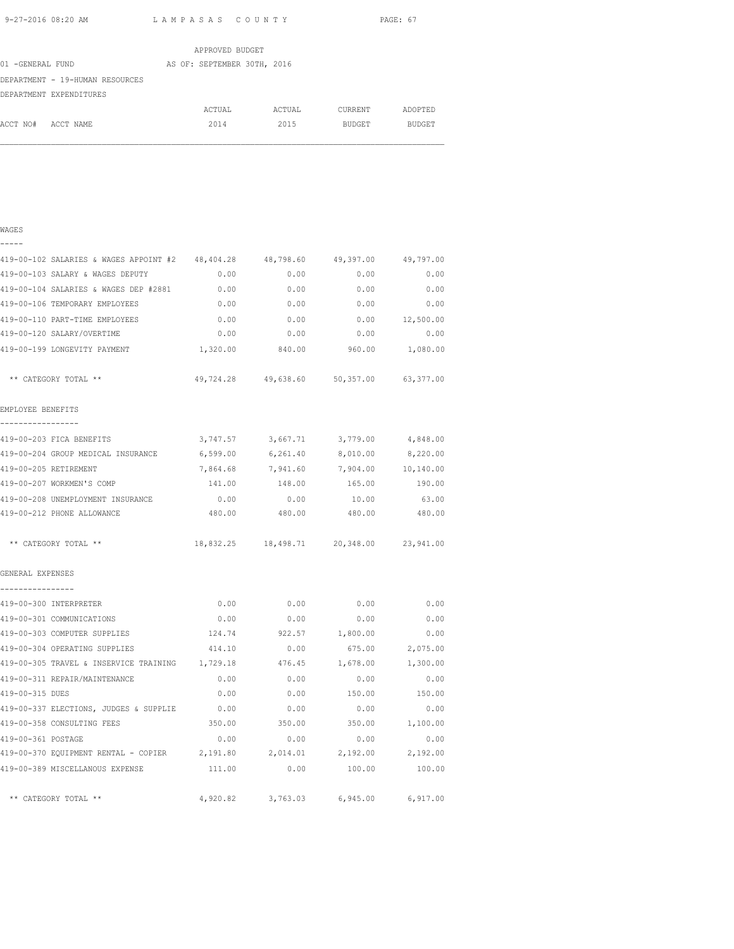WAGES

9-27-2016 08:20 AM L A M P A S A S C O U N T Y PAGE: 67

|                                 | APPROVED BUDGET             |        |         |         |
|---------------------------------|-----------------------------|--------|---------|---------|
| 01 -GENERAL FUND                | AS OF: SEPTEMBER 30TH, 2016 |        |         |         |
| DEPARTMENT - 19-HUMAN RESOURCES |                             |        |         |         |
| DEPARTMENT EXPENDITURES         |                             |        |         |         |
|                                 | ACTUAL                      | ACTUAL | CURRENT | ADOPTED |
| ACCT NO#<br>ACCT NAME           | 2014                        | 2015   | BUDGET  | BUDGET  |

# ----- 419-00-102 SALARIES & WAGES APPOINT #2 48,404.28 48,798.60 49,397.00 49,797.00 419-00-103 SALARY & WAGES DEPUTY 0.00 0.00 0.00 0.00 419-00-104 SALARIES & WAGES DEP #2881 0.00 0.00 0.00 0.00 419-00-106 TEMPORARY EMPLOYEES 0.00 0.00 0.00 0.00 419-00-110 PART-TIME EMPLOYEES 0.00 0.00 0.00 12,500.00 419-00-120 SALARY/OVERTIME 0.00 0.00 0.00 0.00 419-00-199 LONGEVITY PAYMENT 1,320.00 840.00 960.00 1,080.00 \*\* CATEGORY TOTAL \*\* 49,724.28 49,638.60 50,357.00 63,377.00 EMPLOYEE BENEFITS ----------------- 419-00-203 FICA BENEFITS 3,747.57 3,667.71 3,779.00 4,848.00 419-00-204 GROUP MEDICAL INSURANCE 6,599.00 6,261.40 8,010.00 8,220.00 419-00-205 RETIREMENT 7,864.68 7,941.60 7,904.00 10,140.00 419-00-207 WORKMEN'S COMP 141.00 148.00 165.00 190.00 419-00-208 UNEMPLOYMENT INSURANCE 0.00 0.00 10.00 63.00 419-00-212 PHONE ALLOWANCE 480.00 480.00 480.00 480.00 \*\* CATEGORY TOTAL \*\* 18,832.25 18,498.71 20,348.00 23,941.00 GENERAL EXPENSES ---------------- 419-00-300 INTERPRETER 0.00 0.00 0.00 0.00 419-00-301 COMMUNICATIONS 0.00 0.00 0.00 0.00 419-00-303 COMPUTER SUPPLIES 124.74 922.57 1,800.00 0.00 419-00-304 OPERATING SUPPLIES 414.10 0.00 675.00 2,075.00 119-00-305 TRAVEL & INSERVICE TRAINING  $1,729.18$ <br>119-00-311 REPAIR/MAINTENANCE 0.00 0.00 0.00 0.00 0.00 419-00-311 REPAIR/MAINTENANCE 0.00 0.00 0.00 0.00 419-00-315 DUES 0.00 0.00 150.00 150.00 419-00-337 ELECTIONS, JUDGES & SUPPLIE 0.00 0.00 0.00 0.00 419-00-358 CONSULTING FEES 350.00 350.00 350.00 1,100.00 419-00-361 POSTAGE 0.00 0.00 0.00 0.00 419-00-370 EQUIPMENT RENTAL - COPIER 2,191.80 2,014.01 2,192.00 2,192.00 419-00-389 MISCELLANOUS EXPENSE 111.00 0.00 100.00 100.00 \*\* CATEGORY TOTAL \*\* 4,920.82 3,763.03 6,945.00 6,917.00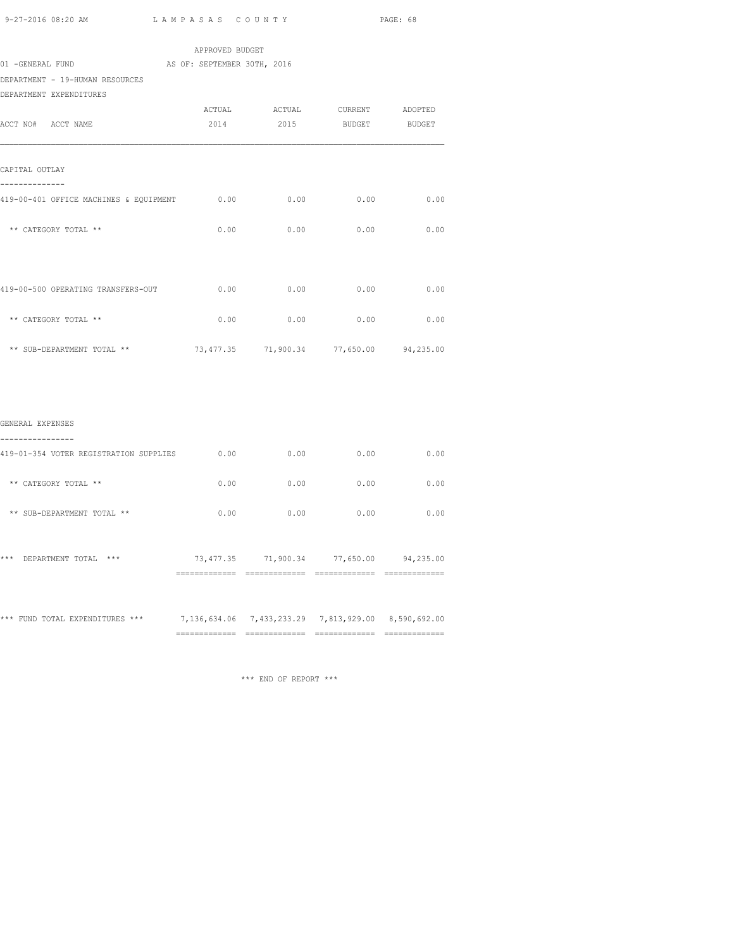|                                                                       |                                         |                               |               | PAGE: 68      |
|-----------------------------------------------------------------------|-----------------------------------------|-------------------------------|---------------|---------------|
|                                                                       | APPROVED BUDGET                         |                               |               |               |
| 01 -GENERAL FUND                                                      | AS OF: SEPTEMBER 30TH, 2016             |                               |               |               |
| DEPARTMENT - 19-HUMAN RESOURCES                                       |                                         |                               |               |               |
| DEPARTMENT EXPENDITURES                                               |                                         |                               |               |               |
|                                                                       |                                         | ACTUAL ACTUAL CURRENT ADOPTED |               |               |
| ACCT NO# ACCT NAME                                                    | 2014                                    | 2015                          | <b>BUDGET</b> | <b>BUDGET</b> |
| CAPITAL OUTLAY<br>_____________                                       |                                         |                               |               |               |
| 419-00-401 OFFICE MACHINES & EQUIPMENT 0.00 0.00 0.00 0.00 0.00 0.00  |                                         |                               |               |               |
| ** CATEGORY TOTAL **                                                  |                                         | $0.00$ 0.00                   | 0.00          | 0.00          |
|                                                                       |                                         |                               |               | 0.00          |
| ** CATEGORY TOTAL **                                                  |                                         | $0.00$ 0.00 0.00 0.00         |               |               |
| ** SUB-DEPARTMENT TOTAL **<br>73,477.35 71,900.34 77,650.00 94,235.00 |                                         |                               |               |               |
|                                                                       |                                         |                               |               |               |
| GENERAL EXPENSES<br>----------------                                  |                                         |                               |               |               |
| 419-01-354 VOTER REGISTRATION SUPPLIES $0.00$ 0.00 0.00 0.00          |                                         |                               |               | 0.00          |
| ** CATEGORY TOTAL **                                                  | 0.00                                    | 0.00                          | 0.00          | 0.00          |
| ** SUB-DEPARTMENT TOTAL **                                            | 0.00                                    | 0.00                          | 0.00          | 0.00          |
| *** DEPARTMENT TOTAL ***                                              | 73,477.35 71,900.34 77,650.00 94,235.00 |                               |               |               |
|                                                                       |                                         |                               |               |               |

\*\*\* FUND TOTAL EXPENDITURES \*\*\* 7,136,634.06 7,433,233.29 7,813,929.00 8,590,692.00 ============= ============= ============= =============

\*\*\* END OF REPORT \*\*\*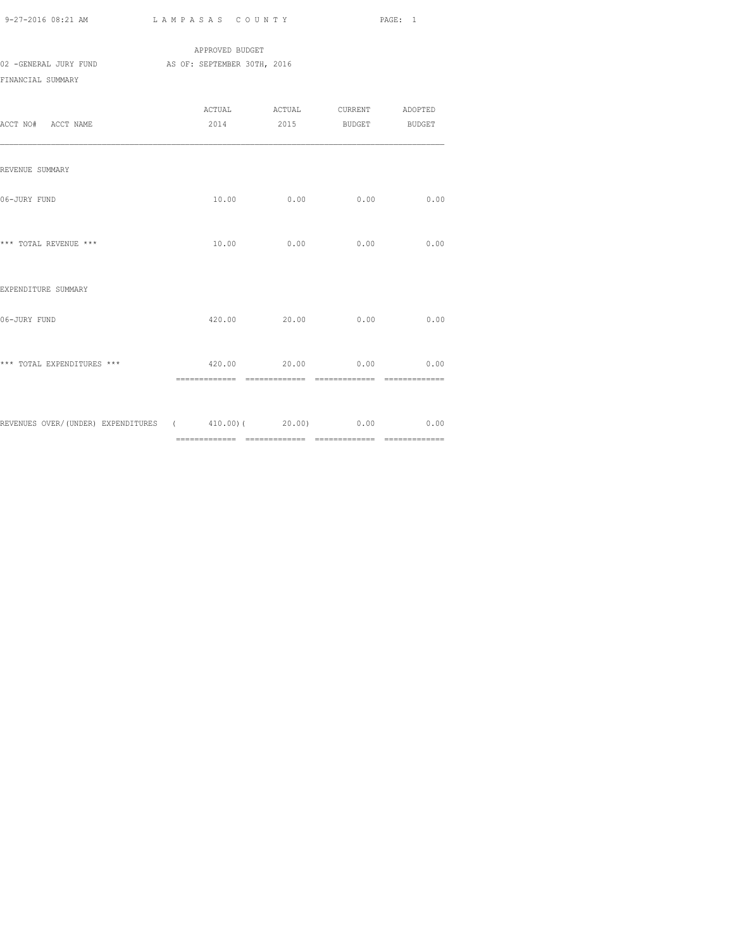|                       | APPROVED BUDGET             |
|-----------------------|-----------------------------|
| 02 -GENERAL JURY FUND | AS OF: SEPTEMBER 30TH, 2016 |
| FINANCIAL SUMMARY     |                             |
|                       |                             |

|                                                               | ACTUAL | ACTUAL                   | CURRENT | ADOPTED |
|---------------------------------------------------------------|--------|--------------------------|---------|---------|
| ACCT NO# ACCT NAME                                            |        | 2014 2015 BUDGET BUDGET  |         |         |
|                                                               |        |                          |         |         |
|                                                               |        |                          |         |         |
| REVENUE SUMMARY                                               |        |                          |         |         |
|                                                               |        |                          |         |         |
| 06-JURY FUND                                                  | 10.00  | 0.00                     | 0.00    | 0.00    |
|                                                               |        |                          |         |         |
|                                                               |        |                          |         |         |
| *** TOTAL REVENUE ***                                         | 10.00  | 0.00                     | 0.00    | 0.00    |
|                                                               |        |                          |         |         |
| EXPENDITURE SUMMARY                                           |        |                          |         |         |
|                                                               |        |                          |         |         |
| 06-JURY FUND                                                  |        | 420.00 20.00             | 0.00    | 0.00    |
|                                                               |        |                          |         |         |
|                                                               |        |                          |         |         |
| *** TOTAL EXPENDITURES ***                                    |        | $420.00$ 20.00 0.00 0.00 |         |         |
|                                                               |        |                          |         |         |
|                                                               |        |                          |         |         |
|                                                               |        |                          |         |         |
| REVENUES OVER/(UNDER) EXPENDITURES (410.00) (20.00) 0.00 0.00 |        |                          |         |         |
|                                                               |        |                          |         |         |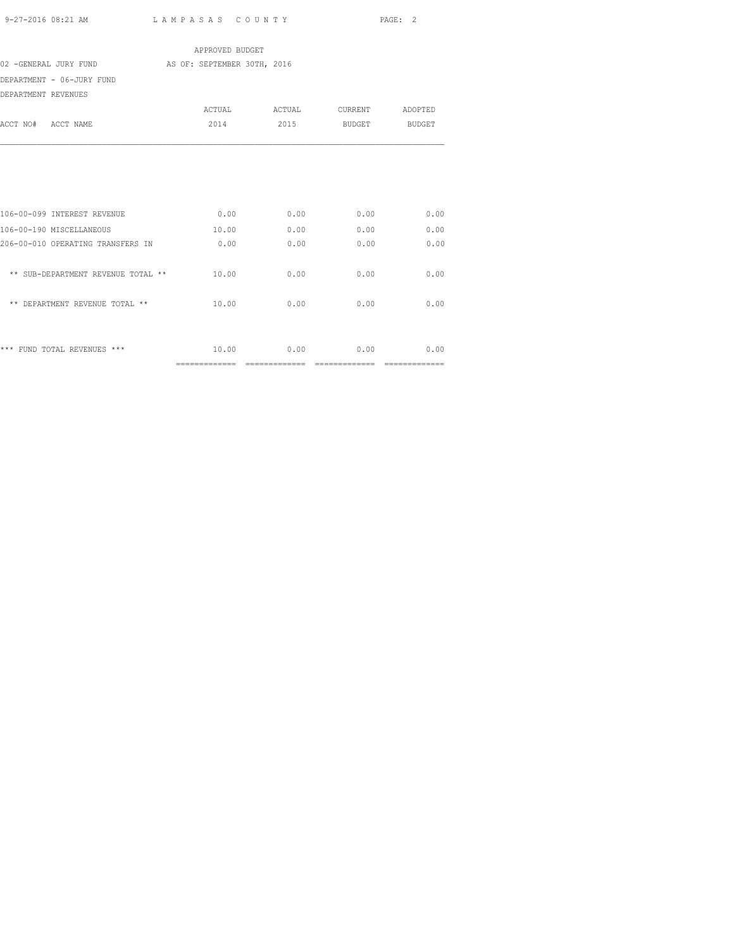|                                    | APPROVED BUDGET             |               |                |                |
|------------------------------------|-----------------------------|---------------|----------------|----------------|
| 02 -GENERAL JURY FUND              | AS OF: SEPTEMBER 30TH, 2016 |               |                |                |
| DEPARTMENT - 06-JURY FUND          |                             |               |                |                |
| DEPARTMENT REVENUES                |                             |               |                |                |
|                                    |                             | ACTUAL ACTUAL | CURRENT        | ADOPTED        |
| ACCT NO# ACCT NAME                 | 2014                        | 2015          | BUDGET BUDGET  |                |
|                                    |                             |               |                |                |
| 106-00-099 INTEREST REVENUE        | 0.00                        | 0.00          | 0.00           | 0.00           |
| 106-00-190 MISCELLANEOUS           | 10.00                       | 0.00          | 0.00           | 0.00           |
| 206-00-010 OPERATING TRANSFERS IN  | 0.00                        | 0.00          | 0.00           | 0.00           |
| ** SUB-DEPARTMENT REVENUE TOTAL ** | 10.00                       | 0.00          | 0.00           | 0.00           |
| ** DEPARTMENT REVENUE TOTAL **     | 10.00                       | 0.00          | 0.00           | 0.00           |
| *** FUND TOTAL REVENUES ***        | 10.00                       | 0.00          | 0.00           | 0.00           |
|                                    | ==============              |               | ============== | ============== |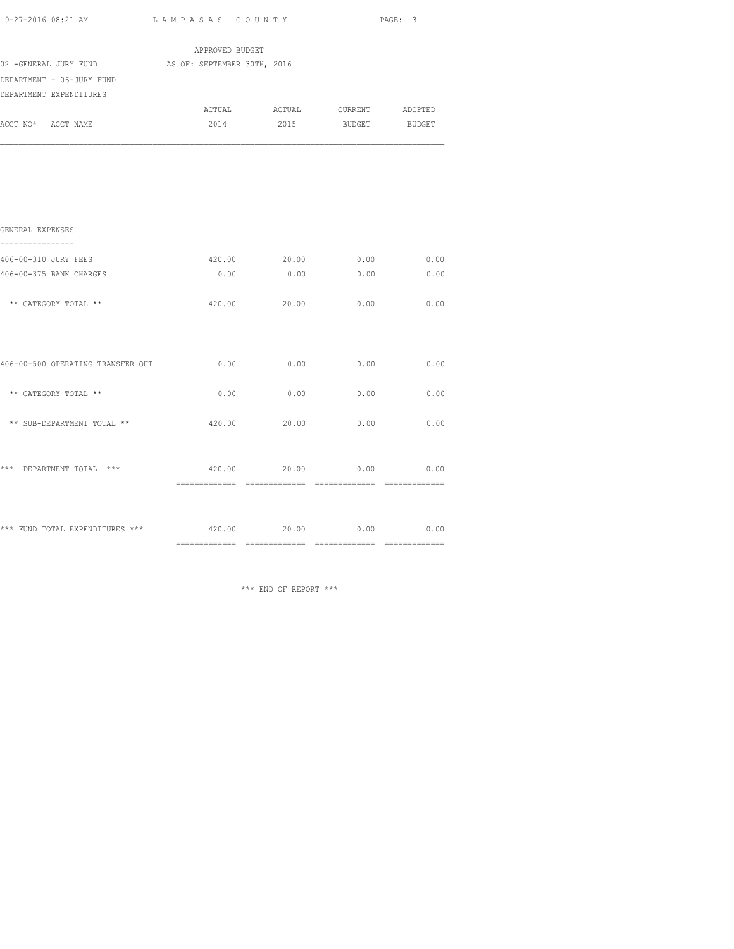| 9-27-2016 08:21 AM |  |  |
|--------------------|--|--|
|                    |  |  |

| 9-27-2016 08:21 AM                                | LAMPASAS COUNTY |                               |      | PAGE: 3 |
|---------------------------------------------------|-----------------|-------------------------------|------|---------|
|                                                   | APPROVED BUDGET |                               |      |         |
| 02 -GENERAL JURY FUND AS OF: SEPTEMBER 30TH, 2016 |                 |                               |      |         |
| DEPARTMENT - 06-JURY FUND                         |                 |                               |      |         |
| DEPARTMENT EXPENDITURES                           |                 |                               |      |         |
|                                                   |                 | ACTUAL ACTUAL CURRENT ADOPTED |      |         |
| ACCT NO# ACCT NAME                                |                 | 2014 2015 BUDGET BUDGET       |      |         |
|                                                   |                 |                               |      |         |
|                                                   |                 |                               |      |         |
|                                                   |                 |                               |      |         |
| GENERAL EXPENSES<br>------------                  |                 |                               |      |         |
| 406-00-310 JURY FEES                              |                 | 420.00  20.00  0.00  0.00     |      |         |
| 406-00-375 BANK CHARGES                           | 0.00            | 0.00                          | 0.00 | 0.00    |
| ** CATEGORY TOTAL **                              | 420.00          | 20.00                         | 0.00 | 0.00    |
| 406-00-500 OPERATING TRANSFER OUT                 |                 | 0.00<br>0.00                  | 0.00 | 0.00    |
|                                                   |                 |                               |      |         |
| ** CATEGORY TOTAL **                              | 0.00            | 0.00                          | 0.00 | 0.00    |
| ** SUB-DEPARTMENT TOTAL **                        | 420.00          | 20.00                         | 0.00 | 0.00    |
| *** DEPARTMENT TOTAL ***                          |                 | 420.00 20.00 0.00             |      | 0.00    |
|                                                   |                 |                               |      |         |
| *** FUND TOTAL EXPENDITURES ***                   | 420.00          | 20.00                         | 0.00 | 0.00    |

\*\*\* END OF REPORT \*\*\*

============= ============= ============= =============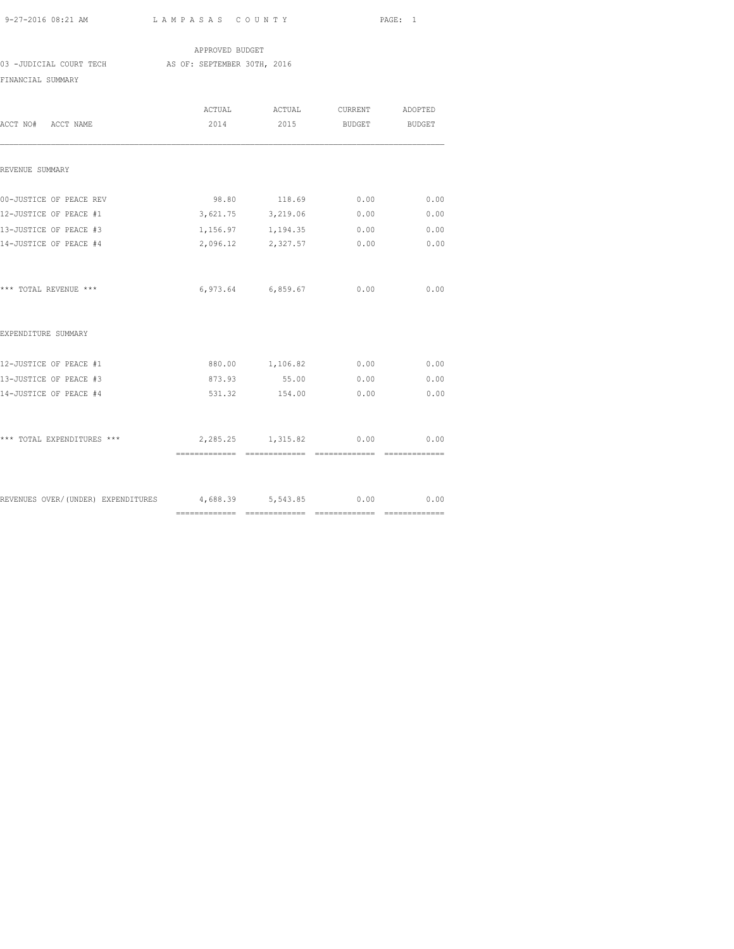APPROVED BUDGET 03 -JUDICIAL COURT TECH AS OF: SEPTEMBER 30TH, 2016 FINANCIAL SUMMARY

| ACCT NO# ACCT NAME                                        | ACTUAL<br>2014 | ACTUAL<br>2015       | <b>BUDGET</b>  | CURRENT ADOPTED<br>BUDGET |
|-----------------------------------------------------------|----------------|----------------------|----------------|---------------------------|
| REVENUE SUMMARY                                           |                |                      |                |                           |
| 00-JUSTICE OF PEACE REV                                   | 98.80          | 118.69               | 0.00           | 0.00                      |
| 12-JUSTICE OF PEACE #1                                    |                | 3,621.75 3,219.06    | 0.00           | 0.00                      |
| 13-JUSTICE OF PEACE #3                                    |                | 1, 156.97 1, 194.35  | 0.00           | 0.00                      |
| 14-JUSTICE OF PEACE #4                                    |                | 2,096.12 2,327.57    | 0.00           | 0.00                      |
| *** TOTAL REVENUE ***                                     |                | 6,973.64 6,859.67    | 0.00           | 0.00                      |
| EXPENDITURE SUMMARY                                       |                |                      |                |                           |
| 12-JUSTICE OF PEACE #1                                    |                | 880.00 1,106.82 0.00 |                | 0.00                      |
| 13-JUSTICE OF PEACE #3                                    | 873.93         | 55.00                | 0.00           | 0.00                      |
| 14-JUSTICE OF PEACE #4                                    | 531.32         | 154.00               | 0.00           | 0.00                      |
| *** TOTAL EXPENDITURES ***                                |                | 2, 285.25 1, 315.82  | 0.00           | 0.00                      |
|                                                           |                |                      | ============== | ==============            |
| REVENUES OVER/(UNDER) EXPENDITURES 4,688.39 5,543.85 0.00 |                |                      |                | 0.00                      |
|                                                           |                |                      |                |                           |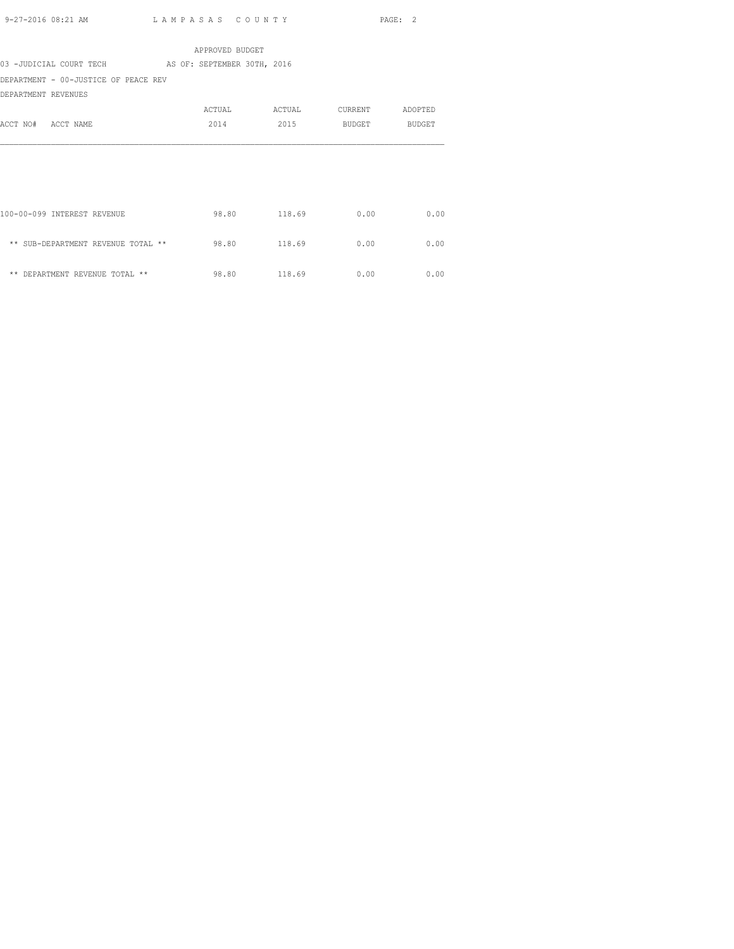|                                                     | APPROVED BUDGET |        |                 |      |
|-----------------------------------------------------|-----------------|--------|-----------------|------|
| 03 -JUDICIAL COURT TECH AS OF: SEPTEMBER 30TH, 2016 |                 |        |                 |      |
| DEPARTMENT - 00-JUSTICE OF PEACE REV                |                 |        |                 |      |
| DEPARTMENT REVENUES                                 |                 |        |                 |      |
|                                                     | ACTUAL          | ACTUAL | CURRENT ADOPTED |      |
| ACCT NO# ACCT NAME                                  | 2014            | 2015   | BUDGET BUDGET   |      |
|                                                     |                 |        |                 |      |
|                                                     |                 |        |                 |      |
|                                                     |                 |        |                 |      |
|                                                     |                 |        |                 |      |
|                                                     |                 |        |                 |      |
| 100-00-099 INTEREST REVENUE                         | 98.80 118.69    |        | 0.00            | 0.00 |
|                                                     |                 |        |                 |      |
| ** SUB-DEPARTMENT REVENUE TOTAL **                  | 98.80           | 118.69 | 0.00            | 0.00 |
|                                                     |                 |        |                 |      |
| ** DEPARTMENT REVENUE TOTAL **                      | 98.80 118.69    |        | 0.00            | 0.00 |
|                                                     |                 |        |                 |      |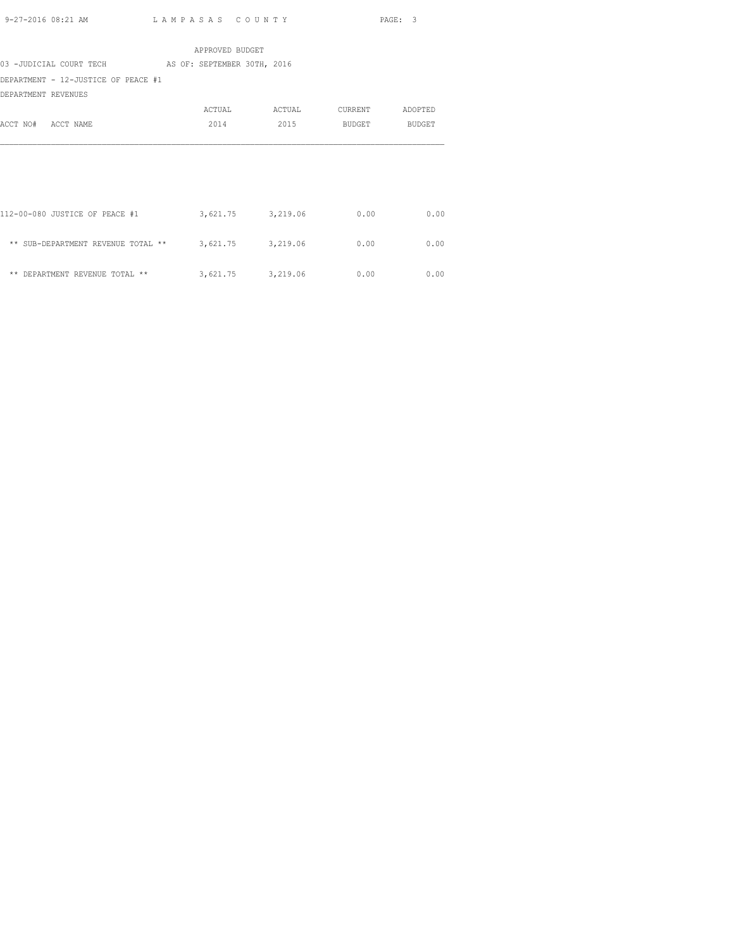|                                                      | APPROVED BUDGET             |        |         |         |
|------------------------------------------------------|-----------------------------|--------|---------|---------|
| 03 -JUDICIAL COURT TECH                              | AS OF: SEPTEMBER 30TH, 2016 |        |         |         |
| DEPARTMENT - 12-JUSTICE OF PEACE #1                  |                             |        |         |         |
| DEPARTMENT REVENUES                                  |                             |        |         |         |
|                                                      | ACTUAL                      | ACTUAL | CURRENT | ADOPTED |
| ACCT NO# ACCT NAME                                   | 2014                        | 2015   | BUDGET  | BUDGET  |
|                                                      |                             |        |         |         |
|                                                      |                             |        |         |         |
|                                                      |                             |        |         |         |
|                                                      |                             |        |         |         |
|                                                      |                             |        |         |         |
| 112-00-080 JUSTICE OF PEACE #1                       | 3,621.75 3,219.06           |        | 0.00    | 0.00    |
|                                                      |                             |        |         |         |
| ** SUB-DEPARTMENT REVENUE TOTAL ** 3,621.75 3,219.06 |                             |        | 0.00    | 0.00    |
|                                                      |                             |        |         |         |
| ** DEPARTMENT REVENUE TOTAL **                       | 3,621.75 3,219.06           |        | 0.00    | 0.00    |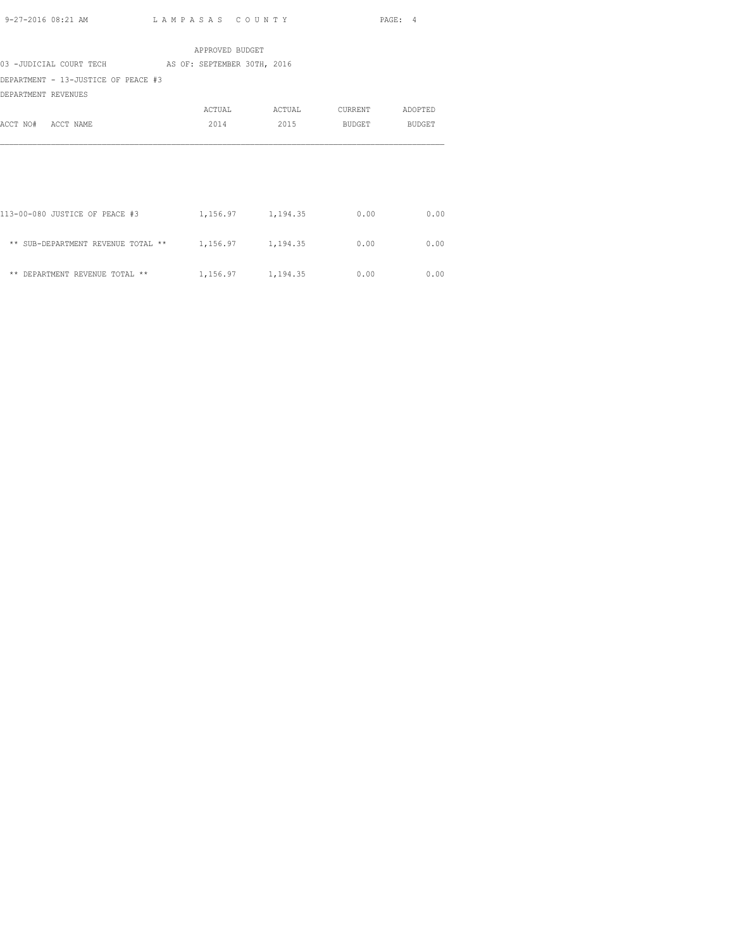|                                                      | APPROVED BUDGET             |                     |         |               |
|------------------------------------------------------|-----------------------------|---------------------|---------|---------------|
| 03 -JUDICIAL COURT TECH                              | AS OF: SEPTEMBER 30TH, 2016 |                     |         |               |
| DEPARTMENT - 13-JUSTICE OF PEACE #3                  |                             |                     |         |               |
| DEPARTMENT REVENUES                                  |                             |                     |         |               |
|                                                      | ACTUAL                      | ACTUAL              | CURRENT | ADOPTED       |
| ACCT NO# ACCT NAME                                   | 2014                        | 2015                | BUDGET  | <b>BUDGET</b> |
|                                                      |                             |                     |         |               |
|                                                      |                             |                     |         |               |
|                                                      |                             |                     |         |               |
|                                                      |                             |                     |         |               |
|                                                      |                             |                     |         |               |
| 113-00-080 JUSTICE OF PEACE #3                       |                             | 1, 156.97 1, 194.35 | 0.00    | 0.00          |
|                                                      |                             |                     |         |               |
| ** SUB-DEPARTMENT REVENUE TOTAL ** 1,156.97 1,194.35 |                             |                     | 0.00    | 0.00          |
|                                                      |                             |                     |         |               |
| ** DEPARTMENT REVENUE TOTAL **                       | 1, 156.97 1, 194.35         |                     | 0.00    | 0.00          |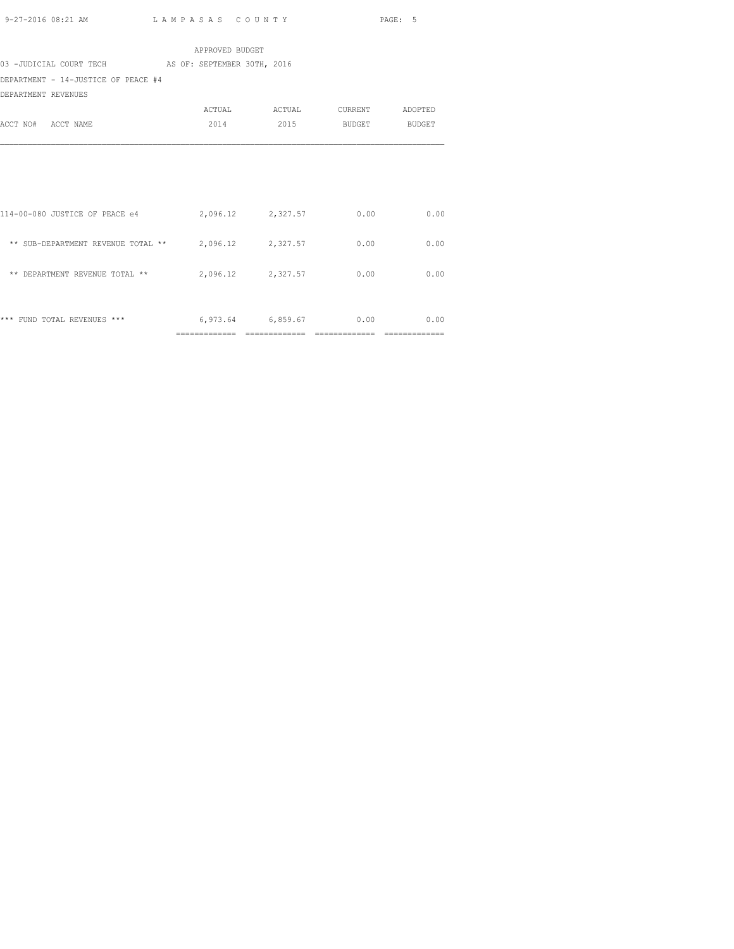|                                                        | APPROVED BUDGET |                   |                 |      |
|--------------------------------------------------------|-----------------|-------------------|-----------------|------|
| 03 -JUDICIAL COURT TECH AS OF: SEPTEMBER 30TH, 2016    |                 |                   |                 |      |
| DEPARTMENT - 14-JUSTICE OF PEACE #4                    |                 |                   |                 |      |
| DEPARTMENT REVENUES                                    |                 |                   |                 |      |
|                                                        |                 | ACTUAL ACTUAL     | CURRENT ADOPTED |      |
| ACCT NO# ACCT NAME                                     | 2014            | 2015              | BUDGET BUDGET   |      |
|                                                        |                 |                   |                 |      |
|                                                        |                 |                   |                 |      |
|                                                        |                 |                   |                 |      |
|                                                        |                 |                   |                 |      |
|                                                        |                 |                   |                 | 0.00 |
| 114-00-080 JUSTICE OF PEACE e4                         |                 | 2,096.12 2,327.57 | 0.00            |      |
| ** SUB-DEPARTMENT REVENUE TOTAL ** $2,096.12$ 2,327.57 |                 |                   | 0.00            | 0.00 |
|                                                        |                 |                   |                 |      |
| ** DEPARTMENT REVENUE TOTAL **                         |                 | 2,096.12 2,327.57 | 0.00            | 0.00 |
|                                                        |                 |                   |                 |      |
|                                                        |                 |                   |                 |      |

\*\*\* FUND TOTAL REVENUES \*\*\* 6,973.64 6,859.67 0.00 0.00 0.00 ============= ============= ============= =============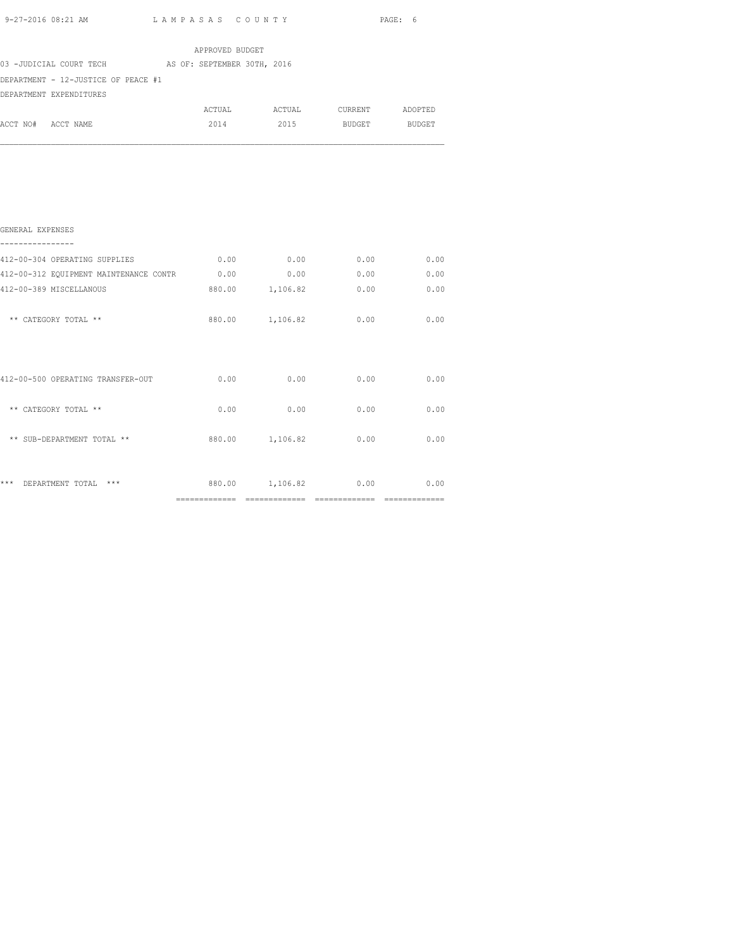|                    | 9-27-2016 08:21 AM                                  | LAMPASAS COUNTY |                 |                 |                               | PAGE: 6 |
|--------------------|-----------------------------------------------------|-----------------|-----------------|-----------------|-------------------------------|---------|
|                    |                                                     |                 | APPROVED BUDGET |                 |                               |         |
|                    | 03 -JUDICIAL COURT TECH AS OF: SEPTEMBER 30TH, 2016 |                 |                 |                 |                               |         |
|                    | DEPARTMENT - 12-JUSTICE OF PEACE #1                 |                 |                 |                 |                               |         |
|                    | DEPARTMENT EXPENDITURES                             |                 |                 |                 |                               |         |
|                    |                                                     |                 |                 |                 | ACTUAL ACTUAL CURRENT ADOPTED |         |
| ACCT NO# ACCT NAME |                                                     |                 |                 |                 | 2014 2015 BUDGET BUDGET       |         |
|                    |                                                     |                 |                 |                 |                               |         |
| GENERAL EXPENSES   |                                                     |                 |                 |                 |                               |         |
|                    | 412-00-304 OPERATING SUPPLIES                       |                 |                 | $0.00$ 0.00     | 0.00                          | 0.00    |
|                    | 412-00-312 EQUIPMENT MAINTENANCE CONTR 0.00         |                 |                 |                 | 0.00<br>0.00                  | 0.00    |
|                    | 412-00-389 MISCELLANOUS                             |                 |                 | 880.00 1,106.82 | 0.00                          | 0.00    |
|                    | ** CATEGORY TOTAL **                                |                 |                 |                 | 880.00 1,106.82 0.00          | 0.00    |

|                                   | --------------------<br>------------- | -------------------<br>------------ | ----------- | ----------------<br>------------ |
|-----------------------------------|---------------------------------------|-------------------------------------|-------------|----------------------------------|
| ***<br>***<br>DEPARTMENT TOTAL    | 880.00                                | 1,106.82                            | 0.00        | 0.00                             |
| ** SUB-DEPARTMENT TOTAL **        | 880.00                                | 1,106.82                            | 0.00        | 0.00                             |
| ** CATEGORY TOTAL **              | 0.00                                  | 0.00                                | 0.00        | 0.00                             |
| 412-00-500 OPERATING TRANSFER-OUT | 0.00                                  | 0.00                                | 0.00        | 0.00                             |
|                                   |                                       |                                     |             |                                  |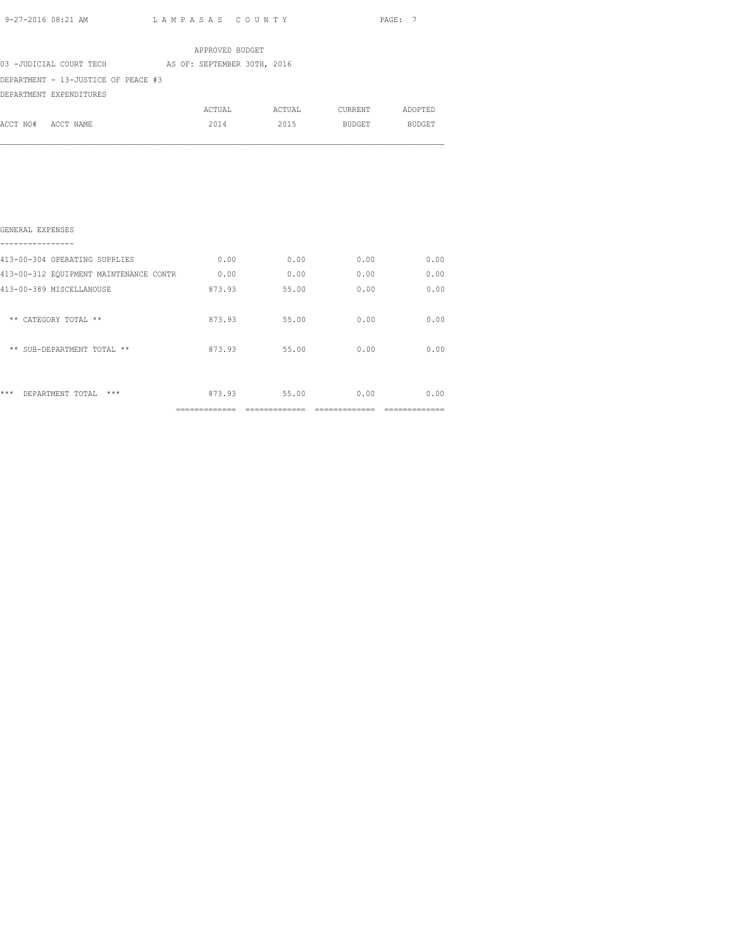|          |                                     | APPROVED BUDGET             |        |         |               |
|----------|-------------------------------------|-----------------------------|--------|---------|---------------|
|          | 03 -JUDICIAL COURT TECH             | AS OF: SEPTEMBER 30TH, 2016 |        |         |               |
|          | DEPARTMENT - 13-JUSTICE OF PEACE #3 |                             |        |         |               |
|          | DEPARTMENT EXPENDITURES             |                             |        |         |               |
|          |                                     | ACTUAL                      | ACTUAL | CURRENT | ADOPTED       |
| ACCT NO# | ACCT NAME                           | 2014                        | 2015   | BUDGET  | <b>BUDGET</b> |
|          |                                     |                             |        |         |               |

| ***<br>$***$<br>DEPARTMENT TOTAL       | 873.93 | 55.00 | 0.00 | 0.00 |
|----------------------------------------|--------|-------|------|------|
| ** SUB-DEPARTMENT TOTAL **             | 873.93 | 55.00 | 0.00 | 0.00 |
| ** CATEGORY TOTAL **                   | 873.93 | 55.00 | 0.00 | 0.00 |
| 413-00-389 MISCELLANOUSE               | 873.93 | 55.00 | 0.00 | 0.00 |
| 413-00-312 EQUIPMENT MAINTENANCE CONTR | 0.00   | 0.00  | 0.00 | 0.00 |
| 413-00-304 OPERATING SUPPLIES          | 0.00   | 0.00  | 0.00 | 0.00 |
| GENERAL EXPENSES                       |        |       |      |      |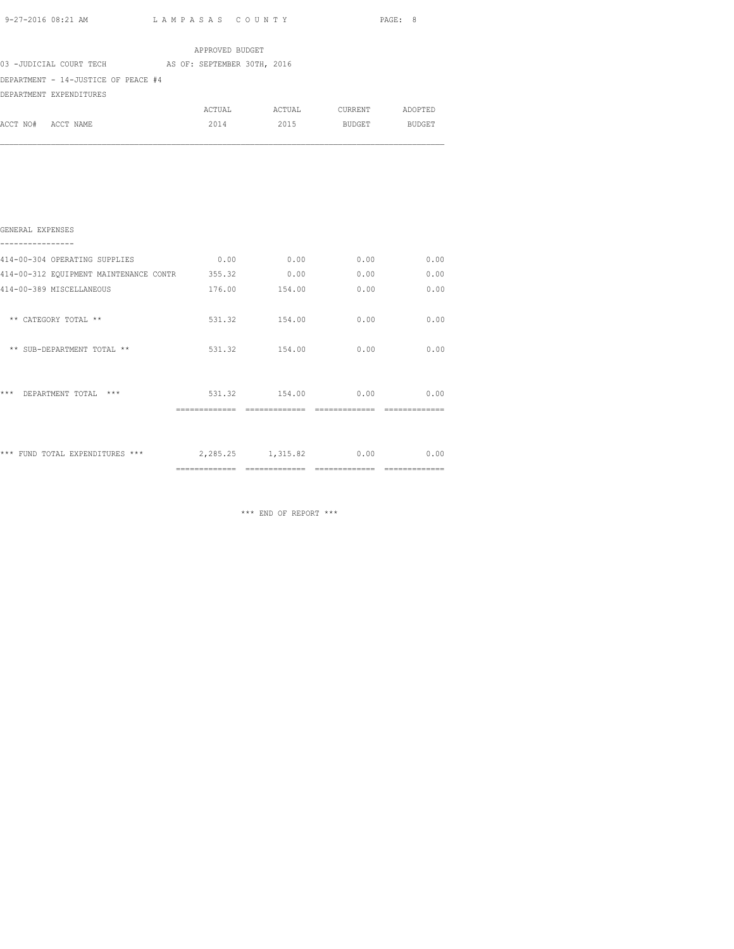|                    |                                     |  | APPROVED BUDGET             |        |         |               |
|--------------------|-------------------------------------|--|-----------------------------|--------|---------|---------------|
|                    | 03 -JUDICIAL COURT TECH             |  | AS OF: SEPTEMBER 30TH, 2016 |        |         |               |
|                    | DEPARTMENT - 14-JUSTICE OF PEACE #4 |  |                             |        |         |               |
|                    | DEPARTMENT EXPENDITURES             |  |                             |        |         |               |
|                    |                                     |  | ACTUAL                      | ACTUAL | CURRENT | ADOPTED       |
| ACCT NO# ACCT NAME |                                     |  | 2014                        | 2015   | BUDGET  | <b>BUDGET</b> |
|                    |                                     |  |                             |        |         |               |
|                    |                                     |  |                             |        |         |               |
|                    |                                     |  |                             |        |         |               |
|                    |                                     |  |                             |        |         |               |

|                                        | =============           | =============     |      |      |
|----------------------------------------|-------------------------|-------------------|------|------|
| *** FUND TOTAL EXPENDITURES ***        |                         | 2,285.25 1,315.82 | 0.00 | 0.00 |
| $***$<br>DEPARTMENT TOTAL              | 531.32<br>============= | 154.00            | 0.00 | 0.00 |
| ** SUB-DEPARTMENT TOTAL **             | 531.32                  | 154.00            | 0.00 | 0.00 |
| ** CATEGORY TOTAL **                   | 531.32                  | 154.00            | 0.00 | 0.00 |
| 414-00-389 MISCELLANEOUS               | 176.00                  | 154.00            | 0.00 | 0.00 |
| 414-00-312 EQUIPMENT MAINTENANCE CONTR | 355.32                  | 0.00              | 0.00 | 0.00 |
| 414-00-304 OPERATING SUPPLIES          | 0.00                    | 0.00              | 0.00 | 0.00 |
| GENERAL EXPENSES                       |                         |                   |      |      |
|                                        |                         |                   |      |      |

\*\*\* END OF REPORT \*\*\*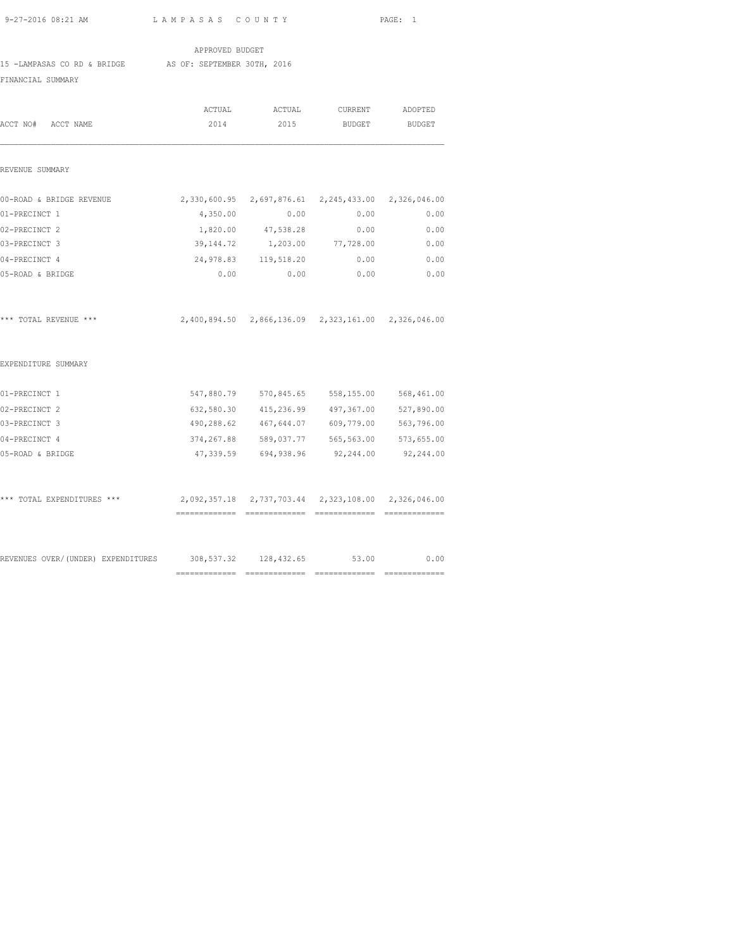APPROVED BUDGET

15 -LAMPASAS CO RD & BRIDGE AS OF: SEPTEMBER 30TH, 2016

FINANCIAL SUMMARY

| ACCT NO# ACCT NAME                                             | ACTUAL<br>2014 | ACTUAL<br>2015                                      | CURRENT<br><b>BUDGET</b> | ADOPTED<br><b>BUDGET</b> |
|----------------------------------------------------------------|----------------|-----------------------------------------------------|--------------------------|--------------------------|
|                                                                |                |                                                     |                          |                          |
| REVENUE SUMMARY                                                |                |                                                     |                          |                          |
| 00-ROAD & BRIDGE REVENUE                                       |                | 2,330,600.95 2,697,876.61 2,245,433.00 2,326,046.00 |                          |                          |
| 01-PRECINCT 1                                                  | 4,350.00       | 0.00                                                | 0.00                     | 0.00                     |
| 02-PRECINCT 2                                                  |                | 1,820.00 47,538.28                                  | 0.00                     | 0.00                     |
| 03-PRECINCT 3                                                  | 39,144.72      | 1,203.00                                            | 77,728.00                | 0.00                     |
| 04-PRECINCT 4                                                  |                | 24,978.83 119,518.20                                | 0.00                     | 0.00                     |
| 05-ROAD & BRIDGE                                               |                | 0.00<br>0.00                                        | 0.00                     | 0.00                     |
| *** TOTAL REVENUE ***                                          |                | 2,400,894.50 2,866,136.09 2,323,161.00 2,326,046.00 |                          |                          |
| EXPENDITURE SUMMARY                                            |                |                                                     |                          |                          |
| 01-PRECINCT 1                                                  | 547,880.79     | 570,845.65                                          |                          | 558, 155.00 568, 461.00  |
| 02-PRECINCT 2                                                  |                | 632,580.30 415,236.99                               |                          | 497,367.00 527,890.00    |
| 03-PRECINCT 3                                                  |                | 490,288.62 467,644.07                               | 609,779.00               | 563,796.00               |
| 04-PRECINCT 4                                                  | 374,267.88     | 589,037.77                                          |                          | 565,563.00 573,655.00    |
| 05-ROAD & BRIDGE                                               |                | 47,339.59 694,938.96                                | 92,244.00                | 92,244.00                |
| *** TOTAL EXPENDITURES ***                                     |                | 2,092,357.18 2,737,703.44 2,323,108.00 2,326,046.00 |                          |                          |
|                                                                |                |                                                     |                          |                          |
| REVENUES OVER/(UNDER) EXPENDITURES 308,537.32 128,432.65 53.00 |                | ===============================                     |                          | 0.00                     |
|                                                                |                |                                                     |                          |                          |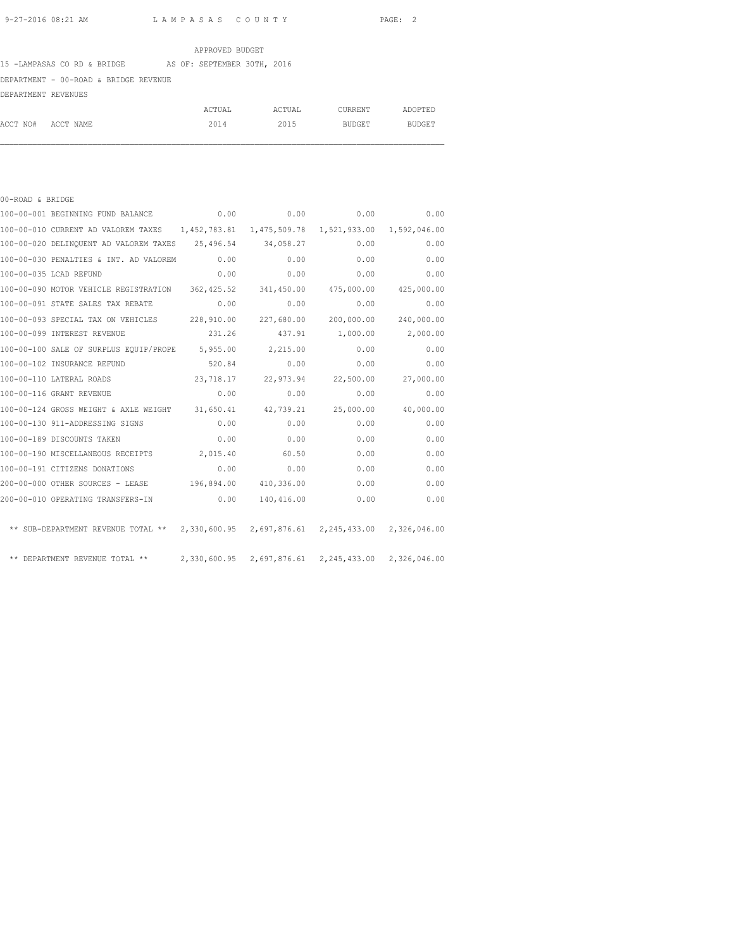#### APPROVED BUDGET

#### 15 -LAMPASAS CO RD & BRIDGE AS OF: SEPTEMBER 30TH, 2016

## DEPARTMENT - 00-ROAD & BRIDGE REVENUE

DEPARTMENT REVENUES

|                    | ACTUAL | ACTUAL | CURRENT | ADOPTED       |
|--------------------|--------|--------|---------|---------------|
| ACCT NO# ACCT NAME | 2014   | 2015   | BUDGET  | <b>BUDGET</b> |

| 00-ROAD & BRIDGE |                                                                                         |           |            |              |                       |
|------------------|-----------------------------------------------------------------------------------------|-----------|------------|--------------|-----------------------|
|                  | 100-00-001 BEGINNING FUND BALANCE                                                       |           | 0.00       | 0.00<br>0.00 | 0.00                  |
|                  | 100-00-010 CURRENT AD VALOREM TAXES 1,452,783.81 1,475,509.78 1,521,933.00 1,592,046.00 |           |            |              |                       |
|                  | 100-00-020 DELINQUENT AD VALOREM TAXES 25,496.54                                        |           | 34,058.27  | 0.00         | 0.00                  |
|                  | 100-00-030 PENALTIES & INT. AD VALOREM                                                  | 0.00      | 0.00       | 0.00         | 0.00                  |
|                  | 100-00-035 LCAD REFUND                                                                  | 0.00      | 0.00       | 0.00         | 0.00                  |
|                  | 100-00-090 MOTOR VEHICLE REGISTRATION 362,425.52                                        |           | 341,450.00 |              | 475,000.00 425,000.00 |
|                  | 100-00-091 STATE SALES TAX REBATE                                                       | 0.00      | 0.00       | 0.00         | 0.00                  |
|                  | 100-00-093 SPECIAL TAX ON VEHICLES 228,910.00                                           |           | 227,680.00 | 200,000.00   | 240,000.00            |
|                  | 100-00-099 INTEREST REVENUE                                                             | 231.26    | 437.91     | 1,000.00     | 2,000.00              |
|                  | 100-00-100 SALE OF SURPLUS EQUIP/PROPE 5,955.00                                         |           | 2,215.00   | 0.00         | 0.00                  |
|                  | 100-00-102 INSURANCE REFUND                                                             | 520.84    | 0.00       | 0.00         | 0.00                  |
|                  | 100-00-110 LATERAL ROADS                                                                | 23,718.17 | 22,973.94  | 22,500.00    | 27,000.00             |
|                  | 100-00-116 GRANT REVENUE                                                                | 0.00      | 0.00       | 0.00         | 0.00                  |
|                  | 100-00-124 GROSS WEIGHT & AXLE WEIGHT 31,650.41                                         |           | 42,739.21  | 25,000.00    | 40,000.00             |
|                  | 100-00-130 911-ADDRESSING SIGNS                                                         | 0.00      | 0.00       | 0.00         | 0.00                  |
|                  | 100-00-189 DISCOUNTS TAKEN                                                              | 0.00      | 0.00       | 0.00         | 0.00                  |
|                  | 100-00-190 MISCELLANEOUS RECEIPTS                                                       | 2,015.40  | 60.50      | 0.00         | 0.00                  |
|                  | 100-00-191 CITIZENS DONATIONS                                                           | 0.00      | 0.00       | 0.00         | 0.00                  |
|                  | 200-00-000 OTHER SOURCES - LEASE 196,894.00 410,336.00                                  |           |            | 0.00         | 0.00                  |
|                  | 200-00-010 OPERATING TRANSFERS-IN                                                       | 0.00      | 140,416.00 | 0.00         | 0.00                  |
|                  | ** SUB-DEPARTMENT REVENUE TOTAL ** 2,330,600.95 2,697,876.61 2,245,433.00 2,326,046.00  |           |            |              |                       |
|                  | ** DEPARTMENT REVENUE TOTAL ** 2,330,600.95 2,697,876.61 2,245,433.00 2,326,046.00      |           |            |              |                       |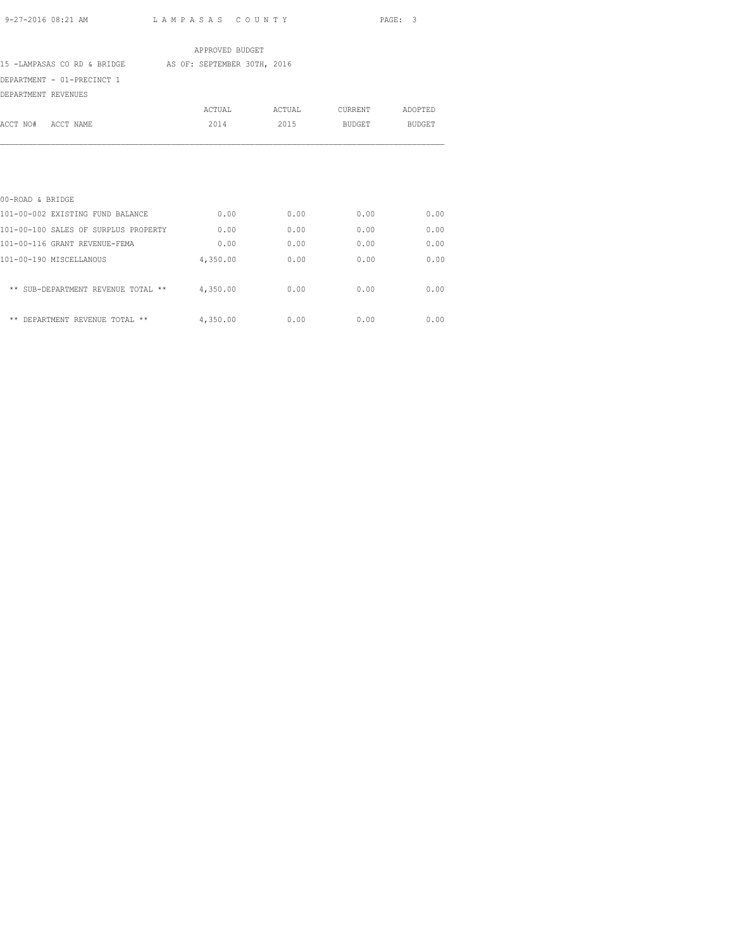# APPROVED BUDGET

15 -LAMPASAS CO RD & BRIDGE AS OF: SEPTEMBER 30TH, 2016

DEPARTMENT - 01-PRECINCT 1

DEPARTMENT REVENUES

| DEFAKIMENI KEVENUES                  |          |        |                |               |
|--------------------------------------|----------|--------|----------------|---------------|
|                                      | ACTUAL   | ACTUAL | <b>CURRENT</b> | ADOPTED       |
| ACCT NO#<br>ACCT NAME                | 2014     | 2015   | <b>BUDGET</b>  | <b>BUDGET</b> |
|                                      |          |        |                |               |
|                                      |          |        |                |               |
|                                      |          |        |                |               |
|                                      |          |        |                |               |
| 00-ROAD & BRIDGE                     |          |        |                |               |
| 101-00-002 EXISTING FUND BALANCE     | 0.00     | 0.00   | 0.00           | 0.00          |
| 101-00-100 SALES OF SURPLUS PROPERTY | 0.00     | 0.00   | 0.00           | 0.00          |
| 101-00-116 GRANT REVENUE-FEMA        | 0.00     | 0.00   | 0.00           | 0.00          |
| 101-00-190 MISCELLANOUS              | 4,350.00 | 0.00   | 0.00           | 0.00          |
|                                      |          |        |                |               |
| ** SUB-DEPARTMENT REVENUE TOTAL **   | 4,350.00 | 0.00   | 0.00           | 0.00          |
| DEPARTMENT REVENUE TOTAL **<br>**    |          | 0.00   | 0.00           |               |
|                                      | 4,350.00 |        |                | 0.00          |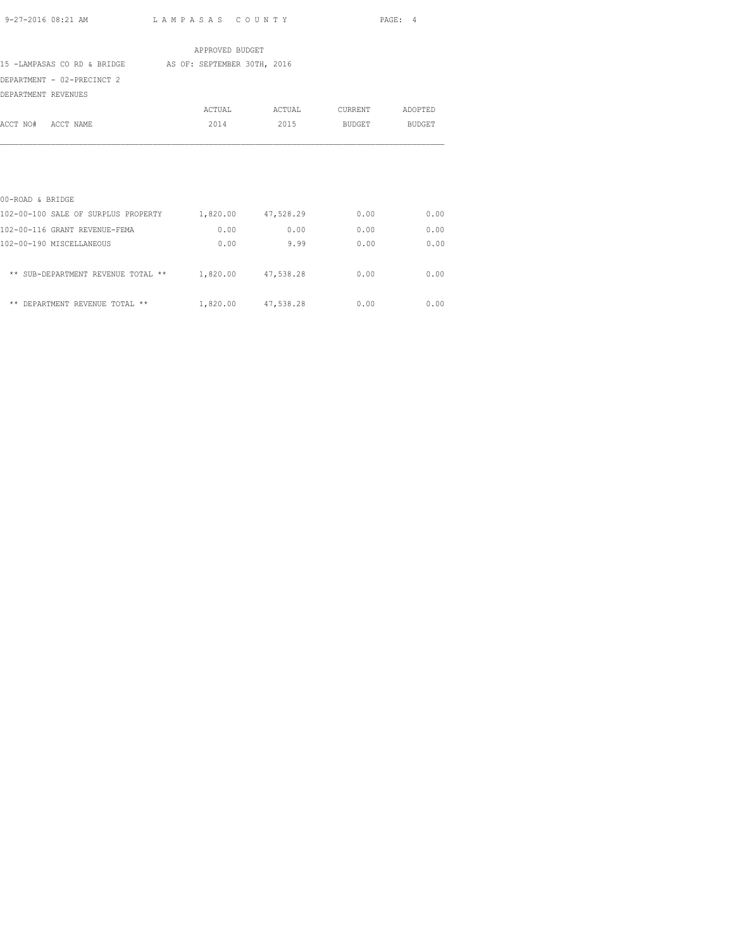APPROVED BUDGET 15 -LAMPASAS CO RD & BRIDGE AS OF: SEPTEMBER 30TH, 2016 DEPARTMENT - 02-PRECINCT 2 DEPARTMENT REVENUES ACTUAL ACTUAL CURRENT ADOPTED ACCT NO# ACCT NAME 2014 2015 BUDGET BUDGET 00-ROAD & BRIDGE 102-00-100 SALE OF SURPLUS PROPERTY 1,820.00 47,528.29 0.00 0.00 102-00-116 GRANT REVENUE-FEMA 0.00 0.00 0.00 0.00 102-00-190 MISCELLANEOUS 0.00 9.99 0.00 0.00 \*\* SUB-DEPARTMENT REVENUE TOTAL \*\* 1,820.00 47,538.28 0.00 0.00

\*\* DEPARTMENT REVENUE TOTAL \*\*  $1,820.00$   $47,538.28$  0.00 0.00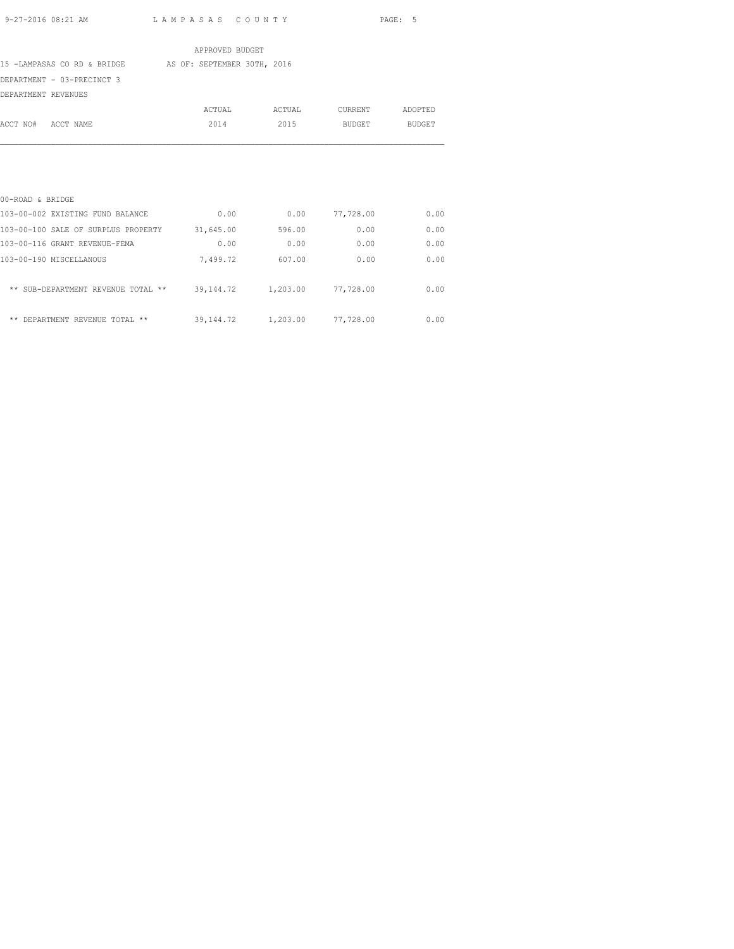|                                               | APPROVED BUDGET             |        |           |               |
|-----------------------------------------------|-----------------------------|--------|-----------|---------------|
| 15 -LAMPASAS CO RD & BRIDGE                   | AS OF: SEPTEMBER 30TH, 2016 |        |           |               |
| DEPARTMENT - 03-PRECINCT 3                    |                             |        |           |               |
| DEPARTMENT REVENUES                           |                             |        |           |               |
|                                               | ACTUAL                      | ACTUAL | CURRENT   | ADOPTED       |
| ACCT NO# ACCT NAME                            | 2014                        | 2015   | BUDGET    | <b>BUDGET</b> |
|                                               |                             |        |           |               |
|                                               |                             |        |           |               |
|                                               |                             |        |           |               |
|                                               |                             |        |           |               |
| 00-ROAD & BRIDGE                              |                             |        |           |               |
| 103-00-002 EXISTING FUND BALANCE              | 0.00                        | 0.00   | 77,728.00 | 0.00          |
| 103-00-100 SALE OF SURPLUS PROPERTY 31,645.00 |                             | 596.00 | 0.00      | 0.00          |
| 103-00-116 GRANT REVENUE-FEMA                 | 0.00                        | 0.00   | 0.00      | 0.00          |
| 103-00-190 MISCELLANOUS                       | 7,499.72                    | 607.00 | 0.00      | 0.00          |

| ** SUB-DEPARTMENT REVENUE TOTAL ** | 39,144.72 | 1,203.00 77,728.00    | 0.00 |
|------------------------------------|-----------|-----------------------|------|
| ** DEPARTMENT REVENUE TOTAL **     | 39,144.72 | 1,203.00<br>77,728.00 | 0.00 |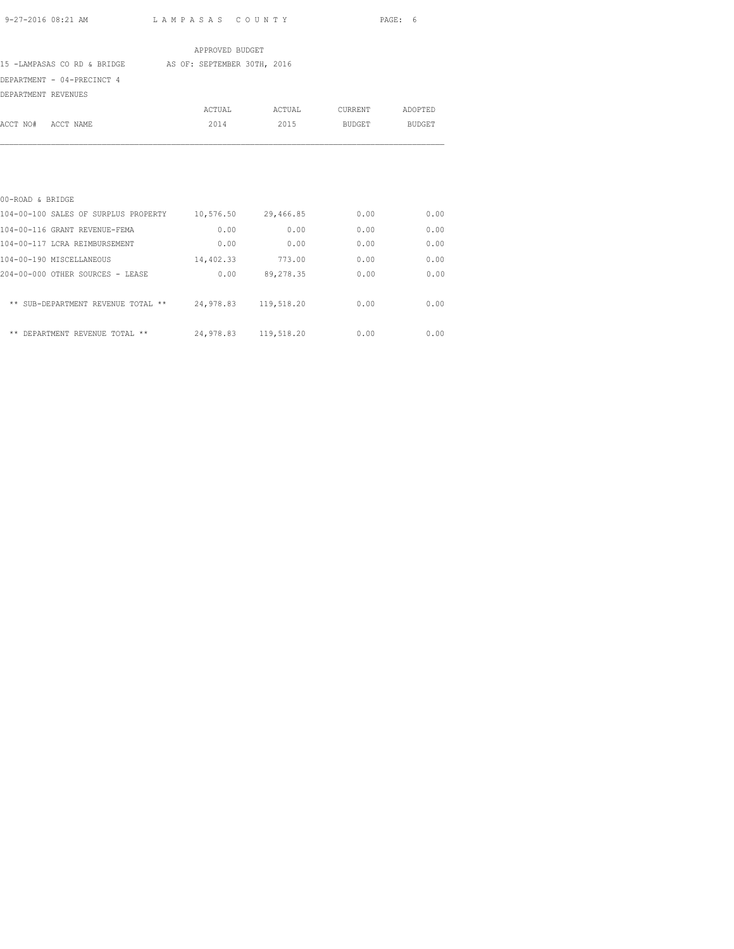APPROVED BUDGET 15 -LAMPASAS CO RD & BRIDGE AS OF: SEPTEMBER 30TH, 2016 DEPARTMENT - 04-PRECINCT 4 DEPARTMENT REVENUES ACTUAL ACTUAL CURRENT ADOPTED ACCT NO# ACCT NAME 2014 2015 BUDGET BUDGET

| 00-ROAD & BRIDGE                         |           |            |      |      |
|------------------------------------------|-----------|------------|------|------|
| 104-00-100 SALES OF SURPLUS PROPERTY     | 10,576.50 | 29,466.85  | 0.00 | 0.00 |
| 104-00-116 GRANT REVENUE-FEMA            | 0.00      | 0.00       | 0.00 | 0.00 |
| 104-00-117 LCRA REIMBURSEMENT            | 0.00      | 0.00       | 0.00 | 0.00 |
| 104-00-190 MISCELLANEOUS                 | 14,402.33 | 773.00     | 0.00 | 0.00 |
| 204-00-000 OTHER SOURCES - LEASE         | 0.00      | 89, 278.35 | 0.00 | 0.00 |
| ** SUB-DEPARTMENT REVENUE TOTAL<br>$***$ | 24,978.83 | 119,518.20 | 0.00 | 0.00 |
| **<br>DEPARTMENT REVENUE TOTAL **        | 24,978.83 | 119,518.20 | 0.00 | 0.00 |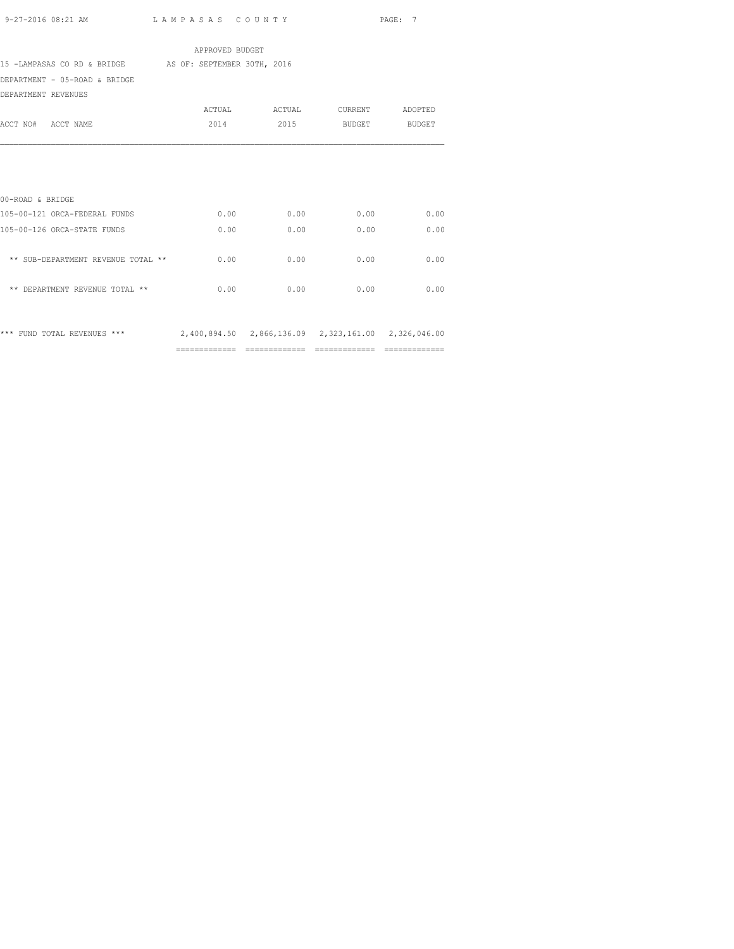|                                                                                 | APPROVED BUDGET |                               |                    |      |
|---------------------------------------------------------------------------------|-----------------|-------------------------------|--------------------|------|
| 15 -LAMPASAS CO RD & BRIDGE AS OF: SEPTEMBER 30TH, 2016                         |                 |                               |                    |      |
| DEPARTMENT - 05-ROAD & BRIDGE                                                   |                 |                               |                    |      |
| DEPARTMENT REVENUES                                                             |                 |                               |                    |      |
|                                                                                 |                 | ACTUAL ACTUAL CURRENT ADOPTED |                    |      |
| ACCT NO# ACCT NAME                                                              | 2014            |                               | 2015 BUDGET BUDGET |      |
|                                                                                 |                 |                               |                    |      |
|                                                                                 |                 |                               |                    |      |
|                                                                                 |                 |                               |                    |      |
|                                                                                 |                 |                               |                    |      |
| 00-ROAD & BRIDGE                                                                |                 |                               |                    |      |
| 105-00-121 ORCA-FEDERAL FUNDS                                                   | 0.00            | 0.00                          | 0.00               | 0.00 |
| 105-00-126 ORCA-STATE FUNDS                                                     | 0.00            | 0.00                          | 0.00               | 0.00 |
|                                                                                 |                 |                               |                    |      |
| ** SUB-DEPARTMENT REVENUE TOTAL **                                              | 0.00            | 0.00                          | 0.00               | 0.00 |
|                                                                                 |                 |                               |                    |      |
| ** DEPARTMENT REVENUE TOTAL **                                                  | 0.00            | 0.00                          | 0.00               | 0.00 |
|                                                                                 |                 |                               |                    |      |
|                                                                                 |                 |                               |                    |      |
| *** FUND TOTAL REVENUES *** 2,400,894.50 2,866,136.09 2,323,161.00 2,326,046.00 |                 |                               |                    |      |
|                                                                                 |                 |                               |                    |      |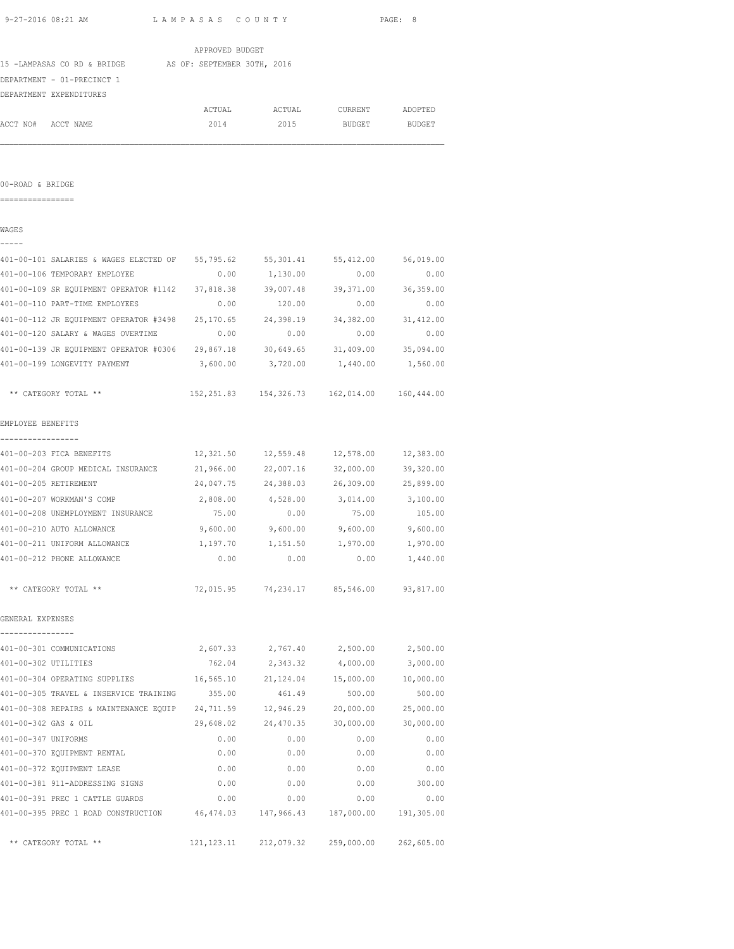|                                                                                |                 |                                                    |                        | PAGE: 8    |
|--------------------------------------------------------------------------------|-----------------|----------------------------------------------------|------------------------|------------|
|                                                                                | APPROVED BUDGET |                                                    |                        |            |
| 15 -LAMPASAS CO RD & BRIDGE AS OF: SEPTEMBER 30TH, 2016                        |                 |                                                    |                        |            |
| DEPARTMENT - 01-PRECINCT 1                                                     |                 |                                                    |                        |            |
| DEPARTMENT EXPENDITURES                                                        |                 |                                                    |                        |            |
|                                                                                | ACTUAL          |                                                    | ACTUAL CURRENT ADOPTED |            |
| ACCT NO# ACCT NAME                                                             | 2014            | 2015                                               | BUDGET                 | BUDGET     |
|                                                                                |                 |                                                    |                        |            |
| 00-ROAD & BRIDGE                                                               |                 |                                                    |                        |            |
|                                                                                |                 |                                                    |                        |            |
| WAGES                                                                          |                 |                                                    |                        |            |
| 401-00-101 SALARIES & WAGES ELECTED OF 55,795.62 55,301.41 55,412.00 56,019.00 |                 |                                                    |                        |            |
| 401-00-106 TEMPORARY EMPLOYEE                                                  |                 | $0.00$ $1,130.00$                                  | 0.00                   | 0.00       |
| 401-00-109 SR EQUIPMENT OPERATOR #1142 37,818.38 39,007.48 39,371.00 36,359.00 |                 |                                                    |                        |            |
| 401-00-110 PART-TIME EMPLOYEES                                                 | 0.00            | 120.00                                             | 0.00                   | 0.00       |
| 401-00-112 JR EQUIPMENT OPERATOR #3498 25,170.65 24,398.19                     |                 |                                                    | 34, 382.00 31, 412.00  |            |
| 401-00-120 SALARY & WAGES OVERTIME                                             | 0.00            | 0.00                                               | 0.00                   | 0.00       |
| 401-00-139 JR EQUIPMENT OPERATOR #0306 29,867.18 30,649.65 31,409.00 35,094.00 |                 |                                                    |                        |            |
| 401-00-199 LONGEVITY PAYMENT                                                   |                 | 3,600.00 3,720.00 1,440.00 1,560.00                |                        |            |
| ** CATEGORY TOTAL **                                                           |                 | 152, 251.83  154, 326.73  162, 014.00  160, 444.00 |                        |            |
| EMPLOYEE BENEFITS                                                              |                 |                                                    |                        |            |
| -----------------<br>401-00-203 FICA BENEFITS                                  |                 | 12,321.50  12,559.48  12,578.00  12,383.00         |                        |            |
| 401-00-204 GROUP MEDICAL INSURANCE                                             |                 | 21,966.00 22,007.16                                | 32,000.00 39,320.00    |            |
| 401-00-205 RETIREMENT                                                          | 24,047.75       | 24,388.03                                          | 26,309.00              | 25,899.00  |
| 401-00-207 WORKMAN'S COMP                                                      | 2,808.00        | 4,528.00                                           | 3,014.00               | 3,100.00   |
| 401-00-208 UNEMPLOYMENT INSURANCE                                              | 75.00           | 0.00                                               | 75.00                  | 105.00     |
| 401-00-210 AUTO ALLOWANCE                                                      |                 | $9,600.00$ $9,600.00$ $9,600.00$ $9,600.00$        |                        |            |
| 401-00-211 UNIFORM ALLOWANCE                                                   | 1,197.70        |                                                    | 1,151.50 1,970.00      | 1,970.00   |
| 401-00-212 PHONE ALLOWANCE                                                     | 0.00            | 0.00                                               | 0.00                   | 1,440.00   |
| ** CATEGORY TOTAL **                                                           |                 | 72,015.95 74,234.17 85,546.00 93,817.00            |                        |            |
| GENERAL EXPENSES                                                               |                 |                                                    |                        |            |
| 401-00-301 COMMUNICATIONS                                                      |                 | 2,607.33 2,767.40                                  | 2,500.00               | 2,500.00   |
| 401-00-302 UTILITIES                                                           | 762.04          | 2,343.32                                           | 4,000.00               | 3,000.00   |
| 401-00-304 OPERATING SUPPLIES                                                  | 16,565.10       | 21,124.04                                          | 15,000.00              | 10,000.00  |
| 401-00-305 TRAVEL & INSERVICE TRAINING                                         | 355.00          | 461.49                                             | 500.00                 | 500.00     |
| 401-00-308 REPAIRS & MAINTENANCE EQUIP 24,711.59                               |                 |                                                    | 12,946.29 20,000.00    | 25,000.00  |
| 401-00-342 GAS & OIL                                                           | 29,648.02       | 24,470.35                                          | 30,000.00              | 30,000.00  |
| 401-00-347 UNIFORMS                                                            | 0.00            | 0.00                                               | 0.00                   | 0.00       |
| 401-00-370 EQUIPMENT RENTAL                                                    | 0.00            | 0.00                                               | 0.00                   | 0.00       |
| 401-00-372 EQUIPMENT LEASE                                                     | 0.00            | 0.00                                               | 0.00                   | 0.00       |
| 401-00-381 911-ADDRESSING SIGNS                                                | 0.00            | 0.00                                               | 0.00                   | 300.00     |
| 401-00-391 PREC 1 CATTLE GUARDS                                                | 0.00            | 0.00                                               | 0.00                   | 0.00       |
| 401-00-395 PREC 1 ROAD CONSTRUCTION 46,474.03                                  |                 | 147,966.43                                         | 187,000.00             | 191,305.00 |

\*\* CATEGORY TOTAL \*\* 121,123.11 212,079.32 259,000.00 262,605.00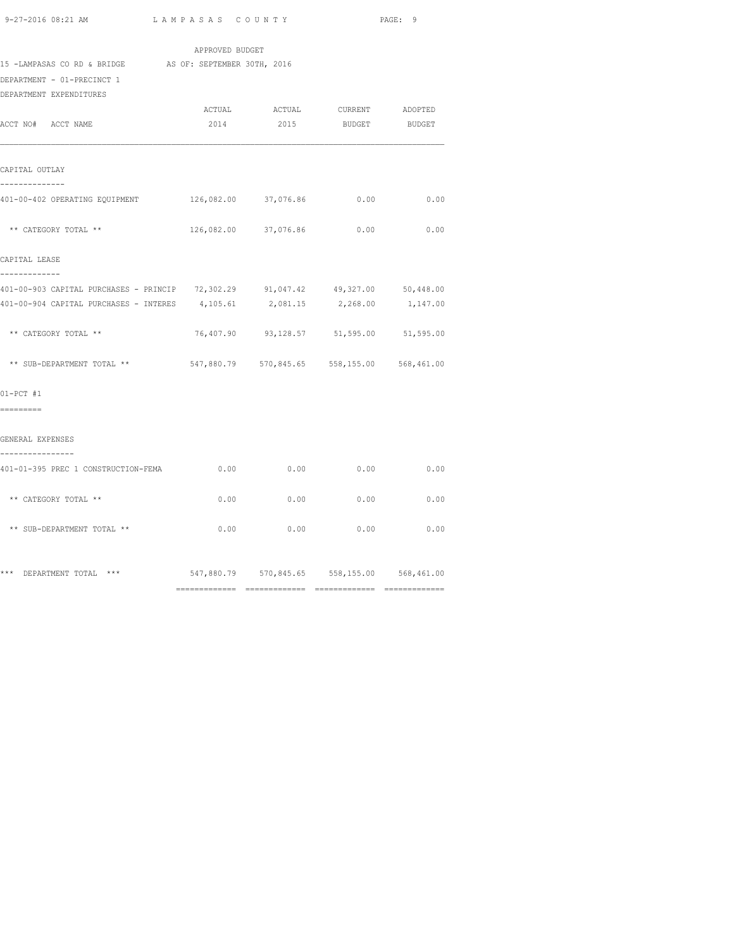| APPROVED BUDGET                                                                                 |        |                                             |                        |               |  |  |  |
|-------------------------------------------------------------------------------------------------|--------|---------------------------------------------|------------------------|---------------|--|--|--|
| 15 -LAMPASAS CO RD & BRIDGE AS OF: SEPTEMBER 30TH, 2016                                         |        |                                             |                        |               |  |  |  |
| DEPARTMENT - 01-PRECINCT 1                                                                      |        |                                             |                        |               |  |  |  |
| DEPARTMENT EXPENDITURES                                                                         |        |                                             |                        |               |  |  |  |
|                                                                                                 | ACTUAL |                                             | ACTUAL CURRENT ADOPTED |               |  |  |  |
| ACCT NO# ACCT NAME                                                                              | 2014   | 2015                                        | <b>BUDGET</b>          | <b>BUDGET</b> |  |  |  |
| CAPITAL OUTLAY<br>--------------                                                                |        |                                             |                        |               |  |  |  |
| 401-00-402 OPERATING EQUIPMENT 126,082.00 37,076.86 0.00                                        |        |                                             |                        | 0.00          |  |  |  |
| ** CATEGORY TOTAL **                                                                            |        | 126,082.00 37,076.86 0.00 0.00              |                        |               |  |  |  |
| CAPITAL LEASE                                                                                   |        |                                             |                        |               |  |  |  |
| -------------<br>401-00-903 CAPITAL PURCHASES - PRINCIP 72,302.29 91,047.42 49,327.00 50,448.00 |        |                                             |                        |               |  |  |  |
| 401-00-904 CAPITAL PURCHASES - INTERES 4, 105.61 2, 081.15 2, 268.00 1, 147.00                  |        |                                             |                        |               |  |  |  |
| ** CATEGORY TOTAL **                                                                            |        | 76,407.90 93,128.57 51,595.00 51,595.00     |                        |               |  |  |  |
| ** SUB-DEPARTMENT TOTAL **                                                                      |        | 547,880.79 570,845.65 558,155.00 568,461.00 |                        |               |  |  |  |
| $01-PCT$ #1                                                                                     |        |                                             |                        |               |  |  |  |
| =========                                                                                       |        |                                             |                        |               |  |  |  |
| GENERAL EXPENSES<br>----------------                                                            |        |                                             |                        |               |  |  |  |
| 401-01-395 PREC 1 CONSTRUCTION-FEMA                                                             | 0.00   | 0.00                                        | 0.00                   | 0.00          |  |  |  |
| ** CATEGORY TOTAL **                                                                            | 0.00   | 0.00                                        | 0.00                   | 0.00          |  |  |  |
| ** SUB-DEPARTMENT TOTAL **                                                                      |        | $0.00$ 0.00 0.00                            |                        | 0.00          |  |  |  |
| *** DEPARTMENT TOTAL ***                                                                        |        | 547,880.79 570,845.65 558,155.00 568,461.00 |                        |               |  |  |  |

============= ============= ============= =============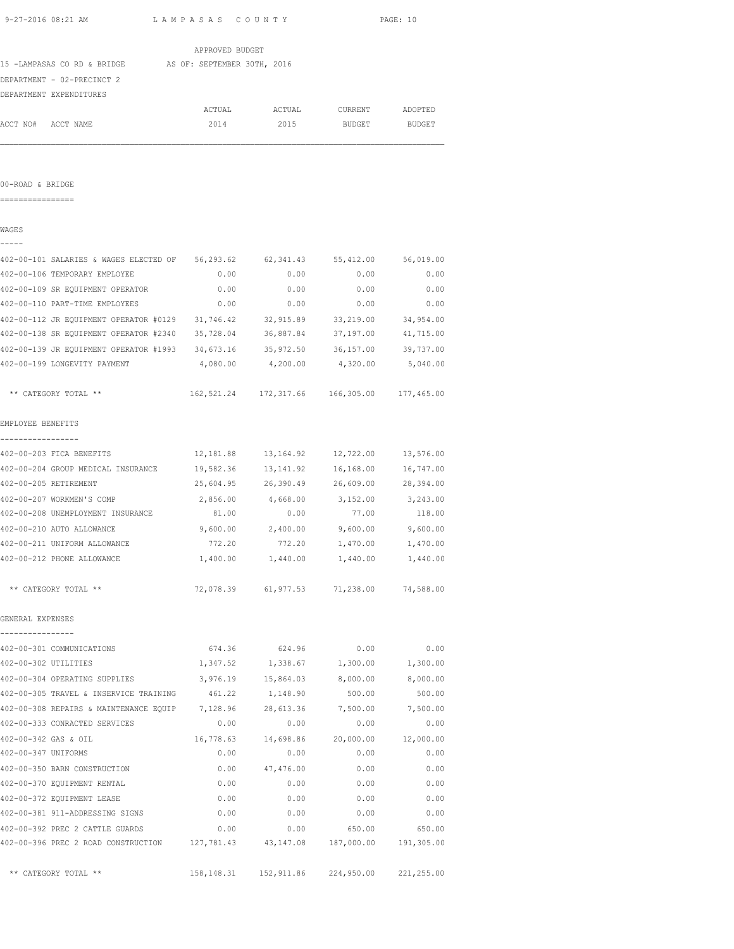| 9-27-2016 08:21 AM                                                             | LAMPASAS COUNTY                                 |                                             |                                      | PAGE: 10     |
|--------------------------------------------------------------------------------|-------------------------------------------------|---------------------------------------------|--------------------------------------|--------------|
|                                                                                | APPROVED BUDGET                                 |                                             |                                      |              |
| 15 -LAMPASAS CO RD & BRIDGE AS OF: SEPTEMBER 30TH, 2016                        |                                                 |                                             |                                      |              |
| DEPARTMENT - 02-PRECINCT 2                                                     |                                                 |                                             |                                      |              |
| DEPARTMENT EXPENDITURES                                                        |                                                 |                                             |                                      |              |
|                                                                                |                                                 | ACTUAL ACTUAL CURRENT ADOPTED               |                                      |              |
| ACCT NO# ACCT NAME                                                             | 2014                                            |                                             | 2015 BUDGET BUDGET                   |              |
|                                                                                |                                                 |                                             |                                      |              |
| 00-ROAD & BRIDGE                                                               |                                                 |                                             |                                      |              |
| ================                                                               |                                                 |                                             |                                      |              |
| WAGES<br>-----                                                                 |                                                 |                                             |                                      |              |
| 402-00-101 SALARIES & WAGES ELECTED OF 56,293.62 62,341.43 55,412.00 56,019.00 |                                                 |                                             |                                      |              |
| 402-00-106 TEMPORARY EMPLOYEE                                                  |                                                 | $0.00$ $0.00$ $0.00$ $0.00$ $0.00$          |                                      |              |
| 402-00-109 SR EQUIPMENT OPERATOR 6 0.00 0.00 0.00 0.00 0.00 0.00               |                                                 |                                             |                                      |              |
|                                                                                |                                                 |                                             |                                      |              |
| 402-00-112 JR EQUIPMENT OPERATOR #0129 31,746.42 32,915.89 33,219.00 34,954.00 |                                                 |                                             |                                      |              |
| 402-00-138 SR EQUIPMENT OPERATOR #2340 35,728.04                               |                                                 | 36,887.84                                   | 37,197.00                            | 41,715.00    |
| 402-00-139 JR EQUIPMENT OPERATOR #1993 34,673.16                               |                                                 | 35,972.50                                   | 36,157.00 39,737.00                  |              |
| 402-00-199 LONGEVITY PAYMENT                                                   | 4,080.00                                        | 4,200.00                                    | 4,320.00                             | 5,040.00     |
| ** CATEGORY TOTAL **                                                           |                                                 | 162,521.24 172,317.66 166,305.00 177,465.00 |                                      |              |
| EMPLOYEE BENEFITS                                                              |                                                 |                                             |                                      |              |
| -----------------<br>402-00-203 FICA BENEFITS                                  | $12,181.88$ $13,164.92$ $12,722.00$ $13,576.00$ |                                             |                                      |              |
| 402-00-204 GROUP MEDICAL INSURANCE 19,582.36                                   |                                                 |                                             | 13, 141.92   16, 168.00   16, 747.00 |              |
| 402-00-205 RETIREMENT                                                          |                                                 | 25,604.95 26,390.49 26,609.00 28,394.00     |                                      |              |
| 402-00-207 WORKMEN'S COMP                                                      |                                                 | 2,856.00 4,668.00                           | 3,152.00                             | 3,243.00     |
| 402-00-208 UNEMPLOYMENT INSURANCE                                              | 81.00                                           | 0.00                                        | 77.00                                | 118.00       |
| 402-00-210 AUTO ALLOWANCE                                                      |                                                 | $9,600.00$ 2,400.00                         | 9,600.00                             | 9,600.00     |
| 402-00-211 UNIFORM ALLOWANCE                                                   | 772.20                                          | 772.20                                      | 1,470.00                             | 1,470.00     |
| 402-00-212 PHONE ALLOWANCE                                                     |                                                 | 1,400.00 1,440.00 1,440.00                  |                                      | 1,440.00     |
| ** CATEGORY TOTAL **                                                           |                                                 | 72,078.39 61,977.53 71,238.00 74,588.00     |                                      |              |
| GENERAL EXPENSES                                                               |                                                 |                                             |                                      |              |
| ----------------<br>402-00-301 COMMUNICATIONS                                  |                                                 | 674.36 624.96                               | 0.00                                 | 0.00         |
| 402-00-302 UTILITIES                                                           |                                                 | 1,347.52 1,338.67                           | 1,300.00                             | 1,300.00     |
| 402-00-304 OPERATING SUPPLIES                                                  |                                                 | 3,976.19 15,864.03 8,000.00                 |                                      | 8,000.00     |
| 402-00-305 TRAVEL & INSERVICE TRAINING                                         | 461.22                                          | 1,148.90                                    | 500.00                               | 500.00       |
| 402-00-308 REPAIRS & MAINTENANCE EQUIP 7,128.96                                |                                                 | 28,613.36                                   | 7,500.00                             | 7,500.00     |
| 402-00-333 CONRACTED SERVICES                                                  | 0.00                                            | 0.00                                        | 0.00                                 | 0.00         |
| 402-00-342 GAS & OIL                                                           | 16,778.63                                       |                                             | 14,698.86 20,000.00                  | 12,000.00    |
| 402-00-347 UNIFORMS                                                            | 0.00                                            | 0.00                                        | 0.00                                 | 0.00         |
| 402-00-350 BARN CONSTRUCTION                                                   | 0.00                                            | 47,476.00                                   | 0.00                                 | 0.00         |
| 402-00-370 EQUIPMENT RENTAL                                                    | 0.00                                            | 0.00                                        | 0.00                                 | 0.00         |
|                                                                                |                                                 |                                             |                                      |              |
| 402-00-372 EQUIPMENT LEASE<br>402-00-381 911-ADDRESSING SIGNS                  | 0.00                                            | 0.00                                        | 0.00<br>$0.00$ 0.00                  | 0.00<br>0.00 |
|                                                                                | 0.00                                            |                                             |                                      |              |
| 402-00-392 PREC 2 CATTLE GUARDS                                                | 0.00                                            | 0.00                                        | 650.00                               | 650.00       |

402-00-396 PREC 2 ROAD CONSTRUCTION 127,781.43 43,147.08 187,000.00 191,305.00

\*\* CATEGORY TOTAL \*\* 158,148.31 152,911.86 224,950.00 221,255.00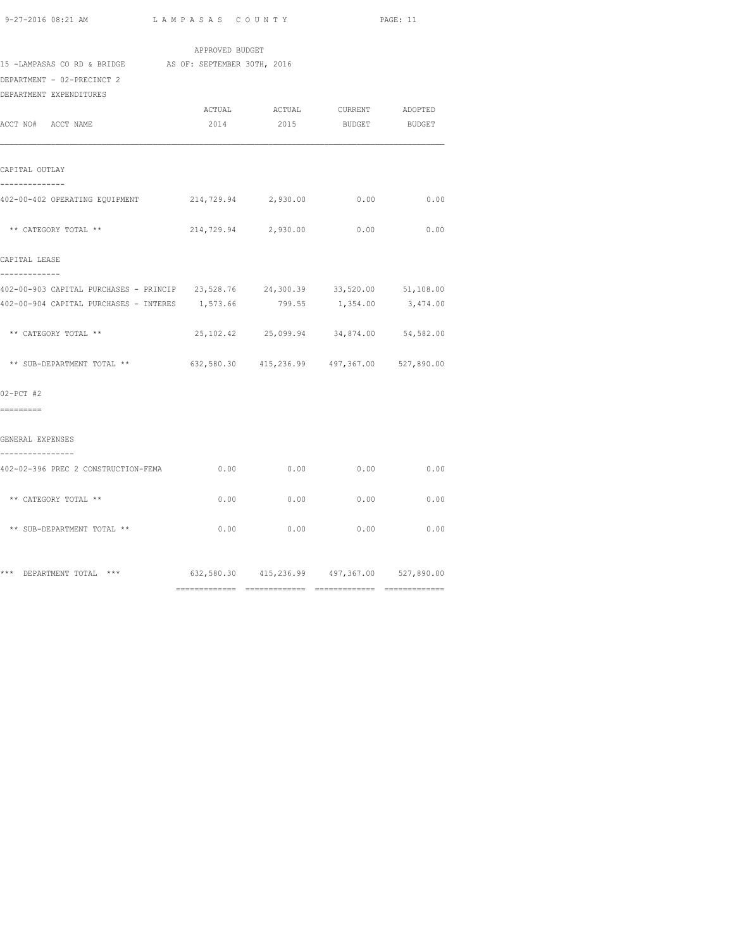| 15 -LAMPASAS CO RD & BRIDGE AS OF: SEPTEMBER 30TH, 2016<br>DEPARTMENT - 02-PRECINCT 2<br>DEPARTMENT EXPENDITURES | APPROVED BUDGET |          |                                             |               |
|------------------------------------------------------------------------------------------------------------------|-----------------|----------|---------------------------------------------|---------------|
|                                                                                                                  | ACTUAL          | ACTUAL   | CURRENT                                     | ADOPTED       |
| ACCT NO# ACCT NAME                                                                                               | 2014            | 2015     | <b>BUDGET</b>                               | <b>BUDGET</b> |
| CAPITAL OUTLAY<br>--------------                                                                                 |                 |          |                                             |               |
| 402-00-402 OPERATING EQUIPMENT                                                                                   | 214,729.94      | 2,930.00 | 0.00                                        | 0.00          |
| ** CATEGORY TOTAL **                                                                                             | 214,729.94      | 2,930.00 | 0.00                                        | 0.00          |
| CAPITAL LEASE<br>-------------                                                                                   |                 |          |                                             |               |
| 402-00-903 CAPITAL PURCHASES - PRINCIP 23,528.76 24,300.39 33,520.00 51,108.00                                   |                 |          |                                             |               |
| 402-00-904 CAPITAL PURCHASES - INTERES                                                                           | 1,573.66        | 799.55   | 1,354.00                                    | 3,474.00      |
| ** CATEGORY TOTAL **                                                                                             |                 |          | 25, 102.42 25, 099.94 34, 874.00 54, 582.00 |               |
| ** SUB-DEPARTMENT TOTAL **                                                                                       |                 |          | 632,580.30 415,236.99 497,367.00 527,890.00 |               |
| $02-PCT$ #2<br>=========                                                                                         |                 |          |                                             |               |
| GENERAL EXPENSES<br>----------------                                                                             |                 |          |                                             |               |
| 402-02-396 PREC 2 CONSTRUCTION-FEMA                                                                              |                 | 0.00     | $0.00$ 0.00                                 | 0.00          |
| ** CATEGORY TOTAL **                                                                                             | 0.00            |          | 0.00<br>0.00                                | 0.00          |
| ** SUB-DEPARTMENT TOTAL **                                                                                       | 0.00            | 0.00     | 0.00                                        | 0.00          |
| *** DEPARTMENT TOTAL ***                                                                                         |                 |          | 632,580.30 415,236.99 497,367.00 527,890.00 |               |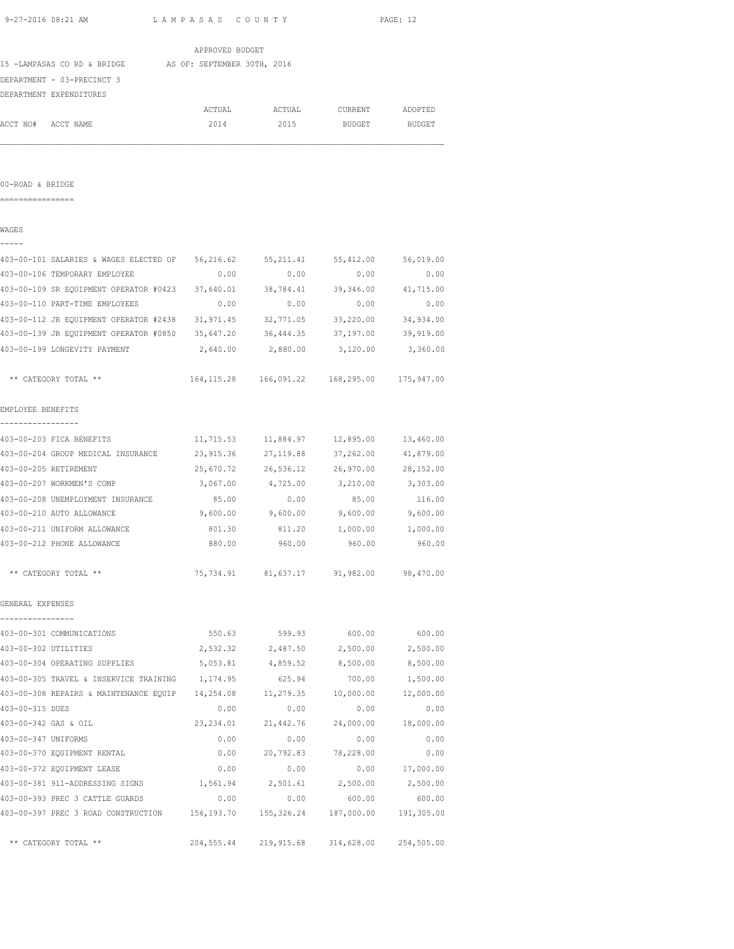| 9-27-2016 08:21 AM                                                             | LAMPASAS COUNTY |                                                       |                                  | PAGE: 12         |
|--------------------------------------------------------------------------------|-----------------|-------------------------------------------------------|----------------------------------|------------------|
|                                                                                | APPROVED BUDGET |                                                       |                                  |                  |
| 15 -LAMPASAS CO RD & BRIDGE AS OF: SEPTEMBER 30TH, 2016                        |                 |                                                       |                                  |                  |
| DEPARTMENT - 03-PRECINCT 3                                                     |                 |                                                       |                                  |                  |
| DEPARTMENT EXPENDITURES                                                        |                 |                                                       |                                  |                  |
|                                                                                | ACTUAL          | ACTUAL                                                | CURRENT                          | ADOPTED          |
| ACCT NO# ACCT NAME                                                             | 2014            | 2015                                                  | <b>BUDGET</b>                    | BUDGET           |
|                                                                                |                 |                                                       |                                  |                  |
| 00-ROAD & BRIDGE                                                               |                 |                                                       |                                  |                  |
| =================                                                              |                 |                                                       |                                  |                  |
| WAGES<br>-----                                                                 |                 |                                                       |                                  |                  |
| 403-00-101 SALARIES & WAGES ELECTED OF 56,216.62 55,211.41 55,412.00 56,019.00 |                 |                                                       |                                  |                  |
| 403-00-106 TEMPORARY EMPLOYEE                                                  | 0.00            | 0.00                                                  | 0.00                             | 0.00             |
| 403-00-109 SR EQUIPMENT OPERATOR #0423 37,640.01                               |                 |                                                       | 38,784.41 39,346.00 41,715.00    |                  |
| 403-00-110 PART-TIME EMPLOYEES                                                 | 0.00            | 0.00                                                  | 0.00                             | 0.00             |
| 403-00-112 JR EQUIPMENT OPERATOR #2438                                         | 31,971.45       | 32,771.05                                             | 33,220.00                        | 34,934.00        |
| 403-00-139 JR EQUIPMENT OPERATOR #0850 35,647.20                               |                 | 36,444.35                                             | 37,197.00                        | 39,919.00        |
| 403-00-199 LONGEVITY PAYMENT                                                   |                 | 2,640.00 2,880.00                                     | 3,120.00                         | 3,360.00         |
| ** CATEGORY TOTAL **                                                           |                 | 164, 115.28   166, 091.22   168, 295.00   175, 947.00 |                                  |                  |
| EMPLOYEE BENEFITS                                                              |                 |                                                       |                                  |                  |
| . <u>.</u> .<br>403-00-203 FICA BENEFITS                                       |                 | 11,715.53  11,884.97  12,895.00  13,460.00            |                                  |                  |
| 403-00-204 GROUP MEDICAL INSURANCE 23,915.36                                   |                 |                                                       | 27, 119.88 37, 262.00 41, 879.00 |                  |
| 403-00-205 RETIREMENT                                                          | 25,670.72       | 26,536.12                                             | 26,970.00 28,152.00              |                  |
| 403-00-207 WORKMEN'S COMP                                                      | 3,067.00        | 4,725.00                                              | 3,210.00                         | 3,303.00         |
| 403-00-208 UNEMPLOYMENT INSURANCE                                              | 85.00           | 0.00                                                  | 85.00                            | 116.00           |
| 403-00-210 AUTO ALLOWANCE                                                      | 9,600.00        | 9,600.00                                              | 9,600.00                         | 9,600.00         |
| 403-00-211 UNIFORM ALLOWANCE                                                   | 801.30          | 811.20                                                | 1,000.00                         | 1,000.00         |
| 403-00-212 PHONE ALLOWANCE                                                     | 880.00          | 960.00                                                | 960.00                           | 960.00           |
| ** CATEGORY TOTAL **                                                           |                 | 75, 734.91 81, 637.17 91, 982.00 98, 470.00           |                                  |                  |
| GENERAL EXPENSES                                                               |                 |                                                       |                                  |                  |
| -----------------<br>403-00-301 COMMUNICATIONS                                 |                 | 550.63 599.93                                         | 600.00                           | 600.00           |
| 403-00-302 UTILITIES                                                           |                 | 2,532.32 2,487.50 2,500.00                            |                                  | 2,500.00         |
| 403-00-304 OPERATING SUPPLIES                                                  | 5,053.81        | 4,859.52                                              | 8,500.00                         | 8,500.00         |
| 403-00-305 TRAVEL & INSERVICE TRAINING 1,174.95                                |                 | 625.94                                                | 700.00                           | 1,500.00         |
| 403-00-308 REPAIRS & MAINTENANCE EQUIP 14,254.08                               |                 |                                                       | 11,279.35 10,000.00              | 12,000.00        |
| 403-00-315 DUES                                                                | 0.00            | 0.00                                                  | 0.00                             | 0.00             |
| 403-00-342 GAS & OIL                                                           | 23, 234.01      | 21,442.76                                             | 24,000.00                        | 18,000.00        |
| 403-00-347 UNIFORMS                                                            | 0.00            | 0.00                                                  | 0.00                             | 0.00             |
| 403-00-370 EQUIPMENT RENTAL                                                    | 0.00            |                                                       | 20,792.83 78,228.00              | 0.00             |
| 403-00-372 EQUIPMENT LEASE                                                     | 0.00            | 0.00                                                  |                                  | $0.00$ 17,000.00 |
|                                                                                |                 |                                                       |                                  |                  |
| 403-00-393 PREC 3 CATTLE GUARDS                                                | 0.00            |                                                       | $0.00$ 600.00                    | 600.00           |
| 403-00-397 PREC 3 ROAD CONSTRUCTION 156,193.70                                 |                 |                                                       | 155,326.24 187,000.00            | 191,305.00       |

\*\* CATEGORY TOTAL \*\* 204,555.44 219,915.68 314,628.00 254,505.00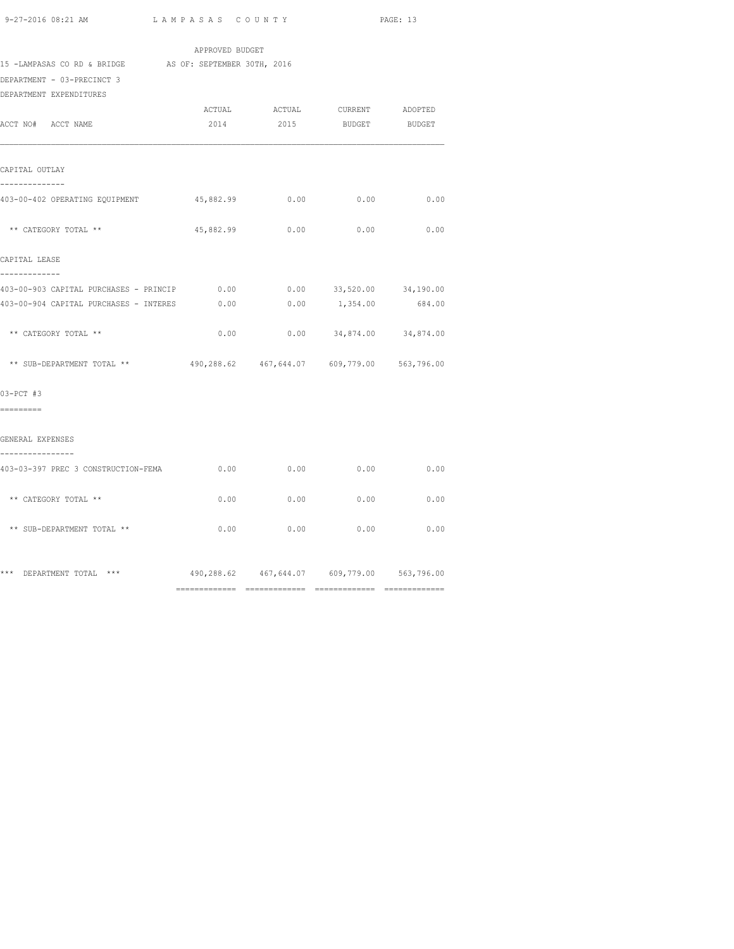| 9-27-2016 08:21 AM                                                                         | LAMPASAS COUNTY |             | PAGE: 13                                       |               |  |
|--------------------------------------------------------------------------------------------|-----------------|-------------|------------------------------------------------|---------------|--|
|                                                                                            | APPROVED BUDGET |             |                                                |               |  |
| 15 -LAMPASAS CO RD & BRIDGE AS OF: SEPTEMBER 30TH, 2016                                    |                 |             |                                                |               |  |
| DEPARTMENT - 03-PRECINCT 3                                                                 |                 |             |                                                |               |  |
| DEPARTMENT EXPENDITURES                                                                    |                 |             |                                                |               |  |
|                                                                                            | ACTUAL          | ACTUAL      | CURRENT                                        | ADOPTED       |  |
| ACCT NO# ACCT NAME                                                                         | 2014            | 2015        | <b>BUDGET</b>                                  | <b>BUDGET</b> |  |
| CAPITAL OUTLAY<br>--------------                                                           |                 |             |                                                |               |  |
| 403-00-402 OPERATING EQUIPMENT                                                             | 45,882.99       | 0.00        | 0.00                                           | 0.00          |  |
| ** CATEGORY TOTAL **                                                                       | 45,882.99       | 0.00        | 0.00                                           | 0.00          |  |
| CAPITAL LEASE                                                                              |                 |             |                                                |               |  |
| -------------<br>403-00-903 CAPITAL PURCHASES - PRINCIP 0.00 0.00 0.00 33,520.00 34,190.00 |                 |             |                                                |               |  |
| 403-00-904 CAPITAL PURCHASES - INTERES                                                     | 0.00            |             | $0.00$ 1,354.00                                | 684.00        |  |
| ** CATEGORY TOTAL **                                                                       | 0.00            |             | $0.00$ $34,874.00$ $34,874.00$                 |               |  |
| ** SUB-DEPARTMENT TOTAL ** 490,288.62 467,644.07 609,779.00 563,796.00                     |                 |             |                                                |               |  |
| 03-PCT #3                                                                                  |                 |             |                                                |               |  |
| =========                                                                                  |                 |             |                                                |               |  |
| GENERAL EXPENSES<br>----------------                                                       |                 |             |                                                |               |  |
| 403-03-397 PREC 3 CONSTRUCTION-FEMA                                                        |                 | $0.00$ 0.00 | 0.00                                           | 0.00          |  |
| ** CATEGORY TOTAL **                                                                       | 0.00            | 0.00        | 0.00                                           | 0.00          |  |
| ** SUB-DEPARTMENT TOTAL **                                                                 | 0.00            | 0.00        | 0.00                                           | 0.00          |  |
| *** DEPARTMENT TOTAL ***                                                                   |                 |             | 490,288.62  467,644.07  609,779.00  563,796.00 |               |  |

============= ============= ============= =============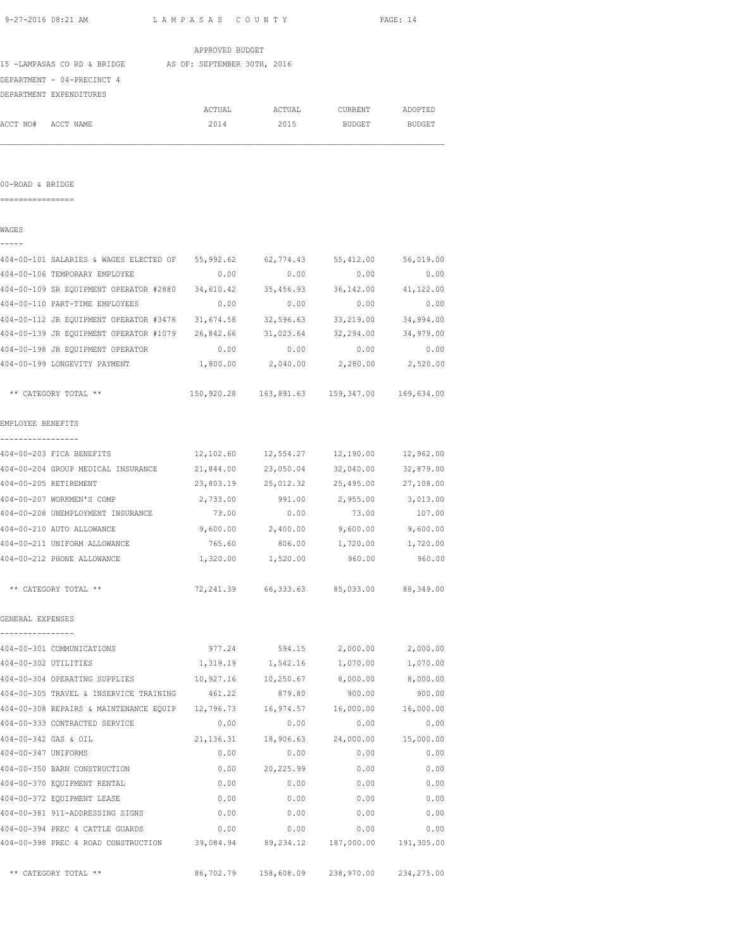| 9-27-2016 08:21 AM                                                                                               | LAMPASAS COUNTY |                                                 |                     | PAGE: 14          |
|------------------------------------------------------------------------------------------------------------------|-----------------|-------------------------------------------------|---------------------|-------------------|
|                                                                                                                  | APPROVED BUDGET |                                                 |                     |                   |
| 15 -LAMPASAS CO RD & BRIDGE AS OF: SEPTEMBER 30TH, 2016                                                          |                 |                                                 |                     |                   |
| DEPARTMENT - 04-PRECINCT 4                                                                                       |                 |                                                 |                     |                   |
| DEPARTMENT EXPENDITURES                                                                                          |                 |                                                 |                     |                   |
|                                                                                                                  |                 | ACTUAL ACTUAL CURRENT                           |                     | ADOPTED           |
| ACCT NO# ACCT NAME                                                                                               | 2014            |                                                 | 2015 BUDGET BUDGET  |                   |
|                                                                                                                  |                 |                                                 |                     |                   |
| 00-ROAD & BRIDGE<br>=================                                                                            |                 |                                                 |                     |                   |
| WAGES                                                                                                            |                 |                                                 |                     |                   |
| 404-00-101 SALARIES & WAGES ELECTED OF 55,992.62 62,774.43 55,412.00                                             |                 |                                                 |                     | 56,019.00         |
| 404-00-106 TEMPORARY EMPLOYEE                                                                                    | 0.00            | 0.00                                            | 0.00                | 0.00              |
| 404-00-109 SR EQUIPMENT OPERATOR #2880 34,610.42                                                                 |                 |                                                 | 35,456.93 36,142.00 | 41,122.00         |
| 404-00-110 PART-TIME EMPLOYEES                                                                                   | 0.00            | 0.00                                            | 0.00                | 0.00              |
| 404-00-112 JR EQUIPMENT OPERATOR #3478 31,674.58                                                                 |                 |                                                 | 32,596.63 33,219.00 | 34,994.00         |
|                                                                                                                  |                 |                                                 |                     | 34,979.00         |
| 404-00-198 JR EOUIPMENT OPERATOR                                                                                 | 0.00            | 0.00                                            | 0.00                | 0.00              |
| 404-00-199 LONGEVITY PAYMENT                                                                                     | 1,800.00        | 2,040.00                                        | 2,280.00            | 2,520.00          |
| ** CATEGORY TOTAL **                                                                                             |                 | 150,920.28  163,891.63  159,347.00  169,634.00  |                     |                   |
| EMPLOYEE BENEFITS                                                                                                |                 |                                                 |                     |                   |
| ----------------<br>404-00-203 FICA BENEFITS                                                                     |                 | $12,102.60$ $12,554.27$ $12,190.00$ $12,962.00$ |                     |                   |
| 404-00-204 GROUP MEDICAL INSURANCE 21,844.00 23,050.04 32,040.00                                                 |                 |                                                 |                     | 32,879.00         |
| 404-00-205 RETIREMENT                                                                                            |                 | 23,803.19 25,012.32 25,495.00 27,108.00         |                     |                   |
| 404-00-207 WORKMEN'S COMP                                                                                        |                 | 2,733.00 991.00 2,955.00 3,013.00               |                     |                   |
| 404-00-208 UNEMPLOYMENT INSURANCE                                                                                | 73.00           | 0.00                                            | 73.00               | 107.00            |
| 404-00-210 AUTO ALLOWANCE                                                                                        |                 | $9,600.00$ 2,400.00                             | 9,600.00            | 9,600.00          |
| 404-00-211 UNIFORM ALLOWANCE                                                                                     | 765.60          | 806.00                                          | 1,720.00            | 1,720.00          |
| 404-00-212 PHONE ALLOWANCE                                                                                       |                 | 1,320.00 1,520.00                               | 960.00              | 960.00            |
| ** CATEGORY TOTAL **                                                                                             |                 | 72, 241.39 66, 333.63 85, 033.00 88, 349.00     |                     |                   |
| GENERAL EXPENSES<br>----------------                                                                             |                 |                                                 |                     |                   |
| 404-00-301 COMMUNICATIONS                                                                                        |                 | 977.24 594.15                                   |                     | 2,000.00 2,000.00 |
| 404-00-302 UTILITIES                                                                                             |                 | 1,319.19 1,542.16 1,070.00 1,070.00             |                     |                   |
|                                                                                                                  |                 |                                                 |                     |                   |
| 404-00-305 TRAVEL & INSERVICE TRAINING 461.22 879.80                                                             |                 |                                                 | 900.00              | 900.00            |
| 404-00-308 REPAIRS & MAINTENANCE EQUIP 12,796.73                                                                 |                 |                                                 | 16,974.57 16,000.00 | 16,000.00         |
| 404-00-333 CONTRACTED SERVICE                                                                                    | 0.00            | 0.00                                            | 0.00                | 0.00              |
| 404-00-342 GAS & OIL                                                                                             | 21, 136.31      |                                                 | 18,906.63 24,000.00 | 15,000.00         |
| 404-00-347 UNIFORMS                                                                                              | 0.00            | 0.00                                            | 0.00                | 0.00              |
| 404-00-350 BARN CONSTRUCTION                                                                                     | 0.00            | 20,225.99                                       | 0.00                | 0.00              |
| 404-00-370 EQUIPMENT RENTAL                                                                                      | 0.00            | 0.00                                            | 0.00                | 0.00              |
| 404-00-372 EQUIPMENT LEASE                                                                                       | 0.00            | 0.00                                            | 0.00                | 0.00              |
| 404-00-381 911-ADDRESSING SIGNS                                                                                  | 0.00            | 0.00                                            | 0.00                | 0.00              |
| 404-00-394 PREC 4 CATTLE GUARDS<br>404-00-398 PREC 4 ROAD CONSTRUCTION 39,084.94 89,234.12 187,000.00 191,305.00 | 0.00            | 0.00                                            | 0.00                | 0.00              |

\*\* CATEGORY TOTAL \*\* 86,702.79 158,608.09 238,970.00 234,275.00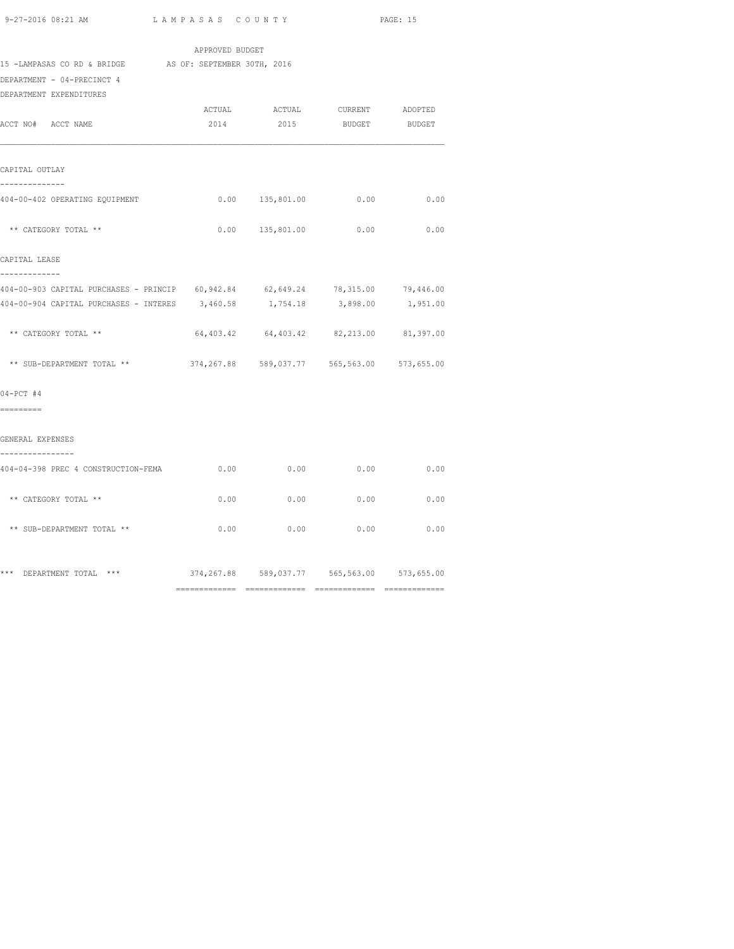| 9-27-2016 08:21 AM | LAMPASAS COUNTY | PAGE: 15 |
|--------------------|-----------------|----------|
|                    |                 |          |

|                                                                                       | APPROVED BUDGET |                                             |               |               |
|---------------------------------------------------------------------------------------|-----------------|---------------------------------------------|---------------|---------------|
| 15 -LAMPASAS CO RD & BRIDGE AS OF: SEPTEMBER 30TH, 2016<br>DEPARTMENT - 04-PRECINCT 4 |                 |                                             |               |               |
| DEPARTMENT EXPENDITURES                                                               |                 | ACTUAL ACTUAL CURRENT ADOPTED               |               |               |
| ACCT NO# ACCT NAME                                                                    | 2014            | 2015                                        | <b>BUDGET</b> | <b>BUDGET</b> |
| CAPITAL OUTLAY                                                                        |                 |                                             |               |               |
| --------------<br>404-00-402 OPERATING EQUIPMENT                                      |                 | $0.00 \t 135,801.00 \t 0.00 \t 0.00$        |               |               |
| ** CATEGORY TOTAL **                                                                  |                 | $0.00$ 135,801.00 0.00 0.00                 |               |               |
| CAPITAL LEASE<br>-------------                                                        |                 |                                             |               |               |
| 404-00-903 CAPITAL PURCHASES - PRINCIP 60,942.84 62,649.24 78,315.00 79,446.00        |                 |                                             |               |               |
| 404-00-904 CAPITAL PURCHASES - INTERES 3,460.58 1,754.18 3,898.00 1,951.00            |                 |                                             |               |               |
| ** CATEGORY TOTAL **                                                                  |                 | 64,403.42 64,403.42 82,213.00 81,397.00     |               |               |
| ** SUB-DEPARTMENT TOTAL **                                                            |                 | 374,267.88 589,037.77 565,563.00 573,655.00 |               |               |
| $04-PCT$ #4                                                                           |                 |                                             |               |               |
| =========                                                                             |                 |                                             |               |               |
| GENERAL EXPENSES<br>----------------                                                  |                 |                                             |               |               |
| 404-04-398 PREC 4 CONSTRUCTION-FEMA                                                   | 0.00            | 0.00                                        | 0.00          | 0.00          |
| ** CATEGORY TOTAL **                                                                  | 0.00            | 0.00                                        | 0.00          | 0.00          |
| ** SUB-DEPARTMENT TOTAL **                                                            |                 | $0.00$ 0.00 0.00                            |               | 0.00          |
| *** DEPARTMENT TOTAL ***                                                              |                 | 374,267.88 589,037.77 565,563.00 573,655.00 |               |               |

============= ============= ============= =============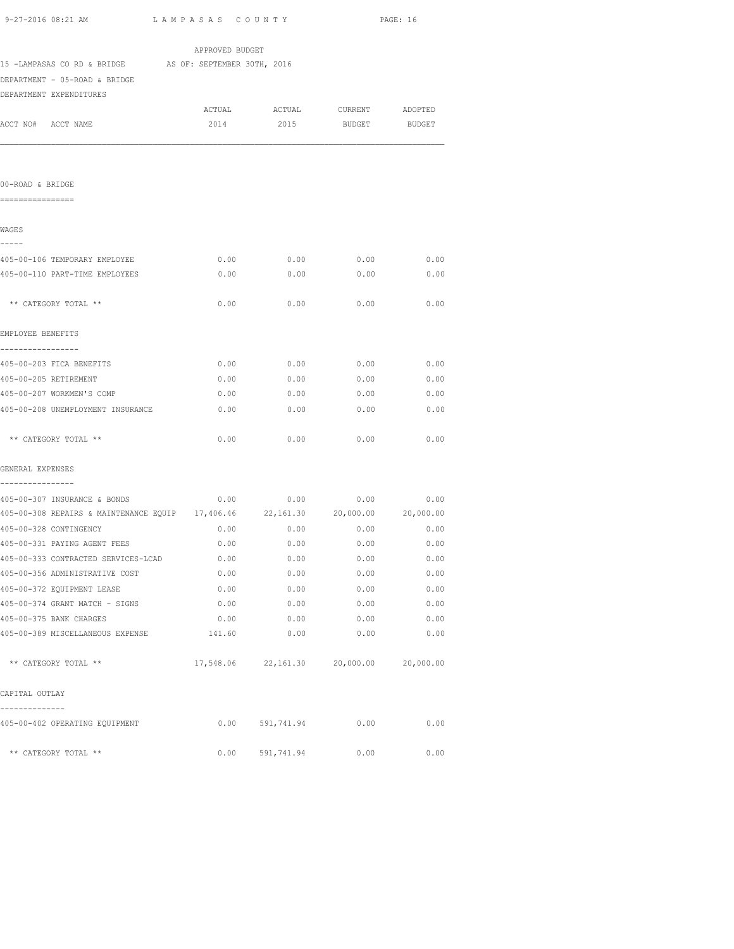| 15 -LAMPASAS CO RD & BRIDGE AS OF: SEPTEMBER 30TH, 2016                                                        |                                    |                                         |               |               |
|----------------------------------------------------------------------------------------------------------------|------------------------------------|-----------------------------------------|---------------|---------------|
| DEPARTMENT - 05-ROAD & BRIDGE                                                                                  |                                    |                                         |               |               |
| DEPARTMENT EXPENDITURES                                                                                        |                                    |                                         |               |               |
|                                                                                                                |                                    | ACTUAL ACTUAL CURRENT                   |               | ADOPTED       |
| ACCT NO# ACCT NAME                                                                                             | 2014                               | 2015                                    | <b>BUDGET</b> | <b>BUDGET</b> |
|                                                                                                                |                                    |                                         |               |               |
| 00-ROAD & BRIDGE                                                                                               |                                    |                                         |               |               |
| =================                                                                                              |                                    |                                         |               |               |
| WAGES                                                                                                          |                                    |                                         |               |               |
| -----<br>405-00-106 TEMPORARY EMPLOYEE                                                                         | 0.00                               | 0.00                                    | 0.00          | 0.00          |
| 405-00-110 PART-TIME EMPLOYEES                                                                                 | 0.00                               | 0.00                                    | 0.00          | 0.00          |
|                                                                                                                |                                    |                                         |               |               |
| ** CATEGORY TOTAL **                                                                                           | 0.00                               | 0.00                                    | 0.00          | 0.00          |
| EMPLOYEE BENEFITS                                                                                              |                                    |                                         |               |               |
| -----------------<br>405-00-203 FICA BENEFITS                                                                  |                                    | $0.00$ 0.00 0.00 0.00 0.00              |               |               |
| 405-00-205 RETIREMENT                                                                                          |                                    | $0.00$ $0.00$ $0.00$ $0.00$             |               | 0.00          |
| 405-00-207 WORKMEN'S COMP                                                                                      |                                    | $0.00$ 0.00 0.00                        |               | 0.00          |
| 405-00-208 UNEMPLOYMENT INSURANCE                                                                              | 0.00                               | 0.00                                    | 0.00          | 0.00          |
| ** CATEGORY TOTAL **                                                                                           | 0.00                               | 0.00                                    | 0.00          | 0.00          |
| GENERAL EXPENSES                                                                                               |                                    |                                         |               |               |
|                                                                                                                |                                    |                                         |               |               |
| 405-00-307 INSURANCE & BONDS<br>405-00-308 REPAIRS & MAINTENANCE EQUIP 17,406.46 22,161.30 20,000.00 20,000.00 | $0.00$ $0.00$ $0.00$ $0.00$ $0.00$ |                                         |               |               |
| 405-00-328 CONTINGENCY                                                                                         | 0.00                               | $0.00$ 0.00                             |               | 0.00          |
| 405-00-331 PAYING AGENT FEES                                                                                   | 0.00                               | $0.00$ 0.00 0.00                        |               |               |
| 405-00-333 CONTRACTED SERVICES-LCAD                                                                            | 0.00                               | 0.00                                    | 0.00          | 0.00          |
| 405-00-356 ADMINISTRATIVE COST                                                                                 | 0.00                               | 0.00                                    | 0.00          | 0.00          |
| 405-00-372 EQUIPMENT LEASE                                                                                     | 0.00                               | 0.00                                    | 0.00          | 0.00          |
| 405-00-374 GRANT MATCH - SIGNS                                                                                 | 0.00                               | 0.00                                    | 0.00          | 0.00          |
| 405-00-375 BANK CHARGES                                                                                        | 0.00                               | 0.00                                    | 0.00          | 0.00          |
| 405-00-389 MISCELLANEOUS EXPENSE 141.60                                                                        |                                    | 0.00                                    | 0.00          | 0.00          |
| ** CATEGORY TOTAL **                                                                                           |                                    | 17,548.06 22,161.30 20,000.00 20,000.00 |               |               |

405-00-402 OPERATING EQUIPMENT 0.00 591,741.94 0.00 0.00

\*\* CATEGORY TOTAL \*\*  $0.00$  591,741.94  $0.00$  0.00 0.00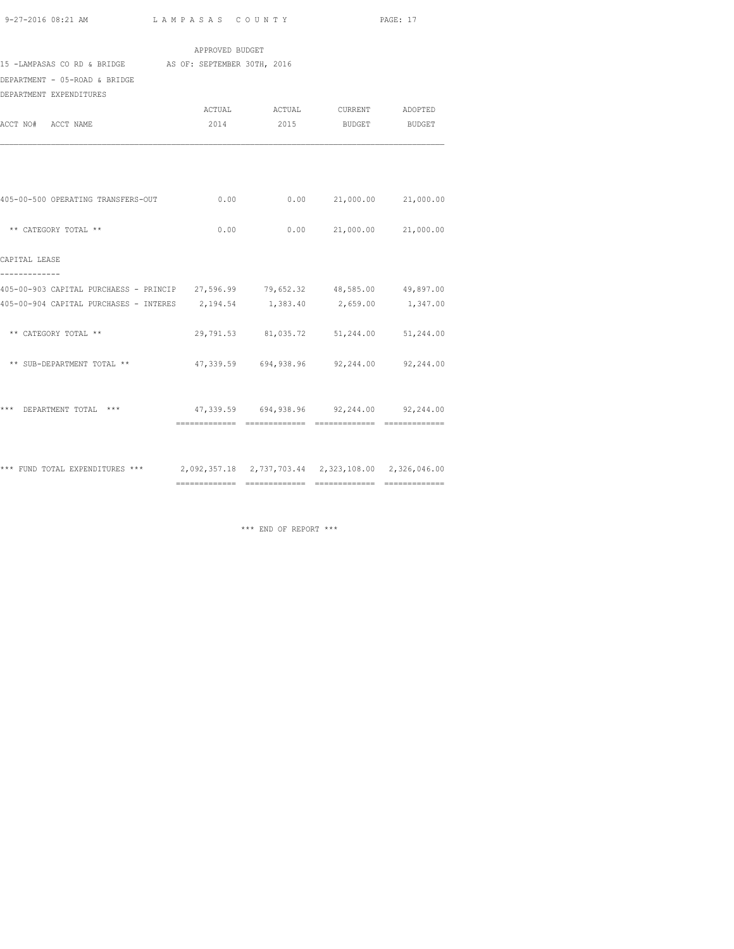|                                                                                     | APPROVED BUDGET |                                          |  |
|-------------------------------------------------------------------------------------|-----------------|------------------------------------------|--|
| 15 -LAMPASAS CO RD & BRIDGE AS OF: SEPTEMBER 30TH, 2016                             |                 |                                          |  |
| DEPARTMENT - 05-ROAD & BRIDGE                                                       |                 |                                          |  |
| DEPARTMENT EXPENDITURES                                                             |                 |                                          |  |
|                                                                                     |                 | ACTUAL ACTUAL CURRENT ADOPTED            |  |
| ACCT NO# ACCT NAME                                                                  |                 | 2014 2015 BUDGET BUDGET                  |  |
|                                                                                     |                 |                                          |  |
| 405-00-500 OPERATING TRANSFERS-OUT                                                  |                 | $0.00$ $0.00$ $21,000.00$ $21,000.00$    |  |
| ** CATEGORY TOTAL **                                                                |                 | $0.00$ $0.00$ $21,000.00$ $21,000.00$    |  |
| CAPITAL LEASE<br>-------------                                                      |                 |                                          |  |
| 405-00-903 CAPITAL PURCHAESS - PRINCIP 27,596.99 79,652.32 48,585.00 49,897.00      |                 |                                          |  |
| 405-00-904 CAPITAL PURCHASES - INTERES 2,194.54 1,383.40 2,659.00 1,347.00          |                 |                                          |  |
| ** CATEGORY TOTAL **                                                                |                 | 29,791.53 81,035.72 51,244.00 51,244.00  |  |
| ** SUB-DEPARTMENT TOTAL **                                                          |                 | 47,339.59 694,938.96 92,244.00 92,244.00 |  |
| *** DEPARTMENT TOTAL *** 647,339.59 694,938.96 92,244.00 92,244.00                  |                 |                                          |  |
| *** FUND TOTAL EXPENDITURES *** 2,092,357.18 2,737,703.44 2,323,108.00 2,326,046.00 |                 |                                          |  |
|                                                                                     |                 |                                          |  |

\*\*\* END OF REPORT \*\*\*

============= ============= ============= =============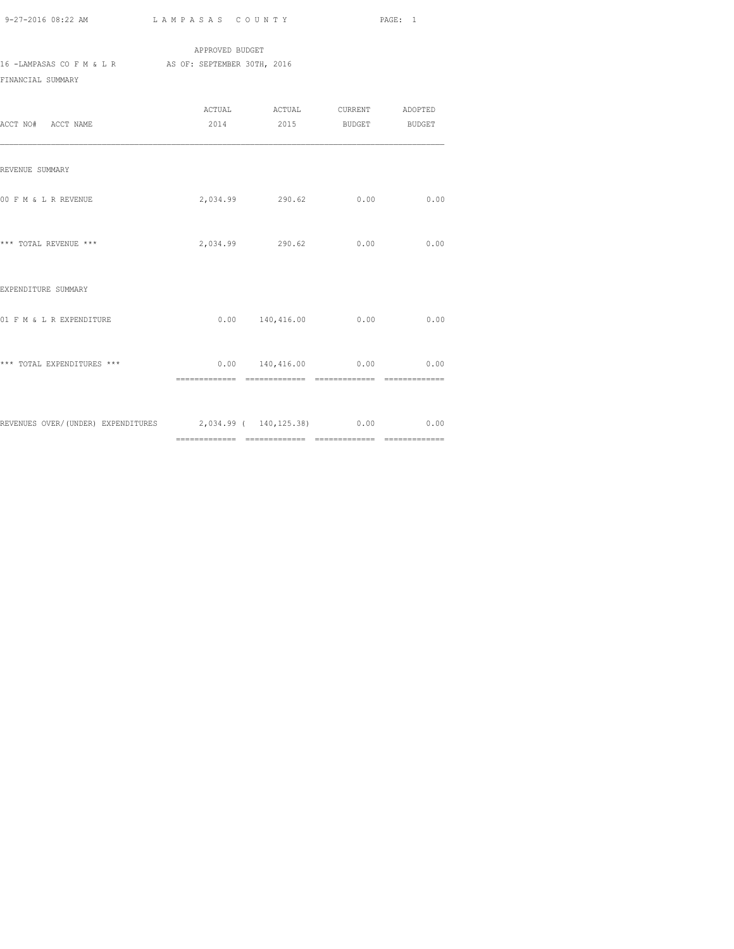APPROVED BUDGET 16 -LAMPASAS CO F M & L R AS OF: SEPTEMBER 30TH, 2016 FINANCIAL SUMMARY

| ACCT NO# ACCT NAME                                                       | ACTUAL ACTUAL CURRENT ADOPTED<br>2014 2015 BUDGET BUDGET |      |      |
|--------------------------------------------------------------------------|----------------------------------------------------------|------|------|
| REVENUE SUMMARY                                                          |                                                          |      |      |
| 00 F M & L R REVENUE                                                     | 2,034.99 290.62                                          | 0.00 | 0.00 |
| *** TOTAL REVENUE ***                                                    | 2,034.99 290.62 0.00                                     |      | 0.00 |
| EXPENDITURE SUMMARY                                                      |                                                          |      |      |
| 01 F M & L R EXPENDITURE                                                 | $0.00$ 140,416.00 0.00                                   |      | 0.00 |
| *** TOTAL EXPENDITURES ***                                               | $0.00 \t 140,416.00 \t 0.00 \t 0.00$                     |      |      |
| REVENUES OVER/(UNDER) EXPENDITURES 2,034.99 ( 140,125.38) 0.00 0.00 0.00 |                                                          |      |      |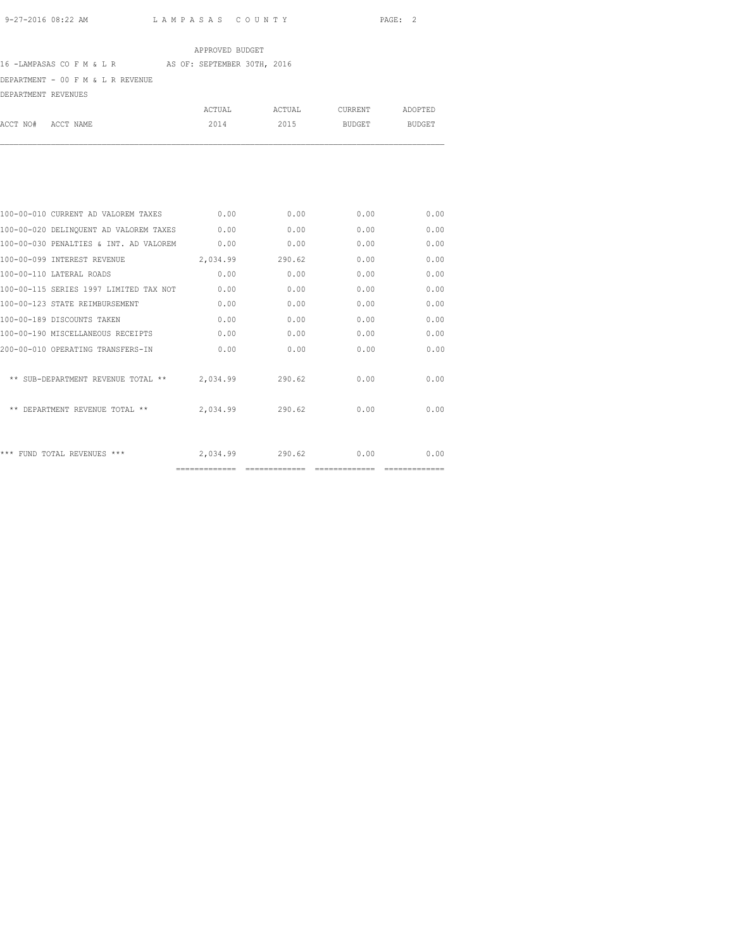ADOPTED

## APPROVED BUDGET

# 16 -LAMPASAS CO F M & L R AS OF: SEPTEMBER 30TH, 2016

DEPARTMENT - 00 F M & L R REVENUE

| ACCT NO#            | ACCT NAME | 2014   | 2015   | BUDGET  | <b>BUDGET</b> |
|---------------------|-----------|--------|--------|---------|---------------|
|                     |           | ACTUAL | ACTUAL | CURRENT | ADOPTED       |
| DEPARTMENT REVENUES |           |        |        |         |               |

| 100-00-010 CURRENT AD VALOREM TAXES    | 0.00          | 0.00          | 0.00           | 0.00 |
|----------------------------------------|---------------|---------------|----------------|------|
| 100-00-020 DELINQUENT AD VALOREM TAXES | 0.00          | 0.00          | 0.00           | 0.00 |
| 100-00-030 PENALTIES & INT. AD VALOREM | 0.00          | 0.00          | 0.00           | 0.00 |
| 100-00-099 INTEREST REVENUE            | 2,034.99      | 290.62        | 0.00           | 0.00 |
| 100-00-110 LATERAL ROADS               | 0.00          | 0.00          | 0.00           | 0.00 |
| 100-00-115 SERIES 1997 LIMITED TAX NOT | 0.00          | 0.00          | 0.00           | 0.00 |
| 100-00-123 STATE REIMBURSEMENT         | 0.00          | 0.00          | 0.00           | 0.00 |
| 100-00-189 DISCOUNTS TAKEN             | 0.00          | 0.00          | 0.00           | 0.00 |
| 100-00-190 MISCELLANEOUS RECEIPTS      | 0.00          | 0.00          | 0.00           | 0.00 |
| 200-00-010 OPERATING TRANSFERS-IN      | 0.00          | 0.00          | 0.00           | 0.00 |
|                                        |               |               |                |      |
| ** SUB-DEPARTMENT REVENUE TOTAL **     | 2,034.99      | 290.62        | 0.00           | 0.00 |
|                                        |               |               |                |      |
| ** DEPARTMENT REVENUE TOTAL **         | 2,034.99      | 290.62        | 0.00           | 0.00 |
|                                        |               |               |                |      |
|                                        |               |               |                |      |
| *** FUND TOTAL REVENUES ***            | 2,034.99      | 290.62        | 0.00           | 0.00 |
|                                        | ============= | ============= | -------------- |      |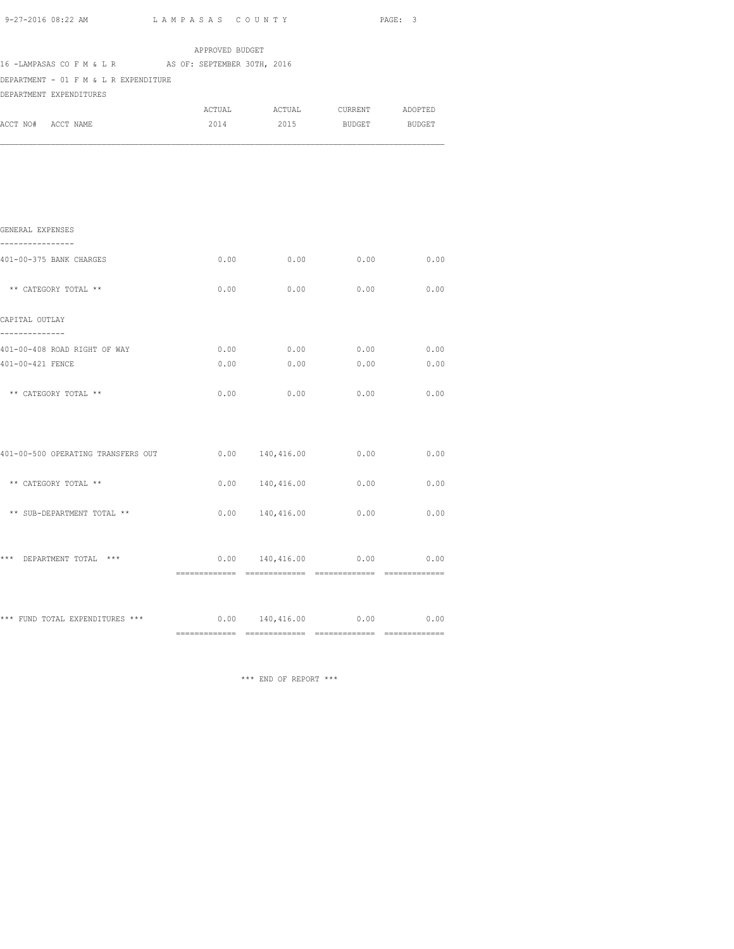|                                                                                                                           |                 |                     |                                      | PAGE: 3 |  |  |
|---------------------------------------------------------------------------------------------------------------------------|-----------------|---------------------|--------------------------------------|---------|--|--|
|                                                                                                                           | APPROVED BUDGET |                     |                                      |         |  |  |
| 16 -LAMPASAS CO F M & L R AS OF: SEPTEMBER 30TH, 2016<br>DEPARTMENT - 01 F M & L R EXPENDITURE<br>DEPARTMENT EXPENDITURES |                 |                     |                                      |         |  |  |
|                                                                                                                           | <b>ACTUAL</b>   |                     | ACTUAL CURRENT                       | ADOPTED |  |  |
| ACCT NO# ACCT NAME                                                                                                        | 2014            | 2015                | <b>BUDGET</b>                        | BUDGET  |  |  |
|                                                                                                                           |                 |                     |                                      |         |  |  |
| GENERAL EXPENSES<br>-----------------                                                                                     |                 |                     |                                      |         |  |  |
| 401-00-375 BANK CHARGES                                                                                                   |                 |                     | $0.00$ 0.00 0.00 0.00 0.00           |         |  |  |
| ** CATEGORY TOTAL **                                                                                                      | 0.00            | 0.00                | 0.00                                 | 0.00    |  |  |
| CAPITAL OUTLAY<br>--------------                                                                                          |                 |                     |                                      |         |  |  |
| 401-00-408 ROAD RIGHT OF WAY                                                                                              | 0.00            | 0.00                | 0.00                                 | 0.00    |  |  |
| 401-00-421 FENCE                                                                                                          | 0.00            | 0.00                | 0.00                                 | 0.00    |  |  |
| ** CATEGORY TOTAL **                                                                                                      | 0.00            | 0.00                | 0.00                                 | 0.00    |  |  |
| 401-00-500 OPERATING TRANSFERS OUT                                                                                        |                 |                     | $0.00 \t 140,416.00 \t 0.00 \t 0.00$ |         |  |  |
| ** CATEGORY TOTAL **                                                                                                      |                 | 0.00 140,416.00     | 0.00                                 | 0.00    |  |  |
| ** SUB-DEPARTMENT TOTAL **                                                                                                |                 | $0.00$ $140,416.00$ | 0.00                                 | 0.00    |  |  |
|                                                                                                                           |                 |                     |                                      |         |  |  |
| *** DEPARTMENT TOTAL ***                                                                                                  |                 | 0.00 140,416.00     | 0.00                                 | 0.00    |  |  |

\*\*\* FUND TOTAL EXPENDITURES \*\*\* 0.00 0.00 140,416.00 0.00 0.00 0.00 ============= ============= ============= =============

\*\*\* END OF REPORT \*\*\*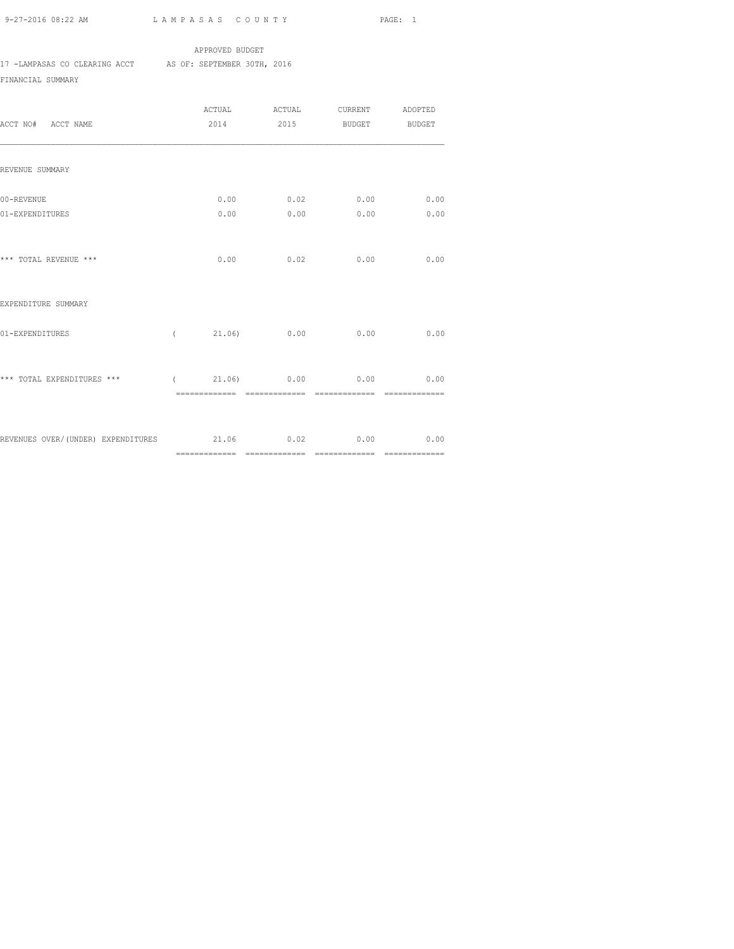### APPROVED BUDGET

17 -LAMPASAS CO CLEARING ACCT AS OF: SEPTEMBER 30TH, 2016

# FINANCIAL SUMMARY

| ACCT NO# ACCT NAME                                        |      |      | 2014 2015 BUDGET BUDGET                   |                        |
|-----------------------------------------------------------|------|------|-------------------------------------------|------------------------|
| REVENUE SUMMARY                                           |      |      |                                           |                        |
| 00-REVENUE<br>01-EXPENDITURES                             |      |      | $0.00$ 0.02 0.00 0.00<br>$0.00$ 0.00 0.00 | 0.00                   |
| *** TOTAL REVENUE ***                                     | 0.00 | 0.02 | 0.00                                      | 0.00                   |
| EXPENDITURE SUMMARY                                       |      |      |                                           |                        |
| 01-EXPENDITURES                                           |      |      | $(21.06)$ 0.00 0.00                       | 0.00                   |
| *** TOTAL EXPENDITURES ***                                |      |      | $(21.06)$ 0.00 0.00                       | 0.00<br>============== |
| REVENUES OVER/(UNDER) EXPENDITURES $21.06$ 0.02 0.00 0.00 |      |      |                                           |                        |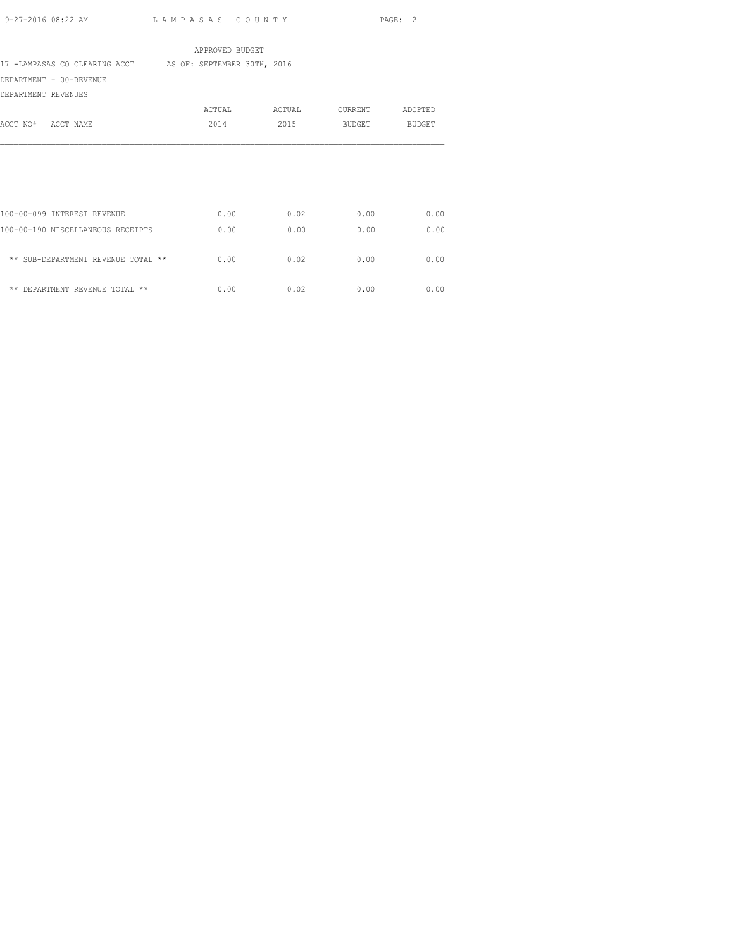| APPROVED BUDGET                                           |        |        |         |               |  |  |
|-----------------------------------------------------------|--------|--------|---------|---------------|--|--|
| 17 -LAMPASAS CO CLEARING ACCT AS OF: SEPTEMBER 30TH, 2016 |        |        |         |               |  |  |
| DEPARTMENT - 00-REVENUE                                   |        |        |         |               |  |  |
| DEPARTMENT REVENUES                                       |        |        |         |               |  |  |
|                                                           | ACTUAL | ACTUAL | CURRENT | ADOPTED       |  |  |
| ACCT NO#<br>ACCT NAME                                     | 2014   | 2015   | BUDGET  | <b>BUDGET</b> |  |  |
|                                                           |        |        |         |               |  |  |
| 100-00-099 INTEREST REVENUE                               | 0.00   | 0.02   | 0.00    | 0.00          |  |  |
| 100-00-190 MISCELLANEOUS RECEIPTS                         | 0.00   | 0.00   | 0.00    | 0.00          |  |  |
| ** SUB-DEPARTMENT REVENUE TOTAL **                        | 0.00   | 0.02   | 0.00    | 0.00          |  |  |
| ** DEPARTMENT REVENUE TOTAL **                            | 0.00   | 0.02   | 0.00    | 0.00          |  |  |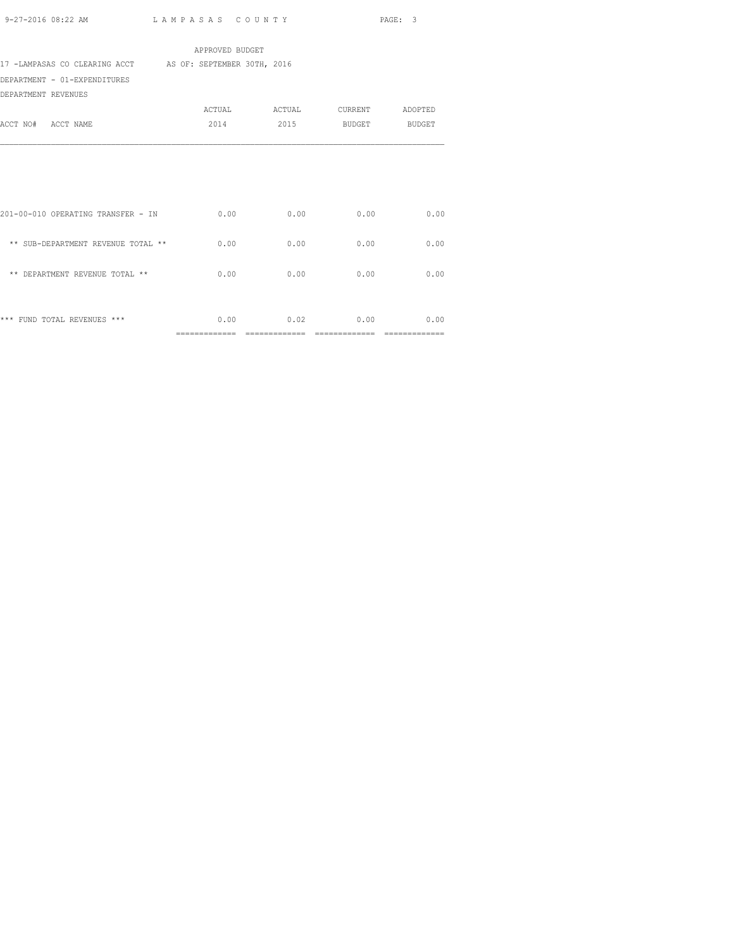| APPROVED BUDGET                                           |               |               |               |                 |  |  |
|-----------------------------------------------------------|---------------|---------------|---------------|-----------------|--|--|
| 17 -LAMPASAS CO CLEARING ACCT AS OF: SEPTEMBER 30TH, 2016 |               |               |               |                 |  |  |
| DEPARTMENT - 01-EXPENDITURES                              |               |               |               |                 |  |  |
| DEPARTMENT REVENUES                                       |               |               |               |                 |  |  |
|                                                           | ACTUAL        | ACTUAL        |               | CURRENT ADOPTED |  |  |
| ACCT NO# ACCT NAME                                        | 2014          | 2015          | <b>BUDGET</b> | <b>BUDGET</b>   |  |  |
|                                                           |               |               |               |                 |  |  |
|                                                           | 0.00          | 0.00          | 0.00          | 0.00            |  |  |
| 201-00-010 OPERATING TRANSFER - IN                        |               |               |               |                 |  |  |
| ** SUB-DEPARTMENT REVENUE TOTAL **                        | 0.00          | 0.00          | 0.00          | 0.00            |  |  |
| ** DEPARTMENT REVENUE TOTAL **                            | 0.00          | 0.00          | 0.00          | 0.00            |  |  |
|                                                           |               |               |               |                 |  |  |
| *** FUND TOTAL REVENUES ***                               | 0.00          | 0.02          | 0.00          | 0.00            |  |  |
|                                                           | ============= | ============= | =========     |                 |  |  |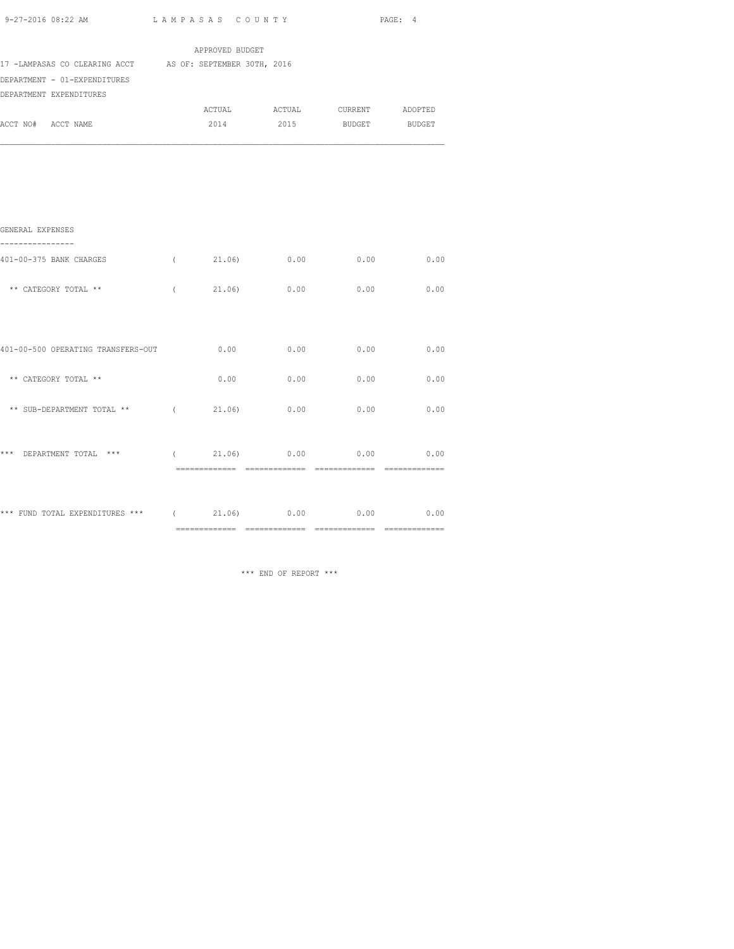| 9-27-2016 08:22 AM                                        |            | LAMPASAS COUNTY |        |                 | PAGE: 4     |
|-----------------------------------------------------------|------------|-----------------|--------|-----------------|-------------|
|                                                           |            | APPROVED BUDGET |        |                 |             |
| 17 -LAMPASAS CO CLEARING ACCT AS OF: SEPTEMBER 30TH, 2016 |            |                 |        |                 |             |
| DEPARTMENT - 01-EXPENDITURES                              |            |                 |        |                 |             |
| DEPARTMENT EXPENDITURES                                   |            |                 |        |                 |             |
|                                                           |            | ACTUAL          | ACTUAL | CURRENT ADOPTED |             |
| ACCT NO# ACCT NAME                                        |            | 2014            | 2015   | BUDGET BUDGET   |             |
|                                                           |            |                 |        |                 |             |
|                                                           |            |                 |        |                 |             |
| GENERAL EXPENSES<br>----------                            |            |                 |        |                 |             |
| 401-00-375 BANK CHARGES                                   | $\sqrt{2}$ | 21.06)          | 0.00   | 0.00            | 0.00        |
| ** CATEGORY TOTAL **                                      | $\left($   | 21.06           | 0.00   | 0.00            | 0.00        |
|                                                           |            |                 |        |                 |             |
| 401-00-500 OPERATING TRANSFERS-OUT                        |            | 0.00            | 0.00   | 0.00            | 0.00        |
| ** CATEGORY TOTAL **                                      |            | 0.00            | 0.00   | 0.00            | 0.00        |
| ** SUB-DEPARTMENT TOTAL **                                | $\left($   | 21.06)          | 0.00   | 0.00            | 0.00        |
| *** DEPARTMENT TOTAL ***                                  | $\sqrt{2}$ | $21.06$ 0.00    |        |                 | $0.00$ 0.00 |
|                                                           |            |                 |        |                 |             |

\*\*\* FUND TOTAL EXPENDITURES \*\*\* ( 21.06) 0.00 0.00 0.00 0.00

============= ============= ============= =============

\*\*\* END OF REPORT \*\*\*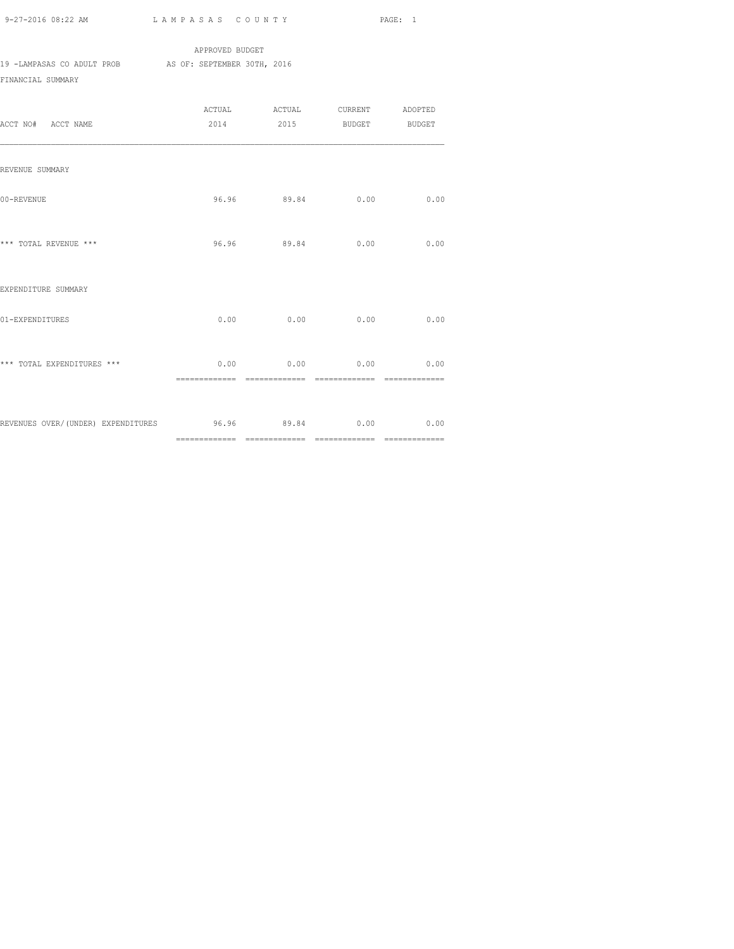APPROVED BUDGET 19 -LAMPASAS CO ADULT PROB AS OF: SEPTEMBER 30TH, 2016 FINANCIAL SUMMARY

| ACCT NO# ACCT NAME                                   | ACTUAL ACTUAL CURRENT ADOPTED<br>2014 2015 BUDGET BUDGET |      |      |
|------------------------------------------------------|----------------------------------------------------------|------|------|
| REVENUE SUMMARY                                      |                                                          |      |      |
| 00-REVENUE                                           | 96.96 89.84                                              | 0.00 | 0.00 |
| *** TOTAL REVENUE ***                                | 96.96 89.84                                              | 0.00 | 0.00 |
| EXPENDITURE SUMMARY                                  |                                                          |      |      |
| 01-EXPENDITURES                                      | $0.00$ 0.00                                              | 0.00 | 0.00 |
| *** TOTAL EXPENDITURES ***                           | $0.00$ $0.00$ $0.00$                                     |      | 0.00 |
| REVENUES OVER/(UNDER) EXPENDITURES 596.96 89.84 0.00 |                                                          |      | 0.00 |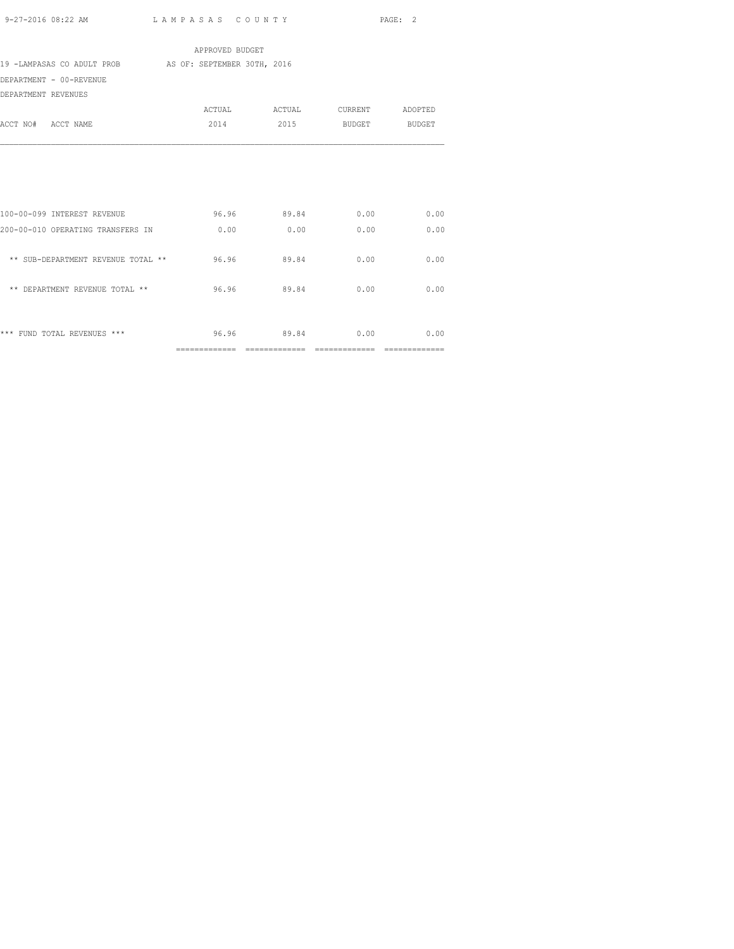|                                                        | APPROVED BUDGET |      |                               |                               |
|--------------------------------------------------------|-----------------|------|-------------------------------|-------------------------------|
| 19 -LAMPASAS CO ADULT PROB AS OF: SEPTEMBER 30TH, 2016 |                 |      |                               |                               |
| DEPARTMENT - 00-REVENUE                                |                 |      |                               |                               |
| DEPARTMENT REVENUES                                    |                 |      |                               |                               |
|                                                        |                 |      | ACTUAL ACTUAL CURRENT ADOPTED |                               |
| ACCT NO# ACCT NAME                                     |                 |      | 2014 2015 BUDGET BUDGET       |                               |
|                                                        |                 |      |                               |                               |
|                                                        |                 |      |                               |                               |
|                                                        |                 |      |                               |                               |
|                                                        |                 |      |                               |                               |
|                                                        |                 |      |                               |                               |
| 100-00-099 INTEREST REVENUE                            |                 |      | 96.96 89.84 0.00 0.00         |                               |
| 200-00-010 OPERATING TRANSFERS IN 0.00                 |                 | 0.00 | 0.00                          | 0.00                          |
|                                                        |                 |      |                               |                               |
| ** SUB-DEPARTMENT REVENUE TOTAL ** 96.96 89.84         |                 |      | 0.00                          | 0.00                          |
|                                                        |                 |      |                               |                               |
| ** DEPARTMENT REVENUE TOTAL ** $96.96$ $89.84$         |                 |      | 0.00                          | 0.00                          |
|                                                        |                 |      |                               |                               |
|                                                        |                 |      |                               |                               |
| *** FUND TOTAL REVENUES ***                            |                 |      | 96.96 89.84 0.00 0.00         |                               |
|                                                        |                 |      |                               | $=$ = = = = = = = = = = = = = |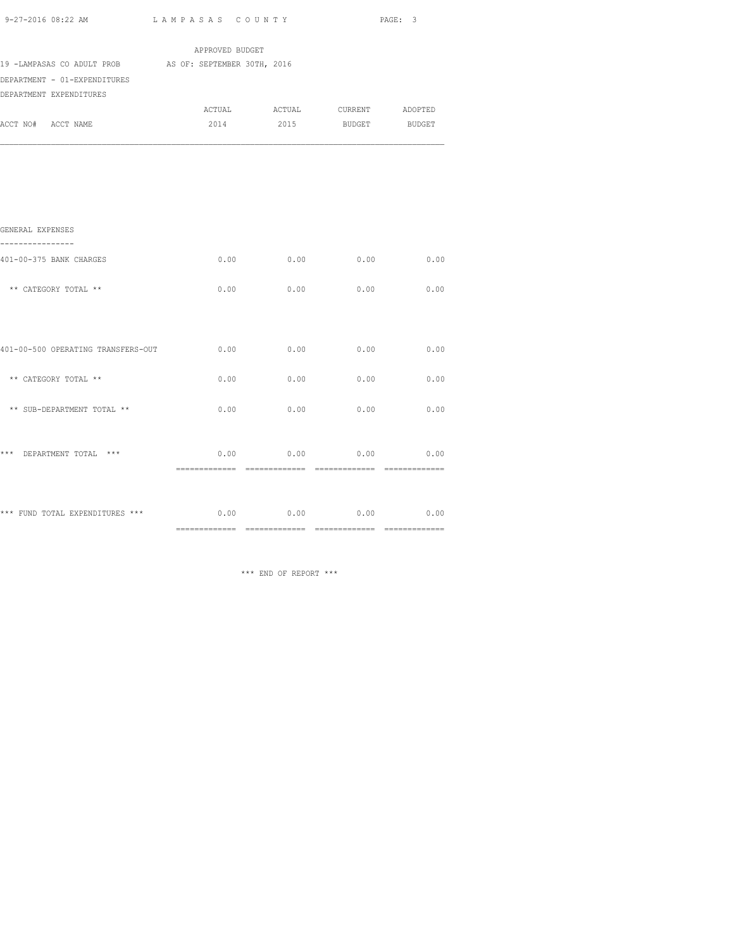| 9-27-2016 08:22 AM                                     | LAMPASAS COUNTY |                       |             | PAGE: 3       |
|--------------------------------------------------------|-----------------|-----------------------|-------------|---------------|
|                                                        | APPROVED BUDGET |                       |             |               |
| 19 -LAMPASAS CO ADULT PROB AS OF: SEPTEMBER 30TH, 2016 |                 |                       |             |               |
| DEPARTMENT - 01-EXPENDITURES                           |                 |                       |             |               |
| DEPARTMENT EXPENDITURES                                |                 |                       |             |               |
|                                                        |                 | ACTUAL ACTUAL CURRENT |             | ADOPTED       |
| ACCT NO# ACCT NAME                                     | 2014            |                       | 2015 BUDGET | <b>BUDGET</b> |
|                                                        |                 |                       |             |               |
| GENERAL EXPENSES                                       |                 |                       |             |               |
| 401-00-375 BANK CHARGES                                | 0.00            | 0.00                  | 0.00        | 0.00          |
| ** CATEGORY TOTAL **                                   | 0.00            | 0.00                  | 0.00        | 0.00          |
|                                                        |                 |                       |             |               |
| 401-00-500 OPERATING TRANSFERS-OUT                     | 0.00            | 0.00                  | 0.00        | 0.00          |
| ** CATEGORY TOTAL **                                   | 0.00            | 0.00                  | 0.00        | 0.00          |

 $**$  SUB-DEPARTMENT TOTAL  $**$  0.00 0.00 0.00 0.00 0.00

\*\*\* DEPARTMENT TOTAL \*\*\* 0.00 0.00 0.00 0.00

\*\*\* FUND TOTAL EXPENDITURES \*\*\* 0.00 0.00 0.00 0.00 0.00 0.00

\*\*\* END OF REPORT \*\*\*

============= ============= ============= =============

============= ============= ============= =============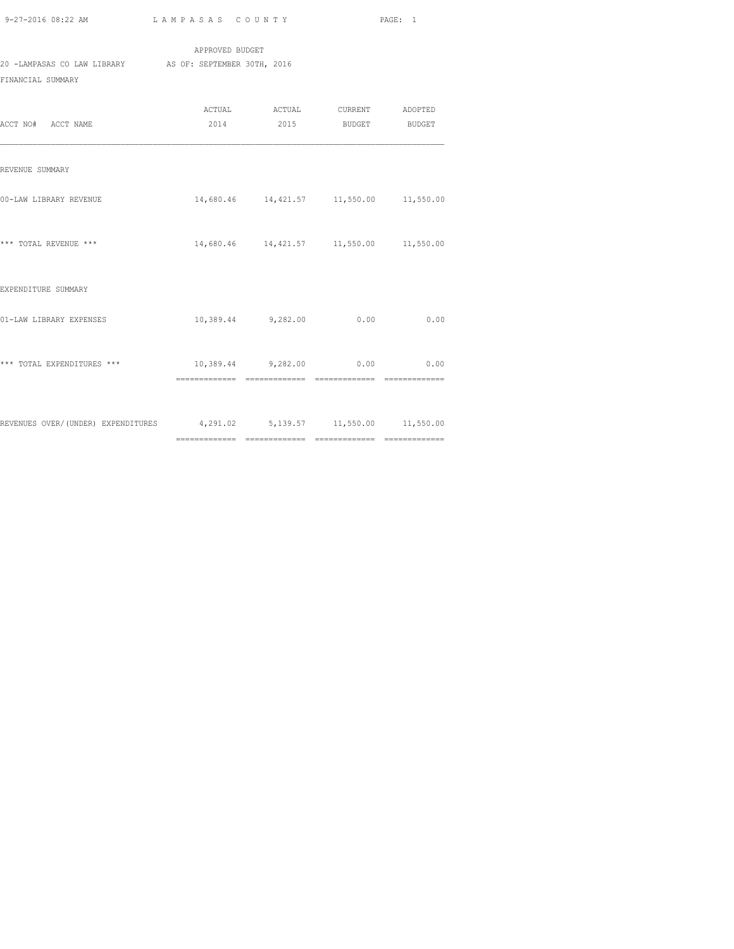|                             | APPROVED BUDGET             |  |  |  |  |
|-----------------------------|-----------------------------|--|--|--|--|
| 20 -LAMPASAS CO LAW LIBRARY | AS OF: SEPTEMBER 30TH, 2016 |  |  |  |  |
| FINANCIAL SUMMARY           |                             |  |  |  |  |

| ACCT NO# ACCT NAME                                                       | ACTUAL ACTUAL CURRENT ADOPTED<br>2014 2015 BUDGET BUDGET |      |
|--------------------------------------------------------------------------|----------------------------------------------------------|------|
| REVENUE SUMMARY                                                          |                                                          |      |
| 00-LAW LIBRARY REVENUE                                                   | 14,680.46  14,421.57  11,550.00  11,550.00               |      |
| *** TOTAL REVENUE ***                                                    | 14,680.46  14,421.57  11,550.00  11,550.00               |      |
| EXPENDITURE SUMMARY                                                      |                                                          |      |
| 01-LAW LIBRARY EXPENSES                                                  | 10,389.44 9,282.00 0.00                                  | 0.00 |
| *** TOTAL EXPENDITURES ***                                               | 10,389.44 9,282.00 0.00 0.00                             |      |
| REVENUES OVER/(UNDER) EXPENDITURES 4,291.02 5,139.57 11,550.00 11,550.00 |                                                          |      |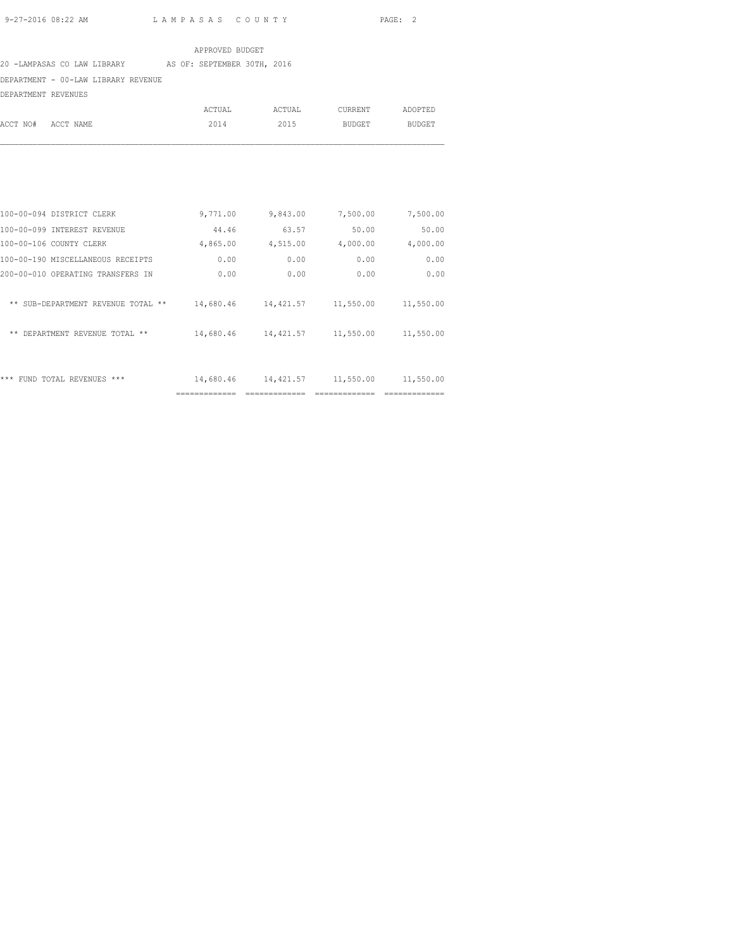#### APPROVED BUDGET

#### 20 -LAMPASAS CO LAW LIBRARY AS OF: SEPTEMBER 30TH, 2016

## DEPARTMENT - 00-LAW LIBRARY REVENUE

DEPARTMENT REVENUES

|                    | ACTUAL | ACTUAL | CURRENT | ADOPTED |
|--------------------|--------|--------|---------|---------|
| ACCT NO# ACCT NAME | 2014   | 2015   | BUDGET  | BUDGET  |

| ***<br>REVENUES<br>***<br>FUND<br>TOTAL        | 14,680.46 | 14, 421.57 | 11,550.00 | 11,550.00 |
|------------------------------------------------|-----------|------------|-----------|-----------|
| ** DEPARTMENT REVENUE TOTAL **                 | 14,680.46 | 14,421.57  | 11,550.00 | 11,550.00 |
| SUB-DEPARTMENT REVENUE TOTAL<br>$* *$<br>$* *$ | 14,680.46 | 14, 421.57 | 11,550.00 | 11,550.00 |
| 200-00-010 OPERATING TRANSFERS IN              | 0.00      | 0.00       | 0.00      | 0.00      |
| 100-00-190 MISCELLANEOUS RECEIPTS              | 0.00      | 0.00       | 0.00      | 0.00      |
| 100-00-106 COUNTY CLERK                        | 4,865.00  | 4,515.00   | 4,000.00  | 4,000.00  |
| 100-00-099 INTEREST REVENUE                    | 44.46     | 63.57      | 50.00     | 50.00     |
| 100-00-094 DISTRICT CLERK                      | 9,771.00  | 9,843.00   | 7,500.00  | 7,500.00  |
|                                                |           |            |           |           |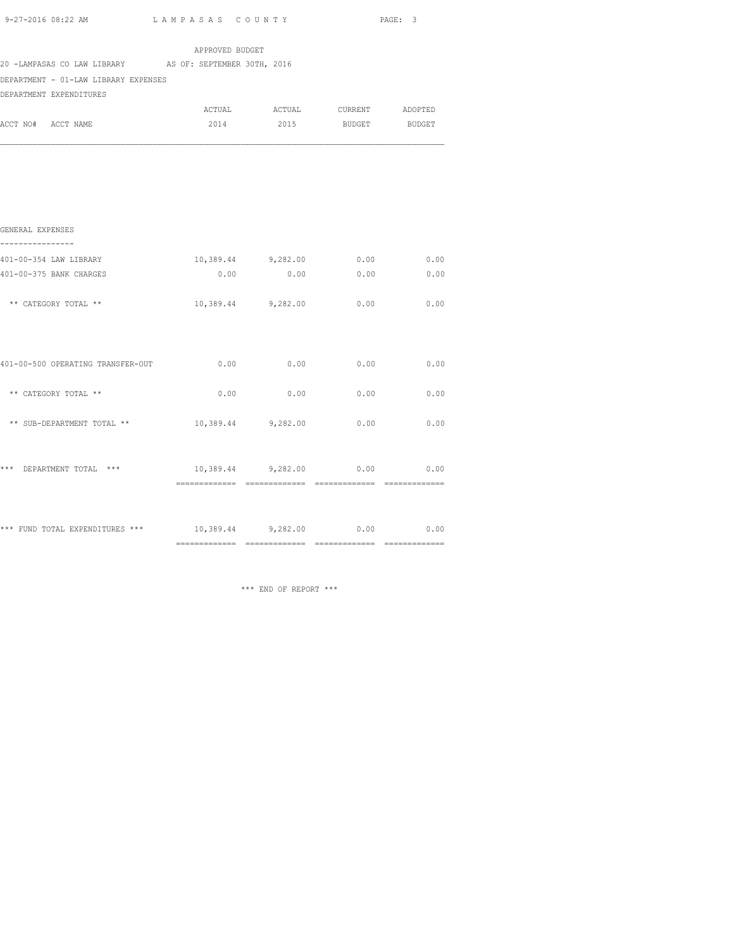|  | 9-27-2016 08:22 AM |  |
|--|--------------------|--|
|  |                    |  |

L A M P A S A S C O U N T Y PAGE: 3

| 20 -LAMPASAS CO LAW LIBRARY AS OF: SEPTEMBER 30TH, 2016 |                              |                               |      |      |
|---------------------------------------------------------|------------------------------|-------------------------------|------|------|
| DEPARTMENT - 01-LAW LIBRARY EXPENSES                    |                              |                               |      |      |
| DEPARTMENT EXPENDITURES                                 |                              |                               |      |      |
|                                                         |                              | ACTUAL ACTUAL CURRENT ADOPTED |      |      |
| ACCT NO# ACCT NAME                                      |                              | 2014 2015 BUDGET BUDGET       |      |      |
|                                                         |                              |                               |      |      |
|                                                         |                              |                               |      |      |
|                                                         |                              |                               |      |      |
| GENERAL EXPENSES<br>----------------                    |                              |                               |      |      |
| 401-00-354 LAW LIBRARY                                  |                              | 10,389.44 9,282.00            | 0.00 | 0.00 |
| 401-00-375 BANK CHARGES                                 | 0.00                         | 0.00                          | 0.00 | 0.00 |
| ** CATEGORY TOTAL **                                    |                              | 10,389.44 9,282.00            | 0.00 | 0.00 |
| 401-00-500 OPERATING TRANSFER-OUT                       | 0.00                         | 0.00                          | 0.00 | 0.00 |
| ** CATEGORY TOTAL **                                    | 0.00                         | 0.00                          | 0.00 | 0.00 |
| ** SUB-DEPARTMENT TOTAL **                              | 10,389.44 9,282.00           |                               | 0.00 | 0.00 |
| *** DEPARTMENT TOTAL ***                                | 10,389.44 9,282.00 0.00 0.00 |                               |      |      |

============= ============= ============= =============

\*\*\* FUND TOTAL EXPENDITURES \*\*\* 10,389.44 9,282.00 0.00 0.00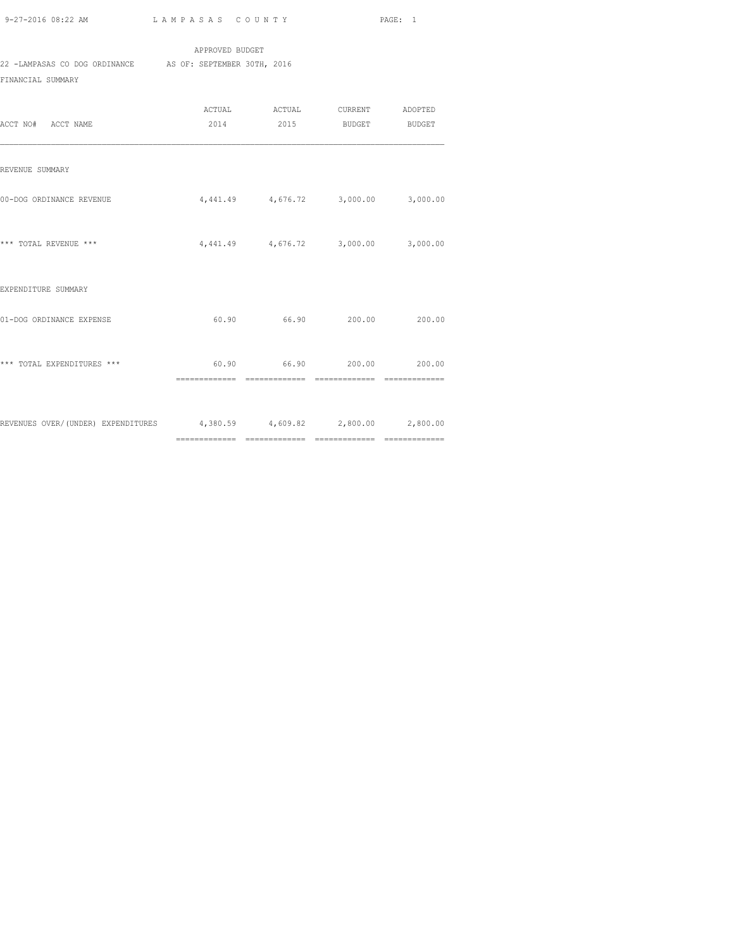APPROVED BUDGET 22 -LAMPASAS CO DOG ORDINANCE AS OF: SEPTEMBER 30TH, 2016 FINANCIAL SUMMARY

| ACCT NO# ACCT NAME                                                     | ACTUAL ACTUAL CURRENT ADOPTED<br>2014 2015 BUDGET BUDGET |                |
|------------------------------------------------------------------------|----------------------------------------------------------|----------------|
| REVENUE SUMMARY                                                        |                                                          |                |
| 00-DOG ORDINANCE REVENUE                                               | 4,441.49 4,676.72 3,000.00 3,000.00                      |                |
| *** TOTAL REVENUE ***                                                  | 4,441.49 4,676.72 3,000.00                               | 3,000.00       |
| EXPENDITURE SUMMARY                                                    |                                                          |                |
| 01-DOG ORDINANCE EXPENSE                                               | $60.90$ $66.90$ $200.00$ $200.00$                        |                |
| *** TOTAL EXPENDITURES ***                                             | 60.90 66.90 200.00 200.00                                | ============== |
| REVENUES OVER/(UNDER) EXPENDITURES 4,380.59 4,609.82 2,800.00 2,800.00 |                                                          |                |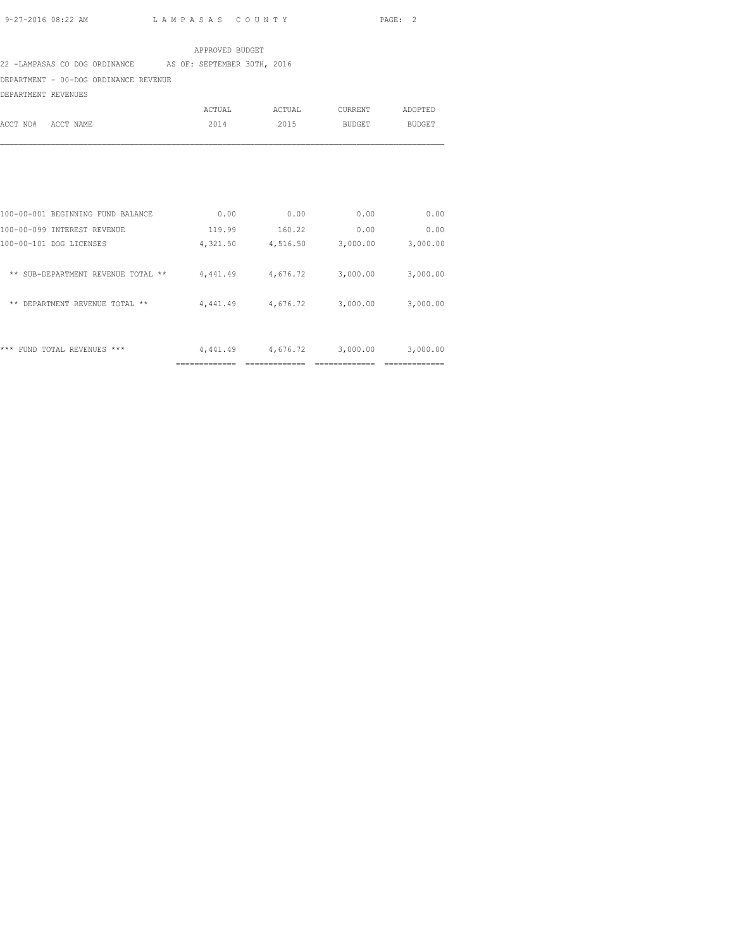#### APPROVED BUDGET

#### 22 -LAMPASAS CO DOG ORDINANCE AS OF: SEPTEMBER 30TH, 2016

DEPARTMENT - 00-DOG ORDINANCE REVENUE

DEPARTMENT REVENUES

| ACCT NO# | ACCT NAME | ACTUAL<br>2014 | ACTUAL<br>2015 | CURRENT<br>BUDGET | ADOPTED<br>BUDGET |
|----------|-----------|----------------|----------------|-------------------|-------------------|
|          |           |                |                |                   |                   |

|                                                          | ----------- |          |          |          |
|----------------------------------------------------------|-------------|----------|----------|----------|
| ***<br>$***$<br><b>REVENUES</b><br><b>FUND</b><br>TOTAL. | 4,441.49    | 4,676.72 | 3,000.00 | 3,000.00 |
| **<br><b>DEPARTMENT</b><br>REVENUE<br>**<br>TOTAL        | 4,441.49    | 4,676.72 | 3,000.00 | 3,000.00 |
| ** SUB-DEPARTMENT REVENUE TOTAL<br>$***$                 | 4,441.49    | 4,676.72 | 3,000.00 | 3,000.00 |
| 100-00-101 DOG LICENSES                                  | 4,321.50    | 4,516.50 | 3,000.00 | 3,000.00 |
| 100-00-099 INTEREST REVENUE                              | 119.99      | 160.22   | 0.00     | 0.00     |
| 100-00-001 BEGINNING FUND BALANCE                        | 0.00        | 0.00     | 0.00     | 0.00     |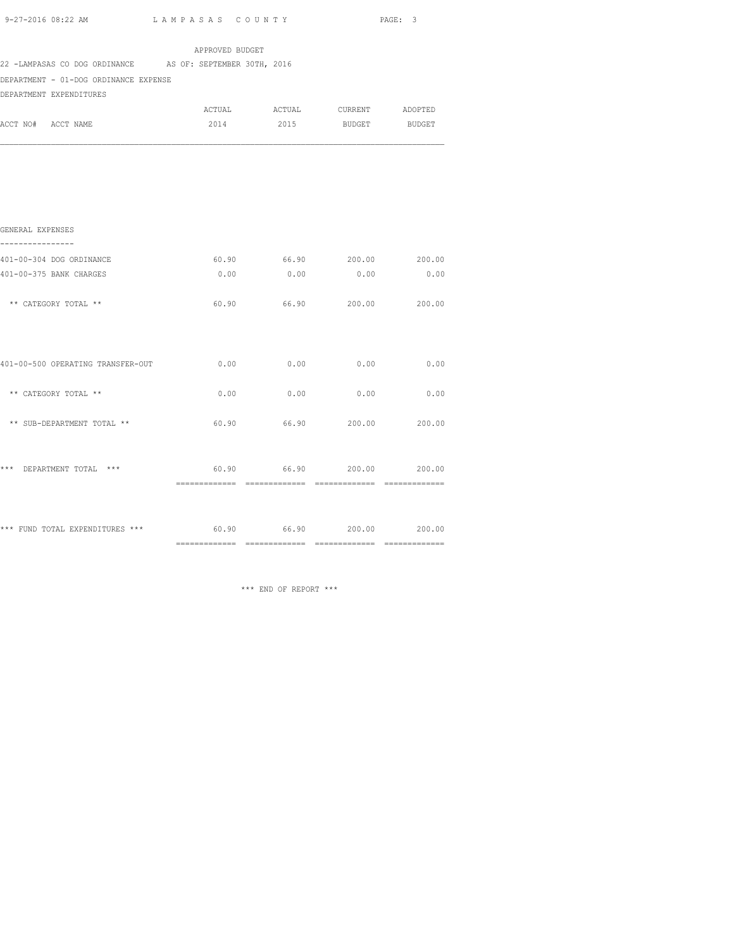|  | 9-27-2016 08:22 AM |  |
|--|--------------------|--|
|  |                    |  |

|                                                           |                 | PAGE: 3 |                                    |               |
|-----------------------------------------------------------|-----------------|---------|------------------------------------|---------------|
|                                                           | APPROVED BUDGET |         |                                    |               |
| 22 -LAMPASAS CO DOG ORDINANCE AS OF: SEPTEMBER 30TH, 2016 |                 |         |                                    |               |
| DEPARTMENT - 01-DOG ORDINANCE EXPENSE                     |                 |         |                                    |               |
| DEPARTMENT EXPENDITURES                                   |                 |         |                                    |               |
|                                                           |                 |         | ACTUAL ACTUAL CURRENT ADOPTED      |               |
| ACCT NO# ACCT NAME                                        | 2014            | 2015    | <b>BUDGET</b>                      | <b>BUDGET</b> |
|                                                           |                 |         |                                    |               |
|                                                           |                 |         |                                    |               |
| GENERAL EXPENSES<br>----------------                      |                 |         |                                    |               |
| 401-00-304 DOG ORDINANCE                                  | 60.90           |         | 66.90 200.00 200.00                |               |
| 401-00-375 BANK CHARGES                                   | 0.00            | 0.00    | 0.00                               | 0.00          |
| ** CATEGORY TOTAL **                                      |                 |         | 60.90 66.90 200.00 200.00          |               |
| 401-00-500 OPERATING TRANSFER-OUT                         |                 |         | $0.00$ $0.00$ $0.00$ $0.00$ $0.00$ |               |
| ** CATEGORY TOTAL **                                      | 0.00            | 0.00    | 0.00                               | 0.00          |
| ** SUB-DEPARTMENT TOTAL **                                | 60.90           |         | 66.90 200.00 200.00                |               |
| *** DEPARTMENT TOTAL ***                                  |                 |         | $60.90$ $66.90$ $200.00$ $200.00$  |               |

\*\*\* FUND TOTAL EXPENDITURES \*\*\* 60.90 66.90 200.00 200.00 ============= ============= ============= =============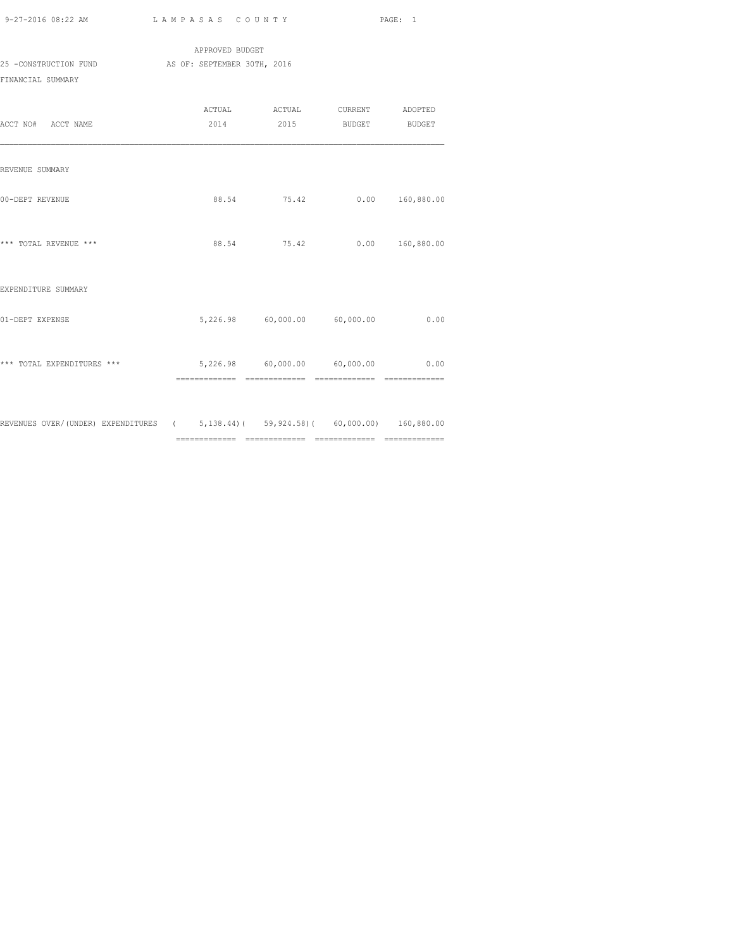| 9-27-2016 08:22 AM                         | LAMPASAS COUNTY             |                               |                    | PAGE: 1         |
|--------------------------------------------|-----------------------------|-------------------------------|--------------------|-----------------|
|                                            | APPROVED BUDGET             |                               |                    |                 |
| 25 -CONSTRUCTION FUND<br>FINANCIAL SUMMARY | AS OF: SEPTEMBER 30TH, 2016 |                               |                    |                 |
| ACCT NO# ACCT NAME                         | 2014                        | ACTUAL ACTUAL CURRENT ADOPTED | 2015 BUDGET BUDGET |                 |
| REVENUE SUMMARY                            |                             |                               |                    |                 |
| 00-DEPT REVENUE                            |                             | 88.54 75.42                   |                    | 0.00 160,880.00 |
| *** TOTAL REVENUE ***                      |                             | 88.54 75.42                   |                    | 0.00 160,880.00 |
| EXPENDITURE SUMMARY                        |                             |                               |                    |                 |
| 01-DEPT EXPENSE                            |                             | 5,226.98 60,000.00 60,000.00  |                    | 0.00            |

| *** TOTAL EXPENDITURES ***         | 5,226.98                                      | 60,000.00                      | 60,000.00                                                               | 0.00                                          |
|------------------------------------|-----------------------------------------------|--------------------------------|-------------------------------------------------------------------------|-----------------------------------------------|
|                                    | ______________                                | _____________                  | ______________                                                          | _____________                                 |
|                                    | -------------                                 | -------------                  | -------------                                                           | -------------                                 |
| REVENUES OVER/(UNDER) EXPENDITURES | $\sqrt{2}$<br>______________<br>_____________ | _____________<br>_____________ | $5,138,44$ ( $59,924,58$ ( 60,000.00)<br>____________<br>______________ | 160,880.00<br>--------------<br>_____________ |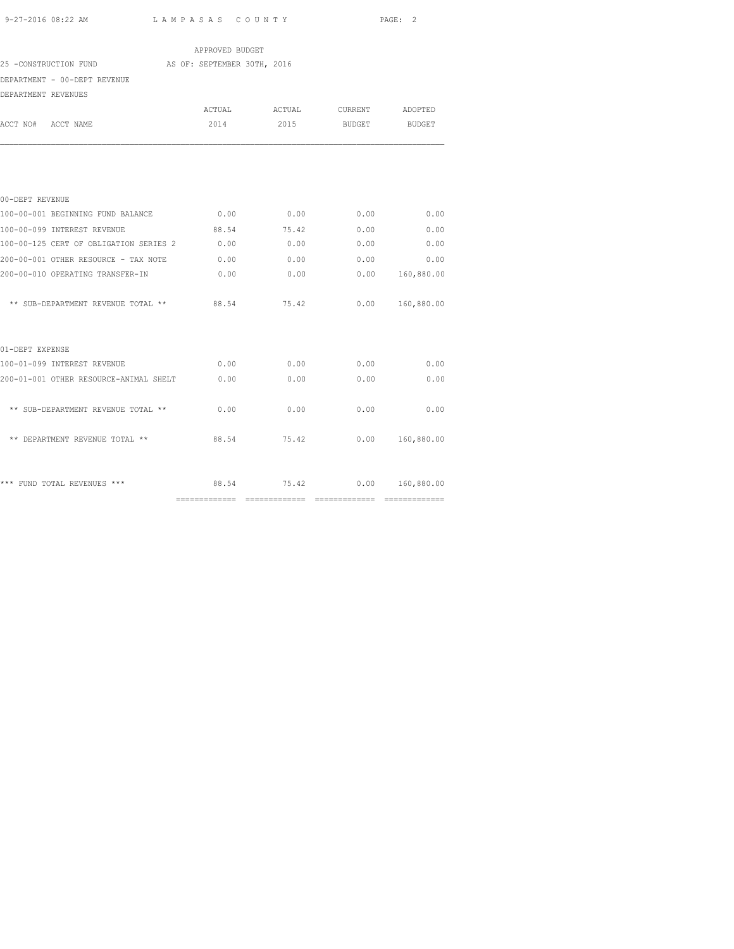|                                                   | APPROVED BUDGET |                  |                 |                 |
|---------------------------------------------------|-----------------|------------------|-----------------|-----------------|
| 25 -CONSTRUCTION FUND AS OF: SEPTEMBER 30TH, 2016 |                 |                  |                 |                 |
| DEPARTMENT - 00-DEPT REVENUE                      |                 |                  |                 |                 |
| DEPARTMENT REVENUES                               |                 |                  |                 |                 |
|                                                   | ACTUAL          | ACTUAL           | CURRENT ADOPTED |                 |
| ACCT NO# ACCT NAME                                | 2014            | 2015             | BUDGET          | BUDGET          |
|                                                   |                 |                  |                 |                 |
| 00-DEPT REVENUE                                   |                 |                  |                 |                 |
| 100-00-001 BEGINNING FUND BALANCE                 |                 | $0.00$ 0.00 0.00 |                 | 0.00            |
| 100-00-099 INTEREST REVENUE                       | 88.54           | 75.42            | 0.00            | 0.00            |
| 100-00-125 CERT OF OBLIGATION SERIES 2            | 0.00            | 0.00             | 0.00            | 0.00            |
| 200-00-001 OTHER RESOURCE - TAX NOTE              | 0.00            | 0.00             |                 | 0.00<br>0.00    |
| 200-00-010 OPERATING TRANSFER-IN                  | 0.00            | 0.00             | 0.00            | 160,880.00      |
| ** SUB-DEPARTMENT REVENUE TOTAL **                | 88.54           | 75.42            |                 | 0.00 160,880.00 |
| 01-DEPT EXPENSE                                   |                 |                  |                 |                 |
| 100-01-099 INTEREST REVENUE                       | 0.00            | 0.00             | 0.00            | 0.00            |
| 200-01-001 OTHER RESOURCE-ANIMAL SHELT 0.00       |                 | 0.00             | 0.00            | 0.00            |
| ** SUB-DEPARTMENT REVENUE TOTAL **                | 0.00            | 0.00             | 0.00            | 0.00            |
| ** DEPARTMENT REVENUE TOTAL **                    | 88.54           | 75.42            | 0.00            | 160,880.00      |
| *** FUND TOTAL REVENUES ***                       |                 | 88.54 75.42      |                 | 0.00 160,880.00 |
|                                                   |                 |                  |                 |                 |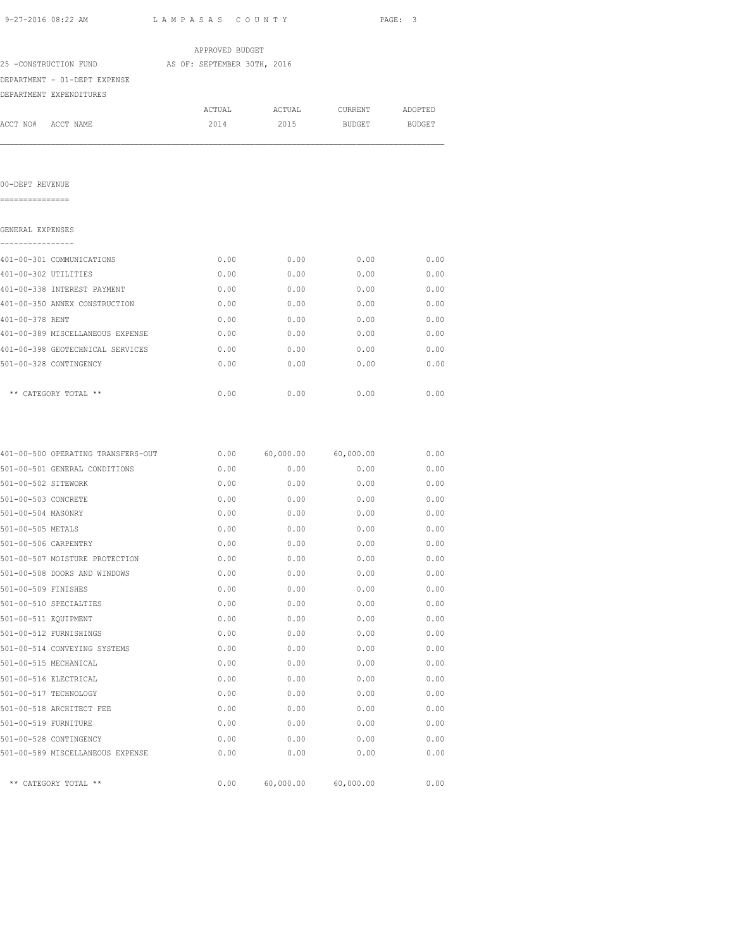| 9-27-2016 08:22 AM                   |                                                   | LAMPASAS COUNTY |                            |         | PAGE: 3 |
|--------------------------------------|---------------------------------------------------|-----------------|----------------------------|---------|---------|
|                                      |                                                   | APPROVED BUDGET |                            |         |         |
|                                      | 25 -CONSTRUCTION FUND AS OF: SEPTEMBER 30TH, 2016 |                 |                            |         |         |
|                                      | DEPARTMENT - 01-DEPT EXPENSE                      |                 |                            |         |         |
|                                      | DEPARTMENT EXPENDITURES                           |                 |                            |         |         |
|                                      |                                                   | ACTUAL          | ACTUAL                     | CURRENT | ADOPTED |
| ACCT NO# ACCT NAME                   |                                                   | 2014            | 2015                       | BUDGET  | BUDGET  |
|                                      |                                                   |                 |                            |         |         |
| 00-DEPT REVENUE<br>===============   |                                                   |                 |                            |         |         |
|                                      |                                                   |                 |                            |         |         |
| GENERAL EXPENSES<br>---------------- |                                                   |                 |                            |         |         |
|                                      | 401-00-301 COMMUNICATIONS                         | 0.00            | 0.00                       | 0.00    | 0.00    |
| 401-00-302 UTILITIES                 |                                                   | 0.00            | 0.00                       | 0.00    | 0.00    |
|                                      | 401-00-338 INTEREST PAYMENT                       | 0.00            | 0.00                       | 0.00    | 0.00    |
|                                      | 401-00-350 ANNEX CONSTRUCTION                     | 0.00            | 0.00                       | 0.00    | 0.00    |
| 401-00-378 RENT                      |                                                   | 0.00            | 0.00                       | 0.00    | 0.00    |
|                                      | 401-00-389 MISCELLANEOUS EXPENSE                  | 0.00            | 0.00                       | 0.00    | 0.00    |
|                                      | 401-00-398 GEOTECHNICAL SERVICES                  | 0.00            | 0.00                       | 0.00    | 0.00    |
|                                      | 501-00-328 CONTINGENCY                            | 0.00            | 0.00                       | 0.00    | 0.00    |
|                                      | ** CATEGORY TOTAL **                              | 0.00            | 0.00                       | 0.00    | 0.00    |
|                                      | 401-00-500 OPERATING TRANSFERS-OUT                |                 | $0.00$ 60,000.00 60,000.00 |         | 0.00    |
|                                      | 501-00-501 GENERAL CONDITIONS                     | 0.00            | 0.00                       | 0.00    | 0.00    |
| 501-00-502 SITEWORK                  |                                                   | 0.00            | 0.00                       | 0.00    | 0.00    |
| 501-00-503 CONCRETE                  |                                                   | 0.00            | 0.00                       | 0.00    | 0.00    |
| 501-00-504 MASONRY                   |                                                   | 0.00            | 0.00                       | 0.00    | 0.00    |
| 501-00-505 METALS                    |                                                   | 0.00            | 0.00                       | 0.00    | 0.00    |
| 501-00-506 CARPENTRY                 |                                                   | 0.00            | 0.00                       | 0.00    | 0.00    |
|                                      | 501-00-507 MOISTURE PROTECTION                    | 0.00            | 0.00                       | 0.00    | 0.00    |
|                                      | 501-00-508 DOORS AND WINDOWS                      | 0.00            | 0.00                       | 0.00    | 0.00    |
| 501-00-509 FINISHES                  |                                                   | 0.00            | 0.00                       | 0.00    | 0.00    |
|                                      | 501-00-510 SPECIALTIES                            | 0.00            | 0.00                       | 0.00    | 0.00    |
| 501-00-511 EQUIPMENT                 |                                                   | 0.00            | 0.00                       | 0.00    | 0.00    |
|                                      | 501-00-512 FURNISHINGS                            | 0.00            | 0.00                       | 0.00    | 0.00    |
|                                      | 501-00-514 CONVEYING SYSTEMS                      | 0.00            | 0.00                       | 0.00    | 0.00    |
| 501-00-515 MECHANICAL                |                                                   | 0.00            | 0.00                       | 0.00    | 0.00    |
| 501-00-516 ELECTRICAL                |                                                   | 0.00            | 0.00                       | 0.00    | 0.00    |
| 501-00-517 TECHNOLOGY                |                                                   | 0.00            | 0.00                       | 0.00    | 0.00    |
|                                      | 501-00-518 ARCHITECT FEE                          | 0.00            | 0.00                       | 0.00    | 0.00    |
|                                      | 501-00-519 FURNITURE                              | 0.00            | 0.00                       | 0.00    | 0.00    |
|                                      |                                                   |                 |                            |         |         |
|                                      | 501-00-528 CONTINGENCY                            | 0.00            | 0.00                       | 0.00    | 0.00    |

\*\* CATEGORY TOTAL \*\* 0.00 60,000.00 60,000.00 0.00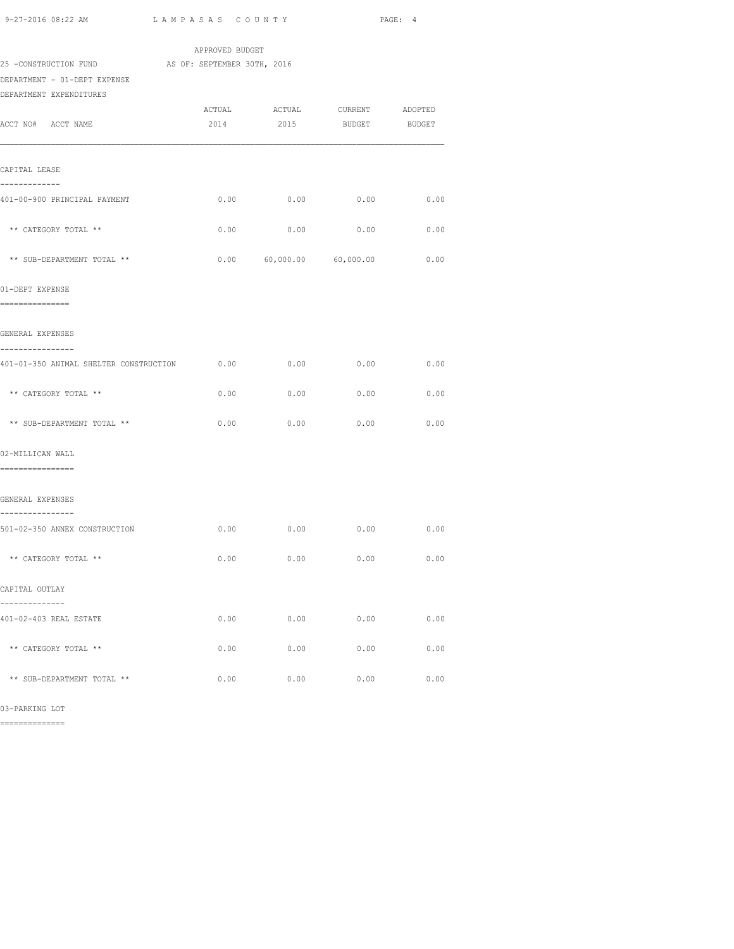| APPROVED BUDGET<br>25 -CONSTRUCTION FUND AS OF: SEPTEMBER 30TH, 2016<br>DEPARTMENT - 01-DEPT EXPENSE<br>DEPARTMENT EXPENDITURES<br>ACTUAL ACTUAL CURRENT ADOPTED<br>ACCT NO# ACCT NAME<br>2014 2015 BUDGET BUDGET<br>CAPITAL LEASE<br>-------------<br>0.00<br>0.00<br>401-00-900 PRINCIPAL PAYMENT<br>0.00<br>0.00<br>** CATEGORY TOTAL **<br>0.00<br>0.00<br>0.00<br>$0.00$ 60,000.00 60,000.00 0.00<br>** SUB-DEPARTMENT TOTAL **<br>01-DEPT EXPENSE<br>===============<br>GENERAL EXPENSES<br>---------------- |      |
|--------------------------------------------------------------------------------------------------------------------------------------------------------------------------------------------------------------------------------------------------------------------------------------------------------------------------------------------------------------------------------------------------------------------------------------------------------------------------------------------------------------------|------|
|                                                                                                                                                                                                                                                                                                                                                                                                                                                                                                                    |      |
|                                                                                                                                                                                                                                                                                                                                                                                                                                                                                                                    |      |
|                                                                                                                                                                                                                                                                                                                                                                                                                                                                                                                    |      |
|                                                                                                                                                                                                                                                                                                                                                                                                                                                                                                                    |      |
|                                                                                                                                                                                                                                                                                                                                                                                                                                                                                                                    |      |
|                                                                                                                                                                                                                                                                                                                                                                                                                                                                                                                    |      |
|                                                                                                                                                                                                                                                                                                                                                                                                                                                                                                                    |      |
|                                                                                                                                                                                                                                                                                                                                                                                                                                                                                                                    |      |
|                                                                                                                                                                                                                                                                                                                                                                                                                                                                                                                    |      |
|                                                                                                                                                                                                                                                                                                                                                                                                                                                                                                                    |      |
|                                                                                                                                                                                                                                                                                                                                                                                                                                                                                                                    | 0.00 |
|                                                                                                                                                                                                                                                                                                                                                                                                                                                                                                                    |      |
|                                                                                                                                                                                                                                                                                                                                                                                                                                                                                                                    |      |
|                                                                                                                                                                                                                                                                                                                                                                                                                                                                                                                    |      |
|                                                                                                                                                                                                                                                                                                                                                                                                                                                                                                                    |      |
|                                                                                                                                                                                                                                                                                                                                                                                                                                                                                                                    |      |
| 0.00<br>0.00<br>0.00<br>0.00<br>401-01-350 ANIMAL SHELTER CONSTRUCTION                                                                                                                                                                                                                                                                                                                                                                                                                                             |      |
| ** CATEGORY TOTAL **<br>0.00<br>0.00<br>0.00                                                                                                                                                                                                                                                                                                                                                                                                                                                                       | 0.00 |
|                                                                                                                                                                                                                                                                                                                                                                                                                                                                                                                    |      |
| ** SUB-DEPARTMENT TOTAL **<br>0.00<br>0.00<br>0.00<br>0.00                                                                                                                                                                                                                                                                                                                                                                                                                                                         |      |
| 02-MILLICAN WALL                                                                                                                                                                                                                                                                                                                                                                                                                                                                                                   |      |
| =================                                                                                                                                                                                                                                                                                                                                                                                                                                                                                                  |      |
| GENERAL EXPENSES                                                                                                                                                                                                                                                                                                                                                                                                                                                                                                   |      |
| ----------------<br>$0.00$ $0.00$ $0.00$<br>0.00<br>501-02-350 ANNEX CONSTRUCTION                                                                                                                                                                                                                                                                                                                                                                                                                                  |      |
|                                                                                                                                                                                                                                                                                                                                                                                                                                                                                                                    |      |
| ** CATEGORY TOTAL **<br>0.00<br>0.00<br>0.00                                                                                                                                                                                                                                                                                                                                                                                                                                                                       | 0.00 |
| CAPITAL OUTLAY                                                                                                                                                                                                                                                                                                                                                                                                                                                                                                     |      |
| 401-02-403 REAL ESTATE<br>0.00<br>0.00<br>0.00                                                                                                                                                                                                                                                                                                                                                                                                                                                                     | 0.00 |
|                                                                                                                                                                                                                                                                                                                                                                                                                                                                                                                    |      |
| ** CATEGORY TOTAL **<br>$0.00$ 0.00<br>0.00                                                                                                                                                                                                                                                                                                                                                                                                                                                                        | 0.00 |
| ** SUB-DEPARTMENT TOTAL **<br>0.00<br>0.00<br>0.00                                                                                                                                                                                                                                                                                                                                                                                                                                                                 |      |

03-PARKING LOT

==============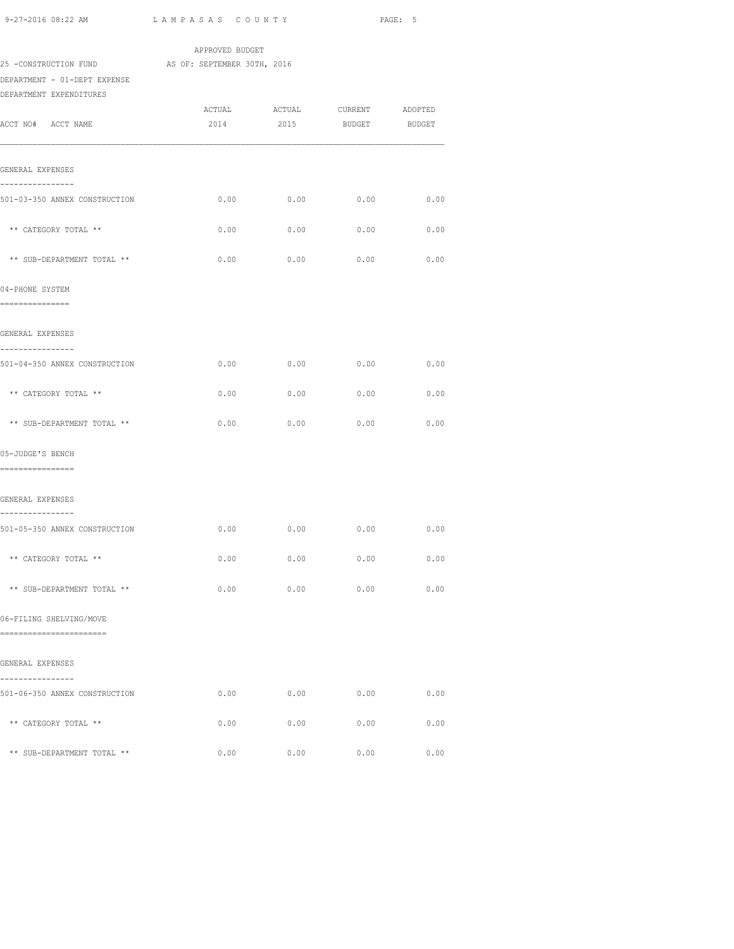| 9-27-2016 08:22 AM                                               | LAMPASAS COUNTY |      |                                    | PAGE: 5 |
|------------------------------------------------------------------|-----------------|------|------------------------------------|---------|
|                                                                  | APPROVED BUDGET |      |                                    |         |
| 25 -CONSTRUCTION FUND AS OF: SEPTEMBER 30TH, 2016                |                 |      |                                    |         |
| DEPARTMENT - 01-DEPT EXPENSE<br>DEPARTMENT EXPENDITURES          |                 |      |                                    |         |
|                                                                  |                 |      | ACTUAL ACTUAL CURRENT ADOPTED      |         |
| ACCT NO# ACCT NAME                                               | 2014            | 2015 | <b>BUDGET</b>                      | BUDGET  |
| GENERAL EXPENSES                                                 |                 |      |                                    |         |
| ------------                                                     |                 |      |                                    |         |
| 501-03-350 ANNEX CONSTRUCTION                                    |                 |      | $0.00$ $0.00$ $0.00$ $0.00$ $0.00$ |         |
| ** CATEGORY TOTAL **                                             | 0.00            | 0.00 | 0.00                               | 0.00    |
| ** SUB-DEPARTMENT TOTAL **                                       | 0.00            | 0.00 | 0.00                               | 0.00    |
| 04-PHONE SYSTEM<br>===============                               |                 |      |                                    |         |
| GENERAL EXPENSES                                                 |                 |      |                                    |         |
| . _ _ _ _ _ _ _ _ _ _ _ _ _ _ _<br>501-04-350 ANNEX CONSTRUCTION |                 |      | $0.00$ 0.00 0.00 0.00              |         |
| ** CATEGORY TOTAL **                                             | 0.00            | 0.00 | 0.00                               | 0.00    |
| ** SUB-DEPARTMENT TOTAL **                                       | 0.00            | 0.00 | 0.00                               | 0.00    |
| 05-JUDGE'S BENCH                                                 |                 |      |                                    |         |
| ================                                                 |                 |      |                                    |         |
| GENERAL EXPENSES                                                 |                 |      |                                    |         |
| ----------------<br>501-05-350 ANNEX CONSTRUCTION                |                 |      | $0.00$ 0.00 0.00 0.00              |         |
| ** CATEGORY TOTAL **                                             | 0.00            | 0.00 | 0.00                               | 0.00    |
| ** SUB-DEPARTMENT TOTAL **                                       | 0.00            | 0.00 | 0.00                               | 0.00    |
| 06-FILING SHELVING/MOVE                                          |                 |      |                                    |         |
| =========================                                        |                 |      |                                    |         |
| GENERAL EXPENSES                                                 |                 |      |                                    |         |
| 501-06-350 ANNEX CONSTRUCTION                                    | 0.00            | 0.00 | 0.00                               | 0.00    |
| ** CATEGORY TOTAL **                                             | 0.00            | 0.00 | 0.00                               | 0.00    |
| ** SUB-DEPARTMENT TOTAL **                                       | 0.00            | 0.00 | 0.00                               | 0.00    |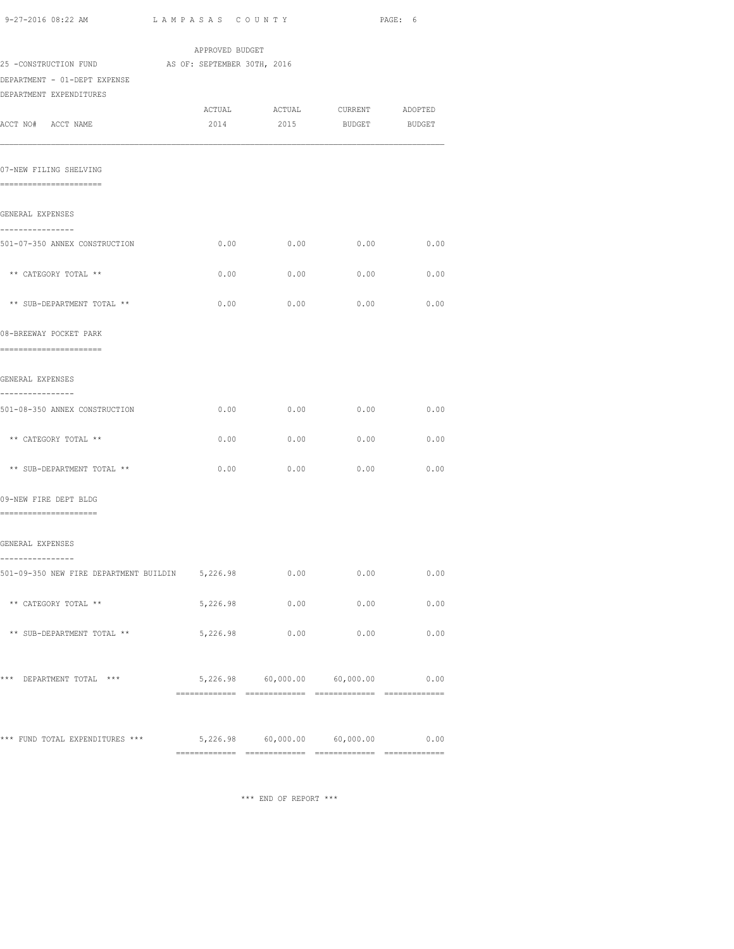| 9-27-2016 08:22 AM                                                | LAMPASAS COUNTY |                                   |               | PAGE: 6 |
|-------------------------------------------------------------------|-----------------|-----------------------------------|---------------|---------|
|                                                                   | APPROVED BUDGET |                                   |               |         |
| 25 -CONSTRUCTION FUND AS OF: SEPTEMBER 30TH, 2016                 |                 |                                   |               |         |
| DEPARTMENT - 01-DEPT EXPENSE<br>DEPARTMENT EXPENDITURES           |                 |                                   |               |         |
|                                                                   |                 | ACTUAL ACTUAL CURRENT             |               | ADOPTED |
| ACCT NO# ACCT NAME                                                | 2014            | 2015                              | <b>BUDGET</b> | BUDGET  |
| 07-NEW FILING SHELVING<br>-----------------------                 |                 |                                   |               |         |
| GENERAL EXPENSES                                                  |                 |                                   |               |         |
| ----------------<br>501-07-350 ANNEX CONSTRUCTION                 | 0.00            | 0.00                              | 0.00          | 0.00    |
| ** CATEGORY TOTAL **                                              | 0.00            | 0.00                              | 0.00          | 0.00    |
| ** SUB-DEPARTMENT TOTAL **                                        | 0.00            | 0.00                              | 0.00          | 0.00    |
| 08-BREEWAY POCKET PARK<br>========================                |                 |                                   |               |         |
| GENERAL EXPENSES                                                  |                 |                                   |               |         |
| ---------------<br>501-08-350 ANNEX CONSTRUCTION                  |                 | 0.00                              | $0.00$ 0.00   | 0.00    |
| ** CATEGORY TOTAL **                                              | 0.00            | 0.00                              | 0.00          | 0.00    |
| ** SUB-DEPARTMENT TOTAL **                                        | 0.00            | 0.00                              | 0.00          | 0.00    |
| 09-NEW FIRE DEPT BLDG<br>=======================                  |                 |                                   |               |         |
| GENERAL EXPENSES                                                  |                 |                                   |               |         |
| ----------<br>501-09-350 NEW FIRE DEPARTMENT BUILDIN 5,226.98     |                 |                                   | 0.00<br>0.00  | 0.00    |
| ** CATEGORY TOTAL **                                              |                 | 5,226.98 0.00 0.00                |               | 0.00    |
| ** SUB-DEPARTMENT TOTAL **                                        | 5,226.98        | 0.00                              | 0.00          | 0.00    |
| *** DEPARTMENT TOTAL ***                                          |                 | 5,226.98 60,000.00 60,000.00 0.00 |               |         |
| *** FUND TOTAL EXPENDITURES *** 5,226.98 60,000.00 60,000.00 0.00 |                 |                                   |               |         |
|                                                                   |                 |                                   |               |         |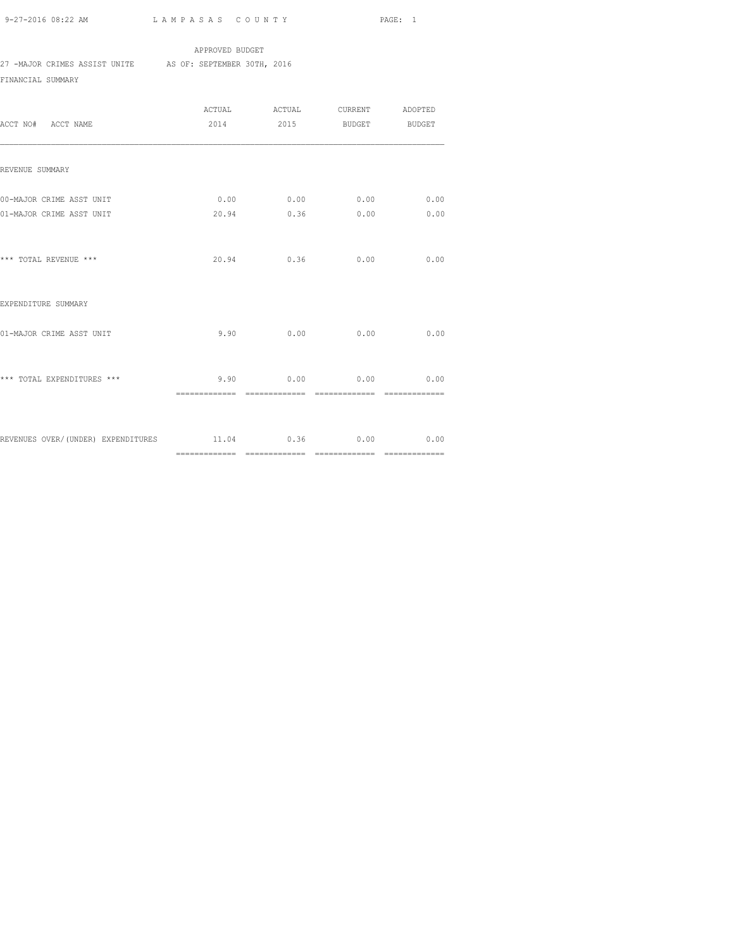APPROVED BUDGET 27 -MAJOR CRIMES ASSIST UNITE AS OF: SEPTEMBER 30TH, 2016

FINANCIAL SUMMARY

| ACCT NO# ACCT NAME                                      |       | ACTUAL ACTUAL CURRENT ADOPTED<br>2014 2015 BUDGET BUDGET            |                |                |
|---------------------------------------------------------|-------|---------------------------------------------------------------------|----------------|----------------|
| REVENUE SUMMARY                                         |       |                                                                     |                |                |
| 00-MAJOR CRIME ASST UNIT<br>01-MAJOR CRIME ASST UNIT    | 20.94 | $0.00$ 0.00 0.00<br>0.36                                            | 0.00           | 0.00<br>0.00   |
| *** TOTAL REVENUE ***                                   |       | 20.94 0.36                                                          | 0.00           | 0.00           |
| EXPENDITURE SUMMARY                                     |       |                                                                     |                |                |
| 01-MAJOR CRIME ASST UNIT                                | 9.90  | 0.00                                                                | 0.00           | 0.00           |
| *** TOTAL EXPENDITURES ***                              |       | $9.90 \t\t 0.00 \t\t 0.00 \t\t 0.00$<br>============= ============= | ============== | ============== |
| REVENUES OVER/(UNDER) EXPENDITURES 11.04 0.36 0.00 0.00 |       |                                                                     |                |                |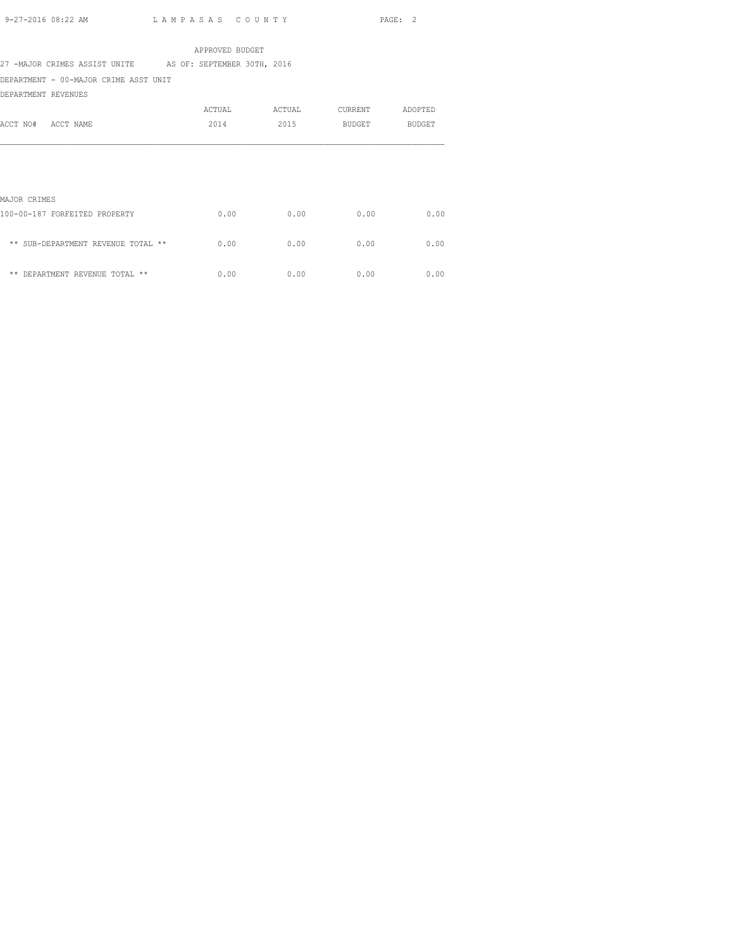APPROVED BUDGET 27 -MAJOR CRIMES ASSIST UNITE AS OF: SEPTEMBER 30TH, 2016

DEPARTMENT - 00-MAJOR CRIME ASST UNIT

DEPARTMENT REVENUES

|                                    | ACTUAL | ACTUAL | CURRENT       | ADOPTED       |
|------------------------------------|--------|--------|---------------|---------------|
| ACCT NO#<br>ACCT NAME              | 2014   | 2015   | <b>BUDGET</b> | <b>BUDGET</b> |
|                                    |        |        |               |               |
|                                    |        |        |               |               |
|                                    |        |        |               |               |
|                                    |        |        |               |               |
| MAJOR CRIMES                       |        |        |               |               |
| 100-00-187 FORFEITED PROPERTY      | 0.00   | 0.00   | 0.00          | 0.00          |
|                                    |        |        |               |               |
| ** SUB-DEPARTMENT REVENUE TOTAL ** | 0.00   | 0.00   | 0.00          | 0.00          |
|                                    |        |        |               |               |

 $**$  DEPARTMENT REVENUE TOTAL  $**$  0.00 0.00 0.00 0.00 0.00 0.00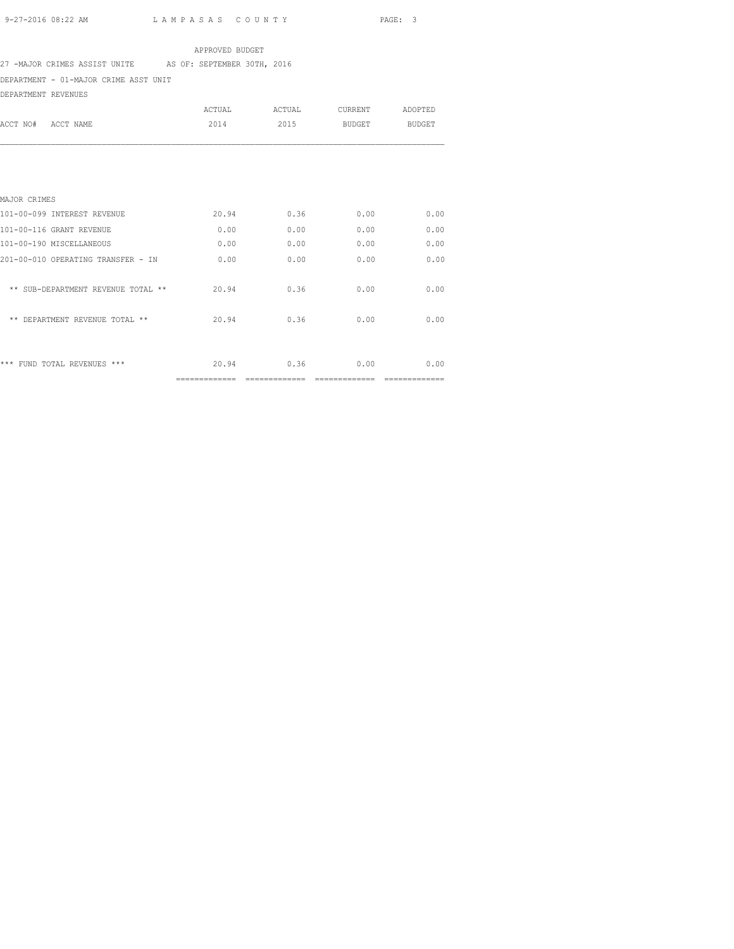#### APPROVED BUDGET

27 -MAJOR CRIMES ASSIST UNITE AS OF: SEPTEMBER 30TH, 2016

DEPARTMENT - 01-MAJOR CRIME ASST UNIT

DEPARTMENT REVENUES

|                                    | ACTUAL                  | ACTUAL                 | CURRENT       | ADOPTED                |
|------------------------------------|-------------------------|------------------------|---------------|------------------------|
| ACCT NO#<br>ACCT NAME              | 2014                    | 2015                   | BUDGET        | <b>BUDGET</b>          |
|                                    |                         |                        |               |                        |
|                                    |                         |                        |               |                        |
| MAJOR CRIMES                       |                         |                        |               |                        |
| 101-00-099 INTEREST REVENUE        | 20.94                   | 0.36                   | 0.00          | 0.00                   |
| 101-00-116 GRANT REVENUE           | 0.00                    | 0.00                   | 0.00          | 0.00                   |
| 101-00-190 MISCELLANEOUS           | 0.00                    | 0.00                   | 0.00          | 0.00                   |
| 201-00-010 OPERATING TRANSFER - IN | 0.00                    | 0.00                   | 0.00          | 0.00                   |
| ** SUB-DEPARTMENT REVENUE TOTAL ** | 20.94                   | 0.36                   | 0.00          | 0.00                   |
| ** DEPARTMENT REVENUE TOTAL **     | 20.94                   | 0.36                   | 0.00          | 0.00                   |
|                                    |                         |                        |               |                        |
| *** FUND TOTAL REVENUES ***        | 20.94<br>============== | 0.36<br>-------------- | 0.00<br>_____ | 0.00<br>-------------- |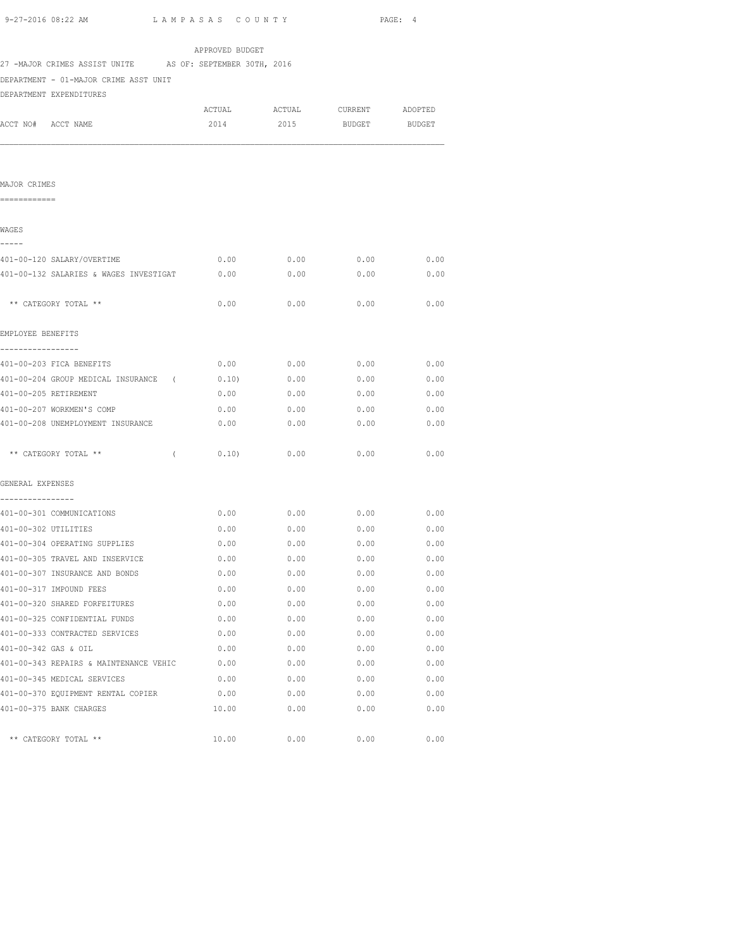|                                                                | APPROVED BUDGET |             |                  |         |
|----------------------------------------------------------------|-----------------|-------------|------------------|---------|
| 27 -MAJOR CRIMES ASSIST UNITE AS OF: SEPTEMBER 30TH, 2016      |                 |             |                  |         |
| DEPARTMENT - 01-MAJOR CRIME ASST UNIT                          |                 |             |                  |         |
| DEPARTMENT EXPENDITURES                                        |                 |             |                  |         |
|                                                                | ACTUAL          |             | ACTUAL CURRENT   | ADOPTED |
| ACCT NO# ACCT NAME                                             | 2014            | 2015        | <b>BUDGET</b>    | BUDGET  |
|                                                                |                 |             |                  |         |
|                                                                |                 |             |                  |         |
|                                                                |                 |             |                  |         |
| MAJOR CRIMES                                                   |                 |             |                  |         |
| ============                                                   |                 |             |                  |         |
|                                                                |                 |             |                  |         |
| WAGES<br>-----                                                 |                 |             |                  |         |
| 401-00-120 SALARY/OVERTIME                                     | 0.00            | 0.00        | 0.00             | 0.00    |
| 401-00-132 SALARIES & WAGES INVESTIGAT                         | 0.00            | 0.00        | 0.00             | 0.00    |
|                                                                |                 |             |                  |         |
| ** CATEGORY TOTAL **                                           | 0.00            | 0.00        | 0.00             | 0.00    |
|                                                                |                 |             |                  |         |
| EMPLOYEE BENEFITS                                              |                 |             |                  |         |
| ------------                                                   |                 |             |                  |         |
| 401-00-203 FICA BENEFITS                                       |                 |             | $0.00$ 0.00 0.00 | 0.00    |
| 401-00-204 GROUP MEDICAL INSURANCE (0.10) 0.00                 |                 |             | 0.00             | 0.00    |
| 401-00-205 RETIREMENT                                          |                 | $0.00$ 0.00 | 0.00             | 0.00    |
| 401-00-207 WORKMEN'S COMP                                      | 0.00            | 0.00        | 0.00             | 0.00    |
| 401-00-208 UNEMPLOYMENT INSURANCE                              | 0.00            | 0.00        | 0.00             | 0.00    |
|                                                                |                 |             |                  |         |
| ** CATEGORY TOTAL **<br>$\sqrt{2}$                             | 0.10)           | 0.00        | 0.00             | 0.00    |
|                                                                |                 |             |                  |         |
| GENERAL EXPENSES                                               |                 |             |                  |         |
| . _ _ _ _ _ _ _ _ _ _ _ _ _ _ _ _<br>401-00-301 COMMUNICATIONS | 0.00            | 0.00        | 0.00             | 0.00    |
| 401-00-302 UTILITIES                                           | 0.00            | 0.00        | 0.00             | 0.00    |
| 401-00-304 OPERATING SUPPLIES                                  | 0.00            | 0.00        | 0.00             | 0.00    |
| 401-00-305 TRAVEL AND INSERVICE                                | 0.00            | 0.00        | $0.00$ 0.00      |         |
| 401-00-307 INSURANCE AND BONDS                                 | 0.00            | 0.00        | 0.00             | 0.00    |
| 401-00-317 IMPOUND FEES                                        | 0.00            | 0.00        | 0.00             | 0.00    |
| 401-00-320 SHARED FORFEITURES                                  | 0.00            | 0.00        | 0.00             | 0.00    |
| 401-00-325 CONFIDENTIAL FUNDS                                  | 0.00            | 0.00        | 0.00             | 0.00    |
| 401-00-333 CONTRACTED SERVICES                                 | 0.00            | 0.00        | 0.00             | 0.00    |
| 401-00-342 GAS & OIL                                           | 0.00            | 0.00        | 0.00             | 0.00    |
| 401-00-343 REPAIRS & MAINTENANCE VEHIC                         | 0.00            | 0.00        | 0.00             | 0.00    |
| 401-00-345 MEDICAL SERVICES                                    | 0.00            | 0.00        | 0.00             | 0.00    |
| 401-00-370 EQUIPMENT RENTAL COPIER                             | 0.00            | 0.00        | 0.00             | 0.00    |
| 401-00-375 BANK CHARGES                                        | 10.00           | 0.00        | 0.00             | 0.00    |

\*\* CATEGORY TOTAL \*\* 10.00 0.00 0.00 0.00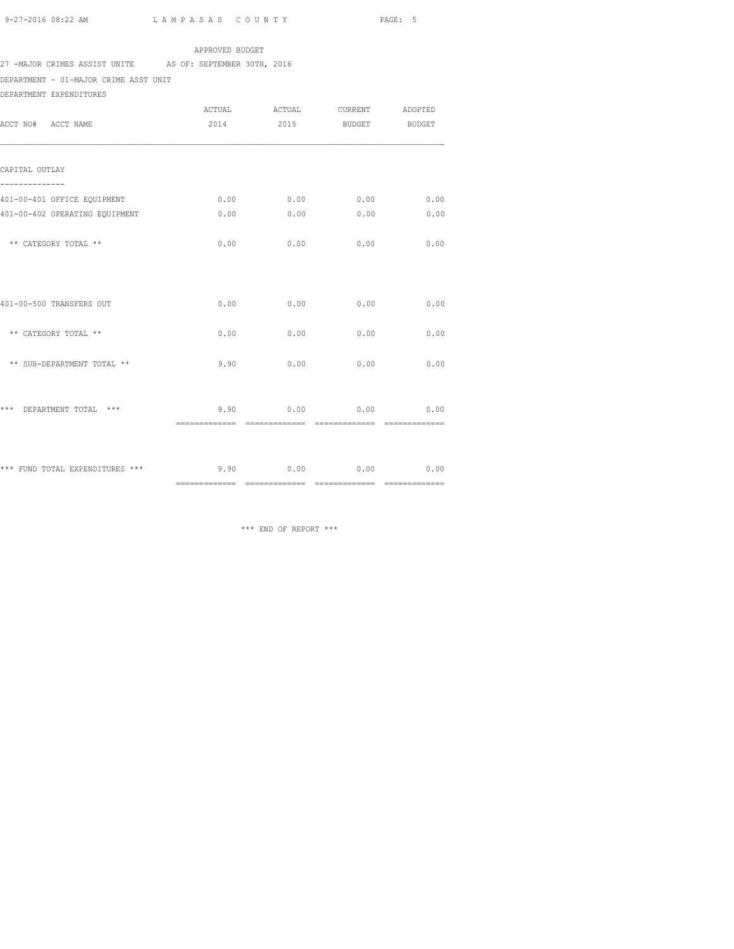## APPROVED BUDGET

## 27 -MAJOR CRIMES ASSIST UNITE AS OF: SEPTEMBER 30TH, 2016

DEPARTMENT - 01-MAJOR CRIME ASST UNIT

DEPARTMENT EXPENDITURES

| ACCT NO# ACCT NAME                                    | ACTUAL<br>2014 | ACTUAL                             | CURRENT ADOPTED<br>2015 BUDGET BUDGET |      |
|-------------------------------------------------------|----------------|------------------------------------|---------------------------------------|------|
| CAPITAL OUTLAY                                        |                |                                    |                                       |      |
| 401-00-401 OFFICE EQUIPMENT                           | 0.00           |                                    | $0.00$ 0.00                           | 0.00 |
| 401-00-402 OPERATING EQUIPMENT                        | 0.00           | 0.00                               | 0.00                                  | 0.00 |
| ** CATEGORY TOTAL **                                  | 0.00           | 0.00                               | 0.00                                  | 0.00 |
| 401-00-500 TRANSFERS OUT                              | 0.00           | 0.00                               | 0.00                                  | 0.00 |
| ** CATEGORY TOTAL **                                  | 0.00           | 0.00                               | 0.00                                  | 0.00 |
| ** SUB-DEPARTMENT TOTAL **                            | 9.90           | 0.00                               | 0.00                                  | 0.00 |
| *** DEPARTMENT TOTAL ***                              | ============== | $9.90$ 0.00 0.00<br>============== | ==============                        | 0.00 |
| *** FUND TOTAL EXPENDITURES *** $9.90$ 0.00 0.00 0.00 |                |                                    |                                       | 0.00 |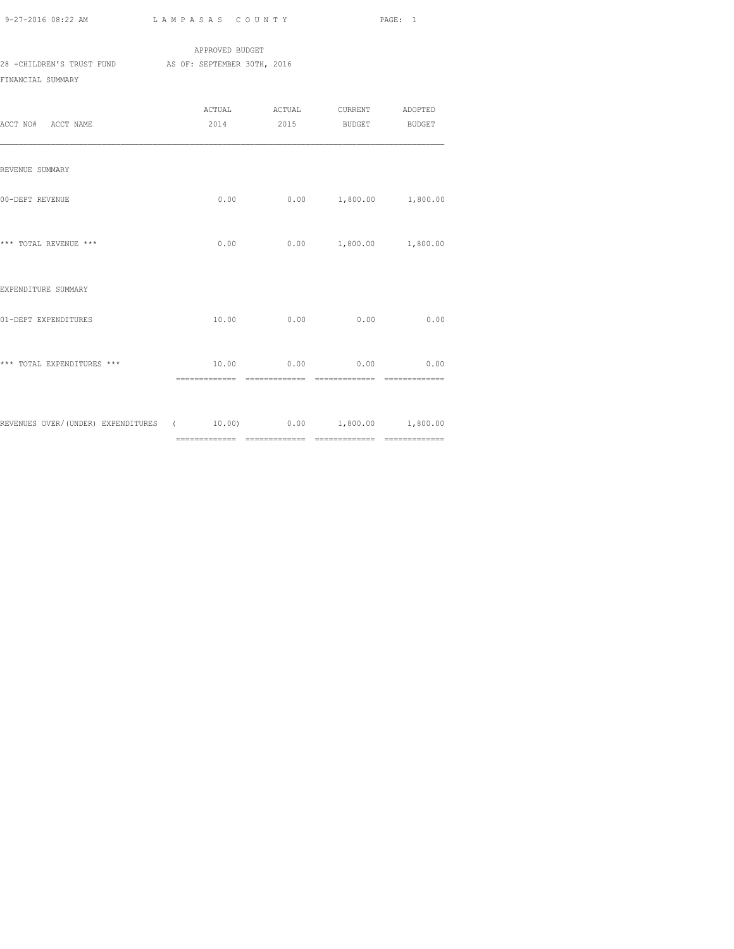|                           | APPROVED BUDGET             |  |
|---------------------------|-----------------------------|--|
| 28 -CHILDREN'S TRUST FUND | AS OF: SEPTEMBER 30TH, 2016 |  |
| FINANCIAL SUMMARY         |                             |  |

| ACCT NO# ACCT NAME                                                 |       |      | ACTUAL ACTUAL CURRENT ADOPTED<br>2014 2015 BUDGET BUDGET |          |
|--------------------------------------------------------------------|-------|------|----------------------------------------------------------|----------|
| REVENUE SUMMARY                                                    |       |      |                                                          |          |
| 00-DEPT REVENUE                                                    | 0.00  |      | 0.00 1,800.00                                            | 1,800.00 |
| *** TOTAL REVENUE ***                                              |       |      | $0.00$ $0.00$ $1,800.00$ $1,800.00$                      |          |
| EXPENDITURE SUMMARY                                                |       |      |                                                          |          |
| 01-DEPT EXPENDITURES                                               | 10.00 | 0.00 | 0.00                                                     | 0.00     |
| *** TOTAL EXPENDITURES ***                                         |       |      | $10.00$ 0.00 0.00 0.00                                   |          |
| REVENUES OVER/(UNDER) EXPENDITURES ( 10.00) 0.00 1,800.00 1,800.00 |       |      |                                                          |          |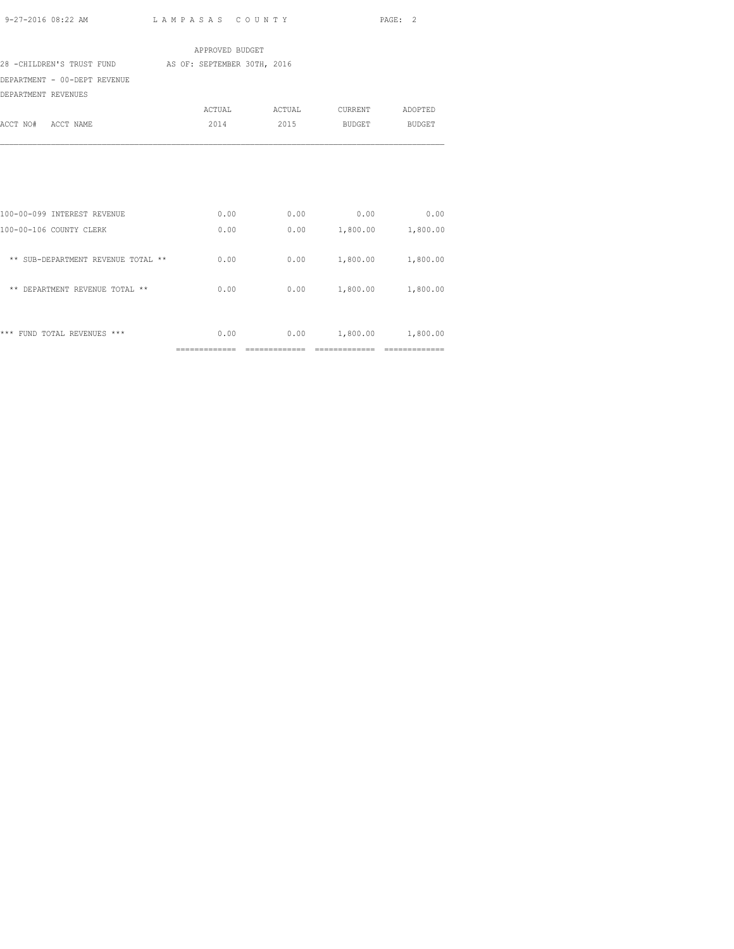|                                                       | APPROVED BUDGET |        |                               |         |
|-------------------------------------------------------|-----------------|--------|-------------------------------|---------|
| 28 -CHILDREN'S TRUST FUND AS OF: SEPTEMBER 30TH, 2016 |                 |        |                               |         |
| DEPARTMENT - 00-DEPT REVENUE                          |                 |        |                               |         |
| DEPARTMENT REVENUES                                   |                 |        |                               |         |
|                                                       | ACTUAL          | ACTUAL | CURRENT                       | ADOPTED |
| ACCT NO# ACCT NAME                                    | 2014            | 2015   | BUDGET                        | BUDGET  |
|                                                       |                 |        |                               |         |
|                                                       |                 |        |                               |         |
| 100-00-099 INTEREST REVENUE                           | 0.00            | 0.00   | 0.00                          | 0.00    |
| 100-00-106 COUNTY CLERK                               | 0.00            |        | $0.00$ 1,800.00 1,800.00      |         |
| ** SUB-DEPARTMENT REVENUE TOTAL **                    | 0.00            |        | $0.00$ 1,800.00 1,800.00      |         |
| ** DEPARTMENT REVENUE TOTAL **                        | 0.00            |        | $0.00$ 1,800.00 1,800.00      |         |
| *** FUND TOTAL REVENUES ***                           |                 |        | $0.00$ 0.00 1,800.00 1,800.00 |         |

============= ============= ============= =============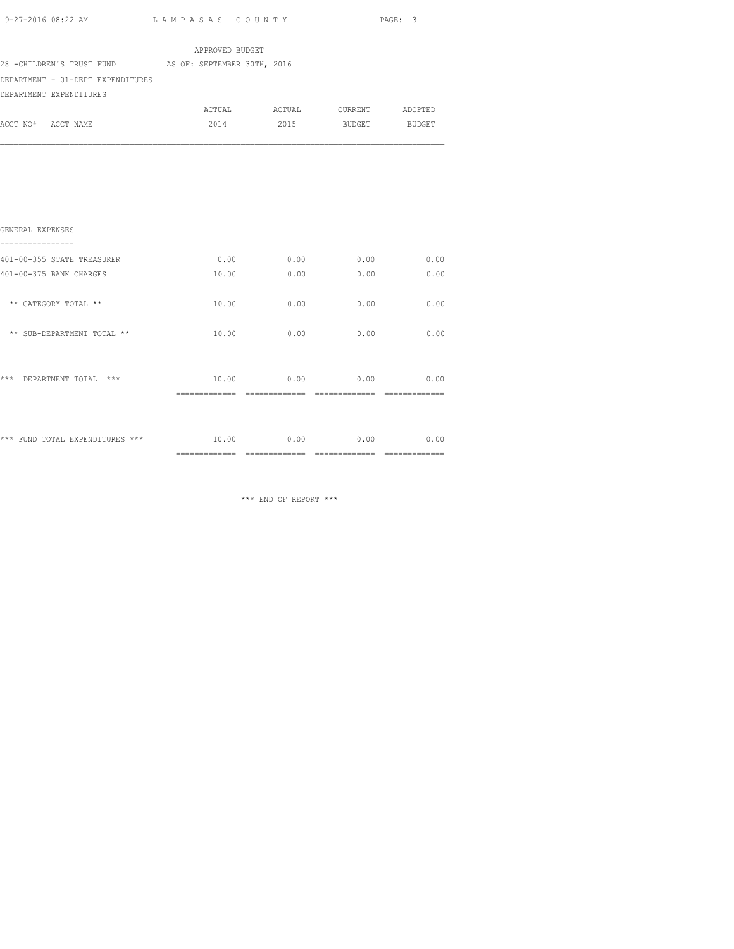| 9-27-2016 08:22 AM                                    | LAMPASAS COUNTY |      |               | PAGE: 3 |
|-------------------------------------------------------|-----------------|------|---------------|---------|
|                                                       | APPROVED BUDGET |      |               |         |
| 28 -CHILDREN'S TRUST FUND AS OF: SEPTEMBER 30TH, 2016 |                 |      |               |         |
| DEPARTMENT - 01-DEPT EXPENDITURES                     |                 |      |               |         |
| DEPARTMENT EXPENDITURES                               |                 |      |               |         |
|                                                       |                 |      |               |         |
| ACCT NO# ACCT NAME                                    | 2014            | 2015 | BUDGET BUDGET |         |
| GENERAL EXPENSES                                      |                 |      |               |         |
| 401-00-355 STATE TREASURER                            | 0.00            | 0.00 | 0.00          | 0.00    |
| 401-00-375 BANK CHARGES                               | 10.00           | 0.00 | 0.00          | 0.00    |
| ** CATEGORY TOTAL **                                  | 10.00           | 0.00 | 0.00          | 0.00    |
| ** SUB-DEPARTMENT TOTAL **                            | 10.00           | 0.00 | 0.00          | 0.00    |

| ***                             | 10.00                                   | 0.00                  | 0.00                  | 0.00                  |
|---------------------------------|-----------------------------------------|-----------------------|-----------------------|-----------------------|
| $***$                           | ______________                          | _____________         | _____________         | --------------        |
| DEPARTMENT TOTAL                | -------------                           | -------------         | ______________        | --------------        |
| *** FUND TOTAL EXPENDITURES *** | 10.00<br>_____________<br>------------- | 0.00<br>------------- | 0.00<br>------------- | 0.00<br>------------- |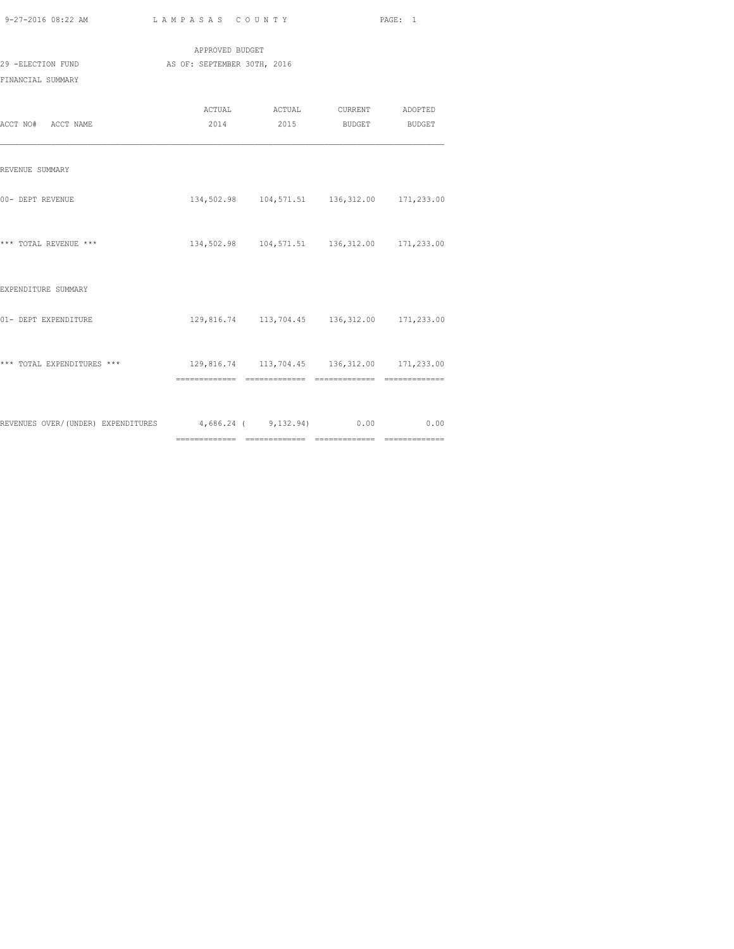|  | 9-27-2016 08:22 AM |  |
|--|--------------------|--|

============= ============= ============= =============

| 9-27-2016 08:22 AM                                                     | LAMPASAS COUNTY |                                                |  |  |  |  |  |  |
|------------------------------------------------------------------------|-----------------|------------------------------------------------|--|--|--|--|--|--|
|                                                                        | APPROVED BUDGET |                                                |  |  |  |  |  |  |
| 29 -ELECTION FUND                                                      |                 | AS OF: SEPTEMBER 30TH, 2016                    |  |  |  |  |  |  |
| FINANCIAL SUMMARY                                                      |                 |                                                |  |  |  |  |  |  |
|                                                                        |                 | ACTUAL ACTUAL CURRENT ADOPTED                  |  |  |  |  |  |  |
| ACCT NO# ACCT NAME                                                     |                 | 2014 2015 BUDGET BUDGET                        |  |  |  |  |  |  |
| REVENUE SUMMARY                                                        |                 |                                                |  |  |  |  |  |  |
| 00- DEPT REVENUE                                                       |                 | 134,502.98  104,571.51  136,312.00  171,233.00 |  |  |  |  |  |  |
| *** TOTAL REVENUE ***                                                  |                 | 134,502.98  104,571.51  136,312.00  171,233.00 |  |  |  |  |  |  |
| EXPENDITURE SUMMARY                                                    |                 |                                                |  |  |  |  |  |  |
| 01- DEPT EXPENDITURE                                                   |                 | 129,816.74  113,704.45  136,312.00  171,233.00 |  |  |  |  |  |  |
| *** TOTAL EXPENDITURES *** 129,816.74 113,704.45 136,312.00 171,233.00 |                 |                                                |  |  |  |  |  |  |
|                                                                        |                 |                                                |  |  |  |  |  |  |
| REVENUES OVER/(UNDER) EXPENDITURES 4,686.24 (9,132.94) 0.00 0.00       |                 |                                                |  |  |  |  |  |  |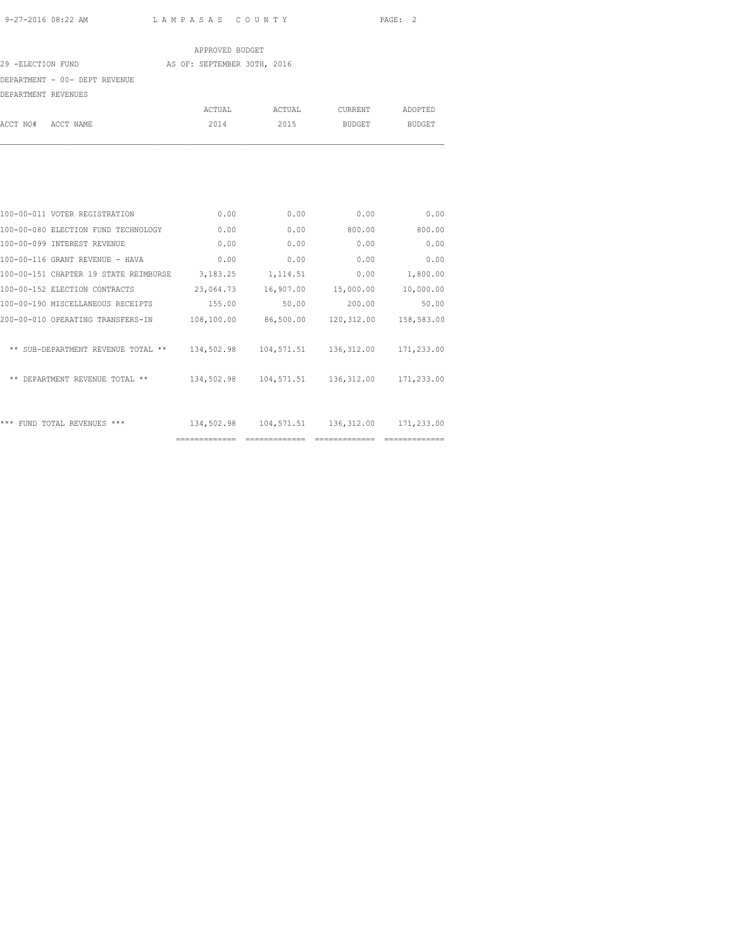|                               | APPROVED BUDGET             |        |         |               |
|-------------------------------|-----------------------------|--------|---------|---------------|
| 29 -ELECTION FUND             | AS OF: SEPTEMBER 30TH, 2016 |        |         |               |
| DEPARTMENT - 00- DEPT REVENUE |                             |        |         |               |
| DEPARTMENT REVENUES           |                             |        |         |               |
|                               | ACTUAL                      | ACTUAL | CURRENT | ADOPTED       |
| ACCT NO# ACCT NAME            | 2014                        | 2015   | BUDGET  | <b>BUDGET</b> |

| 100-00-011 VOTER REGISTRATION         | 0.00          | 0.00       | 0.00       | 0.00       |
|---------------------------------------|---------------|------------|------------|------------|
| 100-00-080 ELECTION FUND TECHNOLOGY   | 0.00          | 0.00       | 800.00     | 800.00     |
| 100-00-099 INTEREST REVENUE           | 0.00          | 0.00       | 0.00       | 0.00       |
| 100-00-116 GRANT REVENUE - HAVA       | 0.00          | 0.00       | 0.00       | 0.00       |
| 100-00-151 CHAPTER 19 STATE REIMBURSE | 3,183.25      | 1,114.51   | 0.00       | 1,800.00   |
| 100-00-152 ELECTION CONTRACTS         | 23,064.73     | 16,907.00  | 15,000.00  | 10,000.00  |
| 100-00-190 MISCELLANEOUS RECEIPTS     | 155.00        | 50.00      | 200.00     | 50.00      |
| 200-00-010 OPERATING TRANSFERS-IN     | 108,100.00    | 86,500.00  | 120,312.00 | 158,583.00 |
| ** SUB-DEPARTMENT REVENUE TOTAL **    | 134,502.98    | 104,571.51 | 136,312.00 | 171,233.00 |
| ** DEPARTMENT REVENUE TOTAL **        | 134,502.98    | 104,571.51 | 136,312.00 | 171,233.00 |
| *** FUND TOTAL REVENUES ***           | 134,502.98    | 104,571.51 | 136,312.00 | 171,233.00 |
|                                       | ============= |            |            |            |
|                                       |               |            |            |            |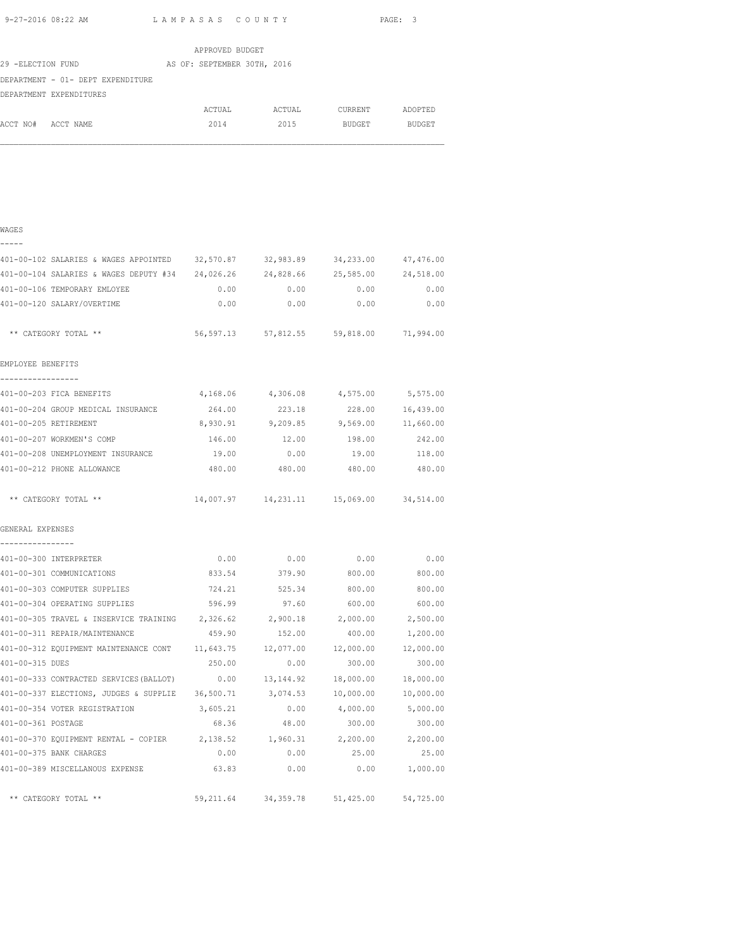|                                   | APPROVED BUDGET             |        |                |               |
|-----------------------------------|-----------------------------|--------|----------------|---------------|
| 29 -ELECTION FUND                 | AS OF: SEPTEMBER 30TH, 2016 |        |                |               |
| DEPARTMENT - 01- DEPT EXPENDITURE |                             |        |                |               |
| DEPARTMENT EXPENDITURES           |                             |        |                |               |
|                                   | ACTUAL                      | ACTUAL | <b>CURRENT</b> | ADOPTED       |
| ACCT NO#<br>ACCT NAME             | 2014                        | 2015   | BUDGET         | <b>BUDGET</b> |
|                                   |                             |        |                |               |
|                                   |                             |        |                |               |

| I |  |
|---|--|
|   |  |

| 401-00-102 SALARIES & WAGES APPOINTED 32,570.87 32,983.89 34,233.00                |           |                                            |           | 47,476.00        |
|------------------------------------------------------------------------------------|-----------|--------------------------------------------|-----------|------------------|
| 401-00-104 SALARIES & WAGES DEPUTY #34  24,026.26  24,828.66  25,585.00  24,518.00 |           |                                            |           |                  |
| 401-00-106 TEMPORARY EMLOYEE                                                       | 0.00      | 0.00                                       | 0.00      | 0.00             |
| 401-00-120 SALARY/OVERTIME                                                         | 0.00      | 0.00                                       | 0.00      | 0.00             |
| ** CATEGORY TOTAL **                                                               |           | 56,597.13 57,812.55 59,818.00 71,994.00    |           |                  |
| EMPLOYEE BENEFITS                                                                  |           |                                            |           |                  |
| -----------------<br>401-00-203 FICA BENEFITS                                      |           | 4,168.06 4,306.08 4,575.00 5,575.00        |           |                  |
| 401-00-204 GROUP MEDICAL INSURANCE                                                 | 264.00    | 223.18                                     |           | 228.00 16,439.00 |
| 401-00-205 RETIREMENT                                                              |           | 8,930.91 9,209.85 9,569.00 11,660.00       |           |                  |
| 401-00-207 WORKMEN'S COMP                                                          | 146.00    | 12.00                                      | 198.00    | 242.00           |
| 401-00-208 UNEMPLOYMENT INSURANCE                                                  | 19.00     | 0.00                                       | 19.00     | 118.00           |
| 401-00-212 PHONE ALLOWANCE                                                         |           | 480.00 480.00                              | 480.00    | 480.00           |
| ** CATEGORY TOTAL **                                                               |           | 14,007.97  14,231.11  15,069.00  34,514.00 |           |                  |
| GENERAL EXPENSES<br>.                                                              |           |                                            |           |                  |
| 401-00-300 INTERPRETER                                                             | 0.00      | 0.00                                       | 0.00      | 0.00             |
| 401-00-301 COMMUNICATIONS                                                          | 833.54    | 379.90                                     | 800.00    | 800.00           |
| 401-00-303 COMPUTER SUPPLIES                                                       | 724.21    | 525.34                                     | 800.00    | 800.00           |
| 401-00-304 OPERATING SUPPLIES                                                      | 596.99    | 97.60                                      | 600.00    | 600.00           |
| 401-00-305 TRAVEL & INSERVICE TRAINING                                             | 2,326.62  | 2,900.18                                   | 2,000.00  | 2,500.00         |
| 401-00-311 REPAIR/MAINTENANCE                                                      | 459.90    | 152.00                                     | 400.00    | 1,200.00         |
| 401-00-312 EQUIPMENT MAINTENANCE CONT 11,643.75                                    |           | 12,077.00                                  | 12,000.00 | 12,000.00        |
| 401-00-315 DUES                                                                    | 250.00    | 0.00                                       | 300.00    | 300.00           |
| 401-00-333 CONTRACTED SERVICES (BALLOT)                                            | 0.00      | 13, 144.92                                 | 18,000.00 | 18,000.00        |
| 401-00-337 ELECTIONS, JUDGES & SUPPLIE 36,500.71                                   |           | 3,074.53                                   | 10,000.00 | 10,000.00        |
| 401-00-354 VOTER REGISTRATION                                                      | 3,605.21  | 0.00                                       | 4,000.00  | 5,000.00         |
| 401-00-361 POSTAGE                                                                 | 68.36     | 48.00                                      | 300.00    | 300.00           |
| 401-00-370 EQUIPMENT RENTAL - COPIER 2,138.52                                      |           | 1,960.31                                   | 2,200.00  | 2,200.00         |
| 401-00-375 BANK CHARGES                                                            | 0.00      | 0.00                                       | 25.00     | 25.00            |
| 401-00-389 MISCELLANOUS EXPENSE                                                    | 63.83     | 0.00                                       | 0.00      | 1,000.00         |
| ** CATEGORY TOTAL **                                                               | 59,211.64 | 34,359.78                                  | 51,425.00 | 54,725.00        |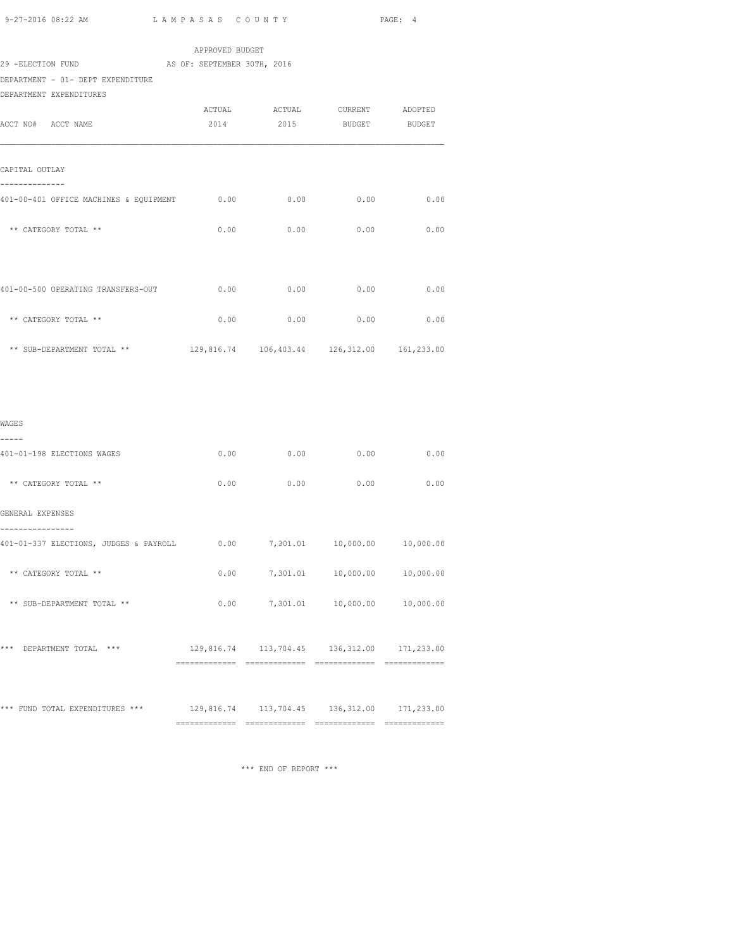| 2014 | 2015 | <b>BUDGET</b>                                                                                    | <b>BUDGET</b>                                                                                                                                                                                                                                                                                                                                                                                                                                                                                        |
|------|------|--------------------------------------------------------------------------------------------------|------------------------------------------------------------------------------------------------------------------------------------------------------------------------------------------------------------------------------------------------------------------------------------------------------------------------------------------------------------------------------------------------------------------------------------------------------------------------------------------------------|
|      |      |                                                                                                  |                                                                                                                                                                                                                                                                                                                                                                                                                                                                                                      |
|      |      |                                                                                                  | 0.00                                                                                                                                                                                                                                                                                                                                                                                                                                                                                                 |
|      |      |                                                                                                  | 0.00                                                                                                                                                                                                                                                                                                                                                                                                                                                                                                 |
|      |      |                                                                                                  |                                                                                                                                                                                                                                                                                                                                                                                                                                                                                                      |
|      |      | 0.00                                                                                             | 0.00                                                                                                                                                                                                                                                                                                                                                                                                                                                                                                 |
|      |      | 0.00                                                                                             | 0.00                                                                                                                                                                                                                                                                                                                                                                                                                                                                                                 |
|      |      |                                                                                                  |                                                                                                                                                                                                                                                                                                                                                                                                                                                                                                      |
|      |      |                                                                                                  |                                                                                                                                                                                                                                                                                                                                                                                                                                                                                                      |
|      |      |                                                                                                  |                                                                                                                                                                                                                                                                                                                                                                                                                                                                                                      |
|      |      |                                                                                                  | 0.00                                                                                                                                                                                                                                                                                                                                                                                                                                                                                                 |
|      |      |                                                                                                  |                                                                                                                                                                                                                                                                                                                                                                                                                                                                                                      |
|      |      | 0.00                                                                                             | 0.00                                                                                                                                                                                                                                                                                                                                                                                                                                                                                                 |
|      |      |                                                                                                  |                                                                                                                                                                                                                                                                                                                                                                                                                                                                                                      |
|      |      |                                                                                                  |                                                                                                                                                                                                                                                                                                                                                                                                                                                                                                      |
|      |      |                                                                                                  |                                                                                                                                                                                                                                                                                                                                                                                                                                                                                                      |
|      |      |                                                                                                  |                                                                                                                                                                                                                                                                                                                                                                                                                                                                                                      |
|      |      |                                                                                                  | 10,000.00                                                                                                                                                                                                                                                                                                                                                                                                                                                                                            |
|      |      |                                                                                                  |                                                                                                                                                                                                                                                                                                                                                                                                                                                                                                      |
|      |      |                                                                                                  |                                                                                                                                                                                                                                                                                                                                                                                                                                                                                                      |
|      |      |                                                                                                  |                                                                                                                                                                                                                                                                                                                                                                                                                                                                                                      |
|      |      | APPROVED BUDGET<br>29 -ELECTION FUND AS OF: SEPTEMBER 30TH, 2016<br>0.00<br>0.00<br>0.00<br>0.00 | ACTUAL ACTUAL CURRENT ADOPTED<br>401-00-401 OFFICE MACHINES & EQUIPMENT 0.00 0.00 0.00 0.00<br>$0.00$ 0.00 0.00<br>0.00<br>0.00<br>129,816.74  106,403.44  126,312.00  161,233.00<br>0.00<br>0.00<br>0.00<br>401-01-337 ELECTIONS, JUDGES & PAYROLL 0.00 7,301.01 10,000.00 10,000.00<br>$0.00$ $7,301.01$ $10,000.00$ $10,000.00$<br>$0.00$ $7,301.01$ $10,000.00$<br>129,816.74  113,704.45  136,312.00  171,233.00<br>*** FUND TOTAL EXPENDITURES *** 129,816.74 113,704.45 136,312.00 171,233.00 |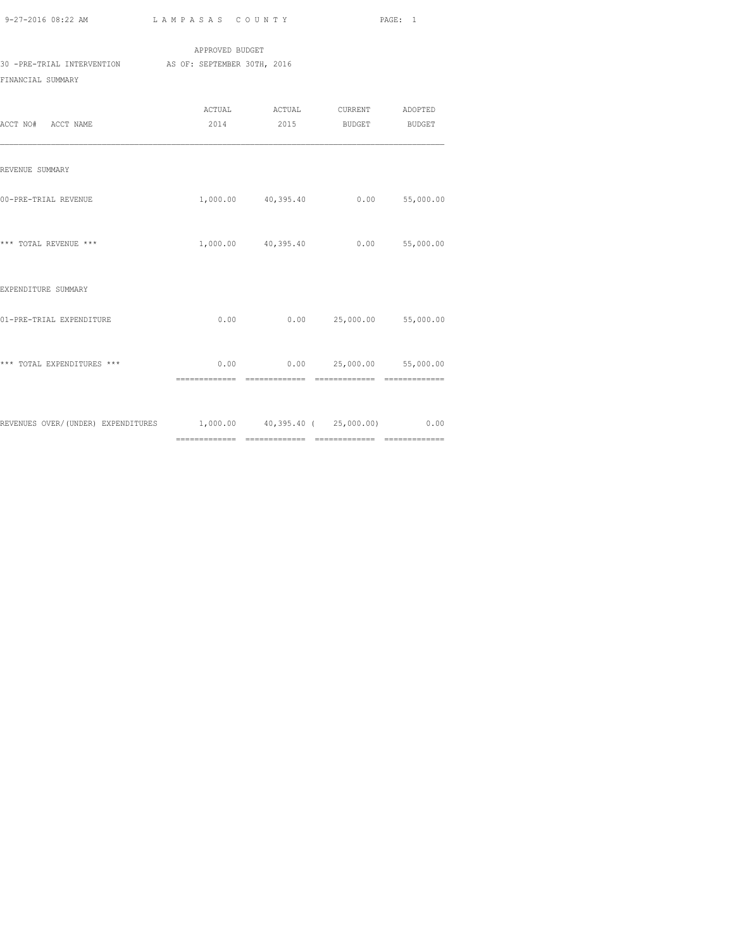|                            | APPROVED BUDGET             |        |         |         |
|----------------------------|-----------------------------|--------|---------|---------|
| 30 -PRE-TRIAL INTERVENTION | AS OF: SEPTEMBER 30TH, 2016 |        |         |         |
| FINANCIAL SUMMARY          |                             |        |         |         |
|                            | ACTUAL                      | ACTUAL | CURRENT | ADOPTED |

| ACCT NO# ACCT NAME                                                      |               | 2014 2015 BUDGET BUDGET                          |  |  |
|-------------------------------------------------------------------------|---------------|--------------------------------------------------|--|--|
| REVENUE SUMMARY                                                         |               |                                                  |  |  |
| 00-PRE-TRIAL REVENUE                                                    |               | 1,000.00 40,395.40 0.00 55,000.00                |  |  |
| *** TOTAL REVENUE ***                                                   |               | 1,000.00 40,395.40 0.00 55,000.00                |  |  |
| EXPENDITURE SUMMARY                                                     |               |                                                  |  |  |
| 01-PRE-TRIAL EXPENDITURE                                                |               | $0.00$ $0.00$ $25,000.00$ $55,000.00$            |  |  |
| *** TOTAL EXPENDITURES ***                                              | ============= | $0.00$ 0.00 25,000.00 55,000.00<br>============= |  |  |
| REVENUES OVER/(UNDER) EXPENDITURES 1,000.00 40,395.40 ( 25,000.00) 0.00 |               |                                                  |  |  |
|                                                                         |               |                                                  |  |  |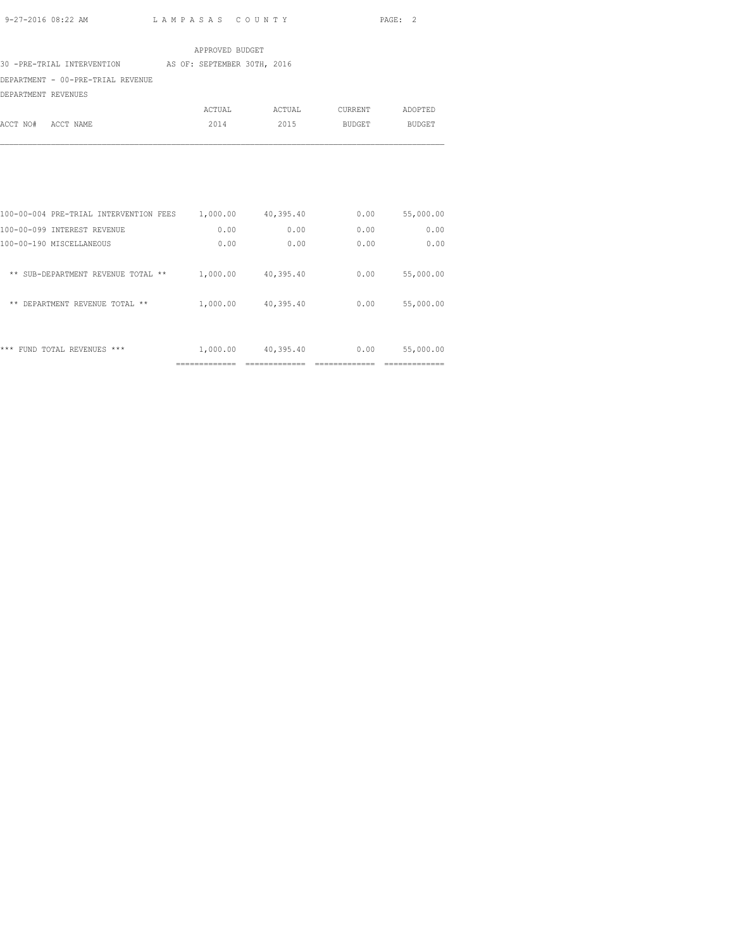|                                   | APPROVED BUDGET             |        |         |               |
|-----------------------------------|-----------------------------|--------|---------|---------------|
| 30 -PRE-TRIAL INTERVENTION        | AS OF: SEPTEMBER 30TH, 2016 |        |         |               |
| DEPARTMENT - 00-PRE-TRIAL REVENUE |                             |        |         |               |
| DEPARTMENT REVENUES               |                             |        |         |               |
|                                   | ACTUAL                      | ACTUAL | CURRENT | ADOPTED       |
| ACCT NO#<br>ACCT NAME             | 2014                        | 2015   | BUDGET  | <b>BUDGET</b> |
|                                   |                             |        |         |               |

| ***<br>$***$<br>FUND<br>REVENUES<br>TOTAL   | 1,000.00 | 40,395.40 | 0.00 | 55,000.00 |
|---------------------------------------------|----------|-----------|------|-----------|
| DEPARTMENT REVENUE TOTAL **<br>**           | 1,000.00 | 40,395.40 | 0.00 | 55,000.00 |
| SUB-DEPARTMENT REVENUE<br>**<br>**<br>TOTAL | 1,000.00 | 40,395.40 | 0.00 | 55,000.00 |
| 100-00-190 MISCELLANEOUS                    | 0.00     | 0.00      | 0.00 | 0.00      |
| 100-00-099 INTEREST REVENUE                 | 0.00     | 0.00      | 0.00 | 0.00      |
| 100-00-004 PRE-TRIAL INTERVENTION FEES      | 1,000.00 | 40,395.40 | 0.00 | 55,000.00 |
|                                             |          |           |      |           |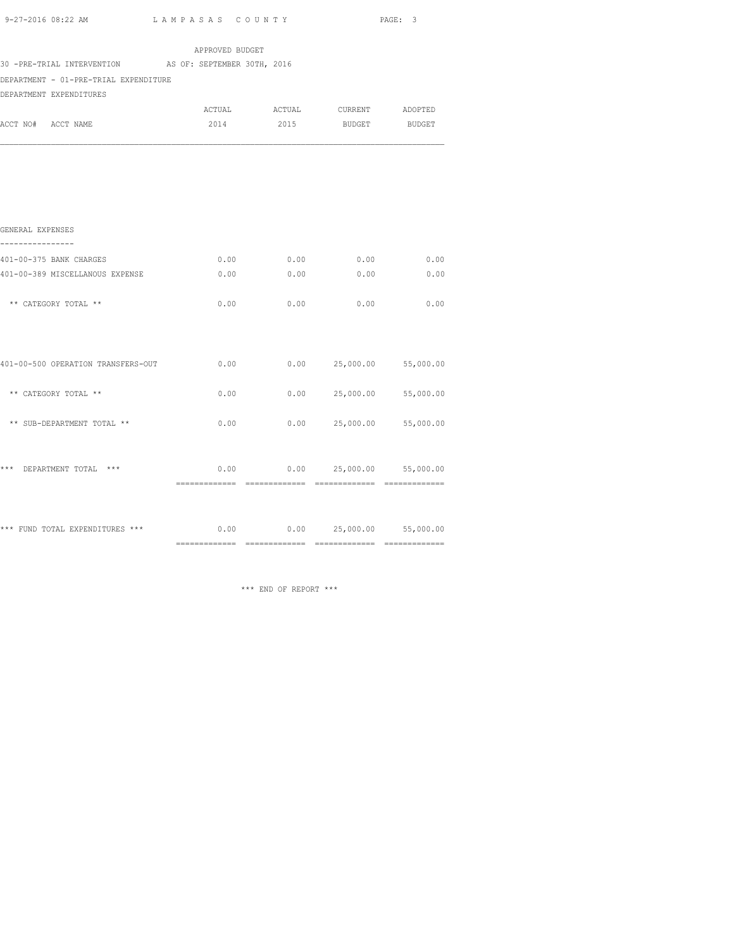|                                                        | APPROVED BUDGET |      |                               |             |
|--------------------------------------------------------|-----------------|------|-------------------------------|-------------|
| 30 -PRE-TRIAL INTERVENTION AS OF: SEPTEMBER 30TH, 2016 |                 |      |                               |             |
| DEPARTMENT - 01-PRE-TRIAL EXPENDITURE                  |                 |      |                               |             |
| DEPARTMENT EXPENDITURES                                |                 |      |                               |             |
|                                                        |                 |      | ACTUAL ACTUAL CURRENT ADOPTED |             |
| ACCT NO# ACCT NAME                                     |                 |      | 2014 2015 BUDGET BUDGET       |             |
|                                                        |                 |      |                               |             |
| GENERAL EXPENSES<br>----------------                   |                 |      |                               |             |
| 401-00-375 BANK CHARGES                                | 0.00            | 0.00 |                               | $0.00$ 0.00 |
| 401-00-389 MISCELLANOUS EXPENSE                        | 0.00            | 0.00 | 0.00                          | 0.00        |
| ** CATEGORY TOTAL **                                   | 0.00            | 0.00 | 0.00                          | 0.00        |
| 401-00-500 OPERATION TRANSFERS-OUT                     | 0.00            |      | $0.00$ 25,000.00 55,000.00    |             |
| ** CATEGORY TOTAL **                                   | 0.00            | 0.00 | 25,000.00 55,000.00           |             |
| ** SUB-DEPARTMENT TOTAL **                             | 0.00            | 0.00 | 25,000.00 55,000.00           |             |
| *** DEPARTMENT TOTAL ***                               | 0.00            |      | $0.00$ 25,000.00 55,000.00    |             |
| *** FUND TOTAL EXPENDITURES ***                        | 0.00            |      | $0.00$ 25,000.00 55,000.00    |             |

\*\*\* END OF REPORT \*\*\*

============= ============= ============= =============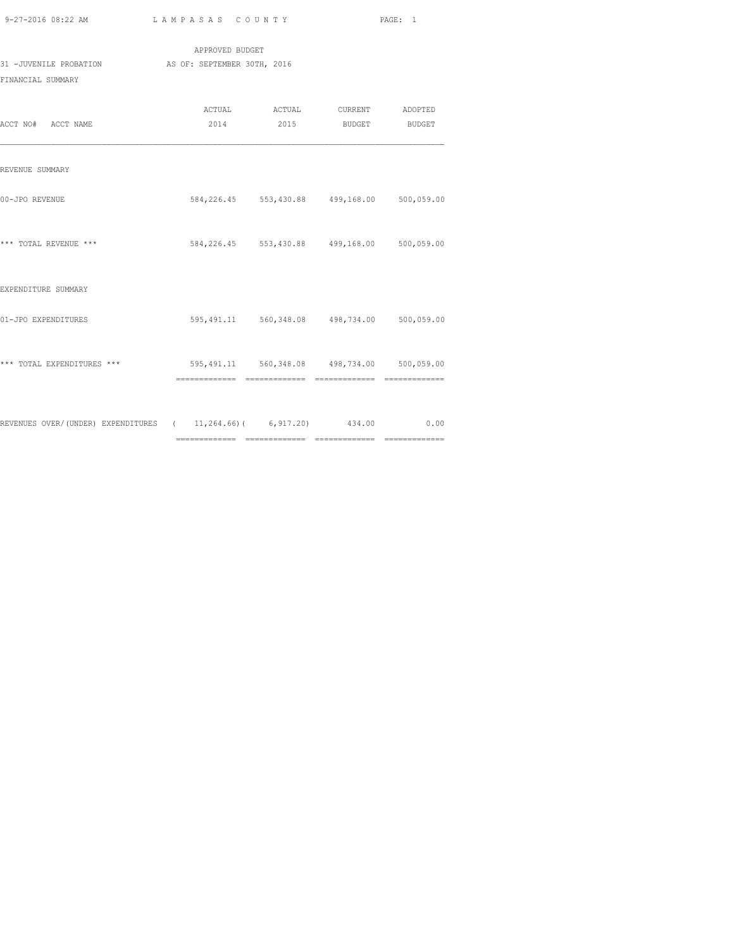| 9-27-2016 08:22 AM |  |
|--------------------|--|

============= ============= ============= =============

|                                                                           |                 |                                                          | PAGE: 1 |
|---------------------------------------------------------------------------|-----------------|----------------------------------------------------------|---------|
|                                                                           | APPROVED BUDGET |                                                          |         |
| 31 -JUVENILE PROBATION AS OF: SEPTEMBER 30TH, 2016<br>FINANCIAL SUMMARY   |                 |                                                          |         |
| ACCT NO# ACCT NAME                                                        |                 | ACTUAL ACTUAL CURRENT ADOPTED<br>2014 2015 BUDGET BUDGET |         |
| REVENUE SUMMARY                                                           |                 |                                                          |         |
| 00-JPO REVENUE                                                            |                 | 584,226.45 553,430.88 499,168.00 500,059.00              |         |
| *** TOTAL REVENUE ***                                                     |                 | 584,226.45 553,430.88 499,168.00 500,059.00              |         |
| EXPENDITURE SUMMARY                                                       |                 |                                                          |         |
| 01-JPO EXPENDITURES                                                       |                 | 595,491.11 560,348.08 498,734.00 500,059.00              |         |
| *** TOTAL EXPENDITURES *** 595,491.11 560,348.08 498,734.00 500,059.00    |                 |                                                          |         |
| REVENUES OVER/(UNDER) EXPENDITURES ( 11, 264.66) ( 6, 917.20) 434.00 0.00 |                 |                                                          |         |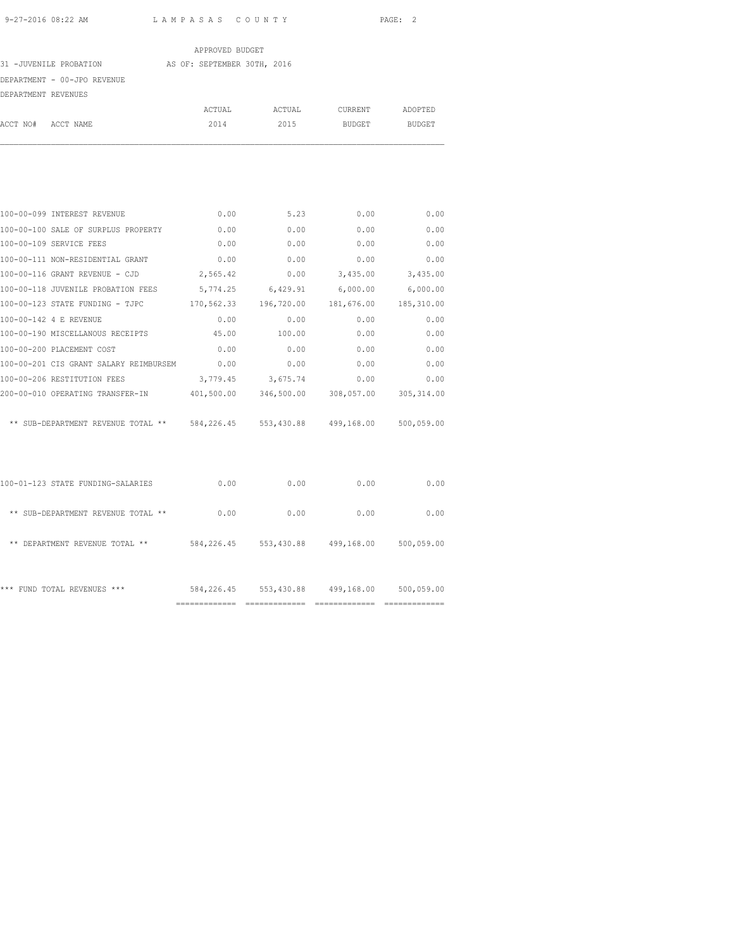|                             | APPROVED BUDGET             |        |               |               |
|-----------------------------|-----------------------------|--------|---------------|---------------|
| 31 -JUVENILE PROBATION      | AS OF: SEPTEMBER 30TH, 2016 |        |               |               |
| DEPARTMENT - 00-JPO REVENUE |                             |        |               |               |
| DEPARTMENT REVENUES         |                             |        |               |               |
|                             | ACTUAL                      | ACTUAL | CURRENT       | ADOPTED       |
| ACCT NO#<br>ACCT NAME       | 2014                        | 2015   | <b>BUDGET</b> | <b>BUDGET</b> |

| 100-00-099 INTEREST REVENUE                                         | 0.00       | 5.23              | 0.00                             | 0.00       |
|---------------------------------------------------------------------|------------|-------------------|----------------------------------|------------|
| 100-00-100 SALE OF SURPLUS PROPERTY                                 | 0.00       | 0.00              | 0.00                             | 0.00       |
| 100-00-109 SERVICE FEES                                             | 0.00       | 0.00              | 0.00                             | 0.00       |
| 100-00-111 NON-RESIDENTIAL GRANT                                    | 0.00       | 0.00              | 0.00                             | 0.00       |
| 100-00-116 GRANT REVENUE - CJD                                      | 2,565.42   | 0.00              | 3,435.00                         | 3,435.00   |
| 100-00-118 JUVENILE PROBATION FEES                                  |            | 5,774.25 6,429.91 | 6,000.00                         | 6,000.00   |
| 100-00-123 STATE FUNDING - TJPC                                     | 170,562.33 | 196,720.00        | 181,676.00                       | 185,310.00 |
| 100-00-142 4 E REVENUE                                              | 0.00       | 0.00              | 0.00                             | 0.00       |
| 100-00-190 MISCELLANOUS RECEIPTS                                    | 45.00      | 100.00            | 0.00                             | 0.00       |
| 100-00-200 PLACEMENT COST                                           | 0.00       | 0.00              | 0.00                             | 0.00       |
| 100-00-201 CIS GRANT SALARY REIMBURSEM                              | 0.00       | 0.00              | 0.00                             | 0.00       |
| 100-00-206 RESTITUTION FEES                                         | 3,779.45   | 3,675.74          | 0.00                             | 0.00       |
| 200-00-010 OPERATING TRANSFER-IN 401,500.00                         |            |                   | 346,500.00 308,057.00 305,314.00 |            |
|                                                                     |            |                   |                                  |            |
| ** SUB-DEPARTMENT REVENUE TOTAL ** 584,226.45 553,430.88 499,168.00 |            |                   |                                  | 500,059.00 |
|                                                                     |            |                   |                                  |            |
|                                                                     |            |                   |                                  |            |

|                                            | -------------------<br>----------- | -----------------<br>------------- | ------------- | -----------------<br>------------- |
|--------------------------------------------|------------------------------------|------------------------------------|---------------|------------------------------------|
| ***<br>FUND TOTAL REVENUES<br>***          | 584,226.45                         | 553,430.88                         | 499,168.00    | 500,059.00                         |
| $***$<br>DEPARTMENT REVENUE TOTAL<br>$* *$ | 584,226.45                         | 553,430.88                         | 499,168.00    | 500,059.00                         |
| ** SUB-DEPARTMENT REVENUE TOTAL **         | 0.00                               | 0.00                               | 0.00          | 0.00                               |
| 100-01-123 STATE FUNDING-SALARIES          | 0.00                               | 0.00                               | 0.00          | 0.00                               |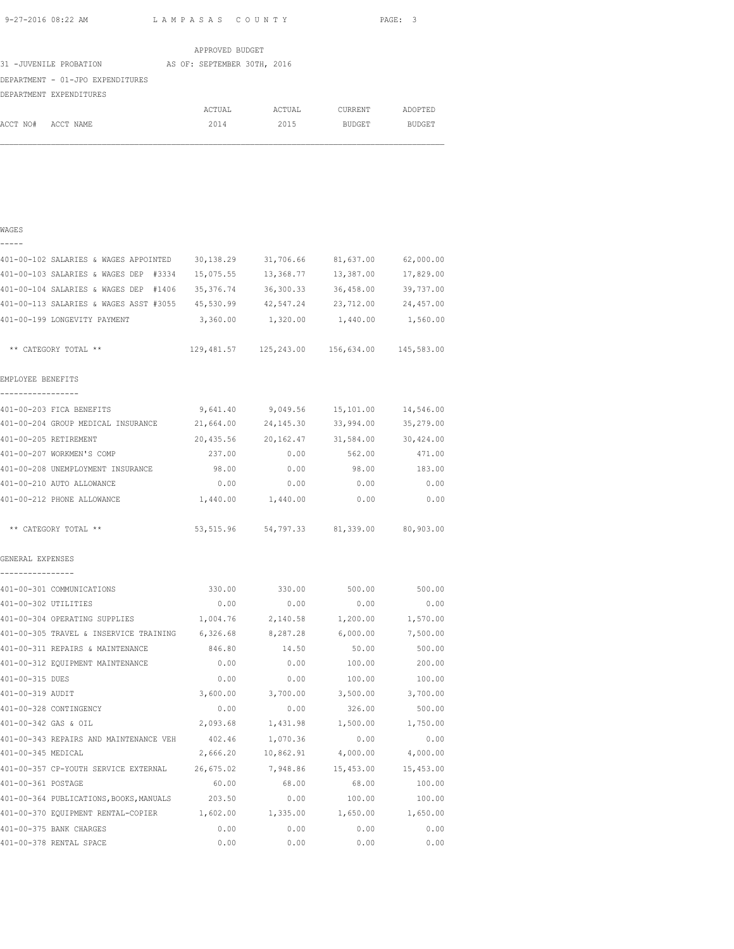|                                  | APPROVED BUDGET             |        |         |               |
|----------------------------------|-----------------------------|--------|---------|---------------|
| 31 -JUVENILE PROBATION           | AS OF: SEPTEMBER 30TH, 2016 |        |         |               |
| DEPARTMENT - 01-JPO EXPENDITURES |                             |        |         |               |
| DEPARTMENT EXPENDITURES          |                             |        |         |               |
|                                  | ACTUAL                      | ACTUAL | CURRENT | ADOPTED       |
| ACCT NO#<br>ACCT NAME            | 2014                        | 2015   | BUDGET  | <b>BUDGET</b> |
|                                  |                             |        |         |               |
|                                  |                             |        |         |               |

### WAGES -----

| 401-00-102 SALARIES & WAGES APPOINTED                                          | 30,138.29 | 31,706.66                                         | 81,637.00                     | 62,000.00 |
|--------------------------------------------------------------------------------|-----------|---------------------------------------------------|-------------------------------|-----------|
| 401-00-103 SALARIES & WAGES DEP #3334                                          | 15,075.55 | 13,368.77                                         | 13,387.00                     | 17,829.00 |
| 401-00-104 SALARIES & WAGES DEP #1406                                          | 35,376.74 | 36,300.33                                         | 36,458.00                     | 39,737.00 |
| 401-00-113 SALARIES & WAGES ASST #3055                                         | 45,530.99 | 42,547.24                                         | 23,712.00                     | 24,457.00 |
| 401-00-199 LONGEVITY PAYMENT                                                   | 3,360.00  | 1,320.00                                          | 1,440.00                      | 1,560.00  |
| ** CATEGORY TOTAL **                                                           |           | 129,481.57   125,243.00   156,634.00   145,583.00 |                               |           |
| EMPLOYEE BENEFITS<br>-----------------                                         |           |                                                   |                               |           |
| 401-00-203 FICA BENEFITS                                                       | 9,641.40  |                                                   | 9,049.56 15,101.00            | 14,546.00 |
| 401-00-204 GROUP MEDICAL INSURANCE                                             | 21,664.00 | 24,145.30                                         | 33,994.00                     | 35,279.00 |
| 401-00-205 RETIREMENT                                                          | 20,435.56 |                                                   | 20, 162. 47 31, 584. 00       | 30,424.00 |
| 401-00-207 WORKMEN'S COMP                                                      | 237.00    | 0.00                                              | 562.00                        | 471.00    |
| 401-00-208 UNEMPLOYMENT INSURANCE                                              | 98.00     | 0.00                                              | 98.00                         | 183.00    |
| 401-00-210 AUTO ALLOWANCE                                                      | 0.00      | 0.00                                              | 0.00                          | 0.00      |
| 401-00-212 PHONE ALLOWANCE                                                     | 1,440.00  | 1,440.00                                          | 0.00                          | 0.00      |
| ** CATEGORY TOTAL **                                                           | 53,515.96 |                                                   | 54,797.33 81,339.00 80,903.00 |           |
| GENERAL EXPENSES<br>----------------                                           |           |                                                   |                               |           |
| 401-00-301 COMMUNICATIONS                                                      | 330.00    | 330.00                                            | 500.00                        | 500.00    |
| 401-00-302 UTILITIES                                                           | 0.00      | 0.00                                              | 0.00                          | 0.00      |
| 401-00-304 OPERATING SUPPLIES                                                  | 1,004.76  | 2,140.58                                          | 1,200.00                      | 1,570.00  |
| 401-00-305 TRAVEL & INSERVICE TRAINING 6,326.68                                |           | 8,287.28                                          | 6,000.00                      | 7,500.00  |
| 401-00-311 REPAIRS & MAINTENANCE                                               | 846.80    | 14.50                                             | 50.00                         | 500.00    |
| 401-00-312 EQUIPMENT MAINTENANCE                                               | 0.00      | 0.00                                              | 100.00                        | 200.00    |
| 401-00-315 DUES                                                                | 0.00      | 0.00                                              | 100.00                        | 100.00    |
| 401-00-319 AUDIT                                                               | 3,600.00  | 3,700.00                                          | 3,500.00                      | 3,700.00  |
| 401-00-328 CONTINGENCY                                                         | 0.00      | 0.00                                              | 326.00                        | 500.00    |
| 401-00-342 GAS & OIL                                                           | 2,093.68  | 1,431.98                                          | 1,500.00                      | 1,750.00  |
| 401-00-343 REPAIRS AND MAINTENANCE VEH                                         | 402.46    | 1,070.36                                          | 0.00                          | 0.00      |
| 401-00-345 MEDICAL                                                             | 2,666.20  | 10,862.91                                         | 4,000.00                      | 4,000.00  |
| 401-00-357 CP-YOUTH SERVICE EXTERNAL 26,675.02 7,948.86                        |           |                                                   | 15,453.00                     | 15,453.00 |
| 401-00-361 POSTAGE                                                             | 60.00     | 68.00                                             | 68.00                         | 100.00    |
| 401-00-364 PUBLICATIONS, BOOKS, MANUALS 203.50                                 |           | 0.00                                              | 100.00                        | 100.00    |
| 401-00-370 EQUIPMENT RENTAL-COPIER $1,602.00$ $1,335.00$ $1,650.00$ $1,650.00$ |           |                                                   |                               |           |
| 401-00-375 BANK CHARGES                                                        | 0.00      | 0.00                                              | 0.00                          | 0.00      |

401-00-378 RENTAL SPACE 0.00 0.00 0.00 0.00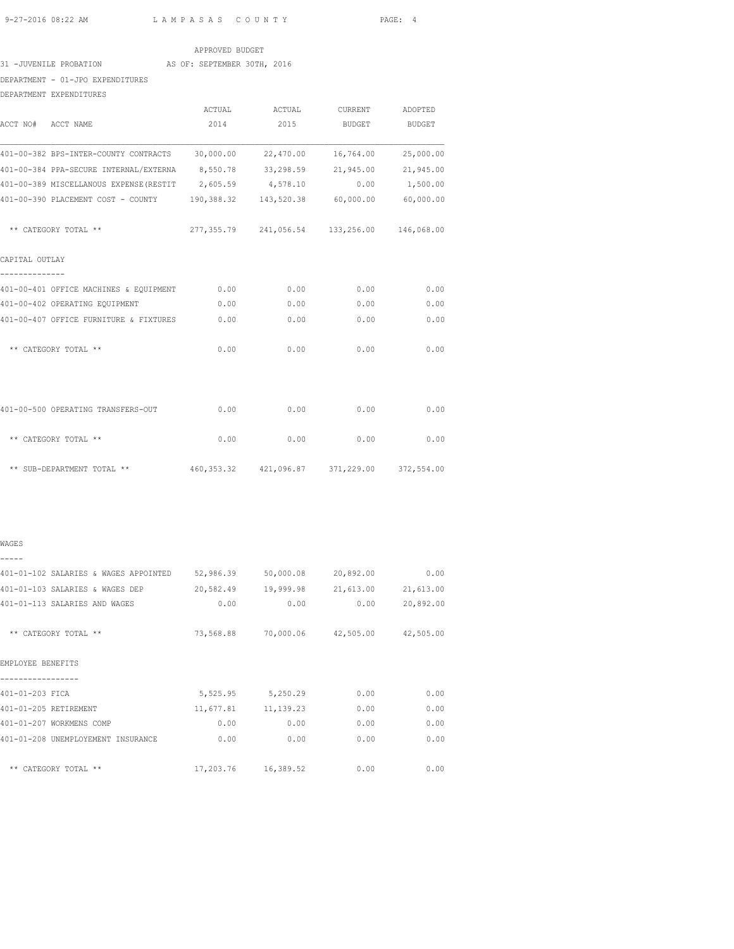### APPROVED BUDGET

## 31 -JUVENILE PROBATION AS OF: SEPTEMBER 30TH, 2016

DEPARTMENT - 01-JPO EXPENDITURES

DEPARTMENT EXPENDITURES

|                                                                              | ACTUAL                                      | ACTUAL    | CURRENT       | ADOPTED   |
|------------------------------------------------------------------------------|---------------------------------------------|-----------|---------------|-----------|
| ACCT NO# ACCT NAME                                                           | 2014                                        | 2015      | <b>BUDGET</b> | BUDGET    |
| 401-00-382 BPS-INTER-COUNTY CONTRACTS 30,000.00                              |                                             | 22,470.00 | 16,764.00     | 25,000.00 |
| 401-00-384 PPA-SECURE INTERNAL/EXTERNA 8,550.78 33,298.59 21,945.00          |                                             |           |               | 21,945.00 |
| 401-00-389 MISCELLANOUS EXPENSE (RESTIT 2,605.59 4,578.10 0.00 1,500.00      |                                             |           |               |           |
| 401-00-390 PLACEMENT COST - COUNTY 190,388.32 143,520.38 60,000.00 60,000.00 |                                             |           |               |           |
| ** CATEGORY TOTAL **                                                         |                                             |           |               |           |
| CAPITAL OUTLAY                                                               |                                             |           |               |           |
| 401-00-401 OFFICE MACHINES & EQUIPMENT 0.00                                  |                                             | 0.00      | 0.00          | 0.00      |
| 401-00-402 OPERATING EQUIPMENT                                               | 0.00                                        | 0.00      | 0.00          | 0.00      |
| 401-00-407 OFFICE FURNITURE & FIXTURES                                       | 0.00                                        | 0.00      | 0.00          | 0.00      |
| ** CATEGORY TOTAL **                                                         | 0.00                                        | 0.00      | 0.00          | 0.00      |
| 401-00-500 OPERATING TRANSFERS-OUT                                           | 0.00                                        | 0.00      | 0.00          | 0.00      |
| ** CATEGORY TOTAL **                                                         | 0.00                                        | 0.00      | 0.00          | 0.00      |
| ** SUB-DEPARTMENT TOTAL **                                                   | 460,353.32 421,096.87 371,229.00 372,554.00 |           |               |           |

#### WAGES -----

# 401-01-102 SALARIES & WAGES APPOINTED 52,986.39 50,000.08 20,892.00 0.00 401-01-103 SALARIES & WAGES DEP 20,582.49 19,999.98 21,613.00 21,613.00 401-01-113 SALARIES AND WAGES 0.00 0.00 0.00 20,892.00 \*\* CATEGORY TOTAL \*\* 73,568.88 70,000.06 42,505.00 42,505.00 EMPLOYEE BENEFITS ----------------- 401-01-203 FICA 5,525.95 5,250.29 0.00 0.00 401-01-205 RETIREMENT 11,677.81 11,139.23 0.00 0.00 101-01-207 WORKMENS COMP 0.00 0.00 0.00 0.00 0.00 0.00<br>
401-01-208 UNEMPLOYEMENT INSURANCE 0.00 0.00 0.00 0.00 0.00 401-01-208 UNEMPLOYEMENT INSURANCE 0.00 0.00 0.00 0.00 \*\* CATEGORY TOTAL \*\*  $17,203.76$   $16,389.52$  0.00 0.00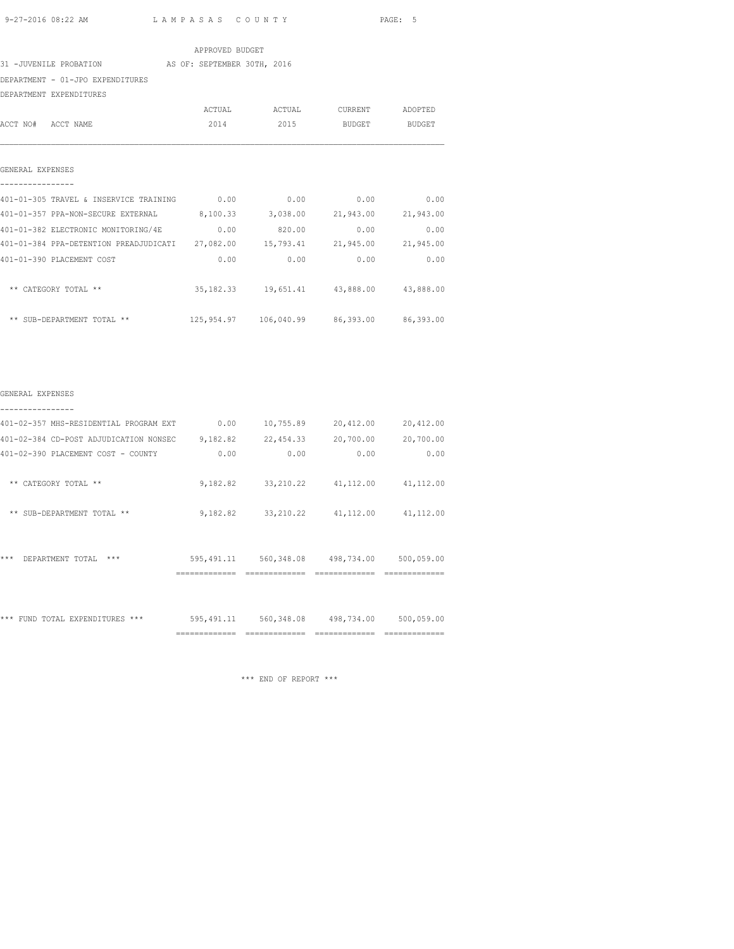#### APPROVED BUDGET

31 -JUVENILE PROBATION AS OF: SEPTEMBER 30TH, 2016

DEPARTMENT - 01-JPO EXPENDITURES

DEPARTMENT EXPENDITURES

|                                                                          | ACTUAL | ACTUAL                                            | CURRENT             | ADOPTED   |
|--------------------------------------------------------------------------|--------|---------------------------------------------------|---------------------|-----------|
| ACCT NO# ACCT NAME                                                       | 2014   |                                                   | 2015 BUDGET BUDGET  |           |
|                                                                          |        |                                                   |                     |           |
| GENERAL EXPENSES                                                         |        |                                                   |                     |           |
| 401-01-305 TRAVEL & INSERVICE TRAINING 0.00                              |        | 0.00                                              | 0.00                | 0.00      |
| 401-01-357 PPA-NON-SECURE EXTERNAL 8,100.33 3,038.00 21,943.00 21,943.00 |        |                                                   |                     |           |
| 401-01-382 ELECTRONIC MONITORING/4E                                      | 0.00   | 820.00                                            | 0.00                | 0.00      |
| 401-01-384 PPA-DETENTION PREADJUDICATI 27,082.00                         |        |                                                   | 15,793.41 21,945.00 | 21,945.00 |
| 401-01-390 PLACEMENT COST                                                | 0.00   | 0.00                                              | 0.00                | 0.00      |
| ** CATEGORY TOTAL **                                                     |        | 35, 182.33   19, 651.41   43, 888.00   43, 888.00 |                     |           |
| ** SUB-DEPARTMENT TOTAL **                                               |        | 125,954.97  106,040.99  86,393.00  86,393.00      |                     |           |
|                                                                          |        |                                                   |                     |           |
|                                                                          |        |                                                   |                     |           |
|                                                                          |        |                                                   |                     |           |

## GENERAL EXPENSES ----------------

|                                        | -------------- | ============ |            | ------------ |
|----------------------------------------|----------------|--------------|------------|--------------|
| ***<br>FUND TOTAL EXPENDITURES ***     | 595, 491.11    | 560, 348.08  | 498,734.00 | 500,059.00   |
| ***<br>DEPARTMENT TOTAL<br>***         | 595, 491.11    | 560,348.08   | 498,734.00 | 500,059.00   |
| ** SUB-DEPARTMENT TOTAL **             | 9,182.82       | 33, 210.22   | 41,112.00  | 41, 112.00   |
| CATEGORY TOTAL **<br>$***$             | 9,182.82       | 33, 210.22   | 41,112.00  | 41,112.00    |
| 401-02-390 PLACEMENT COST - COUNTY     | 0.00           | 0.00         | 0.00       | 0.00         |
| 401-02-384 CD-POST ADJUDICATION NONSEC | 9,182.82       | 22, 454.33   | 20,700.00  | 20,700.00    |
| 401-02-357 MHS-RESIDENTIAL PROGRAM EXT | 0.00           | 10,755.89    | 20,412.00  | 20,412.00    |
|                                        |                |              |            |              |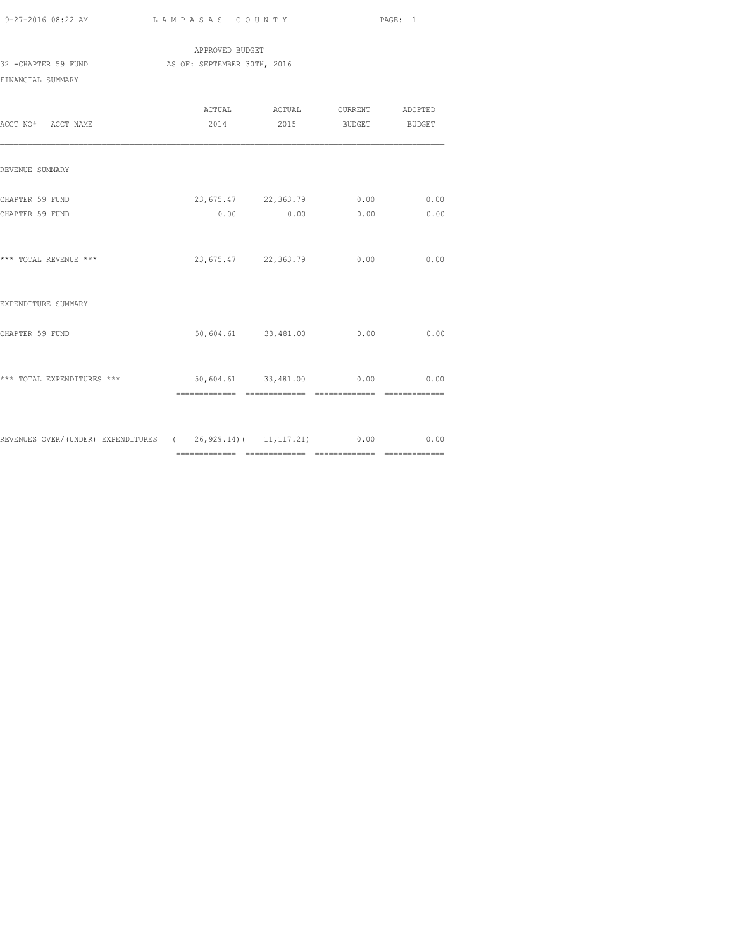APPROVED BUDGET 32 -CHAPTER 59 FUND AS OF: SEPTEMBER 30TH, 2016 FINANCIAL SUMMARY

| ACCT NO# ACCT NAME                                                  | 2014 | 2015 BUDGET                                           |      | <b>BUDGET</b>  |
|---------------------------------------------------------------------|------|-------------------------------------------------------|------|----------------|
| REVENUE SUMMARY                                                     |      |                                                       |      |                |
| CHAPTER 59 FUND<br>CHAPTER 59 FUND                                  |      | 23,675.47 22,363.79 0.00 0.00<br>$0.00$ $0.00$ $0.00$ |      | 0.00           |
| *** TOTAL REVENUE ***                                               |      | 23,675.47 22,363.79                                   | 0.00 | 0.00           |
| EXPENDITURE SUMMARY                                                 |      |                                                       |      |                |
| CHAPTER 59 FUND                                                     |      | 50,604.61 33,481.00 0.00                              |      | 0.00           |
| *** TOTAL EXPENDITURES ***                                          |      | 50,604.61 33,481.00 0.00 0.00                         |      | ============== |
| REVENUES OVER/(UNDER) EXPENDITURES (26,929.14)(11,117.21) 0.00 0.00 |      |                                                       |      |                |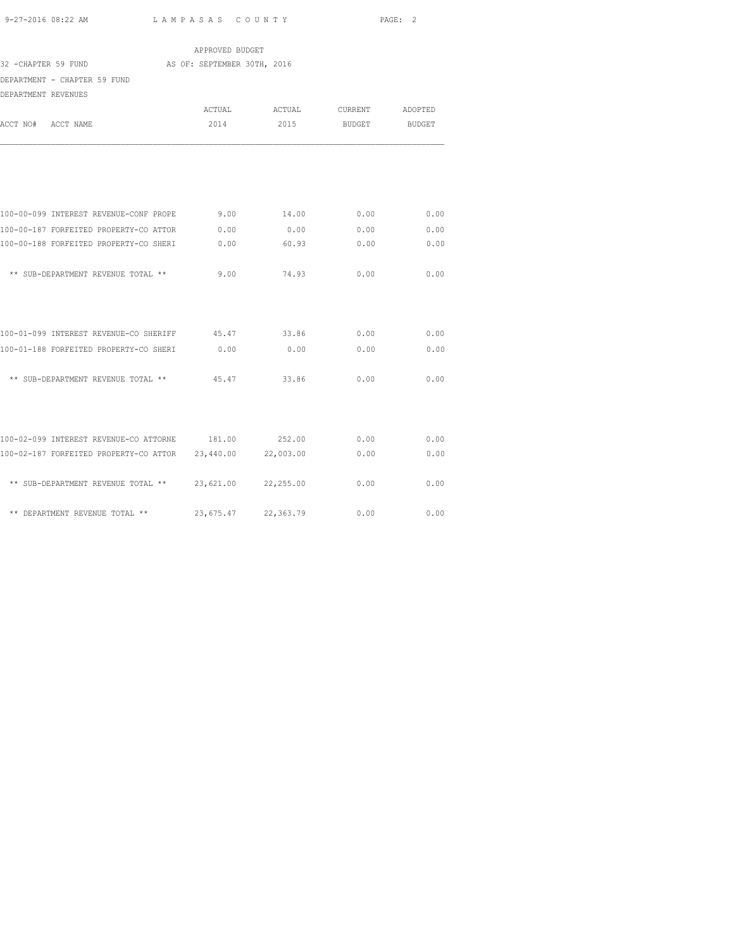| APPROVED BUDGET                                                             |                             |                |                   |                   |  |  |
|-----------------------------------------------------------------------------|-----------------------------|----------------|-------------------|-------------------|--|--|
| 32 - CHAPTER 59 FUND<br>DEPARTMENT - CHAPTER 59 FUND<br>DEPARTMENT REVENUES | AS OF: SEPTEMBER 30TH, 2016 |                |                   |                   |  |  |
| ACCT NO#<br>ACCT NAME                                                       | ACTUAL<br>2014              | ACTUAL<br>2015 | CURRENT<br>BUDGET | ADOPTED<br>BUDGET |  |  |
|                                                                             |                             |                |                   |                   |  |  |
| 100-00-099 INTEREST REVENUE-CONF PROPE                                      | 9.00                        | 14.00          | 0.00              | 0.00              |  |  |
| 100-00-187 FORFEITED PROPERTY-CO ATTOR                                      | 0.00                        | 0.00           | 0.00              | 0.00              |  |  |
| 100-00-188 FORFEITED PROPERTY-CO SHERI                                      | 0.00                        | 60.93          | 0.00              | 0.00              |  |  |
| ** SUB-DEPARTMENT REVENUE TOTAL **                                          | 9.00                        | 74.93          | 0.00              | 0.00              |  |  |
| 100-01-099 INTEREST REVENUE-CO SHERIFF 45.47 33.86                          |                             |                | 0.00              | 0.00              |  |  |
| 100-01-188 FORFEITED PROPERTY-CO SHERI                                      | 0.00                        | 0.00           | 0.00              | 0.00              |  |  |
| ** SUB-DEPARTMENT REVENUE TOTAL **                                          | 45.47                       | 33.86          | 0.00              | 0.00              |  |  |
|                                                                             |                             |                |                   |                   |  |  |
| 100-02-099 INTEREST REVENUE-CO ATTORNE 181.00 252.00                        |                             |                | 0.00              | 0.00              |  |  |
| 100-02-187 FORFEITED PROPERTY-CO ATTOR 23,440.00                            |                             | 22,003.00      | 0.00              | 0.00              |  |  |
| ** SUB-DEPARTMENT REVENUE TOTAL ** 23,621.00                                |                             | 22,255.00      | 0.00              | 0.00              |  |  |
| ** DEPARTMENT REVENUE TOTAL **                                              | 23,675.47                   | 22,363.79      | 0.00              | 0.00              |  |  |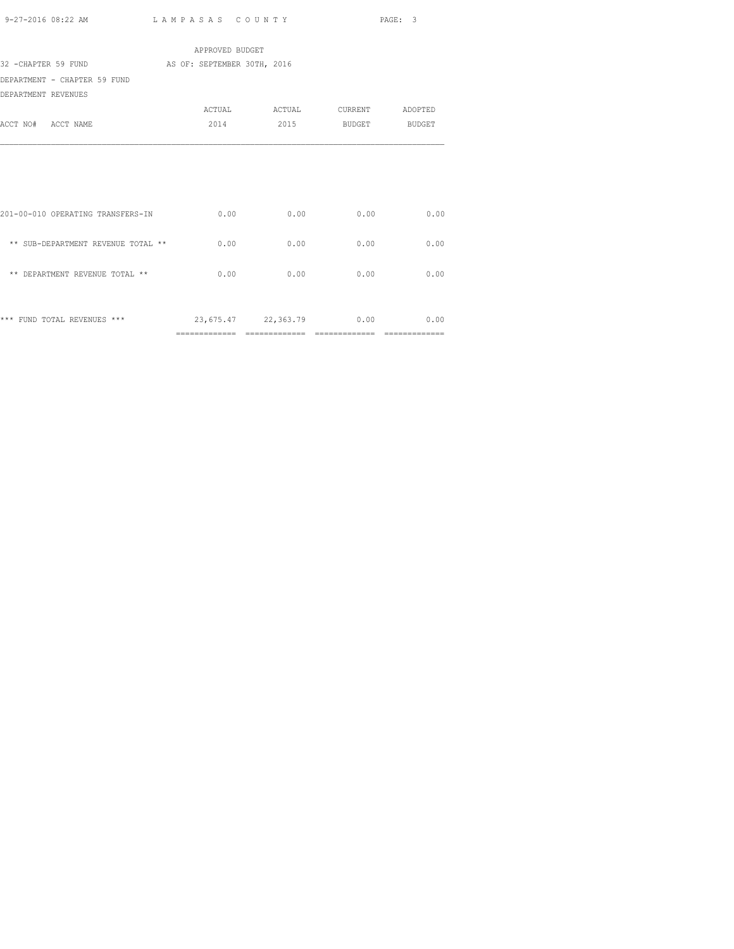| 9-27-2016 08:22 AM | LAMPASAS COUNTY | PAGE: 3 |
|--------------------|-----------------|---------|
|                    |                 |         |

|                                    | APPROVED BUDGET             |                                      |                  |                 |
|------------------------------------|-----------------------------|--------------------------------------|------------------|-----------------|
| 32 -CHAPTER 59 FUND                | AS OF: SEPTEMBER 30TH, 2016 |                                      |                  |                 |
| DEPARTMENT - CHAPTER 59 FUND       |                             |                                      |                  |                 |
| DEPARTMENT REVENUES                |                             |                                      |                  |                 |
|                                    | ACTUAL                      | ACTUAL                               |                  | CURRENT ADOPTED |
| ACCT NO# ACCT NAME                 | 2014                        | 2015                                 | BUDGET BUDGET    |                 |
|                                    |                             |                                      |                  |                 |
| 201-00-010 OPERATING TRANSFERS-IN  | 0.00                        | 0.00                                 | 0.00             | 0.00            |
| ** SUB-DEPARTMENT REVENUE TOTAL ** | 0.00                        | 0.00                                 | 0.00             | 0.00            |
| ** DEPARTMENT REVENUE TOTAL **     | 0.00                        | 0.00                                 | 0.00             | 0.00            |
| *** FUND TOTAL REVENUES ***        | =============               | 23,675.47 22,363.79<br>============= | 0.00<br>======== | 0.00            |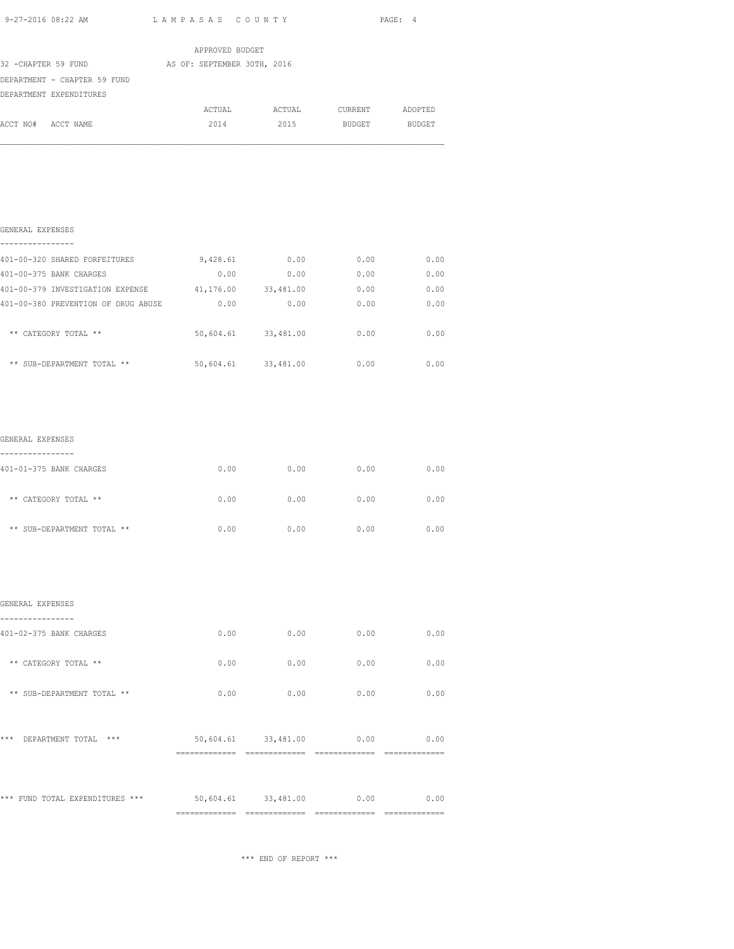| 9-27-2016 08:22 AM LAMPASAS COUNTY                   |                          |                               |               | PAGE: 4 |
|------------------------------------------------------|--------------------------|-------------------------------|---------------|---------|
|                                                      | APPROVED BUDGET          |                               |               |         |
| 32 -CHAPTER 59 FUND AS OF: SEPTEMBER 30TH, 2016      |                          |                               |               |         |
| DEPARTMENT - CHAPTER 59 FUND                         |                          |                               |               |         |
| DEPARTMENT EXPENDITURES                              |                          |                               |               |         |
|                                                      |                          | ACTUAL ACTUAL CURRENT ADOPTED |               |         |
| ACCT NO# ACCT NAME                                   | 2014                     | 2015                          | BUDGET BUDGET |         |
|                                                      |                          |                               |               |         |
| GENERAL EXPENSES<br>.                                |                          |                               |               |         |
| 401-00-320 SHARED FORFEITURES                        | 9,428.61                 | 0.00                          | 0.00          | 0.00    |
| 401-00-375 BANK CHARGES                              | 0.00                     | 0.00                          | 0.00          | 0.00    |
| 401-00-379 INVESTIGATION EXPENSE 41,176.00 33,481.00 |                          |                               | 0.00          | 0.00    |
| 401-00-380 PREVENTION OF DRUG ABUSE                  | 0.00                     | 0.00                          | 0.00          | 0.00    |
| ** CATEGORY TOTAL **                                 |                          | 50,604.61 33,481.00           | 0.00          | 0.00    |
| ** SUB-DEPARTMENT TOTAL **                           | 50,604.61 33,481.00 0.00 |                               |               | 0.00    |
| GENERAL EXPENSES                                     |                          |                               |               |         |
| ----------------<br>401-01-375 BANK CHARGES          | 0.00                     | 0.00                          | 0.00          | 0.00    |
| ** CATEGORY TOTAL **                                 | 0.00                     | 0.00                          | 0.00          | 0.00    |
| ** SUB-DEPARTMENT TOTAL **                           | 0.00                     | 0.00                          | 0.00          | 0.00    |
| GENERAL EXPENSES                                     |                          |                               |               |         |
|                                                      |                          |                               |               |         |
| 401-02-375 BANK CHARGES                              | 0.00                     | 0.00                          | 0.00          | 0.00    |

| *** FUND TOTAL EXPENDITURES ***  | 50,604.61 | 33,481.00 | 0.00 | 0.00 |
|----------------------------------|-----------|-----------|------|------|
| ***<br>$***$<br>DEPARTMENT TOTAL | 50,604.61 | 33,481.00 | 0.00 | 0.00 |
| ** SUB-DEPARTMENT TOTAL **       | 0.00      | 0.00      | 0.00 | 0.00 |
| ** CATEGORY TOTAL **             | 0.00      | 0.00      | 0.00 | 0.00 |
| 401-02-375 BANK CHARGES          | 0.00      | 0.00      | 0.00 | 0.00 |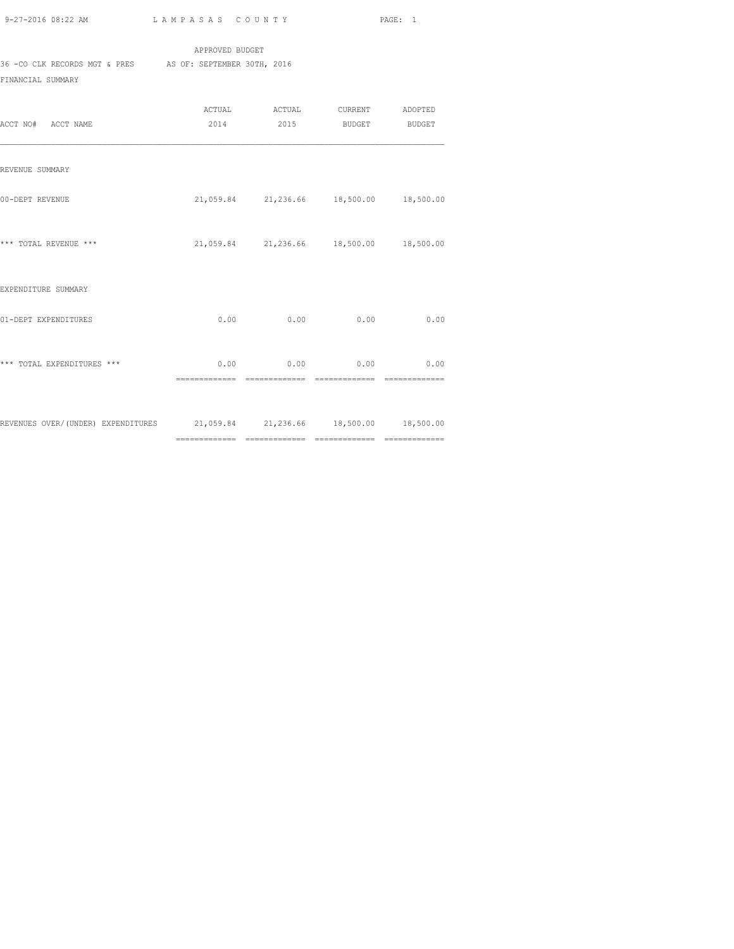APPROVED BUDGET 36 -CO CLK RECORDS MGT & PRES AS OF: SEPTEMBER 30TH, 2016

FINANCIAL SUMMARY

| ACCT NO# ACCT NAME                                                         | ACTUAL ACTUAL CURRENT ADOPTED<br>2014 2015 BUDGET BUDGET |                              |      |
|----------------------------------------------------------------------------|----------------------------------------------------------|------------------------------|------|
| REVENUE SUMMARY                                                            |                                                          |                              |      |
| 00-DEPT REVENUE                                                            | 21,059.84 21,236.66 18,500.00 18,500.00                  |                              |      |
| *** TOTAL REVENUE ***                                                      | 21,059.84 21,236.66 18,500.00 18,500.00                  |                              |      |
| EXPENDITURE SUMMARY                                                        |                                                          |                              |      |
| 01-DEPT EXPENDITURES                                                       | $0.00$ 0.00                                              | 0.00                         | 0.00 |
| *** TOTAL EXPENDITURES ***                                                 | $0.00$ 0.00 0.00 0.00<br>============== ===============  | ============================ |      |
| REVENUES OVER/(UNDER) EXPENDITURES 21,059.84 21,236.66 18,500.00 18,500.00 |                                                          |                              |      |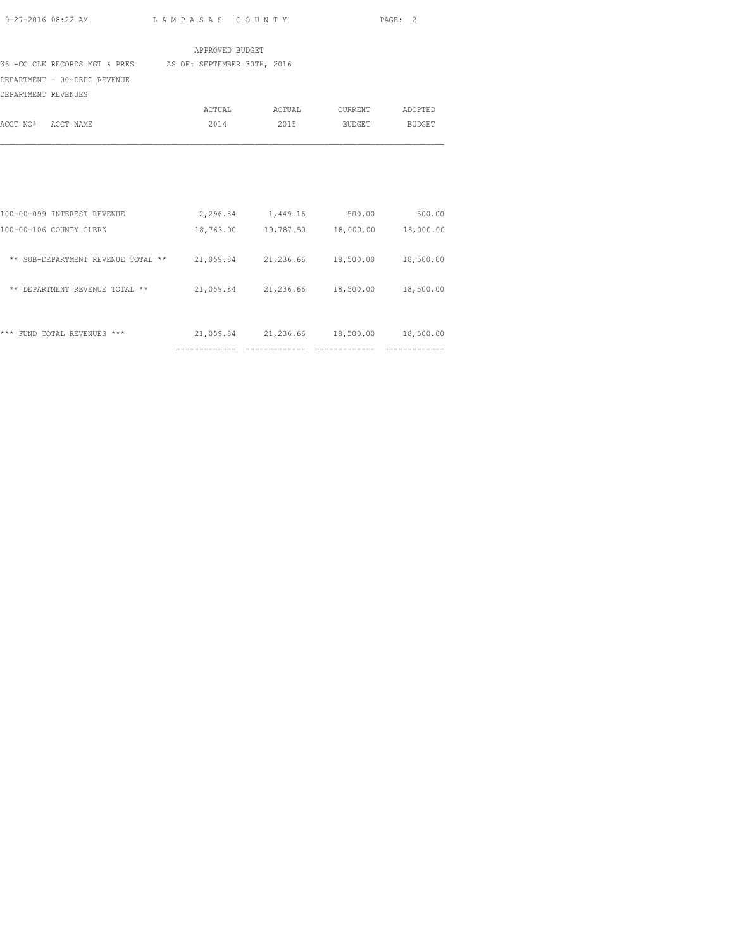============= ============= ============= =============

|                                                                            | APPROVED BUDGET |                                            |                 |        |
|----------------------------------------------------------------------------|-----------------|--------------------------------------------|-----------------|--------|
| 36 -CO CLK RECORDS MGT & PRES AS OF: SEPTEMBER 30TH, 2016                  |                 |                                            |                 |        |
| DEPARTMENT - 00-DEPT REVENUE                                               |                 |                                            |                 |        |
| DEPARTMENT REVENUES                                                        |                 |                                            |                 |        |
|                                                                            |                 | ACTUAL ACTUAL                              | CURRENT ADOPTED |        |
| ACCT NO# ACCT NAME                                                         | 2014            | 2015                                       | <b>BUDGET</b>   | BUDGET |
|                                                                            |                 |                                            |                 |        |
| 100-00-099 INTEREST REVENUE                                                |                 | 2,296.84 1,449.16 500.00 500.00            |                 |        |
| 100-00-106 COUNTY CLERK                                                    |                 | 18,763.00  19,787.50  18,000.00  18,000.00 |                 |        |
| ** SUB-DEPARTMENT REVENUE TOTAL ** 21,059.84 21,236.66 18,500.00 18,500.00 |                 |                                            |                 |        |
| ** DEPARTMENT REVENUE TOTAL **                                             |                 | 21,059.84 21,236.66 18,500.00 18,500.00    |                 |        |
| *** FUND TOTAL REVENUES ***                                                |                 | 21,059.84 21,236.66 18,500.00 18,500.00    |                 |        |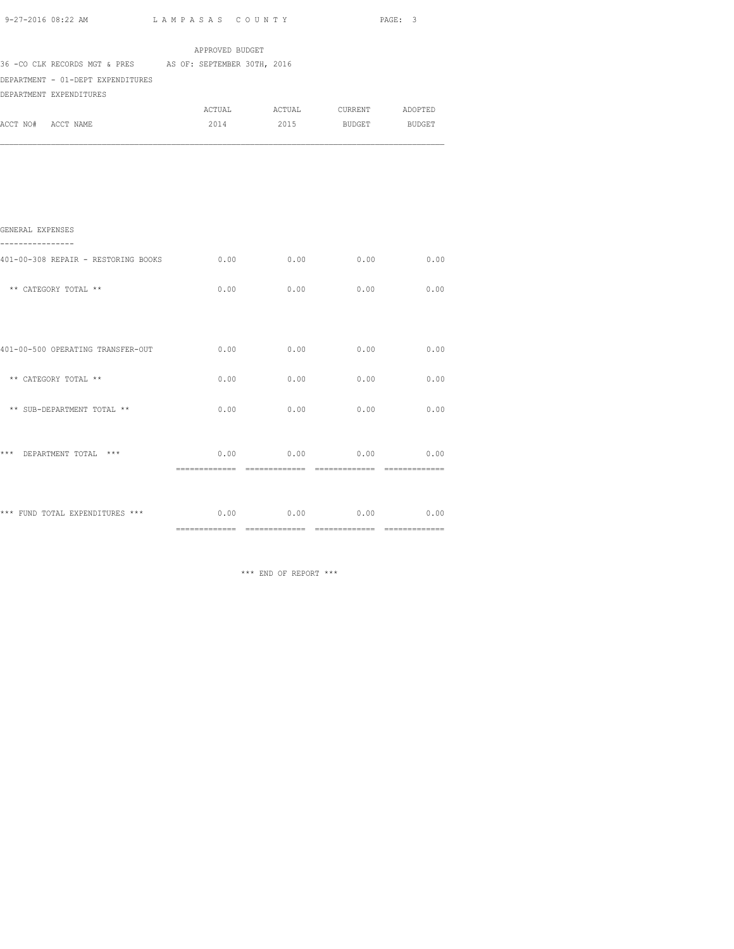|                                                           |                 |                               |      | PAGE: 3     |
|-----------------------------------------------------------|-----------------|-------------------------------|------|-------------|
|                                                           | APPROVED BUDGET |                               |      |             |
| 36 -CO CLK RECORDS MGT & PRES AS OF: SEPTEMBER 30TH, 2016 |                 |                               |      |             |
| DEPARTMENT - 01-DEPT EXPENDITURES                         |                 |                               |      |             |
| DEPARTMENT EXPENDITURES                                   |                 |                               |      |             |
|                                                           |                 | ACTUAL ACTUAL CURRENT ADOPTED |      |             |
| ACCT NO# ACCT NAME                                        |                 | 2014 2015 BUDGET BUDGET       |      |             |
|                                                           |                 |                               |      |             |
|                                                           |                 |                               |      |             |
|                                                           |                 |                               |      |             |
| GENERAL EXPENSES<br>---------                             |                 |                               |      |             |
| 401-00-308 REPAIR - RESTORING BOOKS                       | 0.00            | 0.00                          |      | $0.00$ 0.00 |
| ** CATEGORY TOTAL **                                      | 0.00            | 0.00                          | 0.00 | 0.00        |
|                                                           |                 |                               |      |             |
| 401-00-500 OPERATING TRANSFER-OUT                         | 0.00            | 0.00                          |      | $0.00$ 0.00 |
| ** CATEGORY TOTAL **                                      | 0.00            | 0.00                          | 0.00 | 0.00        |
| ** SUB-DEPARTMENT TOTAL **                                | 0.00            | 0.00                          | 0.00 | 0.00        |
| *** DEPARTMENT TOTAL ***                                  | 0.00            | 0.00                          |      | $0.00$ 0.00 |
|                                                           |                 |                               |      |             |
|                                                           |                 |                               |      |             |
|                                                           |                 |                               |      |             |

\*\*\* FUND TOTAL EXPENDITURES \*\*\* 0.00 0.00 0.00 0.00 0.00 0.00 ============= ============= ============= =============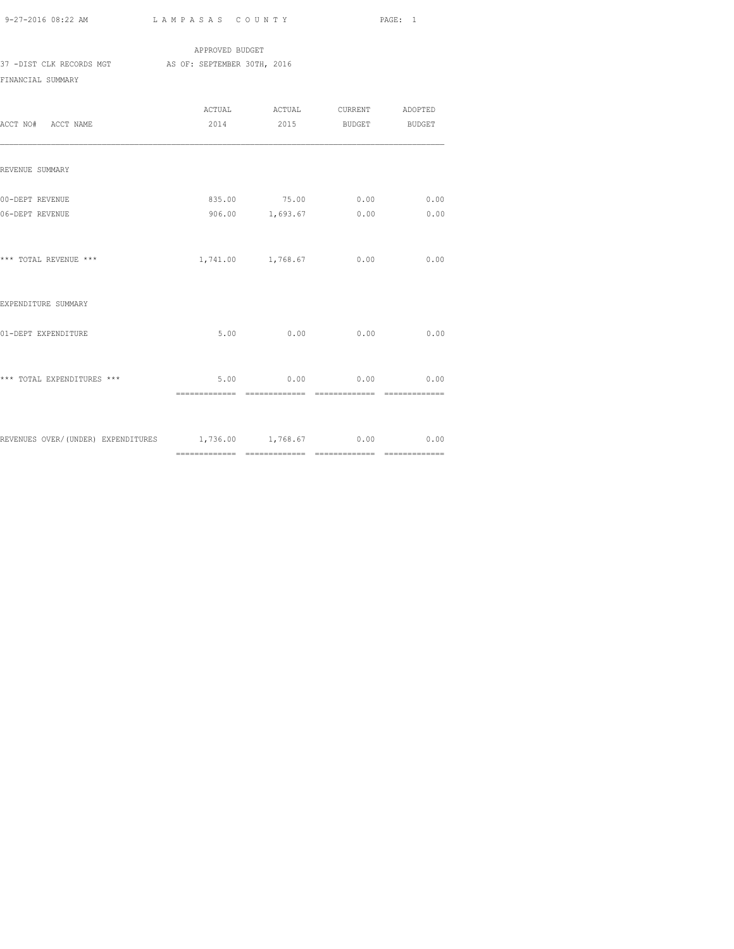|                          | APPROVED BUDGET             |
|--------------------------|-----------------------------|
| 37 -DIST CLK RECORDS MGT | AS OF: SEPTEMBER 30TH, 2016 |
| FINANCIAL SUMMARY        |                             |

| ACCT NO# ACCT NAME                                        |      |      | ACTUAL ACTUAL CURRENT ADOPTED<br>2014 2015 BUDGET BUDGET |                               |
|-----------------------------------------------------------|------|------|----------------------------------------------------------|-------------------------------|
| REVENUE SUMMARY                                           |      |      |                                                          |                               |
| 00-DEPT REVENUE<br>06-DEPT REVENUE                        |      |      | 835.00 75.00 0.00<br>906.00 1,693.67 0.00                | 0.00<br>0.00                  |
| *** TOTAL REVENUE ***                                     |      |      | 1,741.00 1,768.67 0.00                                   | 0.00                          |
| EXPENDITURE SUMMARY                                       |      |      |                                                          |                               |
| 01-DEPT EXPENDITURE                                       | 5.00 | 0.00 | 0.00                                                     | 0.00                          |
| *** TOTAL EXPENDITURES ***                                |      |      | $5.00$ 0.00 0.00 0.00<br>$=$ ==============              | $=$ = = = = = = = = = = = = = |
| REVENUES OVER/(UNDER) EXPENDITURES 1,736.00 1,768.67 0.00 |      |      |                                                          | 0.00                          |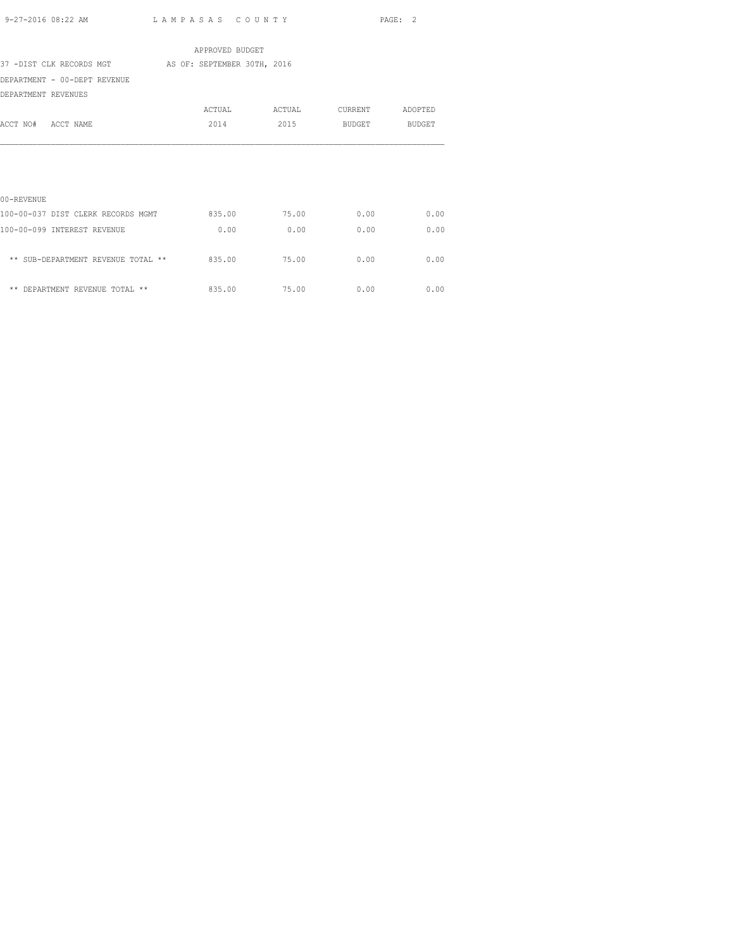|                                    | APPROVED BUDGET             |        |                |               |
|------------------------------------|-----------------------------|--------|----------------|---------------|
| 37 -DIST CLK RECORDS MGT           | AS OF: SEPTEMBER 30TH, 2016 |        |                |               |
| DEPARTMENT - 00-DEPT REVENUE       |                             |        |                |               |
| DEPARTMENT REVENUES                |                             |        |                |               |
|                                    | ACTUAL                      | ACTUAL | <b>CURRENT</b> | ADOPTED       |
| ACCT NO# ACCT NAME                 | 2014                        | 2015   | BUDGET         | <b>BUDGET</b> |
|                                    |                             |        |                |               |
|                                    |                             |        |                |               |
|                                    |                             |        |                |               |
|                                    |                             |        |                |               |
| 00-REVENUE                         |                             |        |                |               |
| 100-00-037 DIST CLERK RECORDS MGMT | 835.00                      | 75.00  | 0.00           | 0.00          |
| 100-00-099 INTEREST REVENUE        | 0.00                        | 0.00   | 0.00           | 0.00          |
|                                    |                             |        |                |               |
| ** SUB-DEPARTMENT REVENUE TOTAL ** | 835.00                      | 75.00  | 0.00           | 0.00          |
|                                    |                             |        |                |               |
| ** DEPARTMENT REVENUE TOTAL **     | 835.00                      | 75.00  | 0.00           | 0.00          |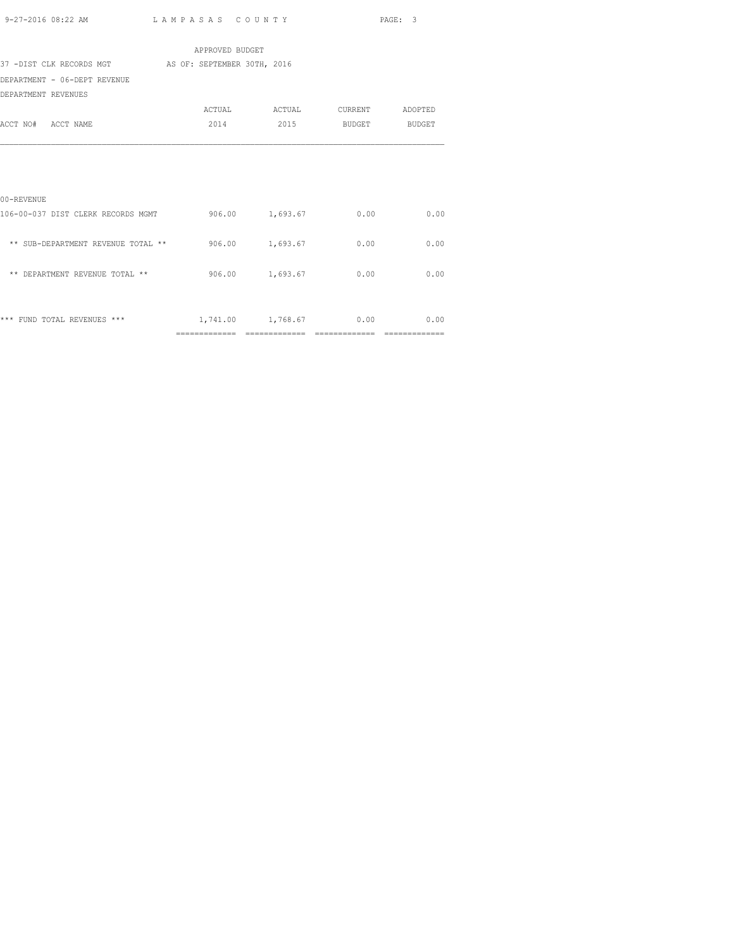| 9-27-2016 08:22 AM | LAMPASAS COUNTY | PAGE: 3 |
|--------------------|-----------------|---------|
|                    |                 |         |

|                                                           | APPROVED BUDGET |                                 |      |
|-----------------------------------------------------------|-----------------|---------------------------------|------|
| 37 -DIST CLK RECORDS MGT AS OF: SEPTEMBER 30TH, 2016      |                 |                                 |      |
| DEPARTMENT - 06-DEPT REVENUE                              |                 |                                 |      |
| DEPARTMENT REVENUES                                       |                 |                                 |      |
|                                                           |                 | ACTUAL ACTUAL CURRENT ADOPTED   |      |
| ACCT NO# ACCT NAME                                        |                 | 2014 2015 BUDGET BUDGET         |      |
|                                                           |                 |                                 |      |
|                                                           |                 |                                 |      |
|                                                           |                 |                                 |      |
|                                                           |                 |                                 |      |
| 00-REVENUE                                                |                 |                                 |      |
| 106-00-037 DIST CLERK RECORDS MGMT 600.00 1,693.67 0.00   |                 |                                 | 0.00 |
|                                                           |                 |                                 |      |
| ** SUB-DEPARTMENT REVENUE TOTAL ** $906.00$ 1,693.67 0.00 |                 |                                 | 0.00 |
|                                                           |                 |                                 |      |
| ** DEPARTMENT REVENUE TOTAL **                            |                 | 906.00 1,693.67 0.00            | 0.00 |
|                                                           |                 |                                 |      |
|                                                           |                 |                                 |      |
| *** FUND TOTAL REVENUES ***                               |                 | $1,741.00$ $1,768.67$ 0.00 0.00 |      |
|                                                           |                 |                                 |      |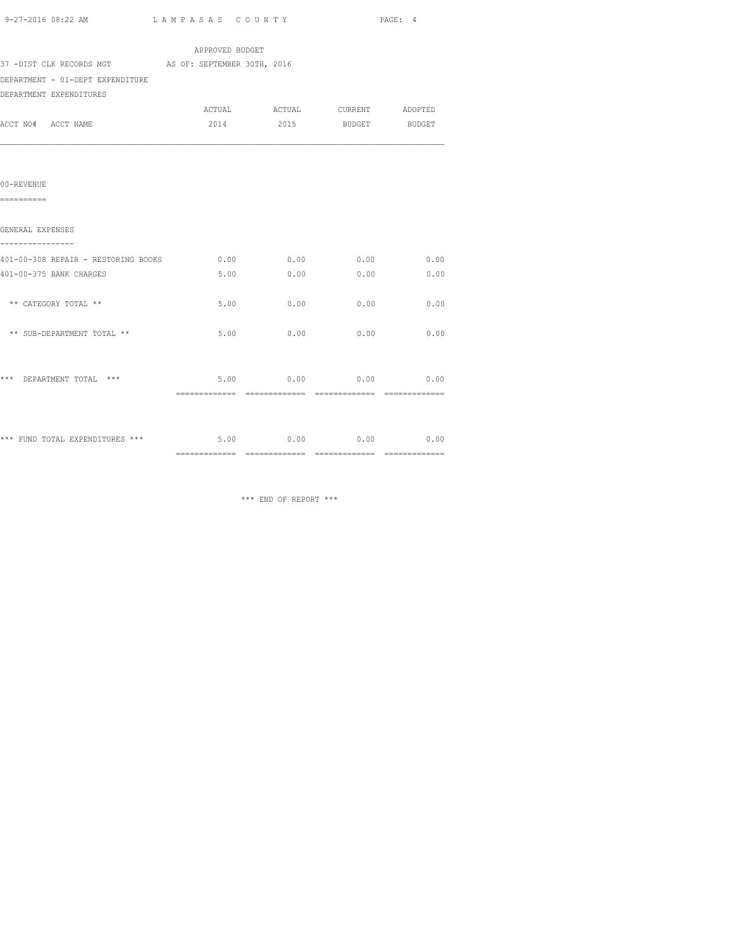|  | 9-27-2016 08:22 AM | LAMPASAS COUNTY |  | PAGE: |
|--|--------------------|-----------------|--|-------|
|--|--------------------|-----------------|--|-------|

|                                                            | APPROVED BUDGET |                  |               |      |
|------------------------------------------------------------|-----------------|------------------|---------------|------|
| 37 -DIST CLK RECORDS MGT AS OF: SEPTEMBER 30TH, 2016       |                 |                  |               |      |
| DEPARTMENT - 01-DEPT EXPENDITURE                           |                 |                  |               |      |
| DEPARTMENT EXPENDITURES                                    |                 |                  |               |      |
|                                                            |                 |                  |               |      |
| ACCT NO# ACCT NAME                                         | 2014            | 2015             | BUDGET BUDGET |      |
|                                                            |                 |                  |               |      |
| 00-REVENUE                                                 |                 |                  |               |      |
| ==========                                                 |                 |                  |               |      |
| GENERAL EXPENSES                                           |                 |                  |               |      |
| 401-00-308 REPAIR - RESTORING BOOKS                        |                 | $0.00$ 0.00 0.00 |               | 0.00 |
| 401-00-375 BANK CHARGES                                    | 5.00            | 0.00             | 0.00          | 0.00 |
| ** CATEGORY TOTAL **                                       | 5.00            | 0.00             | 0.00          | 0.00 |
| ** SUB-DEPARTMENT TOTAL **                                 | 5.00            | 0.00             | 0.00          | 0.00 |
| *** DEPARTMENT TOTAL ***                                   | 5.00            | 0.00             | 0.00          | 0.00 |
|                                                            |                 |                  |               |      |
| *** FUND TOTAL EXPENDITURES *** $5.00$ 0.00 0.00 0.00 0.00 |                 |                  |               |      |
|                                                            |                 |                  |               |      |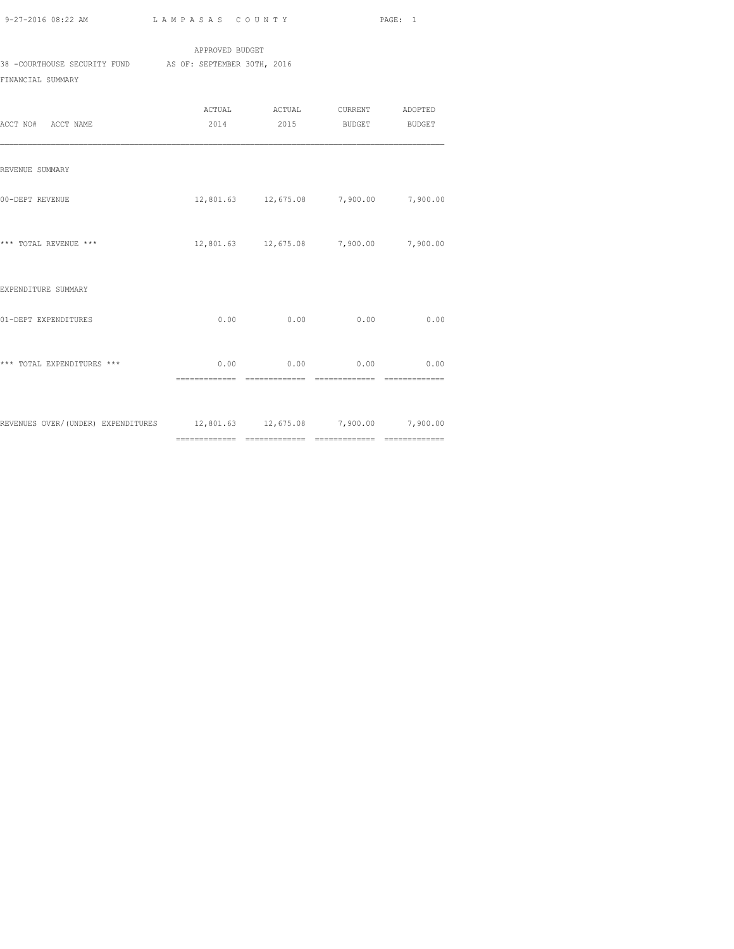APPROVED BUDGET 38 -COURTHOUSE SECURITY FUND AS OF: SEPTEMBER 30TH, 2016 FINANCIAL SUMMARY

| ACCT NO# ACCT NAME                                                       |      | ACTUAL ACTUAL CURRENT ADOPTED<br>2014 2015 BUDGET BUDGET |      |      |
|--------------------------------------------------------------------------|------|----------------------------------------------------------|------|------|
| REVENUE SUMMARY                                                          |      |                                                          |      |      |
| 00-DEPT REVENUE                                                          |      | 12,801.63  12,675.08  7,900.00  7,900.00                 |      |      |
| *** TOTAL REVENUE ***                                                    |      | 12,801.63  12,675.08  7,900.00  7,900.00                 |      |      |
| EXPENDITURE SUMMARY                                                      |      |                                                          |      |      |
| 01-DEPT EXPENDITURES                                                     | 0.00 | 0.00                                                     | 0.00 | 0.00 |
| *** TOTAL EXPENDITURES ***                                               |      | $0.00$ 0.00 0.00 0.00                                    |      |      |
| REVENUES OVER/(UNDER) EXPENDITURES 12,801.63 12,675.08 7,900.00 7,900.00 |      |                                                          |      |      |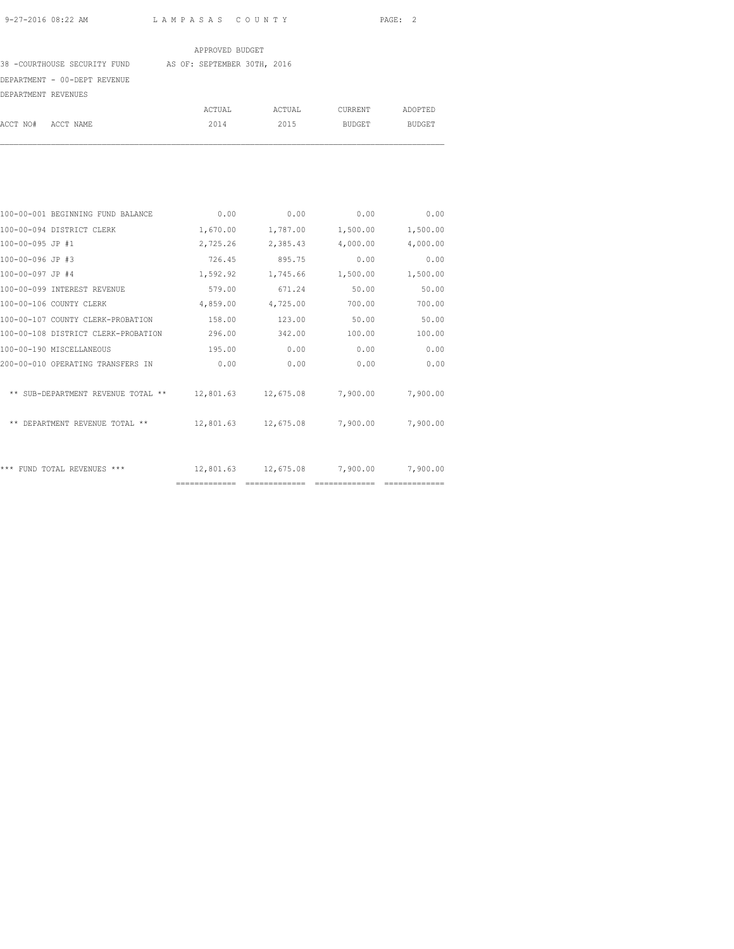38 -COURTHOUSE SECURITY FUND AS OF: SEPTEMBER 30TH, 2016

DEPARTMENT - 00-DEPT REVENUE

| DEPARTMENT REVENUES |        |        |         |               |
|---------------------|--------|--------|---------|---------------|
|                     | ACTUAL | ACTUAL | CURRENT | ADOPTED       |
| ACCT NO# ACCT NAME  | 2014   | 2015   | BUDGET  | <b>BUDGET</b> |

| 100-00-001 BEGINNING FUND BALANCE   | 0.00          | 0.00          | 0.00               | 0.00     |
|-------------------------------------|---------------|---------------|--------------------|----------|
| 100-00-094 DISTRICT CLERK           | 1,670.00      | 1,787.00      | 1,500.00           | 1,500.00 |
| 100-00-095 JP #1                    | 2,725.26      | 2,385.43      | 4,000.00           | 4,000.00 |
| 100-00-096 JP #3                    | 726.45        | 895.75        | 0.00               | 0.00     |
| 100-00-097 JP #4                    | 1,592.92      | 1,745.66      | 1,500.00           | 1,500.00 |
| 100-00-099 INTEREST REVENUE         | 579.00        | 671.24        | 50.00              | 50.00    |
| 100-00-106 COUNTY CLERK             | 4,859.00      | 4,725.00      | 700.00             | 700.00   |
| 100-00-107 COUNTY CLERK-PROBATION   | 158.00        | 123.00        | 50.00              | 50.00    |
| 100-00-108 DISTRICT CLERK-PROBATION | 296.00        | 342.00        | 100.00             | 100.00   |
| 100-00-190 MISCELLANEOUS            | 195.00        | 0.00          | 0.00               | 0.00     |
| 200-00-010 OPERATING TRANSFERS IN   | 0.00          | 0.00          | 0.00               | 0.00     |
|                                     |               |               |                    |          |
| ** SUB-DEPARTMENT REVENUE TOTAL **  | 12,801.63     |               | 12,675.08 7,900.00 | 7,900.00 |
|                                     |               |               |                    |          |
| ** DEPARTMENT REVENUE TOTAL **      | 12,801.63     |               | 12,675.08 7,900.00 | 7,900.00 |
|                                     |               |               |                    |          |
|                                     |               |               |                    |          |
| *** FUND TOTAL REVENUES ***         | 12,801.63     |               | 12,675.08 7,900.00 | 7,900.00 |
|                                     | ============= | ============= |                    |          |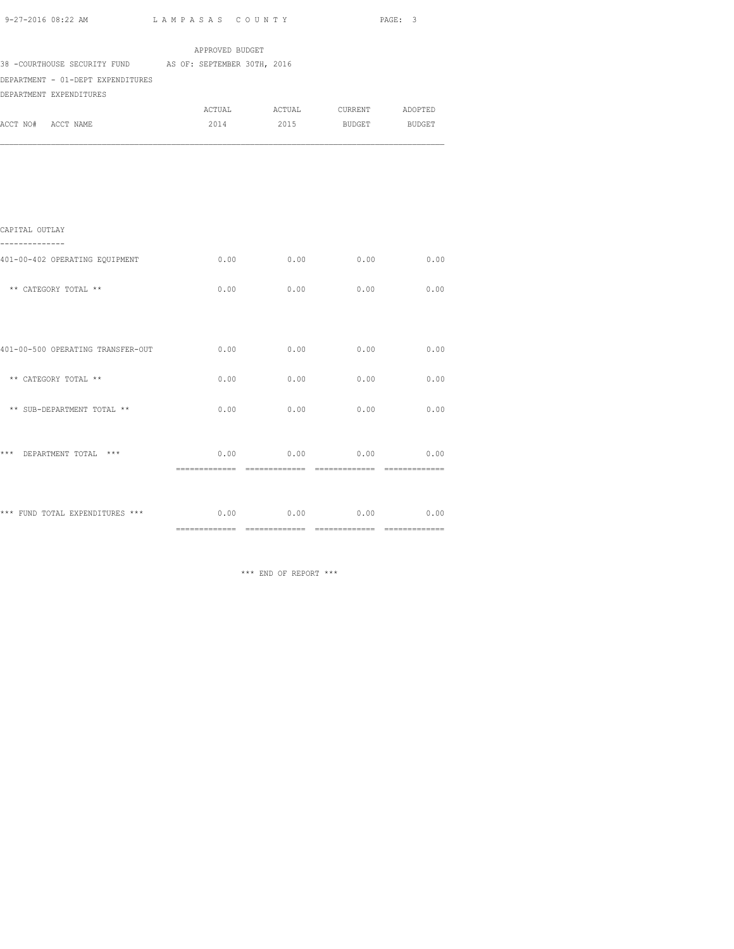| 9-27-2016 08:22 AM                                                                                                       | LAMPASAS COUNTY |        |                             | PAGE: 3 |
|--------------------------------------------------------------------------------------------------------------------------|-----------------|--------|-----------------------------|---------|
|                                                                                                                          | APPROVED BUDGET |        |                             |         |
| 38 -COURTHOUSE SECURITY FUND AS OF: SEPTEMBER 30TH, 2016<br>DEPARTMENT - 01-DEPT EXPENDITURES<br>DEPARTMENT EXPENDITURES |                 |        |                             |         |
|                                                                                                                          | ACTUAL          | ACTUAL | CURRENT ADOPTED             |         |
| ACCT NO# ACCT NAME                                                                                                       | 2014            | 2015   | <b>BUDGET</b>               | BUDGET  |
|                                                                                                                          |                 |        |                             |         |
| CAPITAL OUTLAY                                                                                                           |                 |        |                             |         |
|                                                                                                                          |                 |        |                             |         |
| 401-00-402 OPERATING EQUIPMENT                                                                                           | 0.00            | 0.00   | 0.00                        | 0.00    |
| ** CATEGORY TOTAL **                                                                                                     | 0.00            | 0.00   | 0.00                        | 0.00    |
| 401-00-500 OPERATING TRANSFER-OUT                                                                                        | 0.00            | 0.00   | 0.00                        | 0.00    |
|                                                                                                                          |                 |        |                             |         |
| ** CATEGORY TOTAL **                                                                                                     | 0.00            | 0.00   | 0.00                        | 0.00    |
| ** SUB-DEPARTMENT TOTAL **                                                                                               | 0.00            | 0.00   | 0.00                        | 0.00    |
| *** DEPARTMENT TOTAL ***                                                                                                 | 0.00            | 0.00   | 0.00                        | 0.00    |
|                                                                                                                          |                 |        |                             |         |
| *** FUND TOTAL EXPENDITURES ***                                                                                          |                 |        | $0.00$ $0.00$ $0.00$ $0.00$ | 0.00    |

============= ============= ============= =============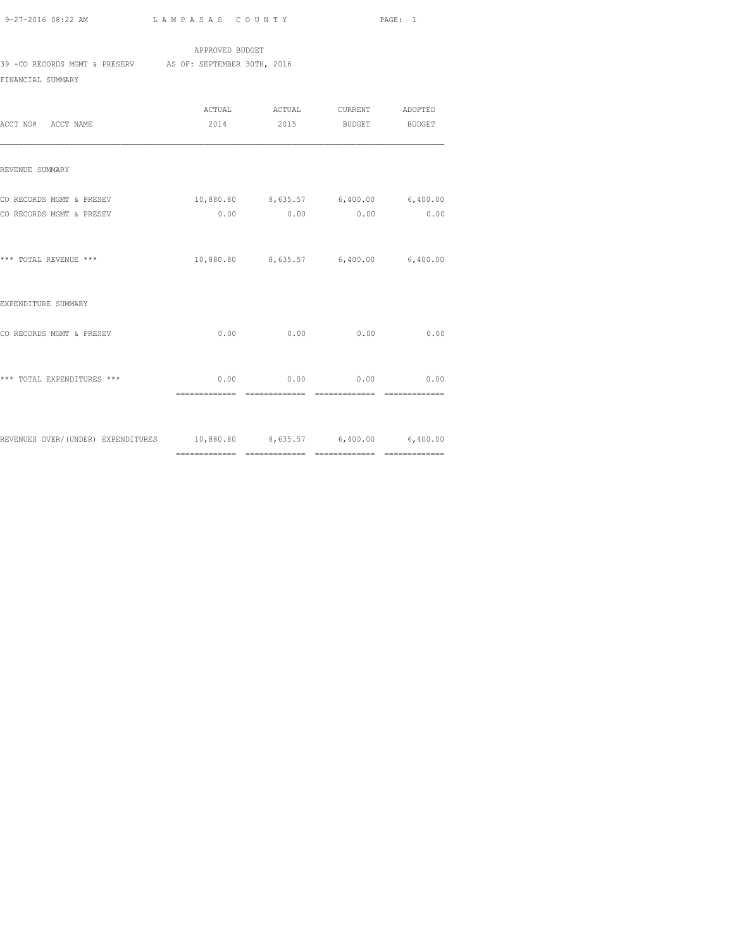## APPROVED BUDGET

39 -CO RECORDS MGMT & PRESERV AS OF: SEPTEMBER 30TH, 2016

FINANCIAL SUMMARY

| ACCT NO# ACCT NAME                                                      | 2014           |                              | ACTUAL ACTUAL CURRENT ADOPTED<br>2015 BUDGET                  | BUDGET |
|-------------------------------------------------------------------------|----------------|------------------------------|---------------------------------------------------------------|--------|
| REVENUE SUMMARY                                                         |                |                              |                                                               |        |
| CO RECORDS MGMT & PRESEV<br>CO RECORDS MGMT & PRESEV                    |                |                              | 10,880.80 8,635.57 6,400.00 6,400.00<br>$0.00$ 0.00 0.00 0.00 |        |
| *** TOTAL REVENUE ***                                                   |                |                              | 10,880.80 8,635.57 6,400.00 6,400.00                          |        |
| EXPENDITURE SUMMARY                                                     |                |                              |                                                               |        |
| CO RECORDS MGMT & PRESEV                                                |                |                              | $0.00$ 0.00 0.00 0.00                                         |        |
| *** TOTAL EXPENDITURES ***                                              | ============== | $0.00$ 0.00<br>============= | 0.00<br>==============                                        | 0.00   |
| REVENUES OVER/(UNDER) EXPENDITURES 10,880.80 8,635.57 6,400.00 6,400.00 |                |                              |                                                               |        |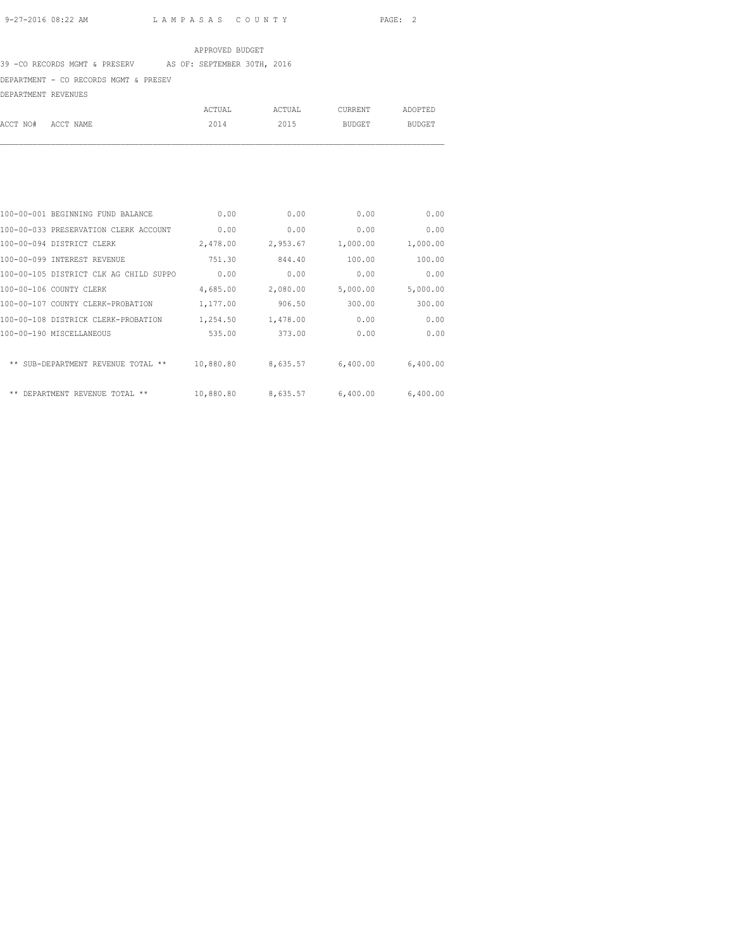# 39 -CO RECORDS MGMT & PRESERV AS OF: SEPTEMBER 30TH, 2016

### DEPARTMENT - CO RECORDS MGMT & PRESEV

DEPARTMENT REVENUES

|                    | ACTUAL | ACTUAL | CURRENT | ADOPTED |
|--------------------|--------|--------|---------|---------|
| ACCT NO# ACCT NAME | 2014   | 2015   | BUDGET  | BUDGET  |

|                          | 100-00-001 BEGINNING FUND BALANCE      | 0.00      | 0.00     | 0.00     | 0.00     |
|--------------------------|----------------------------------------|-----------|----------|----------|----------|
|                          | 100-00-033 PRESERVATION CLERK ACCOUNT  | 0.00      | 0.00     | 0.00     | 0.00     |
|                          | 100-00-094 DISTRICT CLERK              | 2,478.00  | 2,953.67 | 1,000.00 | 1,000.00 |
|                          | 100-00-099 INTEREST REVENUE            | 751.30    | 844.40   | 100.00   | 100.00   |
|                          | 100-00-105 DISTRICT CLK AG CHILD SUPPO | 0.00      | 0.00     | 0.00     | 0.00     |
| 100-00-106 COUNTY CLERK  |                                        | 4,685.00  | 2,080.00 | 5,000.00 | 5,000.00 |
|                          | 100-00-107 COUNTY CLERK-PROBATION      | 1,177.00  | 906.50   | 300.00   | 300.00   |
|                          | 100-00-108 DISTRICK CLERK-PROBATION    | 1,254.50  | 1,478.00 | 0.00     | 0.00     |
| 100-00-190 MISCELLANEOUS |                                        | 535.00    | 373.00   | 0.00     | 0.00     |
|                          | ** SUB-DEPARTMENT REVENUE TOTAL **     | 10,880.80 | 8,635.57 | 6,400.00 | 6,400.00 |
| **                       | DEPARTMENT REVENUE TOTAL<br>**         | 10,880.80 | 8,635.57 | 6,400.00 | 6,400.00 |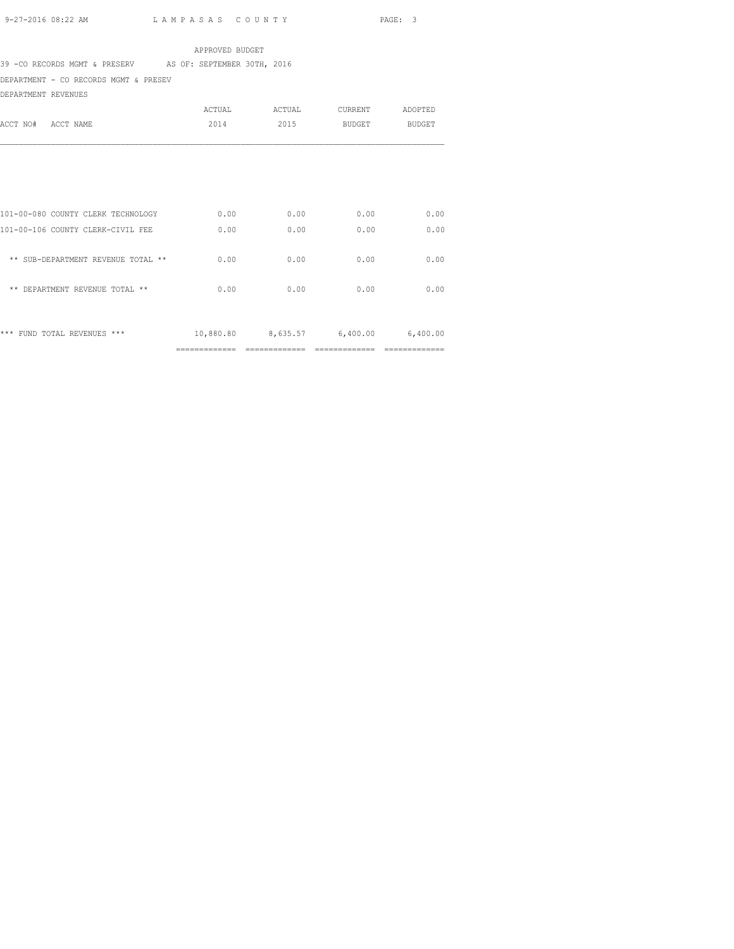39 -CO RECORDS MGMT & PRESERV AS OF: SEPTEMBER 30TH, 2016

DEPARTMENT - CO RECORDS MGMT & PRESEV

DEPARTMENT REVENUES

| ACCT NO#<br>ACCT NAME                                                   | ACTUAL<br>2014 | ACTUAL<br>2015              | CURRENT<br>BUDGET | ADOPTED<br><b>BUDGET</b> |
|-------------------------------------------------------------------------|----------------|-----------------------------|-------------------|--------------------------|
|                                                                         |                |                             |                   |                          |
| 101-00-080 COUNTY CLERK TECHNOLOGY<br>101-00-106 COUNTY CLERK-CIVIL FEE | 0.00<br>0.00   | 0.00<br>0.00                | 0.00<br>0.00      | 0.00<br>0.00             |
| ** SUB-DEPARTMENT REVENUE TOTAL **                                      | 0.00           | 0.00                        | 0.00              | 0.00                     |
| ** DEPARTMENT REVENUE TOTAL **                                          | 0.00           | 0.00                        | 0.00              | 0.00                     |
| *** FUND TOTAL REVENUES ***                                             | -------------- | 10,880.80 8,635.57 6,400.00 |                   | 6,400.00                 |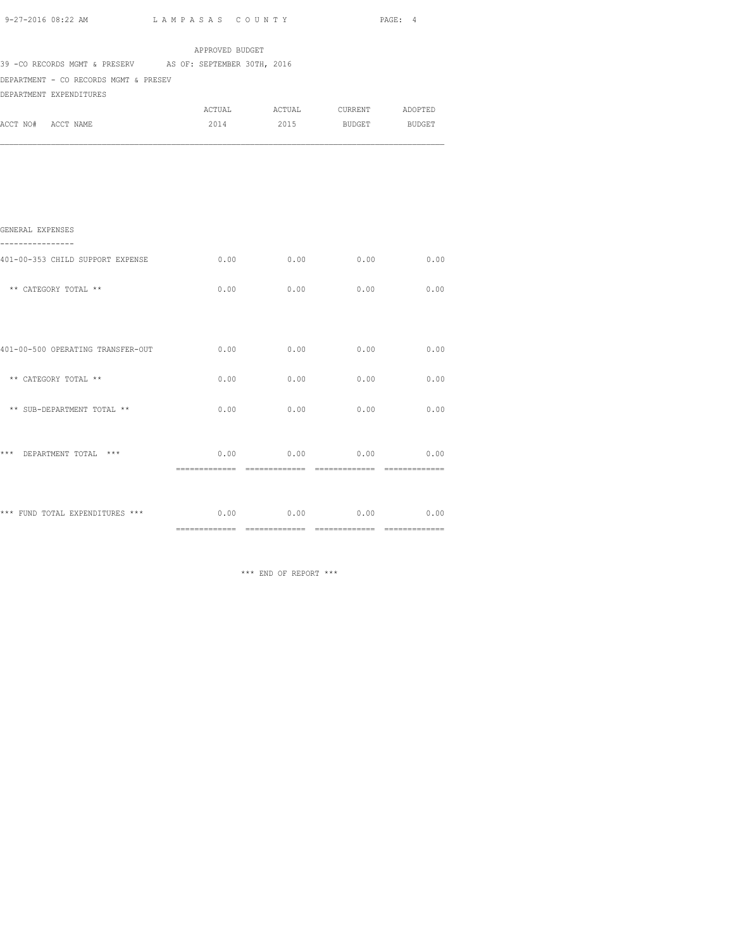| 9-27-2016 08:22 AM                                         |                 | LAMPASAS COUNTY       |                 |               |
|------------------------------------------------------------|-----------------|-----------------------|-----------------|---------------|
|                                                            | APPROVED BUDGET |                       |                 |               |
| 39 - CO RECORDS MGMT & PRESERV AS OF: SEPTEMBER 30TH, 2016 |                 |                       |                 |               |
| DEPARTMENT - CO RECORDS MGMT & PRESEV                      |                 |                       |                 |               |
| DEPARTMENT EXPENDITURES                                    |                 |                       |                 |               |
|                                                            | ACTUAL          | ACTUAL                | CURRENT ADOPTED |               |
| ACCT NO# ACCT NAME                                         | 2014            | 2015                  | <b>BUDGET</b>   | <b>BUDGET</b> |
|                                                            |                 |                       |                 |               |
|                                                            |                 |                       |                 |               |
|                                                            |                 |                       |                 |               |
| GENERAL EXPENSES<br>-----------                            |                 |                       |                 |               |
| 401-00-353 CHILD SUPPORT EXPENSE                           | 0.00            | 0.00                  | 0.00            | 0.00          |
| ** CATEGORY TOTAL **                                       | 0.00            | 0.00                  | 0.00            | 0.00          |
|                                                            |                 |                       |                 |               |
| 401-00-500 OPERATING TRANSFER-OUT                          | 0.00            | 0.00                  | 0.00            | 0.00          |
| ** CATEGORY TOTAL **                                       | 0.00            | 0.00                  | 0.00            | 0.00          |
| ** SUB-DEPARTMENT TOTAL **                                 | 0.00            | 0.00                  | 0.00            | 0.00          |
|                                                            |                 | $0.00$ 0.00 0.00 0.00 |                 |               |

\*\*\* FUND TOTAL EXPENDITURES \*\*\* 0.00 0.00 0.00 0.00 0.00 0.00 ============= ============= ============= =============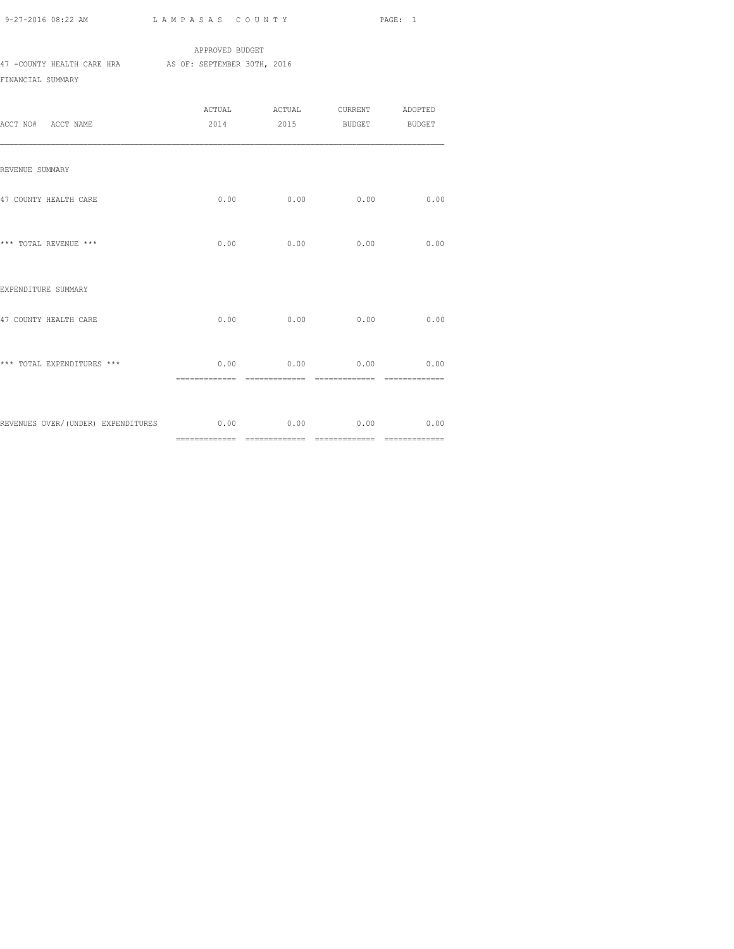|                            | APPROVED BUDGET             |  |
|----------------------------|-----------------------------|--|
| 47 -COUNTY HEALTH CARE HRA | AS OF: SEPTEMBER 30TH, 2016 |  |
| FINANCIAL SUMMARY          |                             |  |

| ACCT NO# ACCT NAME                                              |      | ACTUAL ACTUAL CURRENT ADOPTED<br>2014 2015 BUDGET BUDGET |      |      |
|-----------------------------------------------------------------|------|----------------------------------------------------------|------|------|
| REVENUE SUMMARY                                                 |      |                                                          |      |      |
| 47 COUNTY HEALTH CARE                                           | 0.00 | 0.00                                                     | 0.00 | 0.00 |
| *** TOTAL REVENUE ***                                           |      | $0.00$ 0.00 0.00                                         |      | 0.00 |
| EXPENDITURE SUMMARY                                             |      |                                                          |      |      |
| 47 COUNTY HEALTH CARE                                           | 0.00 | 0.00                                                     | 0.00 | 0.00 |
| *** TOTAL EXPENDITURES ***                                      |      | $0.00$ 0.00 0.00 0.00                                    |      |      |
| REVENUES OVER/(UNDER) EXPENDITURES $0.00$ 0.00 $0.00$ 0.00 0.00 |      |                                                          |      | 0.00 |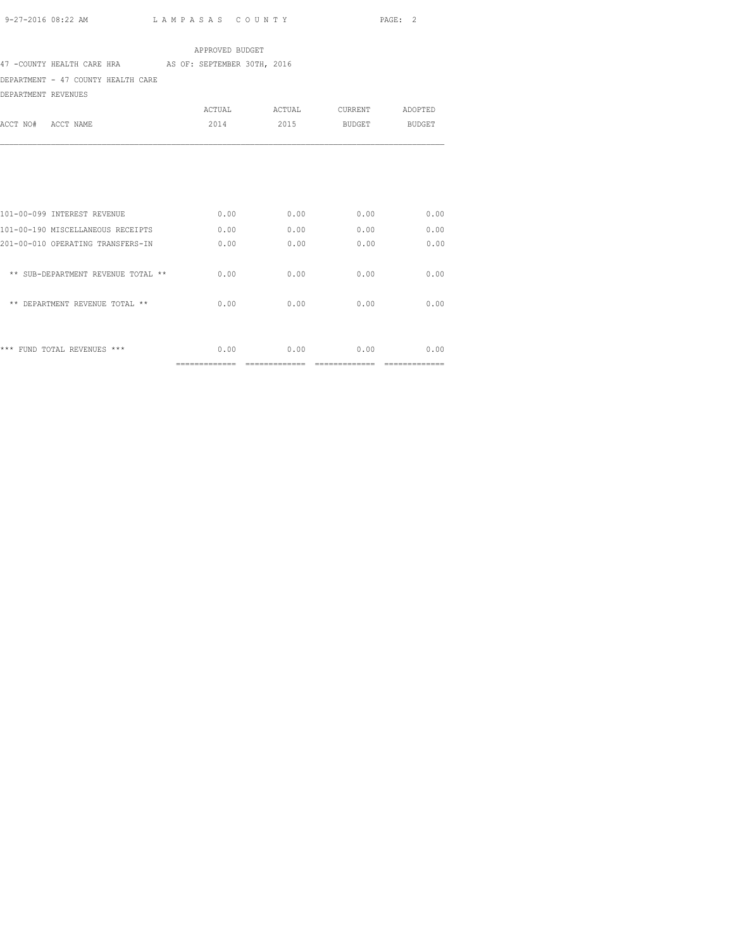47 -COUNTY HEALTH CARE HRA AS OF: SEPTEMBER 30TH, 2016

DEPARTMENT - 47 COUNTY HEALTH CARE

DEPARTMENT REVENUES

| DEFAKIMENI KEVENUES                  |                |              |               |               |
|--------------------------------------|----------------|--------------|---------------|---------------|
|                                      | ACTUAL         | ACTUAL       | CURRENT       | ADOPTED       |
| ACCT NO#<br>ACCT NAME                | 2014           | 2015         | <b>BUDGET</b> | <b>BUDGET</b> |
|                                      |                |              |               |               |
|                                      |                |              |               |               |
|                                      |                |              |               |               |
|                                      |                |              |               |               |
| 101-00-099 INTEREST REVENUE          | 0.00           | 0.00         | 0.00          | 0.00          |
| 101-00-190 MISCELLANEOUS RECEIPTS    | 0.00           | 0.00         | 0.00          | 0.00          |
| 201-00-010 OPERATING TRANSFERS-IN    | 0.00           | 0.00         | 0.00          | 0.00          |
|                                      |                |              |               |               |
| ** SUB-DEPARTMENT REVENUE TOTAL **   | 0.00           | 0.00         | 0.00          | 0.00          |
| $***$<br>DEPARTMENT REVENUE TOTAL ** | 0.00           | 0.00         | 0.00          | 0.00          |
|                                      |                |              |               |               |
|                                      |                |              |               |               |
| FUND TOTAL REVENUES ***<br>***       | 0.00           | 0.00         | 0.00          | 0.00          |
|                                      | ============== | ------------ |               |               |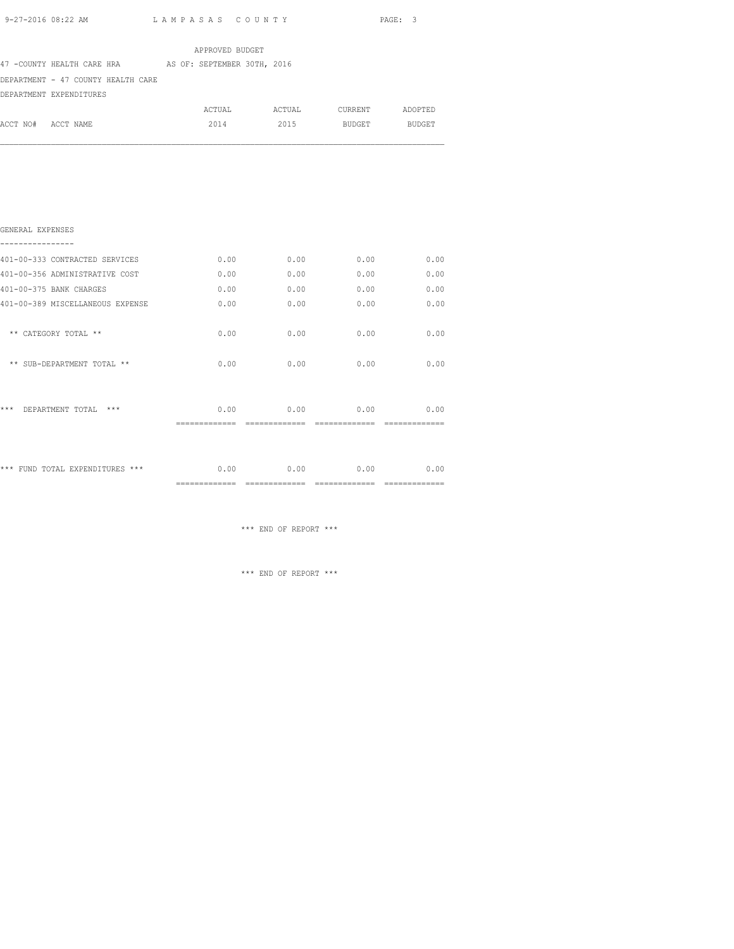| 9-27-2016 08:22 AM |                                                        | LAMPASAS COUNTY |               |                 | PAGE: 3 |
|--------------------|--------------------------------------------------------|-----------------|---------------|-----------------|---------|
|                    |                                                        | APPROVED BUDGET |               |                 |         |
|                    | 47 -COUNTY HEALTH CARE HRA AS OF: SEPTEMBER 30TH, 2016 |                 |               |                 |         |
|                    | DEPARTMENT - 47 COUNTY HEALTH CARE                     |                 |               |                 |         |
|                    | DEPARTMENT EXPENDITURES                                |                 |               |                 |         |
|                    |                                                        |                 | ACTUAL ACTUAL | CURRENT ADOPTED |         |
| ACCT NO# ACCT NAME |                                                        | 2014            | 2015          | BUDGET BUDGET   |         |
|                    |                                                        |                 |               |                 |         |
| GENERAL EXPENSES   |                                                        |                 |               |                 |         |
|                    |                                                        |                 |               |                 |         |
|                    | 401-00-333 CONTRACTED SERVICES                         | 0.00            | 0.00          | 0.00            | 0.00    |
|                    | 401-00-356 ADMINISTRATIVE COST                         | 0.00            | 0.00          | 0.00            | 0.00    |
|                    | 401-00-375 BANK CHARGES                                | 0.00            | 0.00          | 0.00            | 0.00    |

|                                  | --------------         | --------------      | --------------         | ========== |
|----------------------------------|------------------------|---------------------|------------------------|------------|
| *** FUND TOTAL EXPENDITURES ***  | 0.00                   | 0.00                | 0.00                   | 0.00       |
| ***<br>$***$<br>DEPARTMENT TOTAL | 0.00<br>-------------- | 0.00<br>----------- | 0.00<br>-------------- | 0.00       |
| ** SUB-DEPARTMENT TOTAL **       | 0.00                   | 0.00                | 0.00                   | 0.00       |
| ** CATEGORY TOTAL **             | 0.00                   | 0.00                | 0.00                   | 0.00       |
| 401-00-389 MISCELLANEOUS EXPENSE | 0.00                   | 0.00                | 0.00                   | 0.00       |
| 401-00-375 BANK CHARGES          | 0.00                   | 0.00                | 0.00                   | 0.00       |
| 401-00-356 ADMINISTRATIVE COST   | 0.00                   | 0.00                | 0.00                   | 0.00       |
|                                  |                        |                     |                        |            |

\*\*\* END OF REPORT \*\*\*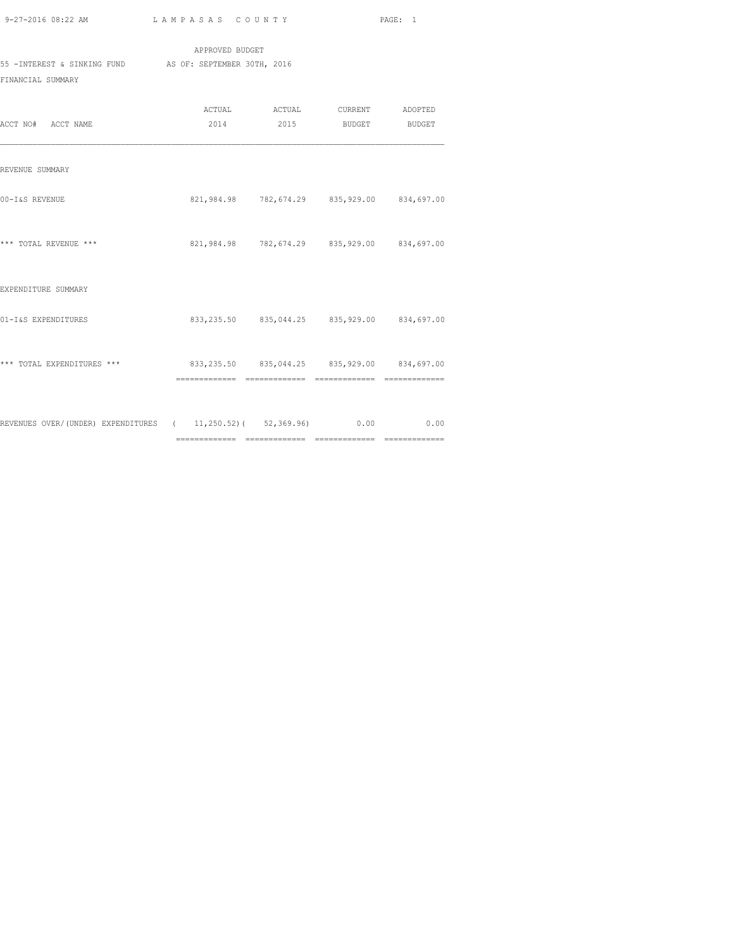|                             | APPROVED BUDGET             |        |         |         |
|-----------------------------|-----------------------------|--------|---------|---------|
| 55 -INTEREST & SINKING FUND | AS OF: SEPTEMBER 30TH, 2016 |        |         |         |
| FINANCIAL SUMMARY           |                             |        |         |         |
|                             | ACTUAL                      | ACTUAL | CURRENT | ADOPTED |

| ACCT NO# ACCT NAME                                                       |                                                 | 2014 2015 BUDGET BUDGET |                                                 |
|--------------------------------------------------------------------------|-------------------------------------------------|-------------------------|-------------------------------------------------|
| REVENUE SUMMARY                                                          |                                                 |                         |                                                 |
| 00-I&S REVENUE                                                           |                                                 |                         | 821,984.98 782,674.29 835,929.00 834,697.00     |
| *** TOTAL REVENUE ***                                                    | 821,984.98 782,674.29 835,929.00 834,697.00     |                         |                                                 |
| EXPENDITURE SUMMARY                                                      |                                                 |                         |                                                 |
| 01-I&S EXPENDITURES                                                      |                                                 |                         | 833, 235.50 835, 044.25 835, 929.00 834, 697.00 |
| *** TOTAL EXPENDITURES ***                                               | 833, 235.50 835, 044.25 835, 929.00 834, 697.00 |                         |                                                 |
|                                                                          |                                                 |                         |                                                 |
| REVENUES OVER/(UNDER) EXPENDITURES (11,250.52)(52,369.96) 0.00 0.00 0.00 |                                                 |                         |                                                 |
|                                                                          |                                                 |                         |                                                 |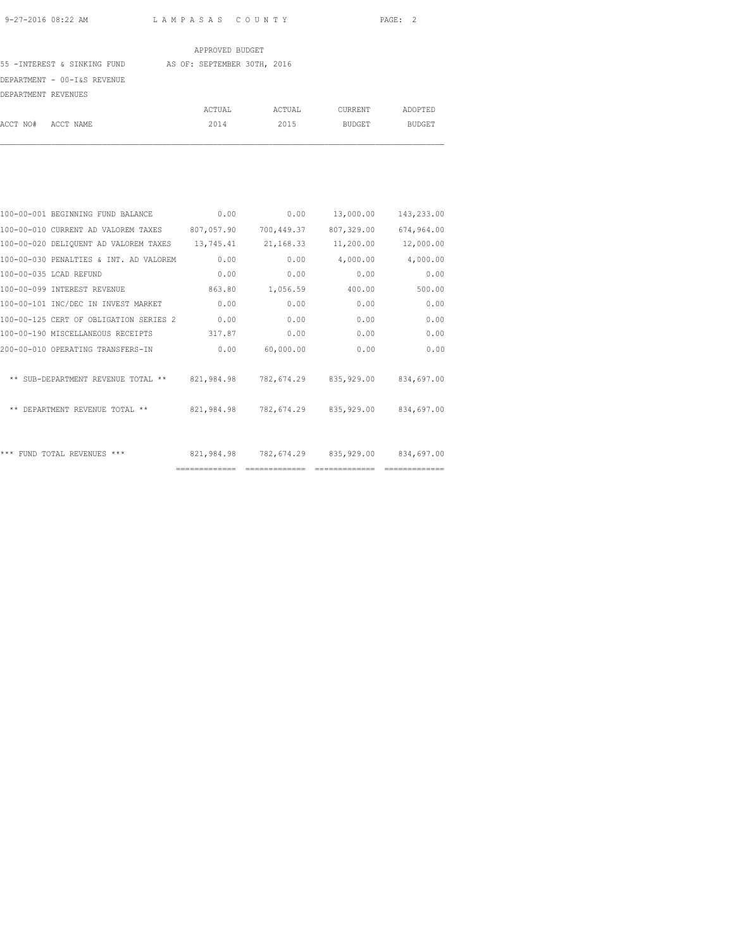55 -INTEREST & SINKING FUND AS OF: SEPTEMBER 30TH, 2016

DEPARTMENT - 00-I&S REVENUE

| DEPARTMENT REVENUES |           |        |        |         |         |
|---------------------|-----------|--------|--------|---------|---------|
|                     |           | ACTUAL | ACTUAL | CURRENT | ADOPTED |
| ACCT NO#            | ACCT NAME | 2014   | 2015   | BUDGET  | BUDGET  |

| 100-00-001 BEGINNING FUND BALANCE      | 0.00          | 0.00           | 13,000.00                        | 143,233.00 |
|----------------------------------------|---------------|----------------|----------------------------------|------------|
| 100-00-010 CURRENT AD VALOREM TAXES    | 807,057.90    | 700,449.37     | 807,329.00                       | 674,964.00 |
| 100-00-020 DELIQUENT AD VALOREM TAXES  | 13,745.41     | 21,168.33      | 11,200.00                        | 12,000.00  |
| 100-00-030 PENALTIES & INT. AD VALOREM | 0.00          | 0.00           | 4,000.00                         | 4,000.00   |
| 100-00-035 LCAD REFUND                 | 0.00          | 0.00           | 0.00                             | 0.00       |
| 100-00-099 INTEREST REVENUE            | 863.80        | 1,056.59       | 400.00                           | 500.00     |
| 100-00-101 INC/DEC IN INVEST MARKET    | 0.00          | 0.00           | 0.00                             | 0.00       |
| 100-00-125 CERT OF OBLIGATION SERIES 2 | 0.00          | 0.00           | 0.00                             | 0.00       |
| 100-00-190 MISCELLANEOUS RECEIPTS      | 317.87        | 0.00           | 0.00                             | 0.00       |
| 200-00-010 OPERATING TRANSFERS-IN      | 0.00          | 60,000.00      | 0.00                             | 0.00       |
| ** SUB-DEPARTMENT REVENUE TOTAL **     |               |                | 821,984.98 782,674.29 835,929.00 | 834,697.00 |
| ** DEPARTMENT REVENUE TOTAL **         | 821,984.98    |                | 782,674.29 835,929.00            | 834,697.00 |
|                                        |               |                |                                  |            |
| *** FUND TOTAL REVENUES ***            | 821,984.98    | 782,674.29     | 835,929.00                       | 834,697.00 |
|                                        | ============= | -------------- |                                  |            |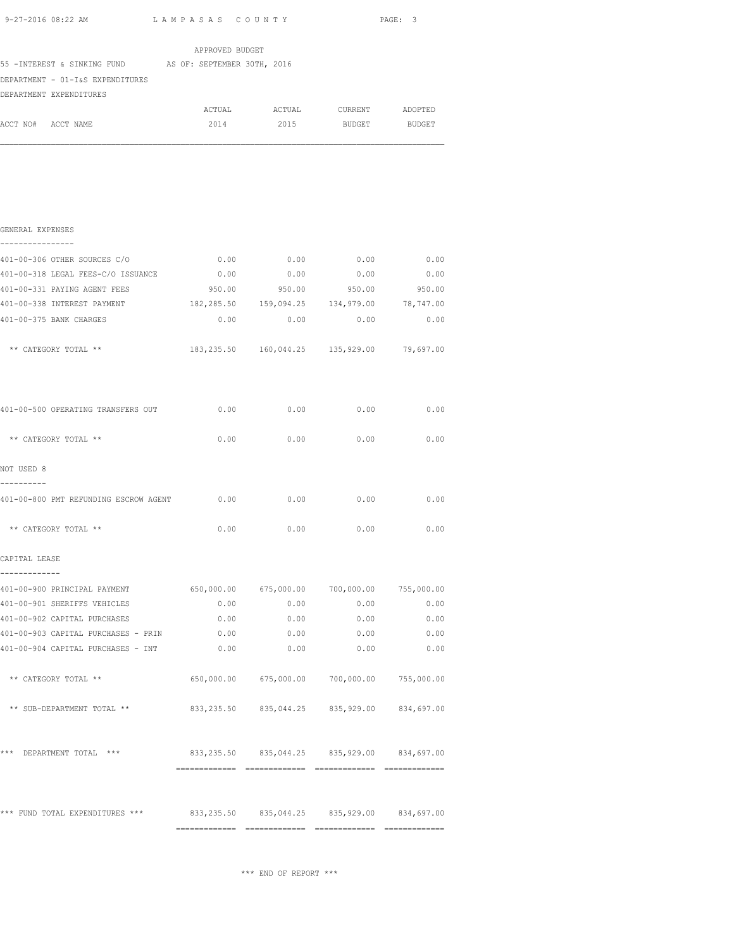| 9–27–2016 08:22 AM $L$ A M P A S A S C O U N T Y                         |                 |                                                   |               | PAGE: 3           |
|--------------------------------------------------------------------------|-----------------|---------------------------------------------------|---------------|-------------------|
|                                                                          | APPROVED BUDGET |                                                   |               |                   |
| 55 - INTEREST & SINKING FUND AS OF: SEPTEMBER 30TH, 2016                 |                 |                                                   |               |                   |
| DEPARTMENT - 01-I&S EXPENDITURES                                         |                 |                                                   |               |                   |
| DEPARTMENT EXPENDITURES                                                  |                 |                                                   |               |                   |
|                                                                          |                 | ACTUAL ACTUAL CURRENT ADOPTED                     |               |                   |
| ACCT NO# ACCT NAME                                                       | 2014            | 2015                                              | <b>BUDGET</b> | <b>BUDGET</b>     |
|                                                                          |                 |                                                   |               |                   |
| GENERAL EXPENSES<br>-----------                                          |                 |                                                   |               |                   |
|                                                                          |                 |                                                   |               |                   |
| 401-00-318 LEGAL FEES-C/O ISSUANCE $0.00$ 0.00 0.00 0.00 0.00 0.00       |                 |                                                   |               |                   |
| 401-00-331 PAYING AGENT FEES                                             | 950.00          | 950.00                                            | 950.00        | 950.00            |
| 401-00-338 INTEREST PAYMENT                                              |                 | 182, 285.50  159, 094.25  134, 979.00             |               | 78,747.00         |
| 401-00-375 BANK CHARGES                                                  | 0.00            | 0.00                                              | 0.00          | 0.00              |
| ** CATEGORY TOTAL **                                                     |                 | 183, 235.50  160, 044.25  135, 929.00  79, 697.00 |               |                   |
| 401-00-500 OPERATING TRANSFERS OUT 0.00                                  |                 | $0.00$ 0.00 0.00                                  |               |                   |
| ** CATEGORY TOTAL **                                                     | 0.00            |                                                   | $0.00$ 0.00   | 0.00              |
| NOT USED 8                                                               |                 |                                                   |               |                   |
| 401-00-800 PMT REFUNDING ESCROW AGENT 0.00 0.00 0.00 0.00                |                 |                                                   |               | 0.00              |
| ** CATEGORY TOTAL **                                                     | 0.00            | 0.00                                              | 0.00          | 0.00              |
| CAPITAL LEASE                                                            |                 |                                                   |               |                   |
|                                                                          |                 |                                                   |               |                   |
| 401-00-900 PRINCIPAL PAYMENT 650,000.00 675,000.00 700,000.00 755,000.00 |                 |                                                   |               |                   |
| 401-00-901 SHERIFFS VEHICLES                                             | 0.00            | 0.00                                              | 0.00          | 0.00              |
| 401-00-902 CAPITAL PURCHASES                                             | 0.00            | 0.00                                              | 0.00          | 0.00              |
| 401-00-903 CAPITAL PURCHASES - PRIN                                      | 0.00            | 0.00                                              | 0.00          | 0.00              |
| 401-00-904 CAPITAL PURCHASES - INT                                       | 0.00            | 0.00                                              | 0.00          | 0.00              |
| CAMECODY MOMAI                                                           | CEO OOO OO      | 675,000,00                                        | 700 000 00    | <b>755 000 00</b> |

| 401-00-904 CAPITAL PURCHASES - INT              | 0.00        | 0.00       | 0.00       | 0.00       |
|-------------------------------------------------|-------------|------------|------------|------------|
| CATEGORY TOTAL **<br>$* *$                      | 650,000.00  | 675,000.00 | 700,000.00 | 755,000.00 |
| ** SUB-DEPARTMENT TOTAL **                      | 833, 235.50 | 835,044.25 | 835,929.00 | 834,697.00 |
| ***<br>DEPARTMENT TOTAL<br>$***$                | 833, 235.50 | 835,044.25 | 835,929.00 | 834,697.00 |
| ***<br>TOTAL EXPENDITURES<br>***<br><b>FUND</b> | 833, 235.50 | 835,044.25 | 835,929.00 | 834,697.00 |

\*\*\* END OF REPORT \*\*\*

============= ============= ============= =============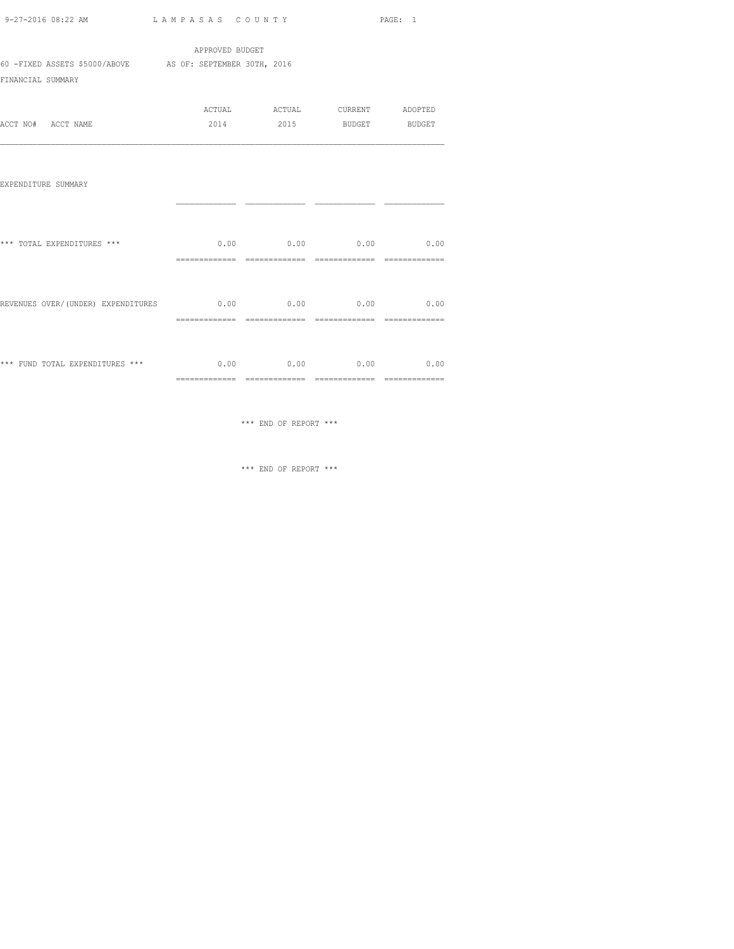| -27-2016 08:22 AM | LAMPASAS COUNTY | PAGE: |
|-------------------|-----------------|-------|

|                                                                                |                 |                                                          |                              | PAGE: 1        |
|--------------------------------------------------------------------------------|-----------------|----------------------------------------------------------|------------------------------|----------------|
|                                                                                | APPROVED BUDGET |                                                          |                              |                |
| 60 -FIXED ASSETS \$5000/ABOVE AS OF: SEPTEMBER 30TH, 2016<br>FINANCIAL SUMMARY |                 |                                                          |                              |                |
| ACCT NO# ACCT NAME                                                             |                 | ACTUAL ACTUAL CURRENT ADOPTED<br>2014 2015 BUDGET BUDGET |                              |                |
| EXPENDITURE SUMMARY                                                            |                 |                                                          |                              |                |
| *** TOTAL EXPENDITURES ***                                                     | ==============  | $0.00$ $0.00$ $0.00$ $0.00$ $0.00$                       | ============================ |                |
| REVENUES OVER/(UNDER) EXPENDITURES $0.00$ 0.00 0.00 0.00 0.00                  | ==============  | ==============                                           | ==============               | ============== |
| *** FUND TOTAL EXPENDITURES *** $0.00$ $0.00$ $0.00$ $0.00$                    |                 |                                                          |                              | 0.00           |

============= ============= ============= =============

\*\*\* END OF REPORT \*\*\*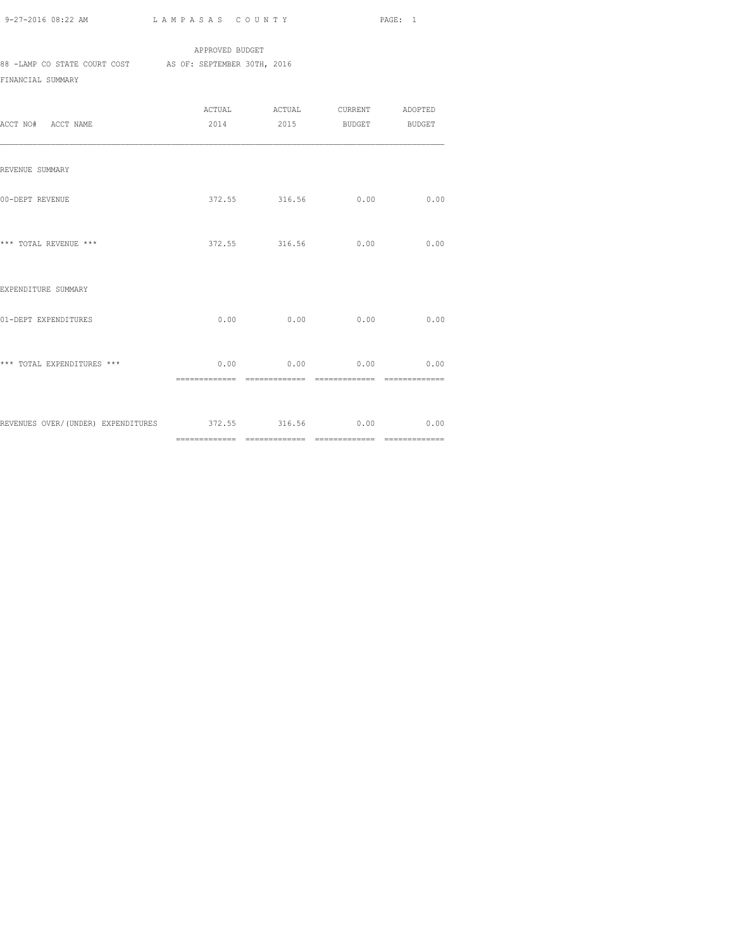APPROVED BUDGET 88 -LAMP CO STATE COURT COST AS OF: SEPTEMBER 30TH, 2016 FINANCIAL SUMMARY

| ACCT NO# ACCT NAME                                          |      | ACTUAL ACTUAL CURRENT ADOPTED<br>2014 2015 BUDGET BUDGET |      |      |
|-------------------------------------------------------------|------|----------------------------------------------------------|------|------|
| REVENUE SUMMARY                                             |      |                                                          |      |      |
| 00-DEPT REVENUE                                             |      | 372.55 316.56 0.00                                       |      | 0.00 |
| *** TOTAL REVENUE ***                                       |      | 372.55 316.56                                            | 0.00 | 0.00 |
| EXPENDITURE SUMMARY                                         |      |                                                          |      |      |
| 01-DEPT EXPENDITURES                                        | 0.00 | 0.00                                                     | 0.00 | 0.00 |
| *** TOTAL EXPENDITURES ***                                  |      | $0.00$ $0.00$ $0.00$ $0.00$                              |      | 0.00 |
| REVENUES OVER/(UNDER) EXPENDITURES 372.55 316.56 0.00 00 00 |      |                                                          |      |      |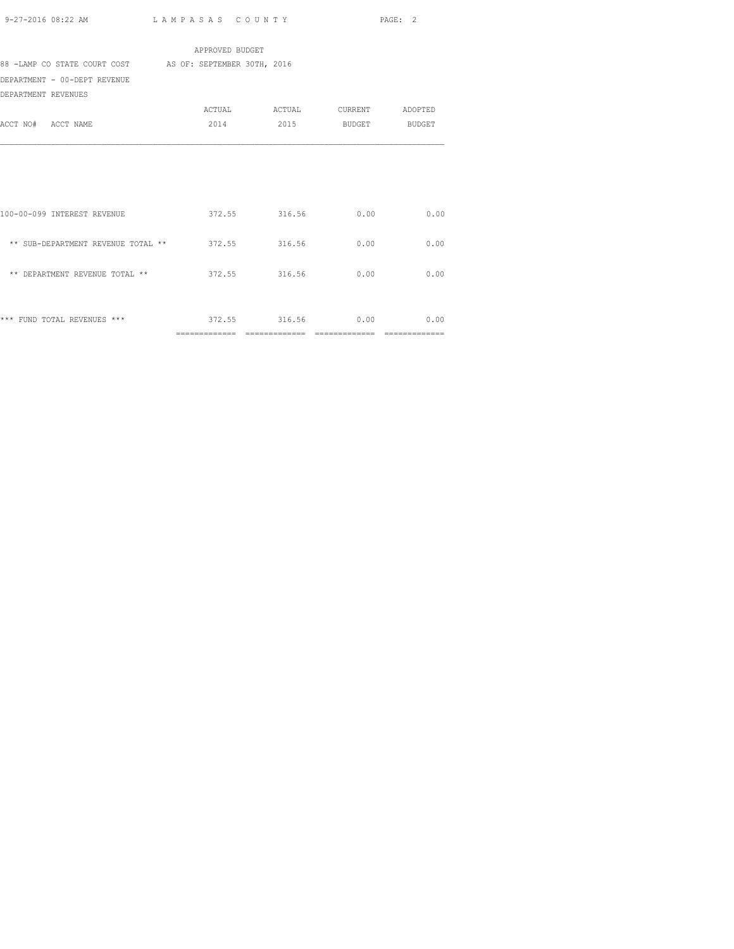|                                                          | APPROVED BUDGET |                         |                    |                |
|----------------------------------------------------------|-----------------|-------------------------|--------------------|----------------|
| 88 -LAMP CO STATE COURT COST AS OF: SEPTEMBER 30TH, 2016 |                 |                         |                    |                |
| DEPARTMENT - 00-DEPT REVENUE                             |                 |                         |                    |                |
| DEPARTMENT REVENUES                                      |                 |                         |                    |                |
|                                                          |                 |                         |                    |                |
| ACCT NO# ACCT NAME                                       | 2014            |                         | 2015 BUDGET BUDGET |                |
|                                                          |                 |                         |                    |                |
|                                                          |                 |                         |                    |                |
|                                                          |                 |                         |                    |                |
|                                                          |                 |                         |                    |                |
|                                                          |                 |                         |                    |                |
| 100-00-099 INTEREST REVENUE                              |                 | 372.55 316.56           | 0.00               | 0.00           |
|                                                          |                 |                         |                    |                |
| ** SUB-DEPARTMENT REVENUE TOTAL ** 372.55 316.56         |                 |                         | 0.00               | 0.00           |
| ** DEPARTMENT REVENUE TOTAL **                           |                 | 372.55 316.56           |                    | 0.00           |
|                                                          |                 |                         | 0.00               |                |
|                                                          |                 |                         |                    |                |
| *** FUND TOTAL REVENUES ***                              |                 | 372.55 316.56 0.00 0.00 |                    |                |
|                                                          |                 |                         |                    | -------------- |